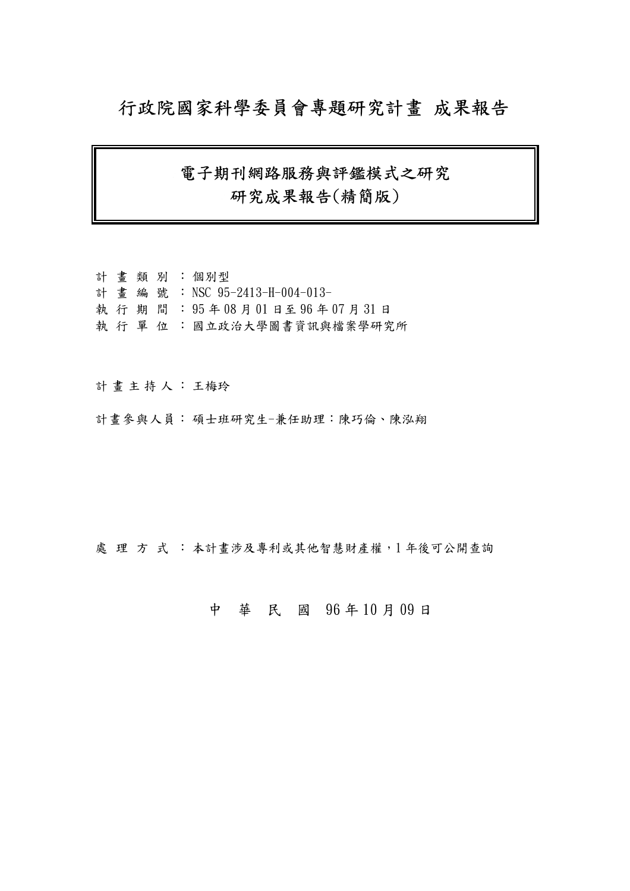## 行政院國家科學委員會專題研究計畫 成果報告

## 電子期刊網路服務與評鑑模式之研究 研究成果報告(精簡版)

|  |  | 計 書類別:個別型                    |
|--|--|------------------------------|
|  |  |                              |
|  |  | 計畫編號: NSC 95-2413-H-004-013- |
|  |  | 執行期間: 95年08月01日至96年07月31日    |
|  |  | 執 行 單 位 : 國立政治大學圖書資訊與檔案學研究所  |

計 畫 主 持 人 : 王梅玲

計畫參與人員: 碩士班研究生-兼任助理:陳巧倫、陳泓翔

處理方式:本計畫涉及專利或其他智慧財產權,1年後可公開查詢

### 中 華 民 國 96 年 10 月 09 日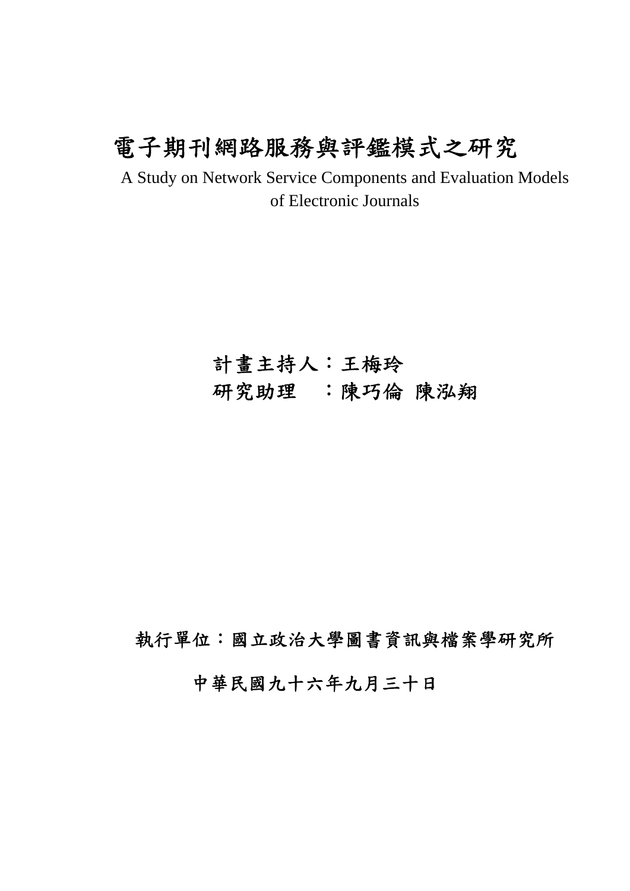# 電子期刊網路服務與評鑑模式之研究

A Study on Network Service Components and Evaluation Models of Electronic Journals

# 計畫主持人:王梅玲 研究助理:陳巧倫 陳泓翔

執行單位:國立政治大學圖書資訊與檔案學研究所

中華民國九十六年九月三十日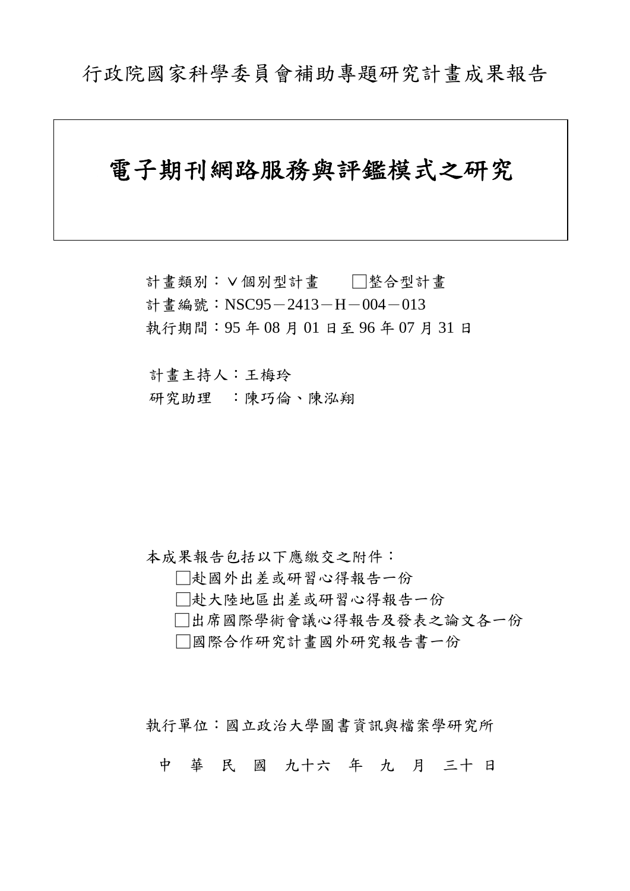# 電子期刊網路服務與評鑑模式之研究

計畫類別:∨個別型計畫 □整合型計畫 計畫編號: NSC95-2413-H-004-013 執行期間:95 年 08 月 01 日至 96 年 07 月 31 日

計畫主持人:王梅玲 研究助理 :陳巧倫、陳泓翔

本成果報告包括以下應繳交之附件:

□赴國外出差或研習心得報告一份

□赴大陸地區出差或研習心得報告一份

□出席國際學術會議心得報告及發表之論文各一份

□國際合作研究計畫國外研究報告書一份

執行單位:國立政治大學圖書資訊與檔案學研究所

中 華 民 國 九十六 年 九 月 三十 日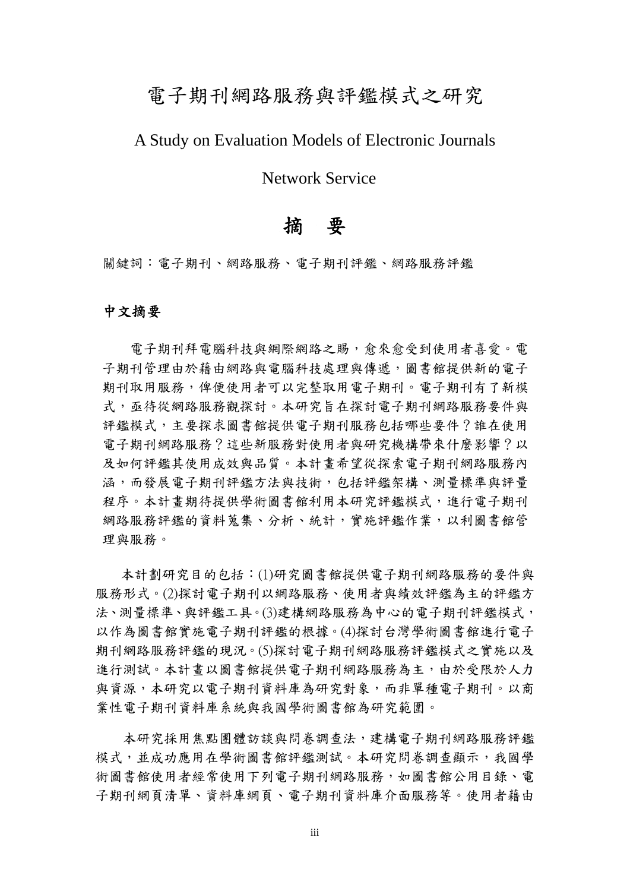## 電子期刊網路服務與評鑑模式之研究

## A Study on Evaluation Models of Electronic Journals

Network Service

## 摘要

關鍵詞:電子期刊、網路服務、電子期刊評鑑、網路服務評鑑

#### 中文摘要

電子期刊拜電腦科技與網際網路之賜,愈來愈受到使用者喜愛。電 子期刊管理由於藉由網路與電腦科技處理與傳遞,圖書館提供新的電子 期刊取用服務,俾便使用者可以完整取用電子期刊。電子期刊有了新模 式,亟待從網路服務觀探討。本研究旨在探討電子期刊網路服務要件與 評鑑模式,主要探求圖書館提供電子期刊服務包括哪些要件?誰在使用 電子期刊網路服務?這些新服務對使用者與研究機構帶來什麼影響?以 及如何評鑑其使用成效與品質。本計畫希望從探索電子期刊網路服務內 涵,而發展電子期刊評鑑方法與技術,包括評鑑架構、測量標準與評量 程序。本計書期待提供學術圖書館利用本研究評鑑模式,進行電子期刊 網路服務評鑑的資料蒐集、分析、統計,實施評鑑作業,以利圖書館管 理與服務。

本計劃研究目的包括:(1)研究圖書館提供電子期刊網路服務的要件與 服務形式。(2)探討電子期刊以網路服務、使用者與績效評鑑為主的評鑑方 法、測量標準、與評鑑工具。(3)建構網路服務為中心的電子期刊評鑑模式, 以作為圖書館實施電子期刊評鑑的根據。(4)探討台灣學術圖書館進行電子 期刊網路服務評鑑的現況。(5)探討電子期刊網路服務評鑑模式之實施以及 進行測試。本計畫以圖書館提供電子期刊網路服務為主,由於受限於人力 與資源,本研究以電子期刊資料庫為研究對象,而非單種電子期刊。以商 業性電子期刊資料庫系統與我國學術圖書館為研究範圍。

本研究採用焦點團體訪談與問卷調查法,建構電子期刊網路服務評鑑 模式,並成功應用在學術圖書館評鑑測試。本研究問卷調查顯示,我國學 術圖書館使用者經常使用下列電子期刊網路服務,如圖書館公用目錄、電 子期刊網頁清單、資料庫網頁、電子期刊資料庫介面服務等。使用者藉由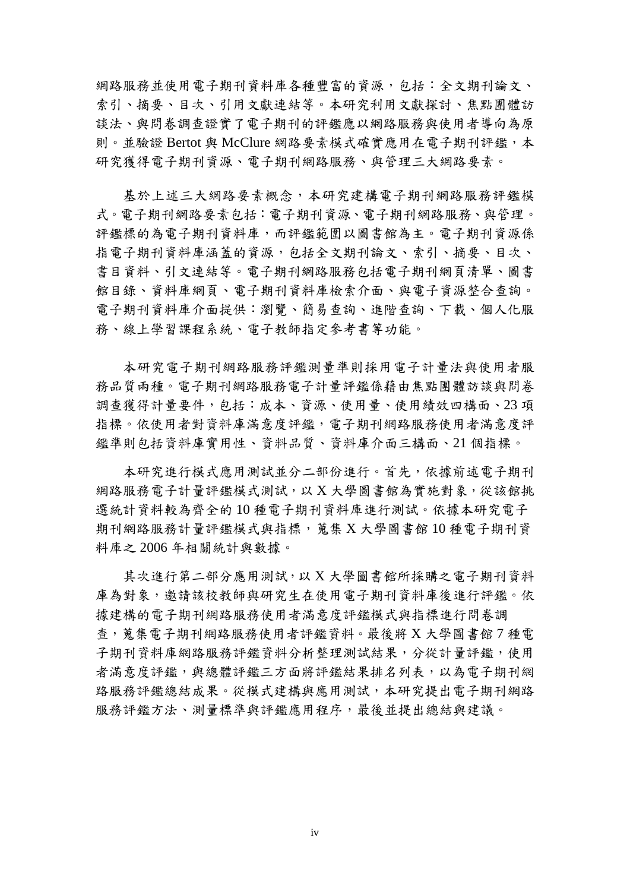網路服務並使用電子期刊資料庫各種豐富的資源,包括:全文期刊論文、 索引、摘要、目次、引用文獻連結等。本研究利用文獻探討、焦點團體訪 談法、與問卷調查證實了電子期刊的評鑑應以網路服務與使用者導向為原 則。並驗證 Bertot 與 McClure 網路要素模式確實應用在電子期刊評鑑,本 研究獲得電子期刊資源、電子期刊網路服務、與管理三大網路要素。

基於上述三大網路要素概念,本研究建構電子期刊網路服務評鑑模 式。電子期刊網路服務、與管理。 評鑑標的為電子期刊資料庫,而評鑑範圍以圖書館為主。電子期刊資源係 指電子期刊資料庫涵蓋的資源,包括全文期刊論文、索引、摘要、目次、 書目資料、引文連結等。電子期刊網路服務包括電子期刊網頁清單、圖書 館目錄、資料庫網頁、電子期刊資料庫檢索介面、與電子資源整合查詢。 電子期刊資料庫介面提供:瀏覽、簡易查詢、進階查詢、下載、個人化服 務、線上學習課程系統、電子教師指定參考書等功能。

本研究電子期刊網路服務評鑑測量準則採用電子計量法與使用者服 務品質兩種。電子期刊網路服務電子計量評鑑係藉由焦點團體訪談與問卷 調查獲得計量要件,包括:成本、資源、使用量、使用績效四構面、23 項 指標。依使用者對資料庫滿意度評鑑,電子期刊網路服務使用者滿意度評 鑑準則包括資料庫實用性、資料品質、資料庫介面三構面、21 個指標。

本研究進行模式應用測試並分二部份進行。首先,依據前述電子期刊 網路服務電子計量評鑑模式測試,以 X 大學圖書館為實施對象,從該館挑 選統計資料較為齊全的 10 種電子期刊資料庫進行測試。依據本研究電子 期刊網路服務計量評鑑模式與指標,蒐集 X 大學圖書館 10 種電子期刊資 料庫之 2006 年相關統計與數據。

其次進行第二部分應用測試,以 X 大學圖書館所採購之電子期刊資料 庫為對象,邀請該校教師與研究生在使用電子期刊資料庫後進行評鑑。依 據建構的電子期刊網路服務使用者滿意度評鑑模式與指標進行問卷調 查,蒐集電子期刊網路服務使用者評鑑資料。最後將 X 大學圖書館 7 種電 子期刊資料庫網路服務評鑑資料分析整理測試結果,分從計量評鑑,使用 者滿意度評鑑,與總體評鑑三方面將評鑑結果排名列表,以為電子期刊網 路服務評鑑總結成果。從模式建構與應用測試,本研究提出電子期刊網路 服務評鑑方法、測量標準與評鑑應用程序,最後並提出總結與建議。

iv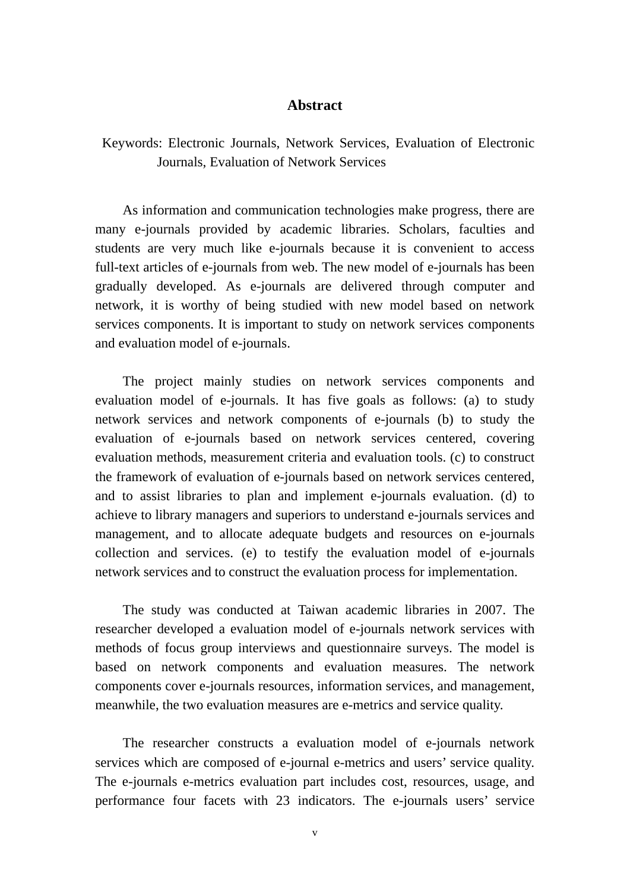#### **Abstract**

### Keywords: Electronic Journals, Network Services, Evaluation of Electronic Journals, Evaluation of Network Services

As information and communication technologies make progress, there are many e-journals provided by academic libraries. Scholars, faculties and students are very much like e-journals because it is convenient to access full-text articles of e-journals from web. The new model of e-journals has been gradually developed. As e-journals are delivered through computer and network, it is worthy of being studied with new model based on network services components. It is important to study on network services components and evaluation model of e-journals.

The project mainly studies on network services components and evaluation model of e-journals. It has five goals as follows: (a) to study network services and network components of e-journals (b) to study the evaluation of e-journals based on network services centered, covering evaluation methods, measurement criteria and evaluation tools. (c) to construct the framework of evaluation of e-journals based on network services centered, and to assist libraries to plan and implement e-journals evaluation. (d) to achieve to library managers and superiors to understand e-journals services and management, and to allocate adequate budgets and resources on e-journals collection and services. (e) to testify the evaluation model of e-journals network services and to construct the evaluation process for implementation.

The study was conducted at Taiwan academic libraries in 2007. The researcher developed a evaluation model of e-journals network services with methods of focus group interviews and questionnaire surveys. The model is based on network components and evaluation measures. The network components cover e-journals resources, information services, and management, meanwhile, the two evaluation measures are e-metrics and service quality.

The researcher constructs a evaluation model of e-journals network services which are composed of e-journal e-metrics and users' service quality. The e-journals e-metrics evaluation part includes cost, resources, usage, and performance four facets with 23 indicators. The e-journals users' service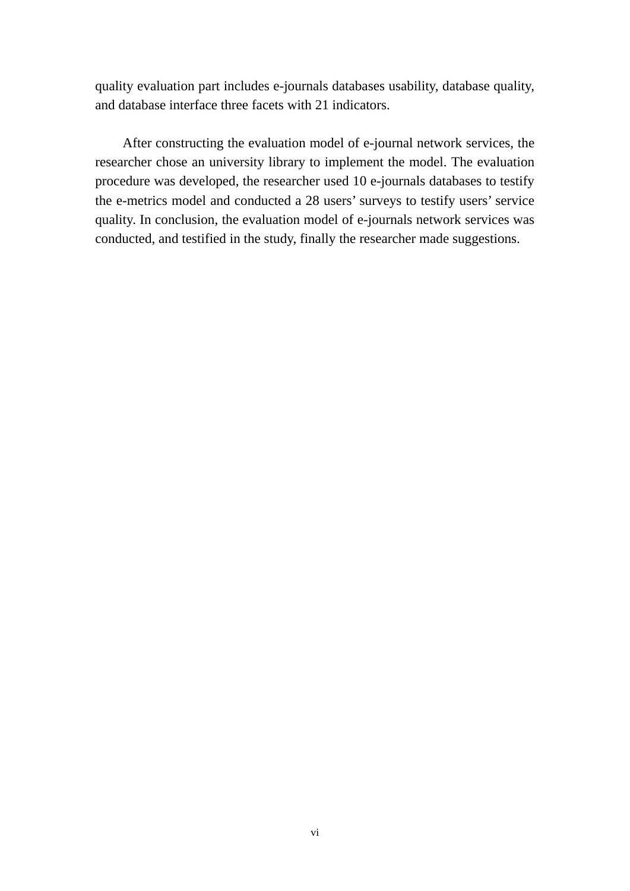quality evaluation part includes e-journals databases usability, database quality, and database interface three facets with 21 indicators.

After constructing the evaluation model of e-journal network services, the researcher chose an university library to implement the model. The evaluation procedure was developed, the researcher used 10 e-journals databases to testify the e-metrics model and conducted a 28 users' surveys to testify users' service quality. In conclusion, the evaluation model of e-journals network services was conducted, and testified in the study, finally the researcher made suggestions.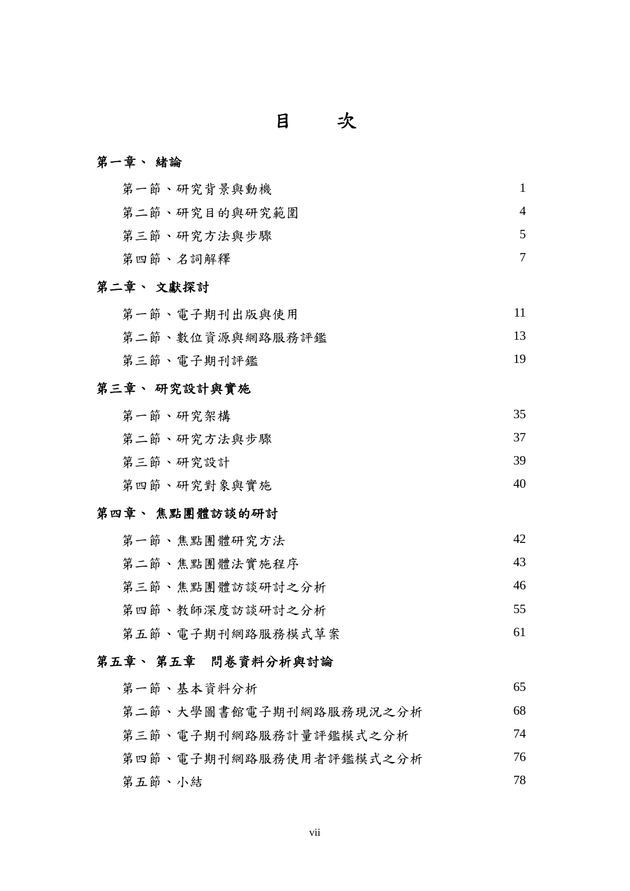### 目次

### 第一章、 緒論

| 第一節、研究背景與動機   |  |
|---------------|--|
| 第二節、研究目的與研究範圍 |  |
| 第三節、研究方法與步驟   |  |
| 第四節、名詞解釋      |  |

### 第二章、 文獻探討

| 第一節、電子期刊出版與使用 |  |
|---------------|--|
|---------------|--|

第二節、數位資源與網路服務評鑑 13

第三節、電子期刊評鑑 19

### 第三章、 研究設計與實施

| 第一節、研究架構    | 35 |
|-------------|----|
| 第二節、研究方法與步驟 | 37 |
| 第三節、研究設計    | 39 |
| 第四節、研究對象與實施 | 40 |

#### 第四章、 焦點團體訪談的研討

| 第一節、焦點團體研究方法 |  |
|--------------|--|
|--------------|--|

- 第二節、焦點團體法實施程序 43
- 第三節、焦點團體訪談研討之分析 46
- 第四節、教師深度訪談研討之分析 55
- 第五節、電子期刊網路服務模式草案 61

## 第五章、 第五章問卷資料分析與討論

| 第一節、基本資料分析             | 65 |
|------------------------|----|
| 第二節、大學圖書館電子期刊網路服務現況之分析 | 68 |
| 第三節、電子期刊網路服務計量評鑑模式之分析  | 74 |
| 第四節、電子期刊網路服務使用者評鑑模式之分析 | 76 |
| 第五節、小結                 | 78 |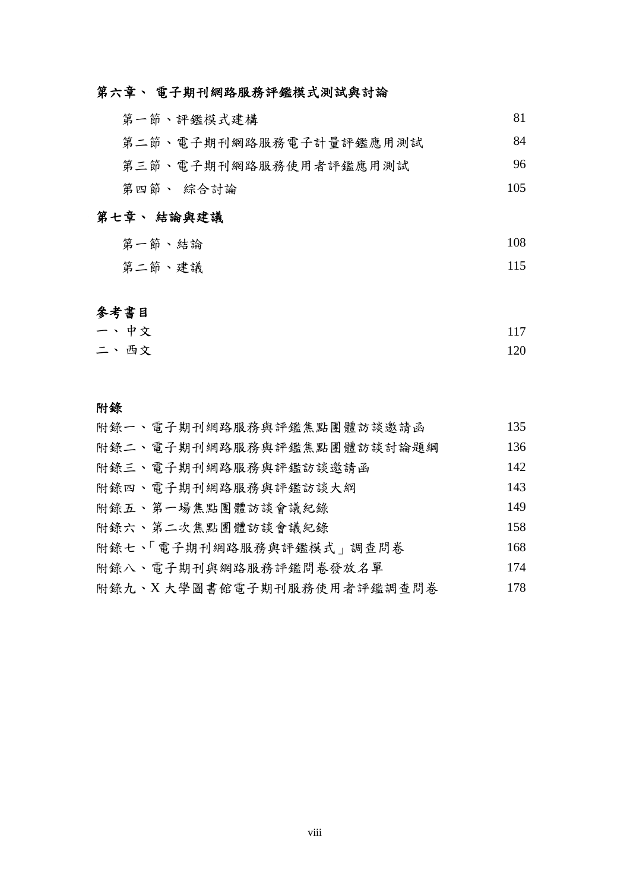## 第六章、 電子期刊網路服務評鑑模式測試與討論

| 第一節、評鑑模式建構             | 81  |
|------------------------|-----|
| 第二節、電子期刊網路服務電子計量評鑑應用測試 | 84  |
| 第三節、電子期刊網路服務使用者評鑑應用測試  | 96  |
| 第四節、 綜合討論              | 105 |

## 第七章、 結論與建議

- 第一節、結論 108
- 第二節、建議 115

## 參考書目

| 一、中文 | 117 |
|------|-----|
| 二、西文 | 120 |

#### 附錄

| 附錄一、電子期刊網路服務與評鑑焦點團體訪談邀請函  | 135 |
|---------------------------|-----|
| 附錄二、電子期刊網路服務與評鑑焦點團體訪談討論題綱 | 136 |
| 附錄三、電子期刊網路服務與評鑑訪談邀請函      | 142 |
| 附錄四、電子期刊網路服務與評鑑訪談大綱       | 143 |
| 附錄五、第一場焦點團體訪談會議紀錄         | 149 |
| 附錄六、第二次焦點團體訪談會議紀錄         | 158 |
| 附錄七、 電子期刊網路服務與評鑑模式」調查問卷   | 168 |
| 附錄八、電子期刊與網路服務評鑑問卷發放名單     | 174 |
| 附錄九、X大學圖書館電子期刊服務使用者評鑑調查問卷 | 178 |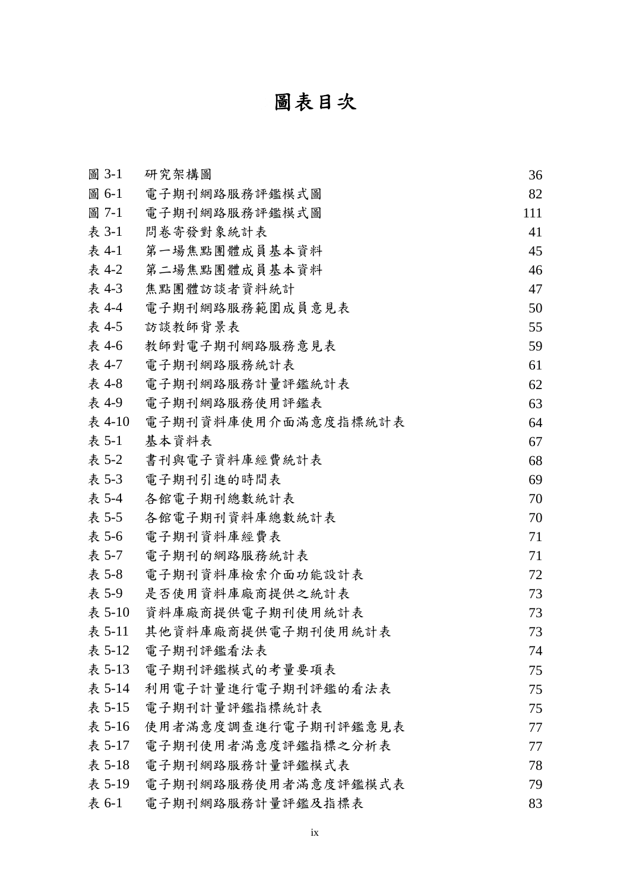# 圖表目次

| 圖 3-1  | 研究架構圖               | 36  |
|--------|---------------------|-----|
| 圖 6-1  | 電子期刊網路服務評鑑模式圖       | 82  |
| 圖 7-1  | 電子期刊網路服務評鑑模式圖       | 111 |
| 表 3-1  | 問卷寄發對象統計表           | 41  |
| 表 4-1  | 第一場焦點團體成員基本資料       | 45  |
| 表 4-2  | 第二場焦點團體成員基本資料       | 46  |
| 表 4-3  | 焦點團體訪談者資料統計         | 47  |
| 表 4-4  | 電子期刊網路服務範圍成員意見表     | 50  |
| 表 4-5  | 訪談教師背景表             | 55  |
| 表 4-6  | 教師對電子期刊網路服務意見表      | 59  |
| 表 4-7  | 電子期刊網路服務統計表         | 61  |
| 表 4-8  | 電子期刊網路服務計量評鑑統計表     | 62  |
| 表 4-9  | 電子期刊網路服務使用評鑑表       | 63  |
| 表 4-10 | 電子期刊資料庫使用介面滿意度指標統計表 | 64  |
| 表 5-1  | 基本資料表               | 67  |
| 表 5-2  | 書刊與電子資料庫經費統計表       | 68  |
| 表 5-3  | 電子期刊引進的時間表          | 69  |
| 表 5-4  | 各館電子期刊總數統計表         | 70  |
| 表 5-5  | 各館電子期刊資料庫總數統計表      | 70  |
| 表 5-6  | 電子期刊資料庫經費表          | 71  |
| 表 5-7  | 電子期刊的網路服務統計表        | 71  |
| 表 5-8  | 電子期刊資料庫檢索介面功能設計表    | 72  |
| 表 5-9  | 是否使用資料庫廠商提供之統計表     | 73  |
| 表 5-10 | 資料庫廠商提供電子期刊使用統計表    | 73  |
| 表 5-11 | 其他資料庫廠商提供電子期刊使用統計表  | 73  |
| 表 5-12 | 電子期刊評鑑看法表           | 74  |
| 表 5-13 | 電子期刊評鑑模式的考量要項表      | 75  |
| 表 5-14 | 利用電子計量進行電子期刊評鑑的看法表  | 75  |
| 表 5-15 | 電子期刊計量評鑑指標統計表       | 75  |
| 表 5-16 | 使用者滿意度調查進行電子期刊評鑑意見表 | 77  |
| 表 5-17 | 電子期刊使用者滿意度評鑑指標之分析表  | 77  |
| 表 5-18 | 電子期刊網路服務計量評鑑模式表     | 78  |
| 表 5-19 | 電子期刊網路服務使用者滿意度評鑑模式表 | 79  |
| 表 6-1  | 電子期刊網路服務計量評鑑及指標表    | 83  |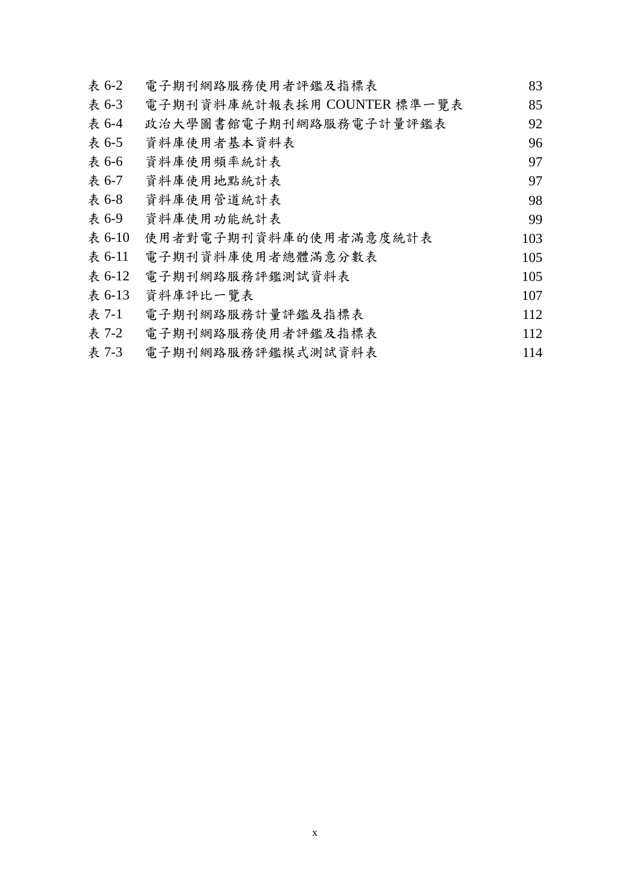| 表 6-2  | 電子期刊網路服務使用者評鑑及指標表           | 83  |
|--------|-----------------------------|-----|
| 表 6-3  | 電子期刊資料庫統計報表採用 COUNTER 標準一覽表 | 85  |
| 表 6-4  | 政治大學圖書館電子期刊網路服務電子計量評鑑表      | 92  |
| 表 6-5  | 資料庫使用者基本資料表                 | 96  |
| 表 6-6  | 資料庫使用頻率統計表                  | 97  |
| 表 6-7  | 資料庫使用地點統計表                  | 97  |
| 表 6-8  | 資料庫使用管道統計表                  | 98  |
| 表 6-9  | 資料庫使用功能統計表                  | 99  |
| 表 6-10 | 使用者對電子期刊資料庫的使用者滿意度統計表       | 103 |
| 表 6-11 | 電子期刊資料庫使用者總體滿意分數表           | 105 |
| 表 6-12 | 電子期刊網路服務評鑑測試資料表             | 105 |
| 表 6-13 | 資料庫評比一覽表                    | 107 |
| 表 7-1  | 電子期刊網路服務計量評鑑及指標表            | 112 |
| 表 7-2  | 電子期刊網路服務使用者評鑑及指標表           | 112 |
| 表 7-3  | 電子期刊網路服務評鑑模式測試資料表           | 114 |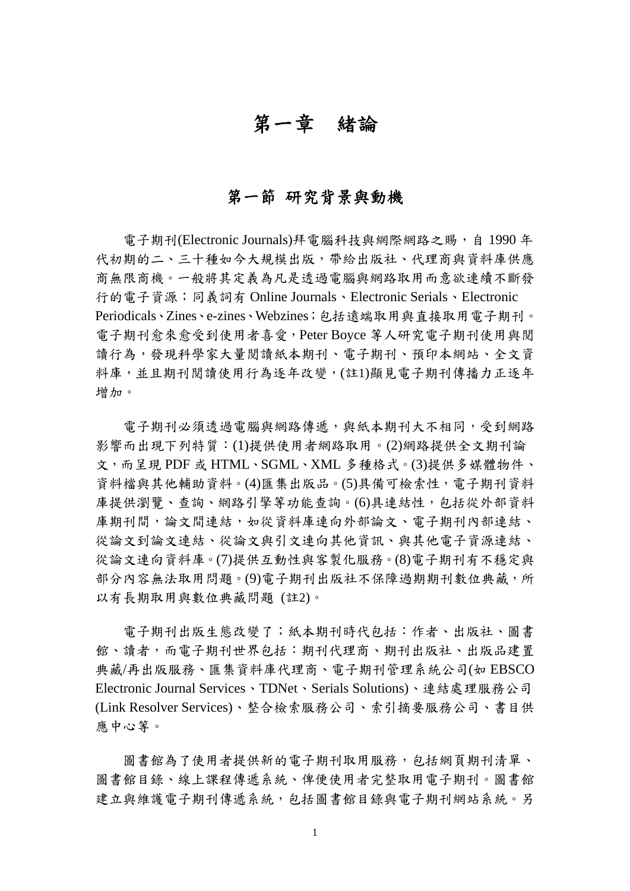## 第一章緒論

## 第一節 研究背景與動機

電子期刊(Electronic Journals)拜電腦科技與網際網路之賜,自 1990年 代初期的二、三十種如今大規模出版,帶給出版社、代理商與資料庫供應 商無限商機。一般將其定義為凡是透過電腦與網路取用而意欲連續不斷發 行的電子資源;同義詞有 Online Journals、Electronic Serials、Electronic Periodicals、Zines、e-zines、Webzines;包括遠端取用與直接取用電子期刊。 電子期刊愈來愈受到使用者喜愛,Peter Boyce 等人研究電子期刊使用與閱 讀行為,發現科學家大量閱讀紙本期刊、電子期刊、預印本網站、全文資 料庫,並且期刊閱讀使用行為逐年改變,(註1)顯見電子期刊傳播力正逐年 增加。

電子期刊必須透過電腦與網路傳遞,與紙本期刊大不相同,受到網路 影響而出現下列特質:(1)提供使用者網路取用。(2)網路提供全文期刊論 文,而呈現 PDF 或 HTML、SGML、XML 多種格式。(3)提供多媒體物件、 資料檔與其他輔助資料。(4)匯集出版品。(5)具備可檢索性,電子期刊資料 庫提供瀏覽、查詢、網路引擎等功能查詢。(6)具連結性,包括從外部資料 庫期刊間,論文間連結,如從資料庫連向外部論文、電子期刊內部連結、 從論文到論文連結、從論文與引文連向其他資訊、與其他電子資源連結、 從論文連向資料庫。(7)提供互動性與客製化服務。(8)電子期刊有不穩定與 部分內容無法取用問題。(9)電子期刊出版社不保障過期期刊數位典藏,所 以有長期取用與數位典藏問題 (註2)。

電子期刊出版生態改變了;紙本期刊時代包括:作者、出版社、圖書 館、讀者,而電子期刊世界包括:期刊代理商、期刊出版社、出版品建置 典藏/再出版服務、匯集資料庫代理商、電子期刊管理系統公司(如 EBSCO Electronic Journal Services、TDNet、Serials Solutions)、連結處理服務公司 (Link Resolver Services)、整合檢索服務公司、索引摘要服務公司、書目供 應中心等。

圖書館為了使用者提供新的電子期刊取用服務,包括網頁期刊清單、 圖書館目錄、線上課程傳遞系統、俾便使用者完整取用電子期刊。圖書館 建立與維護電子期刊傳遞系統,包括圖書館目錄與電子期刊網站系統。另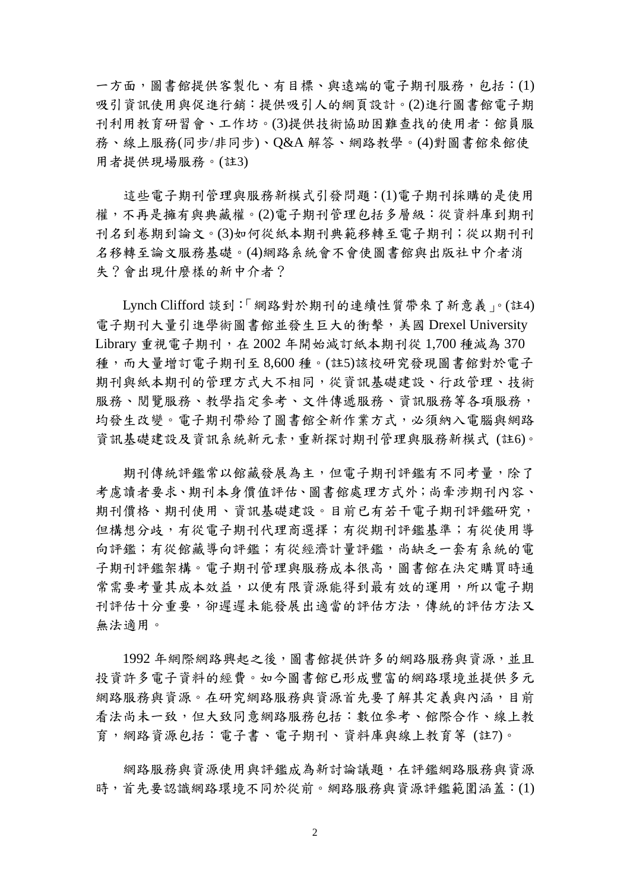一方面,圖書館提供客製化、有目標、與遠端的電子期刊服務,包括:(1) 吸引資訊使用與促進行銷:提供吸引人的網頁設計。(2)進行圖書館電子期 刊利用教育研習會、工作坊。(3)提供技術協助困難查找的使用者:館員服 務、線上服務(同步/非同步)、Q&A 解答、網路教學。(4)對圖書館來館使 用者提供現場服務。(註3)

這些電子期刊管理與服務新模式引發問題:(1)電子期刊採購的是使用 權,不再是擁有與典藏權。(2)電子期刊管理包括多層級:從資料庫到期刊 刊名到卷期到論文。(3)如何從紙本期刊典範移轉至電子期刊;從以期刊刊 名移轉至論文服務基礎。(4)網路系統會不會使圖書館與出版社中介者消 失?會出現什麼樣的新中介者?

Lynch Clifford 談到:「網路對於期刊的連續性質帶來了新意義」。(註4) 電子期刊大量引進學術圖書館並發生巨大的衝擊,美國 Drexel University Library 重視電子期刊, 在 2002 年開始減訂紙本期刊從 1,700 種減為 370 種,而大量增訂電子期刊至 8,600 種。(註5)該校研究發現圖書館對於電子 期刊與紙本期刊的管理方式大不相同,從資訊基礎建設、行政管理、技術 服務、閱覽服務、教學指定參考、文件傳遞服務、資訊服務等各項服務, 均發生改變。電子期刊帶給了圖書館全新作業方式,必須納入電腦與網路 資訊基礎建設及資訊系統新元素,重新探討期刊管理與服務新模式 (註6)。

期刊傳統評鑑常以館藏發展為主,但電子期刊評鑑有不同考量,除了 考慮讀者要求、期刊本身價值評估、圖書館處理方式外;尚牽涉期刊內容、 期刊價格、期刊使用、資訊基礎建設。目前已有若干電子期刊評鑑研究, 但構想分歧,有從電子期刊代理商選擇;有從期刊評鑑基準;有從使用導 向評鑑;有從館藏導向評鑑;有從經濟計量評鑑,尚缺乏一套有系統的電 子期刊評鑑架構。電子期刊管理與服務成本很高,圖書館在決定購買時通 常需要考量其成本效益,以便有限資源能得到最有效的運用,所以電子期 刊評估十分重要,卻遲遲未能發展出適當的評估方法,傳統的評估方法又 無法適用。

1992 年網際網路興起之後,圖書館提供許多的網路服務與資源,並且 投資許多電子資料的經費。如今圖書館已形成豐富的網路環境並提供多元 網路服務與資源。在研究網路服務與資源首先要了解其定義與內涵,目前 看法尚未一致,但大致同意網路服務包括:數位參考、館際合作、線上教 育,網路資源包括:電子書、電子期刊、資料庫與線上教育等 (註7)。

網路服務與資源使用與評鑑成為新討論議題,在評鑑網路服務與資源 時,首先要認識網路環境不同於從前。網路服務與資源評鑑範圍涵蓋: (1)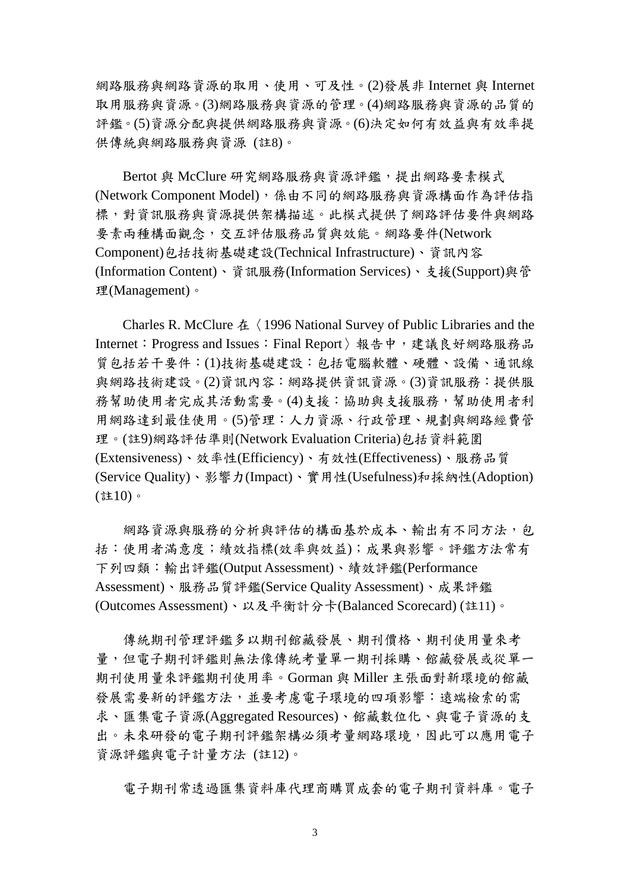網路服務與網路資源的取用、使用、可及性。(2)發展非 Internet 與 Internet 取用服務與資源。(3)網路服務與資源的管理。(4)網路服務與資源的品質的 評鑑。(5)資源分配與提供網路服務與資源。(6)決定如何有效益與有效率提 供傳統與網路服務與資源 (註8)。

Bertot 與 McClure 研究網路服務與資源評鑑,提出網路要素模式 (Network Component Model),係由不同的網路服務與資源構面作為評估指 標,對資訊服務與資源提供架構描述。此模式提供了網路評估要件與網路 要素兩種構面觀念,交互評估服務品質與效能。網路要件(Network Component)包括技術基礎建設(Technical Infrastructure)、資訊內容 (Information Content)、資訊服務(Information Services)、支援(Support)與管 理(Management)。

Charles R. McClure  $\&$   $\langle$  1996 National Survey of Public Libraries and the Internet: Progress and Issues: Final Report 〉報告中,建議良好網路服務品 質包括若干要件:(1)技術基礎建設:包括電腦軟體、硬體、設備、通訊線 與網路技術建設。(2)資訊內容:網路提供資訊資源。(3)資訊服務:提供服 務幫助使用者完成其活動需要。(4)支援:協助與支援服務,幫助使用者利 用網路達到最佳使用。(5)管理:人力資源、行政管理、規劃與網路經費管 理。(註9)網路評估準則(Network Evaluation Criteria)包括資料範圍 (Extensiveness)、效率性(Efficiency)、有效性(Effectiveness)、服務品質 (Service Quality)、影響力(Impact)、實用性(Usefulness)和採納性(Adoption) (註10)。

網路資源與服務的分析與評估的構面基於成本、輸出有不同方法,包 括:使用者滿意度;績效指標(效率與效益);成果與影響。評鑑方法常有 下列四類:輸出評鑑(Output Assessment)、績效評鑑(Performance Assessment)、服務品質評鑑(Service Quality Assessment)、成果評鑑 (Outcomes Assessment)、以及平衡計分卡(Balanced Scorecard) (註11)。

傳統期刊管理評鑑多以期刊館藏發展、期刊價格、期刊使用量來考 量,但電子期刊評鑑則無法像傳統考量單一期刊採購、館藏發展或從單一 期刊使用量來評鑑期刊使用率。Gorman 與 Miller 主張面對新環境的館藏 發展需要新的評鑑方法,並要考慮電子環境的四項影響:遠端檢索的需 求、匯集電子資源(Aggregated Resources)、館藏數位化、與電子資源的支 出。未來研發的電子期刊評鑑架構必須考量網路環境,因此可以應用電子 資源評鑑與電子計量方法 (註12)。

電子期刊常透過匯集資料庫代理商購買成套的電子期刊資料庫。電子

3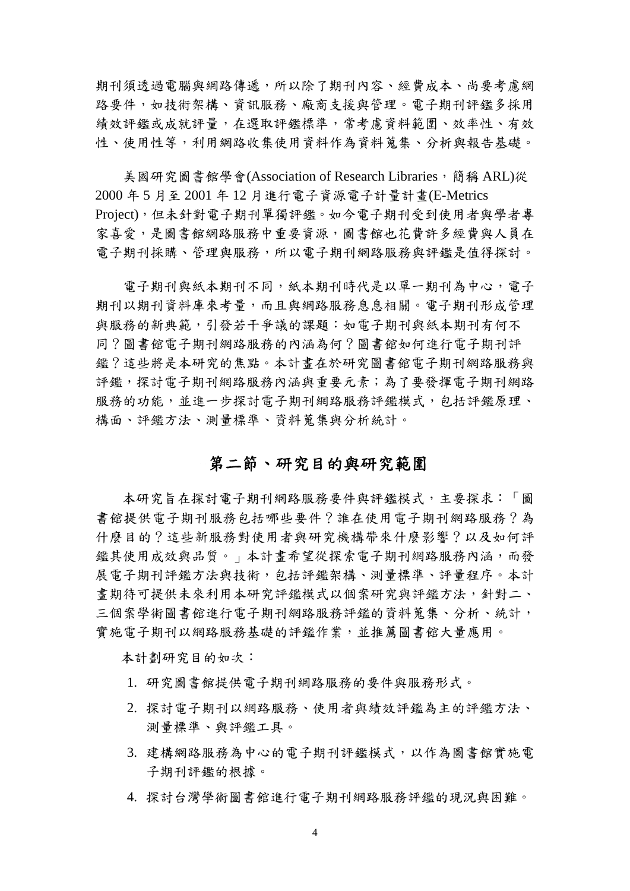期刊須透過電腦與網路傳遞,所以除了期刊內容、經費成本、尚要考慮網 路要件,如技術架構、資訊服務、廠商支援與管理。電子期刊評鑑多採用 績效評鑑或成就評量,在選取評鑑標準,常考慮資料範圍、效率性、有效 性、使用性等,利用網路收集使用資料作為資料蒐集、分析與報告基礎。

美國研究圖書館學會(Association of Research Libraries,簡稱 ARL)從 2000 年 5 月至 2001 年 12 月進行電子資源電子計量計畫(E-Metrics Project),但未針對電子期刊單獨評鑑。如今電子期刊受到使用者與學者專 家喜愛,是圖書館網路服務中重要資源,圖書館也花費許多經費與人員在 電子期刊採購、管理與服務,所以電子期刊網路服務與評鑑是值得探討。

電子期刊與紙本期刊不同,紙本期刊時代是以單一期刊為中心,電子 期刊以期刊資料庫來考量,而且與網路服務息息相關。電子期刊形成管理 與服務的新典範,引發若干爭議的課題:如電子期刊與紙本期刊有何不 同?圖書館電子期刊網路服務的內涵為何?圖書館如何進行電子期刊評 鑑?這些將是本研究的焦點。本計畫在於研究圖書館電子期刊網路服務與 評鑑,探討電子期刊網路服務內涵與重要元素;為了要發揮電子期刊網路 服務的功能,並進一步探討電子期刊網路服務評鑑模式,包括評鑑原理、 構面、評鑑方法、測量標準、資料蒐集與分析統計。

## 第二節、研究目的與研究範圍

本研究旨在探討電子期刊網路服務要件與評鑑模式,主要探求:「圖 書館提供電子期刊服務包括哪些要件?誰在使用電子期刊網路服務?為 什麼目的?這些新服務對使用者與研究機構帶來什麼影響?以及如何評 鑑其使用成效與品質。」本計畫希望從探索電子期刊網路服務內涵,而發 展電子期刊評鑑方法與技術,包括評鑑架構、測量標準、評量程序。本計 書期待可提供未來利用本研究評鑑模式以個案研究與評鑑方法,針對二、 三個案學術圖書館進行電子期刊網路服務評鑑的資料蒐集、分析、統計, 實施電子期刊以網路服務基礎的評鑑作業,並推薦圖書館大量應用。

本計劃研究目的如次:

- 1. 研究圖書館提供電子期刊網路服務的要件與服務形式。
- 2. 探討電子期刊以網路服務、使用者與績效評鑑為主的評鑑方法、 測量標準、與評鑑工具。
- 3. 建構網路服務為中心的電子期刊評鑑模式,以作為圖書館實施電 子期刊評鑑的根據。
- 4. 探討台灣學術圖書館進行電子期刊網路服務評鑑的現況與困難。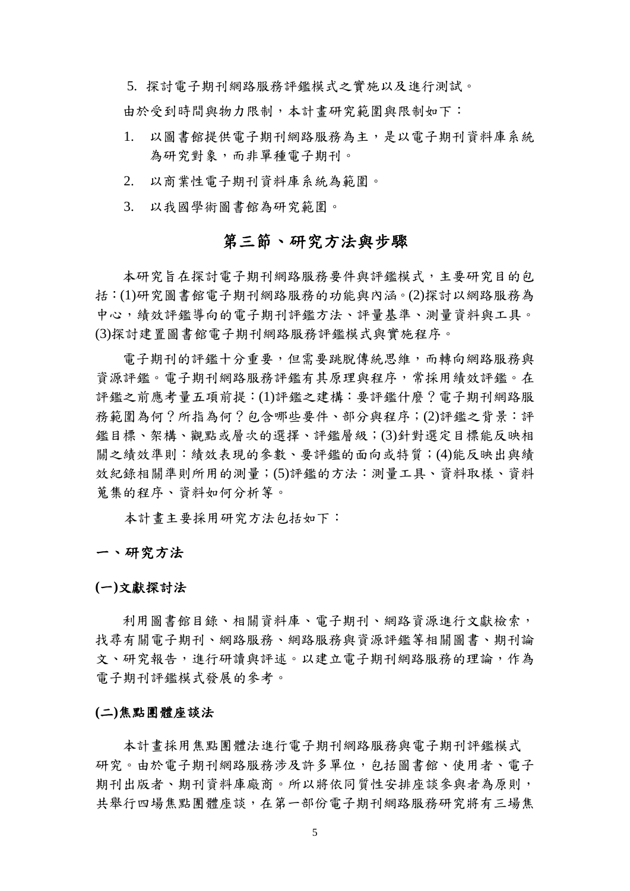5. 探討電子期刊網路服務評鑑模式之實施以及進行測試。 由於受到時間與物力限制,本計畫研究範圍與限制如下:

- 1. 以圖書館提供電子期刊網路服務為主,是以電子期刊資料庫系統 為研究對象,而非單種電子期刊。
- 2. 以商業性電子期刊資料庫系統為範圍。
- 3. 以我國學術圖書館為研究範圍。

## 第三節、研究方法與步驟

本研究旨在探討電子期刊網路服務要件與評鑑模式,主要研究目的包 括:(1)研究圖書館電子期刊網路服務的功能與內涵。(2)探討以網路服務為 中心,績效評鑑導向的電子期刊評鑑方法、評量基準、測量資料與工具。 (3)探討建置圖書館電子期刊網路服務評鑑模式與實施程序。

電子期刊的評鑑十分重要,但需要跳脫傳統思維,而轉向網路服務與 資源評鑑。電子期刊網路服務評鑑有其原理與程序,常採用績效評鑑。在 評鑑之前應考量五項前提:(1)評鑑之建構:要評鑑什麼?電子期刊網路服 務範圍為何?所指為何?包含哪些要件、部分與程序;(2)評鑑之背景:評 鑑目標、架構、觀點或層次的選擇、評鑑層級;(3)針對選定目標能反映相 關之績效準則:績效表現的參數、要評鑑的面向或特質;(4)能反映出與績 效紀錄相關準則所用的測量;(5)評鑑的方法:測量工具、資料取樣、資料 蒐集的程序、資料如何分析等。

本計畫主要採用研究方法包括如下:

#### 一、研究方法

#### **(**一**)**文獻探討法

利用圖書館目錄、相關資料庫、電子期刊、網路資源進行文獻檢索, 找尋有關電子期刊、網路服務、網路服務與資源評鑑等相關圖書、期刊論 文、研究報告,進行研讀與評述。以建立電子期刊網路服務的理論,作為 電子期刊評鑑模式發展的參考。

#### **(**二**)**焦點團體座談法

本計畫採用焦點團體法進行電子期刊網路服務與電子期刊評鑑模式 研究。由於電子期刊網路服務涉及許多單位,包括圖書館、使用者、電子 期刊出版者、期刊資料庫廠商。所以將依同質性安排座談參與者為原則, 共舉行四場焦點團體座談,在第一部份電子期刊網路服務研究將有三場焦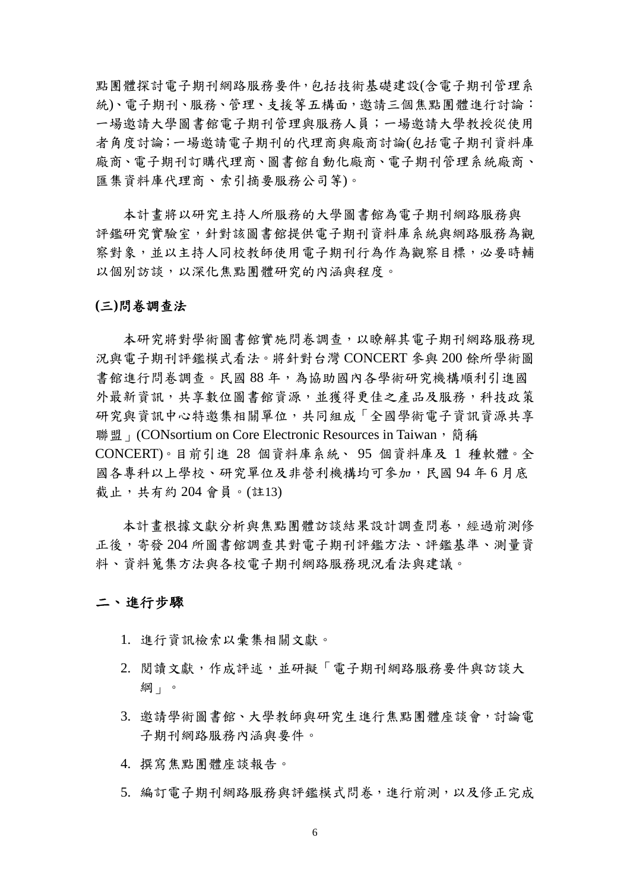點團體探討電子期刊網路服務要件,包括技術基礎建設(含電子期刊管理系 統)、雷子期刊、服務、管理、支援等五構面,邀請三個焦點團體進行討論: 一場邀請大學圖書館電子期刊管理與服務人員;一場邀請大學教授從使用 者角度討論;一場邀請電子期刊的代理商與廠商討論(包括電子期刊資料庫 廠商、電子期刊訂購代理商、圖書館自動化廠商、電子期刊管理系統廠商、 匯集資料庫代理商、索引摘要服務公司等)。

本計畫將以研究主持人所服務的大學圖書館為電子期刊網路服務與 評鑑研究實驗室,針對該圖書館提供電子期刊資料庫系統與網路服務為觀 察對象,並以主持人同校教師使用電子期刊行為作為觀察目標,必要時輔 以個別訪談,以深化焦點團體研究的內涵與程度。

#### **(**三**)**問卷調查法

本研究將對學術圖書館實施問卷調查,以瞭解其電子期刊網路服務現 況與電子期刊評鑑模式看法。將針對台灣 CONCERT 參與 200 餘所學術圖 書館進行問卷調查。民國 88 年,為協助國內各學術研究機構順利引進國 外最新資訊,共享數位圖書館資源,並獲得更佳之產品及服務,科技政策 研究與資訊中心特邀集相關單位,共同組成「全國學術電子資訊資源共享 聯盟」(CONsortium on Core Electronic Resources in Taiwan,簡稱 CONCERT)。目前引進 28 個資料庫系統、 95 個資料庫及 1 種軟體。全 國各專科以上學校、研究單位及非營利機構均可參加,民國 94 年 6 月底 截止,共有約 204 會員。(註13)

本計書根據文獻分析與焦點團體訪談結果設計調查問卷,經過前測修 正後,寄發 204 所圖書館調查其對電子期刊評鑑方法、評鑑基準、測量資 料、資料蒐集方法與各校電子期刊網路服務現況看法與建議。

#### 二、進行步驟

- 1. 進行資訊檢索以彙集相關文獻。
- 2. 閱讀文獻,作成評述,並研擬「電子期刊網路服務要件與訪談大 綱」。
- 3. 邀請學術圖書館、大學教師與研究生進行焦點團體座談會,討論電 子期刊網路服務內涵與要件。
- 4. 撰寫焦點團體座談報告。
- 5. 編訂電子期刊網路服務與評鑑模式問卷,進行前測,以及修正完成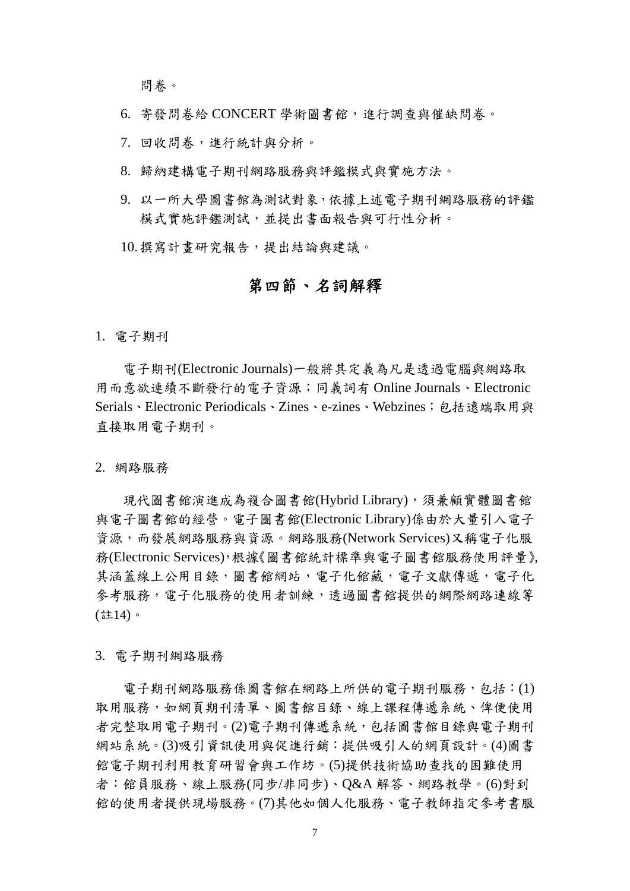問卷。

- 6. 寄發問卷給 CONCERT 學術圖書館,進行調查與催缺問卷。
- 7. 回收問卷,進行統計與分析。
- 8. 歸納建構電子期刊網路服務與評鑑模式與實施方法。
- 9. 以一所大學圖書館為測試對象,依據上述電子期刊網路服務的評鑑 模式實施評鑑測試,並提出書面報告與可行性分析。

10.撰寫計畫研究報告,提出結論與建議。

### 第四節、名詞解釋

1. 電子期刊

電子期刊(Electronic Journals)一般將其定義為凡是透過電腦與網路取 用而意欲連續不斷發行的電子資源;同義詞有 Online Journals、Electronic Serials、Electronic Periodicals、Zines、e-zines、Webzines;包括遠端取用與 直接取用電子期刊。

2. 網路服務

現代圖書館演進成為複合圖書館(Hybrid Library), 須兼顧實體圖書館 與電子圖書館的經營。電子圖書館(Electronic Library)係由於大量引入電子 資源,而發展網路服務與資源。網路服務(Network Services)又稱電子化服 務(Electronic Services),根據《圖書館統計標準與電子圖書館服務使用評量》, 其涵蓋線上公用目錄,圖書館網站,電子化館藏,電子文獻傳遞,電子化 參考服務,電子化服務的使用者訓練,透過圖書館提供的網際網路連線等 (註14)。

3. 電子期刊網路服務

電子期刊網路服務係圖書館在網路上所供的電子期刊服務,包括:(1) 取用服務,如網頁期刊清單、圖書館目錄、線上課程傳遞系統、俾便使用 者完整取用電子期刊。(2)電子期刊傳遞系統,包括圖書館目錄與電子期刊 網站系統。(3)吸引資訊使用與促進行銷:提供吸引人的網頁設計。(4)圖書 館電子期刊利用教育研習會與工作坊。(5)提供技術協助查找的困難使用 者:館員服務、線上服務(同步/非同步)、Q&A 解答、網路教學。(6)對到 館的使用者提供現場服務。(7)其他如個人化服務、電子教師指定參考書服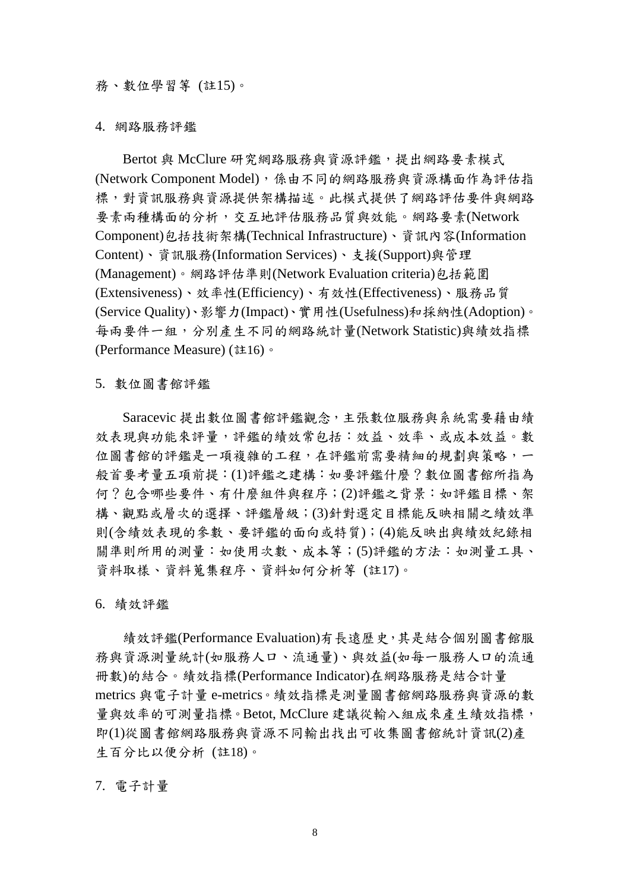#### 務、數位學習等 (註15)。

#### 4. 網路服務評鑑

Bertot 與 McClure 研究網路服務與資源評鑑,提出網路要素模式 (Network Component Model),係由不同的網路服務與資源構面作為評估指 標,對資訊服務與資源提供架構描述。此模式提供了網路評估要件與網路 要素兩種構面的分析,交互地評估服務品質與效能。網路要素(Network Component)包括技術架構(Technical Infrastructure)、資訊內容(Information Content)、資訊服務(Information Services)、支援(Support)與管理 (Management)。網路評估準則(Network Evaluation criteria)包括範圍 (Extensiveness)、效率性(Efficiency)、有效性(Effectiveness)、服務品質 (Service Quality)、影響力(Impact)、實用性(Usefulness)和採納性(Adoption)。 每兩要件一組,分別產生不同的網路統計量(Network Statistic)與績效指標 (Performance Measure) (註16)。

5. 數位圖書館評鑑

Saracevic 提出數位圖書館評鑑觀念,主張數位服務與系統需要藉由績 效表現與功能來評量,評鑑的績效常包括:效益、效率、或成本效益。數 位圖書館的評鑑是一項複雜的工程,在評鑑前需要精細的規劃與策略,一 般首要考量五項前提:(1)評鑑之建構:如要評鑑什麼?數位圖書館所指為 何?包含哪些要件、有什麼組件與程序;(2)評鑑之背景:如評鑑目標、架 構、觀點或層次的選擇、評鑑層級;(3)針對選定目標能反映相關之績效準 則(含績效表現的參數、要評鑑的面向或特質);(4)能反映出與績效紀錄相 關準則所用的測量:如使用次數、成本等;(5)評鑑的方法:如測量工具、 資料取樣、資料蒐集程序、資料如何分析等 (註17)。

6. 績效評鑑

績效評鑑(Performance Evaluation)有長遠歷史,其是結合個別圖書館服 務與資源測量統計(如服務人口、流通量)、與效益(如每一服務人口的流通 冊數)的結合。績效指標(Performance Indicator)在網路服務是結合計量 metrics 與電子計量 e-metrics。績效指標是測量圖書館網路服務與資源的數 量與效率的可測量指標。Betot, McClure 建議從輸入組成來產生績效指標, 即(1)從圖書館網路服務與資源不同輸出找出可收集圖書館統計資訊(2)產 生百分比以便分析 (註18)。

7. 電子計量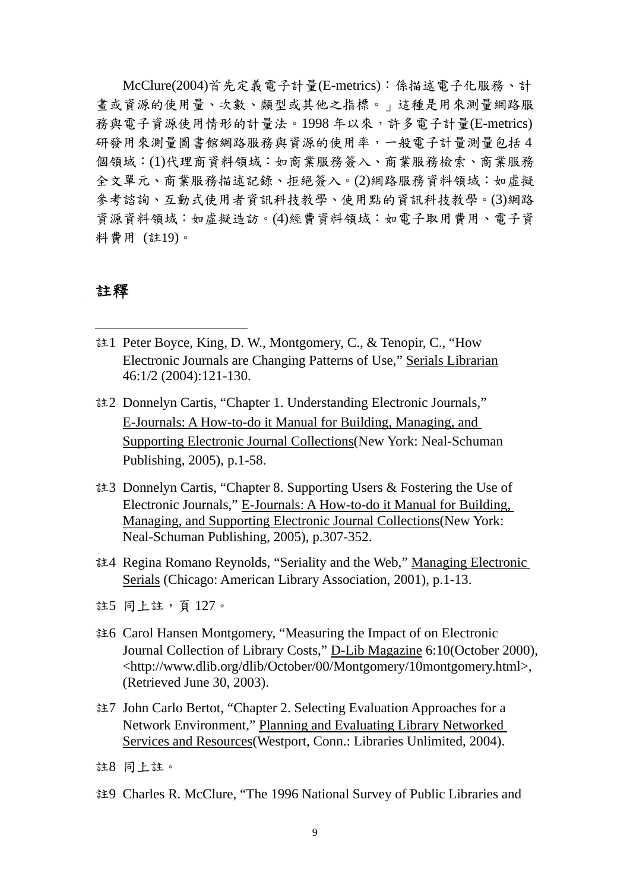McClure(2004)首先定義電子計量(E-metrics):係描述電子化服務、計 畫或資源的使用量、次數、類型或其他之指標。」這種是用來測量網路服 務與電子資源使用情形的計量法。1998 年以來,許多電子計量(E-metrics) 研發用來測量圖書館網路服務與資源的使用率,一般電子計量測量包括 4 個領域:(1)代理商資料領域:如商業服務簽入、商業服務檢索、商業服務 全文單元、商業服務描述記錄、拒絕簽入。(2)網路服務資料領域:如虛擬 參考諮詢、互動式使用者資訊科技教學、使用點的資訊科技教學。(3)網路 資源資料領域:如虛擬造訪。(4)經費資料領域:如電子取用費用、電子資 料費用 (註19)。

#### 註釋

<u>.</u>

- 註1 Peter Boyce, King, D. W., Montgomery, C., & Tenopir, C., "How Electronic Journals are Changing Patterns of Use," Serials Librarian 46:1/2 (2004):121-130.
- 註2 Donnelyn Cartis, "Chapter 1. Understanding Electronic Journals," E-Journals: A How-to-do it Manual for Building, Managing, and Supporting Electronic Journal Collections(New York: Neal-Schuman Publishing, 2005), p.1-58.
- 註3 Donnelyn Cartis, "Chapter 8. Supporting Users & Fostering the Use of Electronic Journals," E-Journals: A How-to-do it Manual for Building, Managing, and Supporting Electronic Journal Collections(New York: Neal-Schuman Publishing, 2005), p.307-352.
- 註4 Regina Romano Reynolds, "Seriality and the Web," Managing Electronic Serials (Chicago: American Library Association, 2001), p.1-13.

- 註6 Carol Hansen Montgomery, "Measuring the Impact of on Electronic Journal Collection of Library Costs," D-Lib Magazine 6:10(October 2000), <http://www.dlib.org/dlib/October/00/Montgomery/10montgomery.html>, (Retrieved June 30, 2003).
- 註7 John Carlo Bertot, "Chapter 2. Selecting Evaluation Approaches for a Network Environment," Planning and Evaluating Library Networked Services and Resources(Westport, Conn.: Libraries Unlimited, 2004).

註9 Charles R. McClure, "The 1996 National Survey of Public Libraries and

註5 同上註,頁 127。

註8 同上註。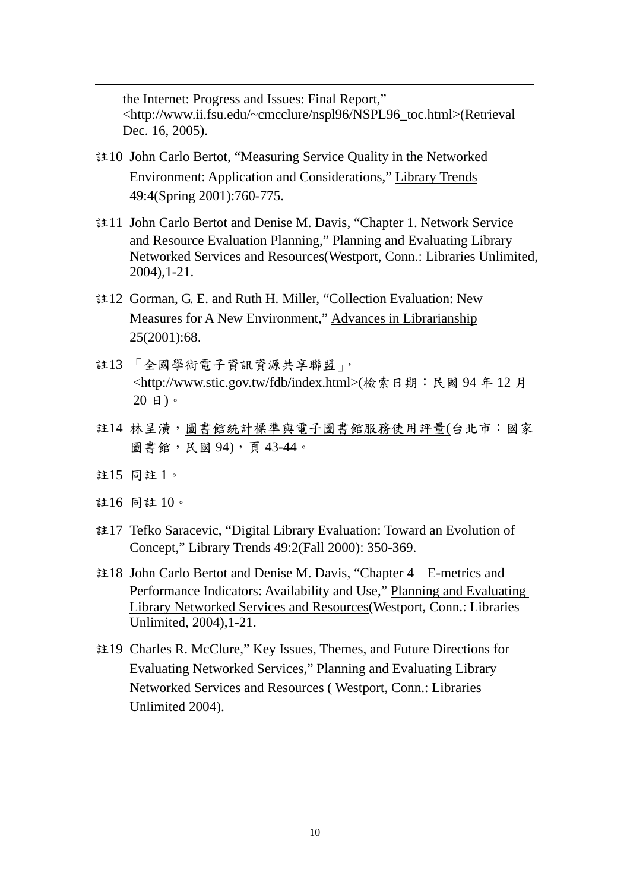the Internet: Progress and Issues: Final Report," <http://www.ii.fsu.edu/~cmcclure/nspl96/NSPL96\_toc.html>(Retrieval Dec. 16, 2005).

- 註10 John Carlo Bertot, "Measuring Service Quality in the Networked Environment: Application and Considerations," Library Trends 49:4(Spring 2001):760-775.
- 註11 John Carlo Bertot and Denise M. Davis, "Chapter 1. Network Service and Resource Evaluation Planning," Planning and Evaluating Library Networked Services and Resources(Westport, Conn.: Libraries Unlimited, 2004),1-21.
- 註12 Gorman, G. E. and Ruth H. Miller, "Collection Evaluation: New Measures for A New Environment," Advances in Librarianship 25(2001):68.
- 註13 「全國學術電子資訊資源共享聯盟」, <http://www.stic.gov.tw/fdb/index.html>(檢索日期:民國 94 年 12 月 20 日)。
- 註14 林呈潢,圖書館統計標準與電子圖書館服務使用評量(台北市:國家 圖書館,民國 94),頁 43-44。
- 註15 同註 1。

1

- 註16 同註 10。
- 註17 Tefko Saracevic, "Digital Library Evaluation: Toward an Evolution of Concept," Library Trends 49:2(Fall 2000): 350-369.
- 註18 John Carlo Bertot and Denise M. Davis, "Chapter 4 E-metrics and Performance Indicators: Availability and Use," Planning and Evaluating Library Networked Services and Resources(Westport, Conn.: Libraries Unlimited, 2004),1-21.
- 註19 Charles R. McClure," Key Issues, Themes, and Future Directions for Evaluating Networked Services," Planning and Evaluating Library Networked Services and Resources ( Westport, Conn.: Libraries Unlimited 2004).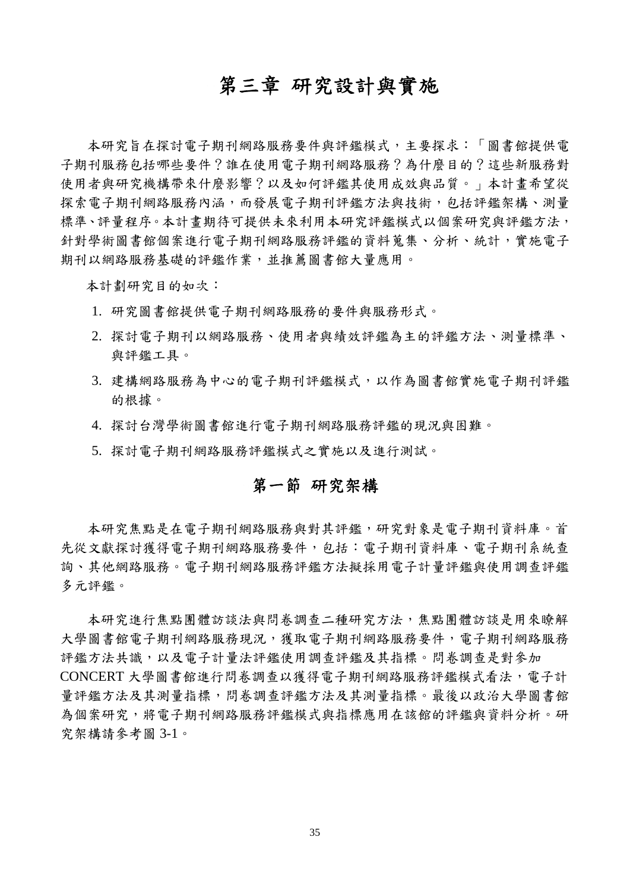## 第三章 研究設計與實施

本研究旨在探討電子期刊網路服務要件與評鑑模式,主要探求:「圖書館提供電 子期刊服務包括哪些要件?誰在使用電子期刊網路服務?為什麼目的?這些新服務對 使用者與研究機構帶來什麼影響?以及如何評鑑其使用成效與品質。」本計畫希望從 探索電子期刊網路服務內涵,而發展電子期刊評鑑方法與技術,包括評鑑架構、測量 標準、評量程序。本計畫期待可提供未來利用本研究評鑑模式以個案研究與評鑑方法, 針對學術圖書館個案進行電子期刊網路服務評鑑的資料蒐集、分析、統計,實施電子 期刊以網路服務基礎的評鑑作業,並推薦圖書館大量應用。

本計劃研究目的如次:

- 1. 研究圖書館提供電子期刊網路服務的要件與服務形式。
- 2. 探討電子期刊以網路服務、使用者與績效評鑑為主的評鑑方法、測量標準、 與評鑑工具。
- 3. 建構網路服務為中心的電子期刊評鑑模式,以作為圖書館實施電子期刊評鑑 的根據。
- 4. 探討台灣學術圖書館進行電子期刊網路服務評鑑的現況與困難。
- 5. 探討電子期刊網路服務評鑑模式之實施以及進行測試。

## 第一節 研究架構

本研究焦點是在電子期刊網路服務與對其評鑑,研究對象是電子期刊資料庫。首 先從文獻探討獲得電子期刊網路服務要件,包括:電子期刊資料庫、電子期刊系統查 詢、其他網路服務。電子期刊網路服務評鑑方法擬採用電子計量評鑑與使用調查評鑑 多元評鑑。

本研究進行焦點團體訪談法與問卷調查二種研究方法,焦點團體訪談是用來瞭解 大學圖書館電子期刊網路服務現況,獲取電子期刊網路服務要件,電子期刊網路服務 評鑑方法共識,以及電子計量法評鑑使用調查評鑑及其指標。問卷調查是對參加 CONCERT 大學圖書館進行問卷調查以獲得電子期刊網路服務評鑑模式看法,電子計 量評鑑方法及其測量指標,問卷調查評鑑方法及其測量指標。最後以政治大學圖書館 為個案研究,將電子期刊網路服務評鑑模式與指標應用在該館的評鑑與資料分析。研 究架構請參考圖 3-1。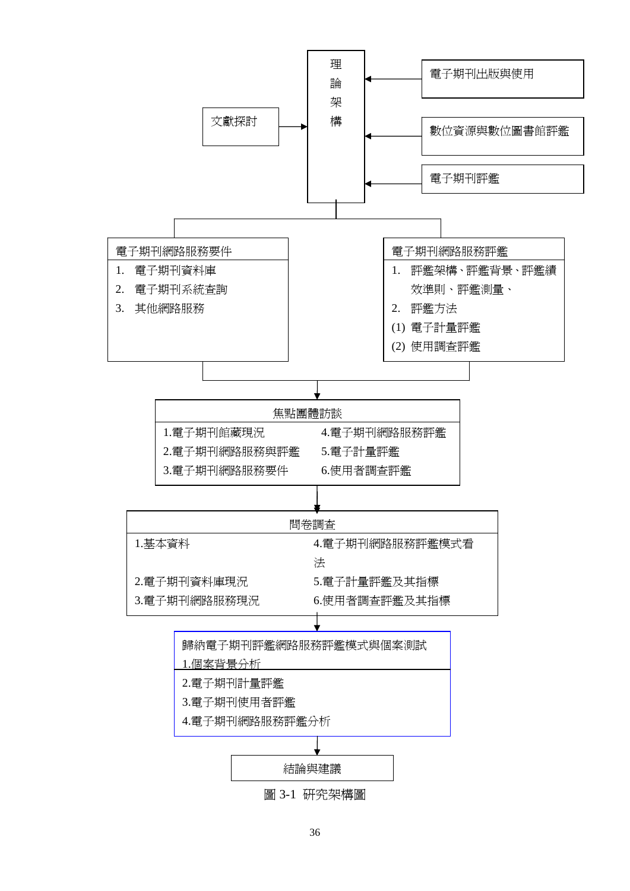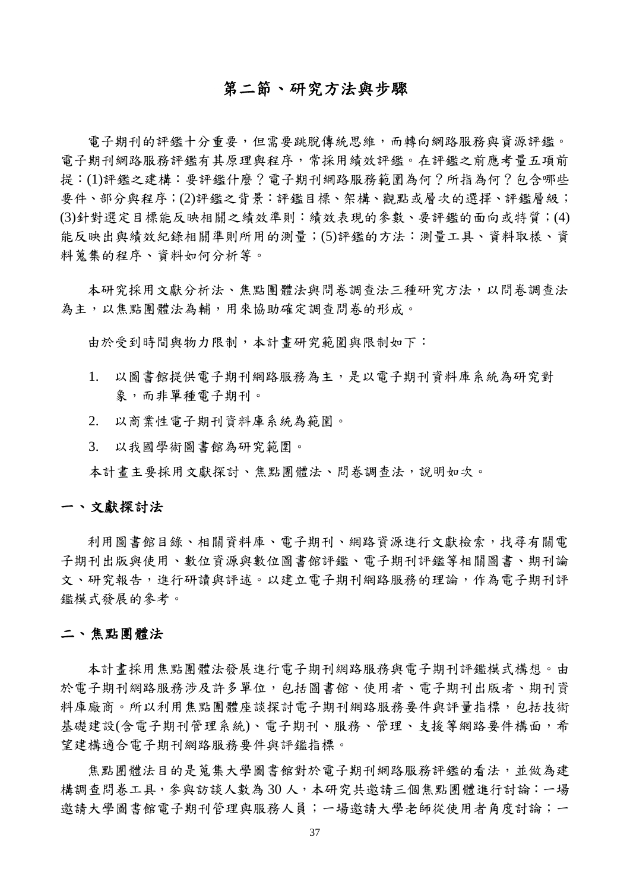### 第二節、研究方法與步驟

電子期刊的評鑑十分重要,但需要跳脫傳統思維,而轉向網路服務與資源評鑑。 電子期刊網路服務評鑑有其原理與程序,常採用績效評鑑。在評鑑之前應考量五項前 提:(1)評鑑之建構:要評鑑什麼?電子期刊網路服務範圍為何?所指為何?包含哪些 要件、部分與程序;(2)評鑑之背景:評鑑目標、架構、觀點或層次的選擇、評鑑層級; (3)針對選定目標能反映相關之績效準則:績效表現的參數、要評鑑的面向或特質;(4) 能反映出與績效紀錄相關準則所用的測量;(5)評鑑的方法:測量工具、資料取樣、資 料蒐集的程序、資料如何分析等。

本研究採用文獻分析法、焦點團體法與問卷調查法三種研究方法,以問卷調查法 為主,以焦點團體法為輔,用來協助確定調查問卷的形成。

由於受到時間與物力限制,本計畫研究範圍與限制如下:

- 1. 以圖書館提供電子期刊網路服務為主,是以電子期刊資料庫系統為研究對 象,而非單種電子期刊。
- 2. 以商業性電子期刊資料庫系統為範圍。
- 3. 以我國學術圖書館為研究範圍。

本計畫主要採用文獻探討、焦點團體法、問卷調查法,說明如次。

#### 一、文獻探討法

利用圖書館目錄、相關資料庫、電子期刊、網路資源進行文獻檢索,找尋有關電 子期刊出版與使用、數位資源與數位圖書館評鑑、電子期刊評鑑等相關圖書、期刊論 文、研究報告,進行研讀與評述。以建立電子期刊網路服務的理論,作為電子期刊評 鑑模式發展的參考。

#### 二、焦點團體法

本計畫採用焦點團體法發展進行電子期刊網路服務與電子期刊評鑑模式構想。由 於電子期刊網路服務涉及許多單位,包括圖書館、使用者、電子期刊出版者、期刊資 料庫廠商。所以利用焦點團體座談探討電子期刊網路服務要件與評量指標,包括技術 基礎建設(会電子期刊管理系統)、電子期刊、服務、管理、支援等網路要件構面,希 望建構適合電子期刊網路服務要件與評鑑指標。

焦點團體法目的是蒐集大學圖書館對於電子期刊網路服務評鑑的看法,並做為建 構調查問卷工具,參與訪談人數為 30 人,本研究共邀請三個焦點團體進行討論:一場 邀請大學圖書館電子期刊管理與服務人員;一場邀請大學老師從使用者角度討論;一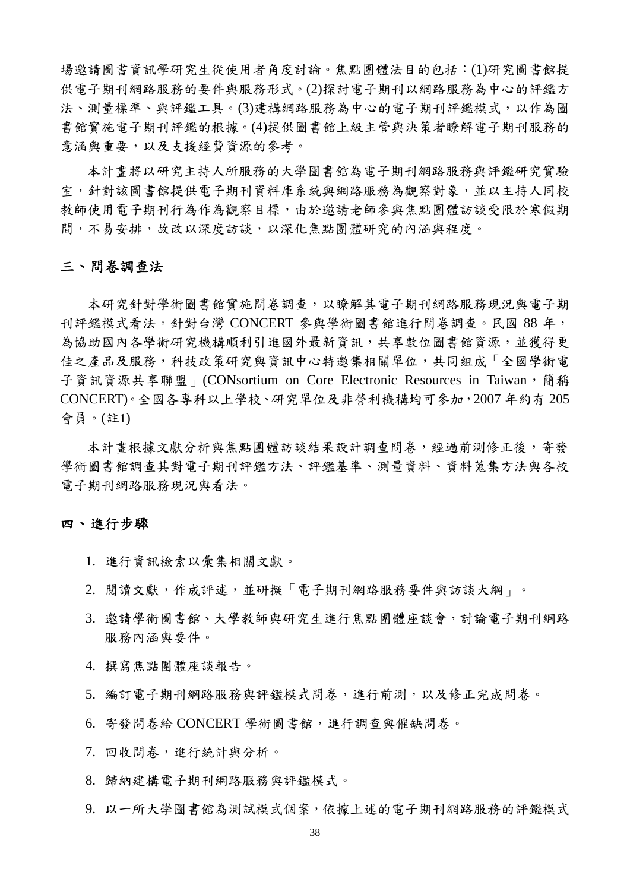場邀請圖書資訊學研究生從使用者角度討論。焦點團體法目的包括:(1)研究圖書館提 供電子期刊網路服務的要件與服務形式。(2)探討電子期刊以網路服務為中心的評鑑方 法、測量標準、與評鑑工具。(3)建構網路服務為中心的電子期刊評鑑模式,以作為圖 書館實施電子期刊評鑑的根據。(4)提供圖書館上級主管與決策者瞭解電子期刊服務的 意涵與重要,以及支援經費資源的參考。

本計畫將以研究主持人所服務的大學圖書館為電子期刊網路服務與評鑑研究實驗 室,針對該圖書館提供電子期刊資料庫系統與網路服務為觀察對象,並以主持人同校 教師使用電子期刊行為作為觀察目標,由於邀請老師參與焦點團體訪談受限於寒假期 間,不易安排,故改以深度訪談,以深化焦點團體研究的內涵與程度。

#### 三、問卷調查法

本研究針對學術圖書館實施問卷調查,以瞭解其電子期刊網路服務現況與電子期 刊評鑑模式看法。針對台灣 CONCERT 參與學術圖書館進行問卷調查。民國 88 年, 為協助國內各學術研究機構順利引進國外最新資訊,共享數位圖書館資源,並獲得更 佳之產品及服務,科技政策研究與資訊中心特邀集相關單位,共同組成「全國學術電 子資訊資源共享聯盟」(CONsortium on Core Electronic Resources in Taiwan,簡稱 CONCERT)。全國各專科以上學校、研究單位及非營利機構均可參加,2007 年約有 205 會員。(註1)

本計書根據文獻分析與焦點團體訪談結果設計調查問卷,經過前測修正後,寄發 學術圖書館調查其對電子期刊評鑑方法、評鑑基準、測量資料、資料蒐集方法與各校 電子期刊網路服務現況與看法。

#### 四、進行步驟

- 1. 進行資訊檢索以彙集相關文獻。
- 2. 閱讀文獻,作成評述,並研擬「電子期刊網路服務要件與訪談大綱」。
- 3. 邀請學術圖書館、大學教師與研究生進行焦點團體座談會,討論電子期刊網路 服務內涵與要件。
- 4. 撰寫焦點團體座談報告。
- 5. 編訂電子期刊網路服務與評鑑模式問卷,進行前測,以及修正完成問卷。
- 6. 寄發問卷給 CONCERT 學術圖書館,進行調查與催缺問卷。
- 7. 回收問卷,進行統計與分析。
- 8. 歸納建構電子期刊網路服務與評鑑模式。
- 9. 以一所大學圖書館為測試模式個案,依據上述的電子期刊網路服務的評鑑模式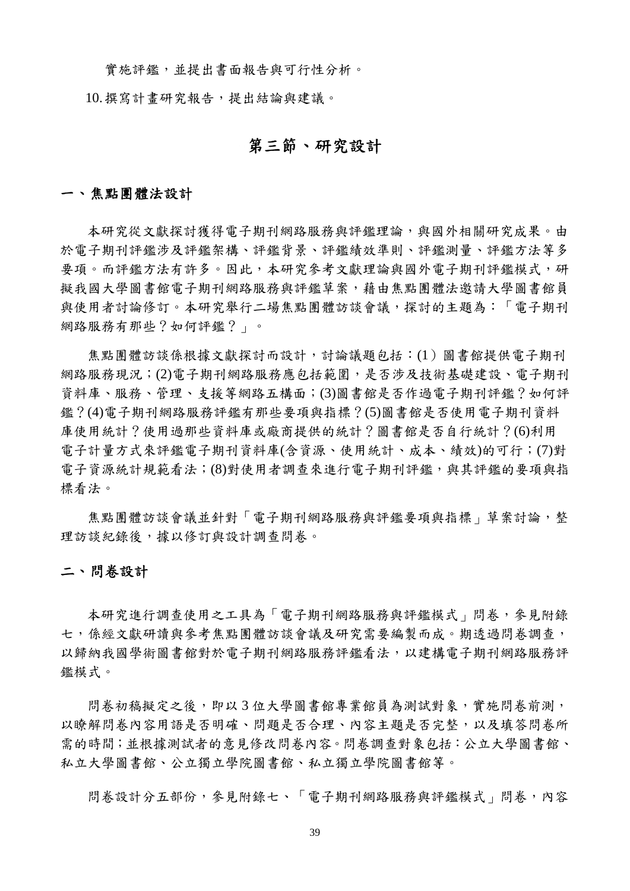實施評鑑,並提出書面報告與可行性分析。

10.撰寫計畫研究報告,提出結論與建議。

### 第三節、研究設計

#### 一、焦點團體法設計

本研究從文獻探討獲得電子期刊網路服務與評鑑理論,與國外相關研究成果。由 於電子期刊評鑑涉及評鑑架構、評鑑背景、評鑑績效準則、評鑑測量、評鑑方法等多 要項。而評鑑方法有許多。因此,本研究參考文獻理論與國外電子期刊評鑑模式,研 擬我國大學圖書館電子期刊網路服務與評鑑草案,藉由焦點團體法邀請大學圖書館員 與使用者討論修訂。本研究舉行二場焦點團體訪談會議,探討的主題為:「電子期刊 網路服務有那些?如何評鑑?」。

焦點團體訪談係根據文獻探討而設計,討論議題包括:(1)圖書館提供電子期刊 網路服務現況;(2)電子期刊網路服務應包括範圍,是否涉及技術基礎建設、電子期刊 資料庫、服務、管理、支援等網路五構面;(3)圖書館是否作過電子期刊評鑑?如何評 鑑?(4)電子期刊網路服務評鑑有那些要項與指標?(5)圖書館是否使用電子期刊資料 庫使用統計?使用過那些資料庫或廠商提供的統計?圖書館是否自行統計?(6)利用 電子計量方式來評鑑電子期刊資料庫(含資源、使用統計、成本、績效)的可行;(7)對 電子資源統計規範看法;(8)對使用者調查來進行電子期刊評鑑,與其評鑑的要項與指 標看法。

焦點團體訪談會議並針對「電子期刊網路服務與評鑑要項與指標」草案討論,整 理訪談紀錄後,據以修訂與設計調查問卷。

#### 二、問卷設計

本研究進行調查使用之工具為「電子期刊網路服務與評鑑模式」問卷,參見附錄 七,係經文獻研讀與參考焦點團體訪談會議及研究需要編製而成。期透過問卷調查, 以歸納我國學術圖書館對於電子期刊網路服務評鑑看法,以建構電子期刊網路服務評 鑑模式。

問卷初稿擬定之後,即以3位大學圖書館專業館員為測試對象,實施問卷前測, 以瞭解問卷內容用語是否明確、問題是否合理、內容主題是否完整,以及填答問卷所 需的時間;並根據測試者的意見修改問卷內容。問卷調查對象包括:公立大學圖書館、 私立大學圖書館、公立獨立學院圖書館、私立獨立學院圖書館等。

問卷設計分五部份,參見附錄七、「電子期刊網路服務與評鑑模式」問卷,內容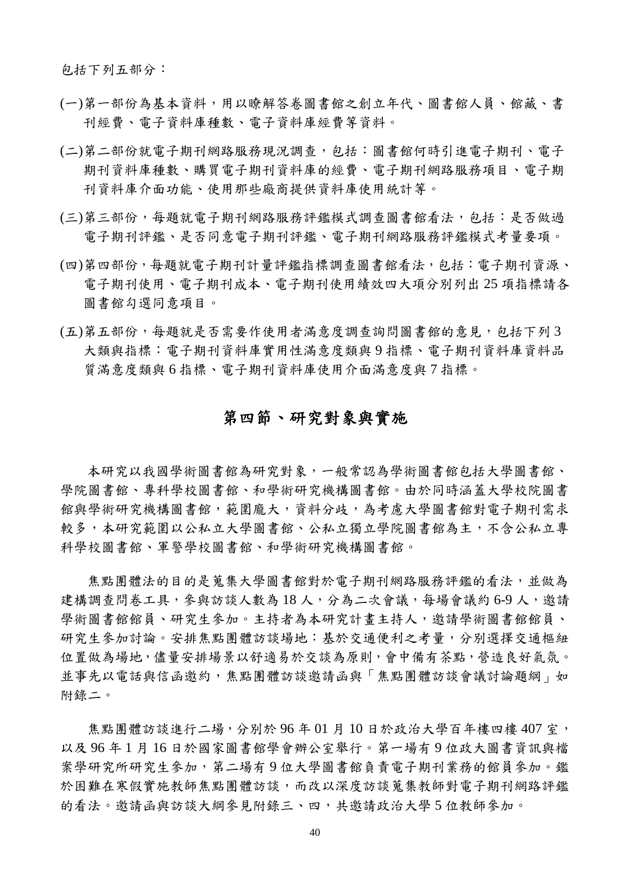包括下列五部分:

- (一)第一部份為基本資料,用以瞭解答卷圖書館之創立年代、圖書館人員、館藏、書 刊經費、電子資料庫種數、電子資料庫經費等資料。
- (二)第二部份就電子期刊網路服務現況調查,包括:圖書館何時引進電子期刊、電子 期刊資料庫種數、購買電子期刊資料庫的經費、電子期刊網路服務項目、電子期 刊資料庫介面功能、使用那些廠商提供資料庫使用統計等。
- (三)第三部份,每題就電子期刊網路服務評鑑模式調查圖書館看法,包括:是否做過 電子期刊評鑑、是否同意電子期刊評鑑、電子期刊網路服務評鑑模式考量要項。
- (四)第四部份,每題就電子期刊計量評鑑指標調查圖書館看法,包括:電子期刊資源、 電子期刊使用、電子期刊成本、電子期刊使用績效四大項分別列出 25 項指標請各 圖書館勾選同意項目。
- (五)第五部份,每題就是否需要作使用者滿意度調查詢問圖書館的意見,包括下列 3 大類與指標:電子期刊資料庫實用性滿意度類與9指標、電子期刊資料庫資料品 質滿意度類與 6 指標、電子期刊資料庫使用介面滿意度與 7 指標。

## 第四節、研究對象與實施

本研究以我國學術圖書館為研究對象,一般常認為學術圖書館包括大學圖書館、 學院圖書館、專科學校圖書館、和學術研究機構圖書館。由於同時涵蓋大學校院圖書 館與學術研究機構圖書館,範圍龐大,資料分歧,為考慮大學圖書館對電子期刊需求 較多,本研究範圍以公私立人書館、公私立獨立學院圖書館為主,不含公私立專 科學校圖書館、軍警學校圖書館、和學術研究機構圖書館。

焦點團體法的目的是蒐集大學圖書館對於電子期刊網路服務評鑑的看法,並做為 建構調查問卷工具,參與訪談人數為18人,分為二次會議,每場會議約6-9人,邀請 學術圖書館館員、研究生參加。主持者為本研究計書主持人,邀請學術圖書館館員、 研究生參加討論。安排焦點團體訪談場地:基於交通便利之考量,分別選擇交通樞紐 位置做為場地,儘量安排場景以舒適易於交談為原則,會中備有茶點,營造良好氣氛。 並事先以電話與信函邀約,焦點團體訪談邀請函與「焦點團體訪談會議討論題綱」如 附錄二。

焦點團體訪談進行二場,分別於 96年01月10日於政治大學百年樓四樓407室, 以及 96 年 1 月 16 日於國家圖書館學會辦公室舉行。第一場有 9 位政大圖書資訊與檔 案學研究所研究生參加,第二場有9位大學圖書館負責電子期刊業務的館員參加。鑑 於困難在寒假實施教師焦點團體訪談,而改以深度訪談蒐集教師對電子期刊網路評鑑 的看法。邀請函與訪談大綱參見附錄三、四,共邀請政治大學 5 位教師參加。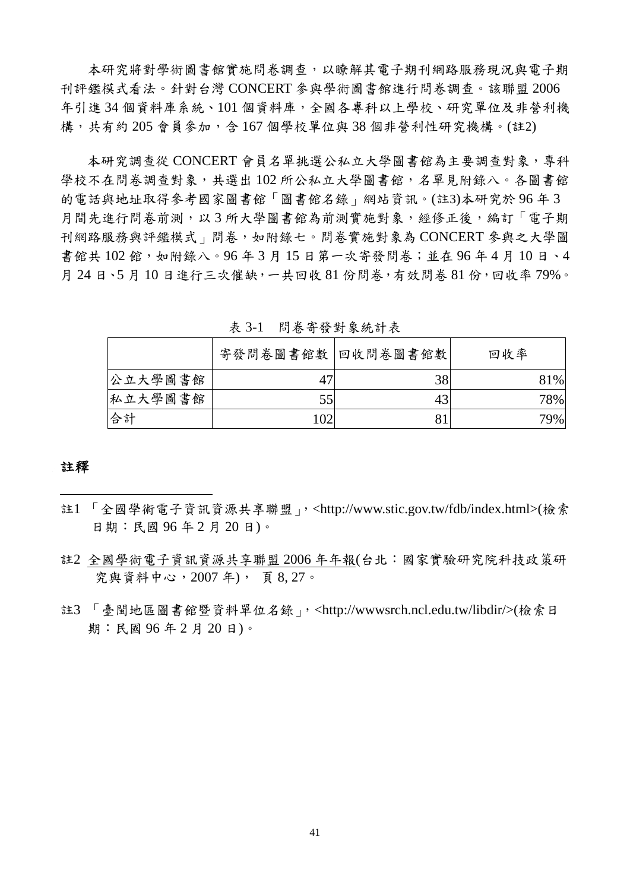本研究將對學術圖書館實施問卷調查,以瞭解其電子期刊網路服務現況與電子期 刊評鑑模式看法。針對台灣 CONCERT 參與學術圖書館進行問卷調查。該聯盟 2006 年引進34個資料庫系統、101個資料庫,全國各專科以上學校、研究單位及非營利機 構,共有約 205 會員參加,含 167 個學校單位與 38 個非營利性研究機構。(註2)

本研究調查從 CONCERT 會員名單挑選公私立大學圖書館為主要調查對象,專科 學校不在問卷調查對象,共選出102 所公私立大學圖書館,名單見附錄八。各圖書館 的電話與地址取得參考國家圖書館「圖書館名錄」網站資訊。(註3)本研究於 96 年 3 月間先進行問卷前測,以3所大學圖書館為前測實施對象,經修正後,編訂「電子期 刊網路服務與評鑑模式」問卷,如附錄七。問卷實施對象為 CONCERT 參與之大學圖 書館共102館,如附錄八。96年3月15日第一次寄發問卷;並在96年4月10日、4 月 24 日、5 月 10 日進行三次催缺,一共回收 81 份問卷,有效問卷 81 份,回收率 79%。

|         | 寄發問卷圖書館數 回收問卷圖書館數 |    | 回收率 |  |  |
|---------|-------------------|----|-----|--|--|
| 公立大學圖書館 | 47                | 38 | 81% |  |  |
| 私立大學圖書館 | 55                | 43 | 78% |  |  |
| 合計      | 102               | 81 | 79% |  |  |

表 3-1 問卷寄發對象統計表

#### 註釋

 $\overline{a}$ 

- 註1 「全國學術電子資訊資源共享聯盟」,<http://www.stic.gov.tw/fdb/index.html>(檢索 日期:民國 96 年 2 月 20 日)。
- 註2 全國學術電子資訊資源共享聯盟 2006 年年報(台北:國家實驗研究院科技政策研 究與資料中心,2007 年), 頁 8, 27。
- 註3 「臺閩地區圖書館暨資料單位名錄」,<http://wwwsrch.ncl.edu.tw/libdir/>(檢索日 期:民國 96 年 2 月 20 日)。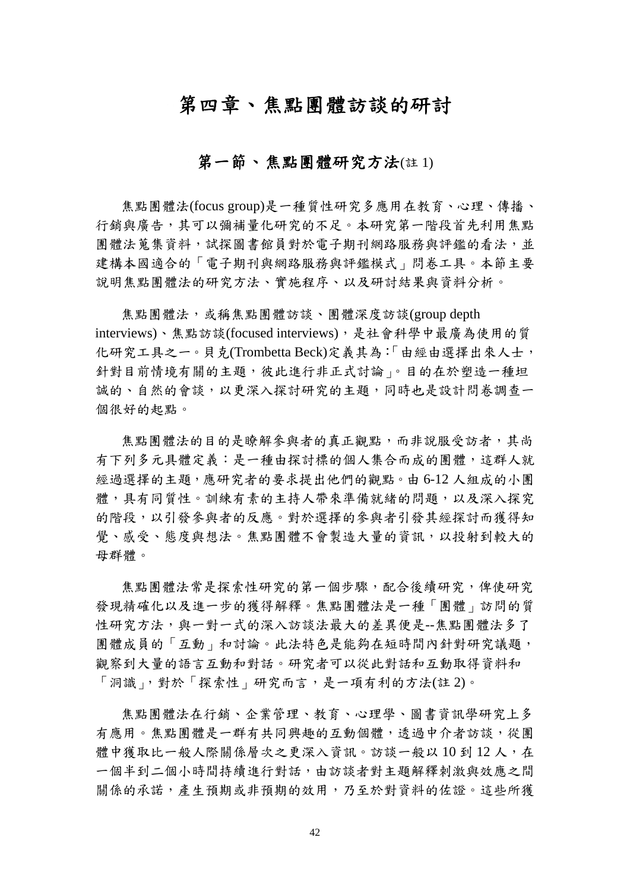## 第四章、焦點團體訪談的研討

## 第一節、 焦點團體研究方法(註 1)

焦點團體法(focus group)是一種質性研究多應用在教育、心理、傳播、 行銷與廣告,其可以彌補量化研究的不足。本研究第一階段首先利用焦點 團體法蒐集資料,試探圖書館員對於電子期刊網路服務與評鑑的看法,並 建構本國適合的「電子期刊與網路服務與評鑑模式」問卷工具。本節主要 說明焦點團體法的研究方法、實施程序、以及研討結果與資料分析。

焦點團體法,或稱焦點團體訪談、團體深度訪談(group depth interviews)、焦點訪談(focused interviews),是社會科學中最廣為使用的質 化研究工具之一。貝克(Trombetta Beck)定義其為:「由經由選擇出來人士, 針對目前情境有關的主題,彼此進行非正式討論」。目的在於塑造一種坦 誠的、自然的會談,以更深入探討研究的主題,同時也是設計問卷調查一 個很好的起點。

焦點團體法的目的是瞭解參與者的真正觀點,而非說服受訪者,其尚 有下列多元具體定義:是一種由探討標的個人集合而成的團體,這群人就 經過選擇的主題,應研究者的要求提出他們的觀點。由 6-12 人組成的小團 體,具有同質性。訓練有素的主持人帶來準備就緒的問題,以及深入探究 的階段,以引發參與者的反應。對於選擇的參與者引發其經探討而獲得知 覺、感受、態度與想法。焦點團體不會製造大量的資訊,以投射到較大的 母群體。

焦點團體法常是探索性研究的第一個步驟,配合後續研究,俾使研究 發現精確化以及進一步的獲得解釋。焦點團體法是一種「團體」訪問的質 性研究方法,與一對一式的深入訪談法最大的差異便是--焦點團體法多了 團體成員的「互動」和討論。此法特色是能夠在短時間內針對研究議題, 觀察到大量的語言互動和對話。研究者可以從此對話和互動取得資料和 「洞識」,對於「探索性」研究而言,是一項有利的方法(註2)。

焦點團體法在行銷、企業管理、教育、心理學、圖書資訊學研究上多 有應用。焦點團體是一群有共同興趣的互動個體,透過中介者訪談,從團 體中獲取比一般人際關係層次之更深入資訊。訪談一般以10到12人,在 一個半到二個小時間持續進行對話,由訪談者對主題解釋刺激與效應之間 關係的承諾,產生預期或非預期的效用,乃至於對資料的佐證。這些所獲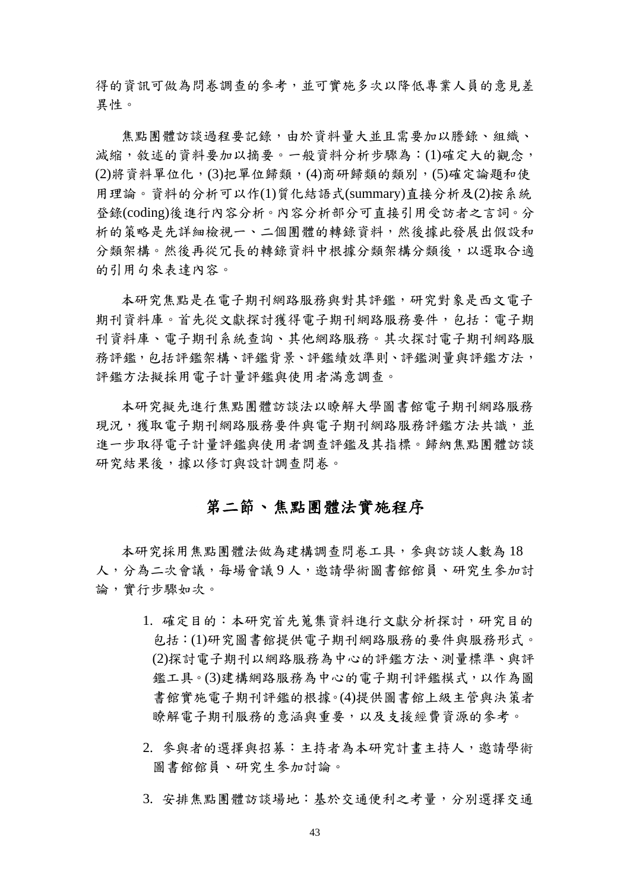得的資訊可做為問卷調查的參考,並可實施多次以降低專業人員的意見差 異性。

焦點團體訪談過程要記錄,由於資料量大並且需要加以謄錄、組織、 減縮,敘述的資料要加以摘要。一般資料分析步驟為:(1)確定大的觀念, (2)將資料單位化,(3)把單位歸類,(4)商研歸類的類別,(5)確定論題和使 用理論。資料的分析可以作(1)質化結語式(summary)直接分析及(2)按系統 登錄(coding)後進行內容分析。內容分析部分可直接引用受訪者之言詞。分 析的策略是先詳細檢視一、二個團體的轉錄資料,然後據此發展出假設和 分類架構。然後再從冗長的轉錄資料中根據分類架構分類後,以選取合適 的引用句來表達內容。

本研究焦點是在電子期刊網路服務與對其評鑑,研究對象是西文電子 期刊資料庫。首先從文獻探討獲得電子期刊網路服務要件,包括:電子期 刊資料庫、電子期刊系統查詢、其他網路服務。其次探討電子期刊網路服 務評鑑,包括評鑑架構、評鑑背景、評鑑績效準則、評鑑測量與評鑑方法, 評鑑方法擬採用電子計量評鑑與使用者滿意調查。

本研究擬先進行焦點團體訪談法以瞭解大學圖書館電子期刊網路服務 現況,獲取電子期刊網路需求事件與取締結所提供未來的法 進一步取得電子計量評鑑與使用者調查評鑑及其指標。歸納焦點團體訪談 研究結果後,據以修訂與設計調杳問卷。

## 第二節、焦點團體法實施程序

本研究採用焦點團體法做為建構調查問卷工具,參與訪談人數為 18 人,分為二次會議,每場會議 9 人,邀請學術圖書館館員、研究生參加討 論,實行步驟如次。

- 1. 確定目的:本研究首先蒐集資料進行文獻分析探討,研究目的 包括:(1)研究圖書館提供電子期刊網路服務的要件與服務形式。 (2)探討電子期刊以網路服務為中心的評鑑方法、測量標準、與評 鑑工具。(3)建構網路服務為中心的電子期刊評鑑模式,以作為圖 書館實施電子期刊評鑑的根據。(4)提供圖書館上級主管與決策者 瞭解電子期刊服務的意涵與重要,以及支援經費資源的參考。
- 2. 參與者的選擇與招募:主持者為本研究計畫主持人,邀請學術 圖書館館員、研究生參加討論。
- 3. 安排焦點團體訪談場地:基於交通便利之考量,分別選擇交通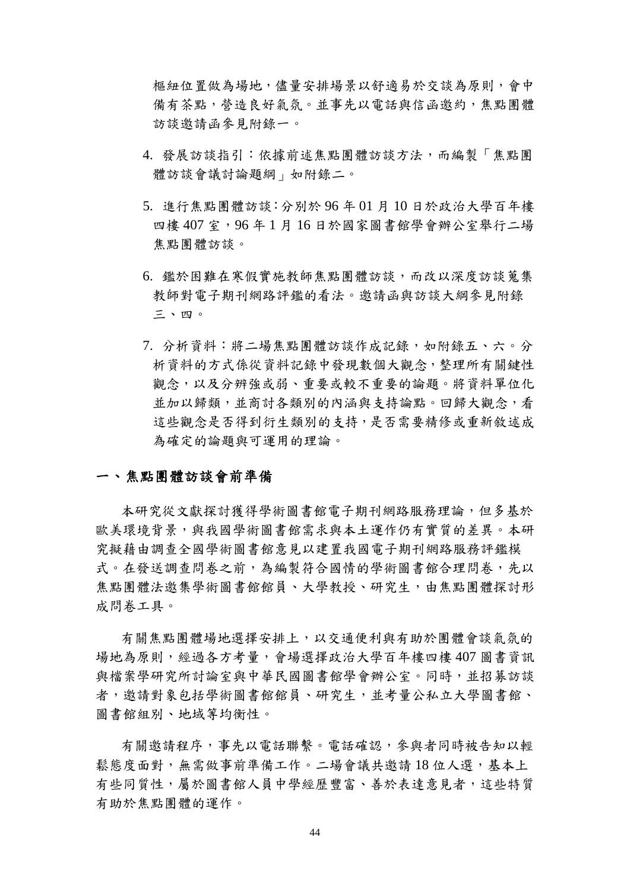樞紐位置做為場地,儘量安排場景以舒適易於交談為原則,會中 備有茶點,營造良好氣氛。並事先以電話與信函邀約,焦點團體 訪談邀請函參見附錄一。

- 4. 發展訪談指引:依據前述焦點團體訪談方法,而編製「焦點團 體訪談會議討論題綱」如附錄二。
- 5. 進行焦點團體訪談:分別於 96 年 01 月 10 日於政治大學百年樓 四樓 407 室,96 年 1 月 16 日於國家圖書館學會辦公室舉行二場 焦點團體訪談。
- 6. 鑑於困難在寒假實施教師焦點團體訪談,而改以深度訪談蒐集 教師對電子期刊網路評鑑的看法。邀請函與訪談大綱參見附錄 三、四。
- 7. 分析資料:將二場焦點團體訪談作成記錄,如附錄五、六。分 析資料的方式係從資料記錄中發現數個大觀念,整理所有關鍵性 觀念,以及分辨強或弱、重要或較不重要的論題。將資料單位化 並加以歸類,並商討各類別的內涵與支持論點。回歸大觀念,看 這些觀念是否得到衍生類別的支持,是否需要精修或重新敘述成 為確定的論題與可運用的理論。

#### 一、焦點團體訪談會前準備

本研究從文獻探討獲得學術圖書館電子期刊網路服務理論,但多基於 歐美環境背景,與我國學術圖書館需求與本土運作仍有實質的差異。本研 究擬藉由調查全國學術圖書館意見以建置我國電子期刊網路服務評鑑模 式。在發送調查問卷之前,為編製符合國情的學術圖書館合理問卷,先以 焦點團體法邀集學術圖書館館員、大學教授、研究生,由焦點團體探討形 成問卷工具。

有關焦點團體場地選擇安排上,以交通便利與有助於團體會談氣氛的 場地為原則,經過各方考量,會場選擇政治大學百年樓四樓 407 圖書資訊 與檔案學研究所討論室與中華民國圖書館學會辦公室。同時,並招募訪談 者,邀請對象包括學術圖書館館員、研究生,並考量公私立大學圖書館、 圖書館組別、地域等均衡性。

有關邀請程序,事先以電話聯繫。電話確認,參與者同時被告知以輕 鬆態度面對,無需做事前準備工作。二場會議共邀請18位人選,基本上 有些同質性,屬於圖書館人員中學經歷豐富、善於表達意見者,這些特質 有助於焦點團體的運作。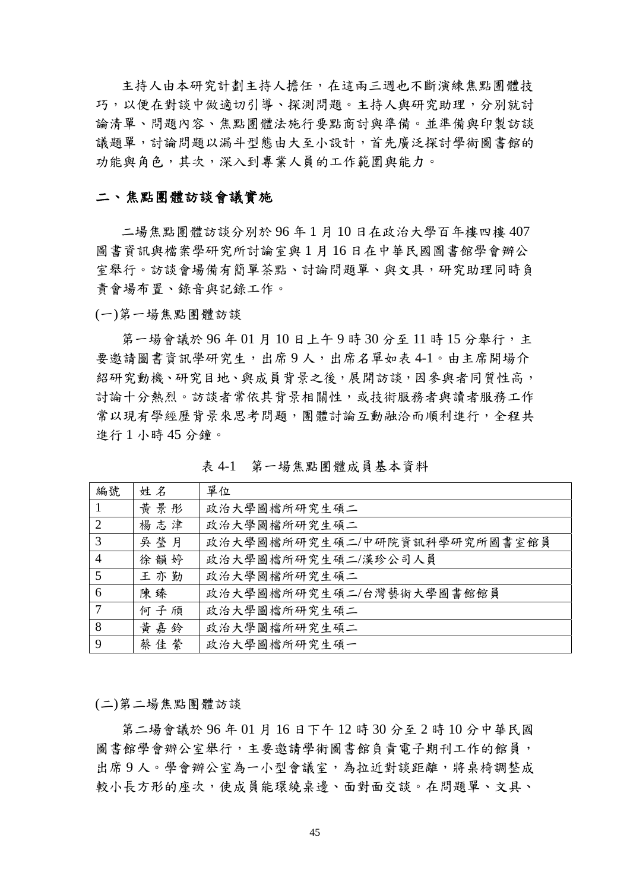主持人由本研究計劃主持人擔任,在這兩三週也不斷演練焦點團體技 巧,以便在對談中做適切引導、探測問題。主持人與研究助理,分別就討 論清單、問題內容、焦點團體法施行要點商討與準備。並準備與印製訪談 議題單,討論問題以漏斗型態由大至小設計,首先廣泛探討學術圖書館的 功能與角色,其次,深入到專業人員的工作範圍與能力。

#### 二、焦點團體訪談會議實施

二場焦點團體訪談分別於 96 年 1 月 10 日在政治大學百年樓四樓 407 圖書資訊與檔案學研究所討論室與 1 月 16 日在中華民國圖書館學會辦公 室舉行。訪談會場備有簡單茶點、討論問題單、與文具,研究助理同時負 責會場布置、錄音與記錄工作。

(一)第一場焦點團體訪談

第一場會議於 96年01月10日上午9時30分至11時15分舉行,主 要邀請圖書資訊學研究生,出席9人,出席名單如表4-1。由主席開場介 紹研究動機、研究目地、與成員背景之後,展開訪談,因參與者同質性高, 討論十分熱烈。訪談者常依其背景相關性,或技術服務者與讀者服務工作 常以現有學經歷背景來思考問題,團體討論互動融洽而順利進行,全程共 進行 1 小時 45 分鐘。

表 4-1 第一場焦點團體成員基本資料

| 編號             | 姓名  | 單位                           |
|----------------|-----|------------------------------|
|                | 黄景彤 | 政治大學圖檔所研究生碩二                 |
| 2              | 楊志津 | 政治大學圖檔所研究生碩二                 |
| 3              | 吳瑩月 | 政治大學圖檔所研究生碩二/中研院資訊科學研究所圖書室館員 |
| $\overline{4}$ | 徐韻婷 | 政治大學圖檔所研究生碩二/漢珍公司人員          |
| $\overline{5}$ | 王亦勤 | 政治大學圖檔所研究生碩二                 |
| 6              | 陳臻  | 政治大學圖檔所研究生碩二/台灣藝術大學圖書館館員     |
| 7              | 何子頎 | 政治大學圖檔所研究生碩二                 |
| 8              | 黄嘉鈴 | 政治大學圖檔所研究生碩二                 |
| 9              | 蔡佳縈 | 政治大學圖檔所研究生碩一                 |

#### (二)第二場焦點團體訪談

第二場會議於 96 年 01 月 16 日下午 12 時 30 分至 2 時 10 分中華民國 圖書館學會辦公室舉行,主要邀請學術圖書館負責電子期刊工作的館員, 出席9人。學會辦公室為一小型會議室,為拉近對談距離,將桌椅調整成 較小長方形的座次,使成員能環繞桌邊、面對面交談。在問題單、文具、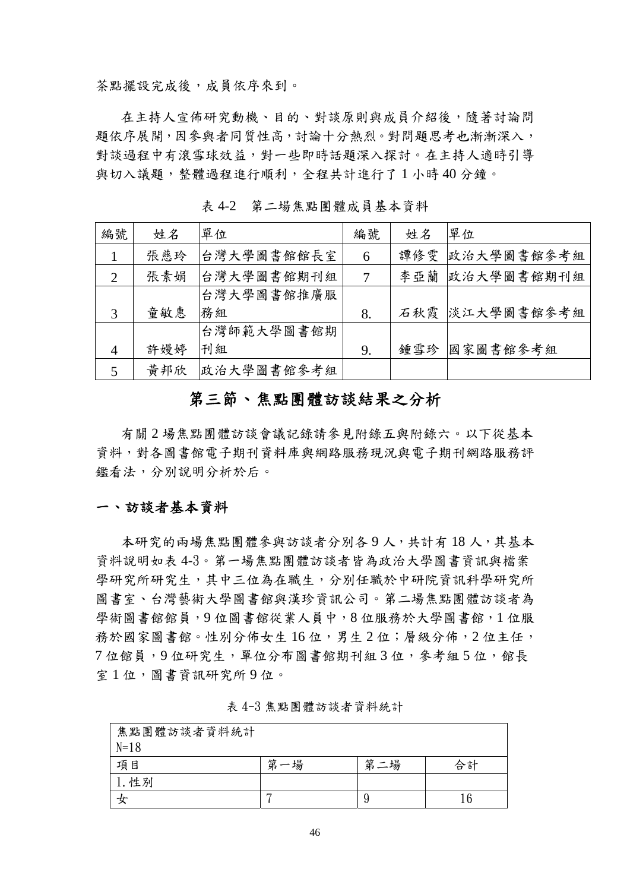茶點擺設完成後,成員依序來到。

在主持人宣佈研究動機、目的、對談原則與成員介紹後,隨著討論問 題依序展開,因參與者同質性高,討論十分熱烈。對問題思考也漸漸深入, 對談過程中有滾雪球效益,對一些即時話題深入探討。在主持人適時引導 與切入議題,整體過程進行順利,全程共計進行了 1 小時 40 分鐘。

| 編號             | 姓名  | 單位         | 編號 | 姓名  | 單位             |
|----------------|-----|------------|----|-----|----------------|
|                | 張慈玲 | 台灣大學圖書館館長室 | 6  |     | 譚修雯 政治大學圖書館參考組 |
| $\overline{2}$ | 張素娟 | 台灣大學圖書館期刊組 | 7  |     | 李亞蘭 政治大學圖書館期刊組 |
|                |     | 台灣大學圖書館推廣服 |    |     |                |
| 3              | 童敏惠 | 務組         | 8. |     | 石秋霞 淡江大學圖書館參考組 |
|                |     | 台灣師範大學圖書館期 |    |     |                |
| $\overline{4}$ | 許嫚婷 | 刊組         | 9. | 鍾雪珍 | 國家圖書館參考組       |
| 5              | 黃邦欣 | 政治大學圖書館參考組 |    |     |                |

表 4-2 第二場焦點團體成員基本資料

## 第三節、焦點團體訪談結果之分析

有關 2 場焦點團體訪談會議記錄請參見附錄五與附錄六。以下從基本 資料,對各圖書館電子期刊資料庫與網路服務現況與電子期刊網路服務評 鑑看法,分別說明分析於后。

#### 一、訪談者基本資料

本研究的兩場焦點團體參與訪談者分別各9人,共計有18人,其基本 資料說明如表 4-3。第一場焦點團體訪談者皆為政治大學圖書資訊與檔案 學研究所研究生,其中三位為在職生,分別任職於中研院資訊科學研究所 圖書室、台灣藝術大學圖書館與漢珍資訊公司。第二場焦點團體訪談者為 學術圖書館館員,9位圖書館從業人員中,8位服務於大學圖書館,1位服 務於國家圖書館。性別分佈女生16位,男生2位;層級分佈,2位主任, 7位館員,9位研究生,單位分布圖書館期刊組3位,參考組5位,館長 室 1 位,圖書資訊研究所 9 位。

| 焦點團體訪談者資料統計 |        |        |    |  |  |  |
|-------------|--------|--------|----|--|--|--|
| $N=18$      |        |        |    |  |  |  |
| 項目          | 第<br>場 | 輦<br>場 | 合計 |  |  |  |
| 性別          |        |        |    |  |  |  |
|             |        |        |    |  |  |  |

表 4-3 焦點團體訪談者資料統計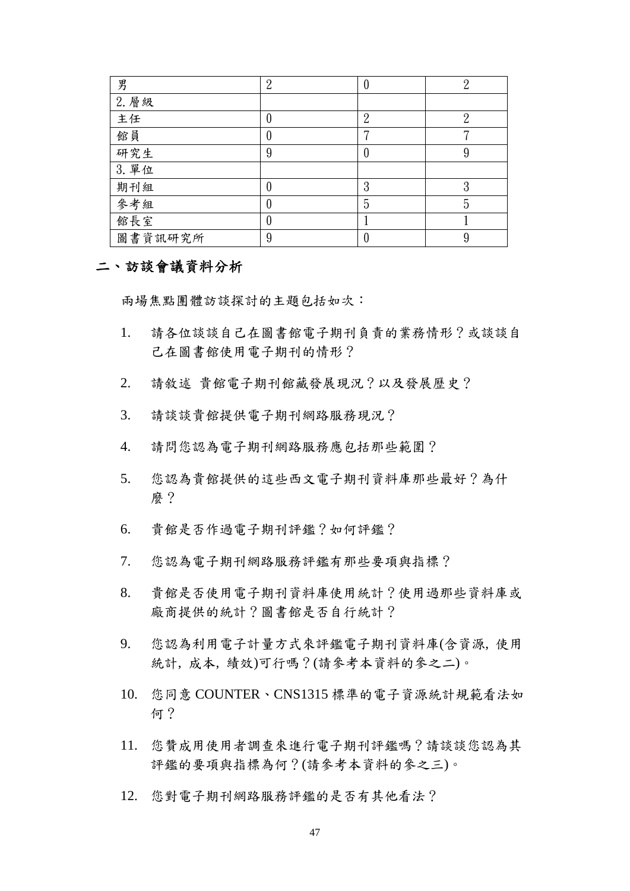| 男       | റ |                |         |
|---------|---|----------------|---------|
| 2. 層級   |   |                |         |
| 主任      |   | $\overline{2}$ |         |
| 館員      |   | –              |         |
| 研究生     | 9 |                | 9       |
| 3. 單位   |   |                |         |
| 期刊組     |   | 3              | ິດ<br>O |
| 參考組     |   | 5              | 5       |
| 館長室     |   |                |         |
| 圖書資訊研究所 | 9 |                | 9       |

#### 二、訪談會議資料分析

兩場焦點團體訪談探討的主題包括如次:

- 1. 請各位談談自己在圖書館電子期刊負責的業務情形?或談談自 己在圖書館使用電子期刊的情形?
- 2. 請敘述 貴館電子期刊館藏發展現況?以及發展歷史?
- 3. 請談談貴館提供電子期刊網路服務現況?
- 4. 請問您認為電子期刊網路服務應包括那些範圍?
- 5. 您認為貴館提供的這些西文電子期刊資料庫那些最好?為什 麼?
- 6. 貴館是否作過電子期刊評鑑?如何評鑑?
- 7. 您認為電子期刊網路服務評鑑有那些要項與指標?
- 8. 貴館是否使用電子期刊資料庫使用統計?使用過那些資料庫或 廠商提供的統計?圖書館是否自行統計?
- 9. 您認為利用電子計量方式來評鑑電子期刊資料庫(含資源, 使用 統計, 成本, 績效)可行嗎?(請參考本資料的參之二)。
- 10. 您同意 COUNTER、CNS1315 標準的電子資源統計規範看法如 何?
- 11. 您贊成用使用者調查來進行電子期刊評鑑嗎?請談談您認為其 評鑑的要項與指標為何?(請參考本資料的參之三)。
- 12. 您對電子期刊網路服務評鑑的是否有其他看法?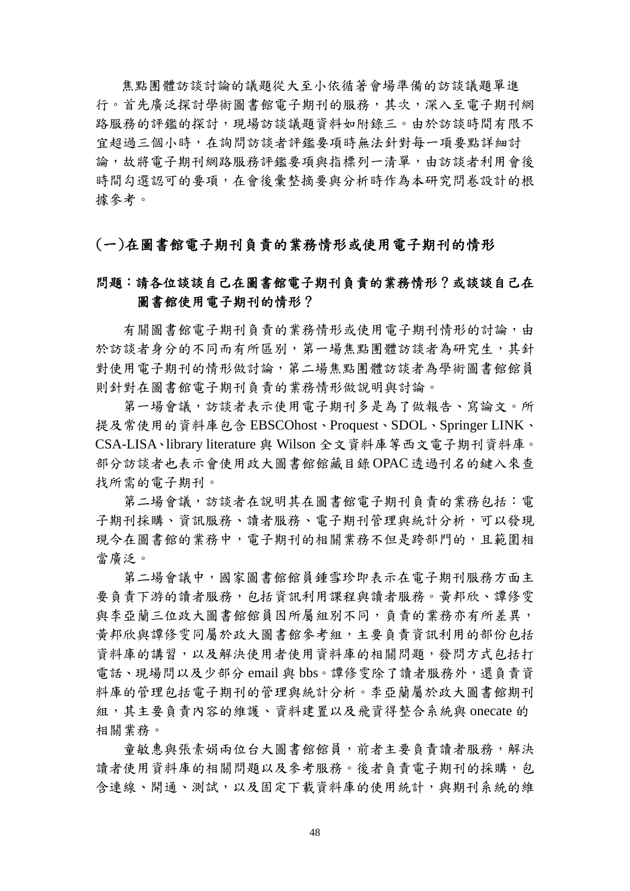焦點團體訪談討論的議題從大至小依循著會場準備的訪談議題單進 行。首先廣泛探討學術圖書館電子期刊的服務,其次,深入至電子期刊網 路服務的評鑑的探討,現場訪談議題資料如附錄三。由於訪談時間有限不 宜超過三個小時,在詢問訪談者評鑑要項時無法針對每一項要點詳細討 論,故將電子期刊網路服務評鑑要項與指標列一清單,由訪談者利用會後 時間勾選認可的要項,在會後彙整摘要與分析時作為本研究問卷設計的根 據參考。

#### (一)在圖書館電子期刊負責的業務情形或使用電子期刊的情形

### 問題:請各位談談自己在圖書館電子期刊負責的業務情形?或談談自己在 圖書館使用電子期刊的情形?

有關圖書館電子期刊負責的業務情形或使用電子期刊情形的討論,由 於訪談者身分的不同而有所區別,第一場焦點團體訪談者為研究生,其針 對使用電子期刊的情形做討論,第二場焦點團體訪談者為學術圖書館館員 則針對在圖書館電子期刊負責的業務情形做說明與討論。

第一場會議,訪談者表示使用電子期刊多是為了做報告、寫論文。所 提及常使用的資料庫包含 EBSCOhost、Proquest、SDOL、Springer LINK、 CSA-LISA、library literature 與 Wilson 全文資料庫等西文電子期刊資料庫。 部分訪談者也表示會使用政大圖書館館藏目錄 OPAC 透過刊名的鍵入來查 找所需的電子期刊。

第二場會議,訪談者在說明其在圖書館電子期刊負責的業務包括:電 子期刊採購、資訊服務、讀者服務、電子期刊管理與統計分析,可以發現 現今在圖書館的業務中,電子期刊的相關業務不但是跨部門的,且範圍相 當廣泛。

第二場會議中,國家圖書館館員鍾雪珍即表示在電子期刊服務方面主 要負責下游的讀者服務,包括資訊利用課程與讀者服務。黃邦欣、譚修零 與李亞蘭三位政大圖書館館員因所屬組別不同,負責的業務亦有所差異, 黃邦欣與譚修雯同屬於政大圖書館參考組,主要負責資訊利用的部份包括 資料庫的講習,以及解決使用者使用資料庫的相關問題,發問方式包括打 電話、現場問以及少部分 email 與 bbs。譚修雯除了讀者服務外,還負責資 料庫的管理包括電子期刊的管理與統計分析。李亞蘭屬於政大圖書館期刊 組,其主要負責內容的維護、資料建置以及飛資得整合系統與 onecate 的 相關業務。

童敏惠與張素娟兩位台大圖書館館員,前者主要負責讀者服務,解決 讀者使用資料庫的相關問題以及參考服務。後者負責電子期刊的採購,包 含連線、開通、測試,以及固定下載資料庫的使用統計,與期刊系統的維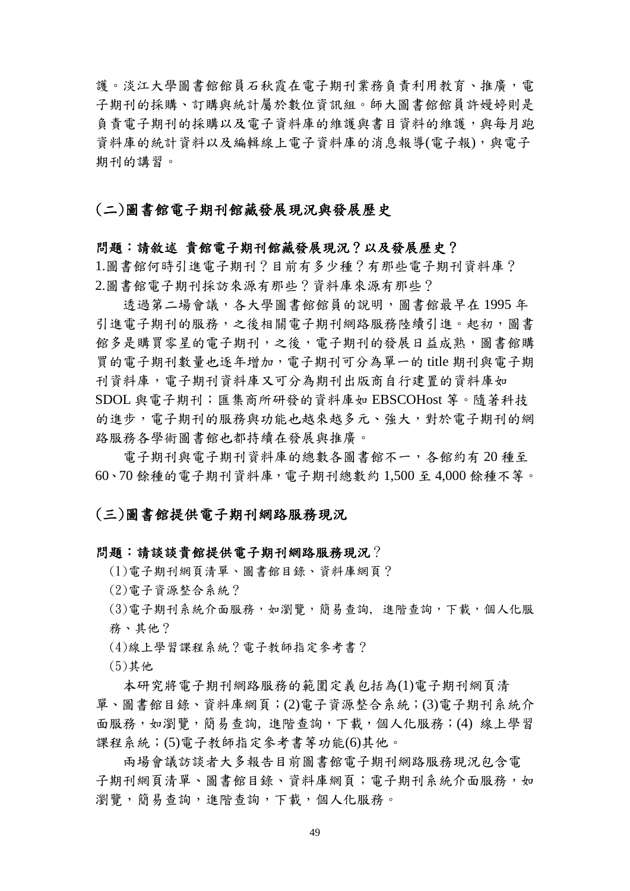譜。淡江大學圖書館館員石秋霞在雷子期刊業務負責利用教育、推廣,雷 子期刊的採購、訂購與統計屬於數位資訊組。師大圖書館館員許嫚婷則是 負責電子期刊的採購以及電子資料庫的維護與書目資料的維護,與每月跑 資料庫的統計資料以及編輯線上電子資料庫的消息報導(電子報),與電子 期刊的講習。

#### (二)圖書館電子期刊館藏發展現況與發展歷史

#### 問題:請敘述 貴館電子期刊館藏發展現況?以及發展歷史?

1.圖書館何時引進電子期刊?目前有多少種?有那些電子期刊資料庫? 2.圖書館電子期刊採訪來源有那些?資料庫來源有那些?

透過第二場會議,各大學圖書館館員的說明,圖書館最早在1995年 引進電子期刊的服務,之後相關電子期刊網路服務陸續引進。起初,圖書 館多是購買零星的電子期刊,之後,電子期刊的發展日益成熟,圖書館購 買的電子期刊數量也逐年增加,電子期刊可分為單一的 title 期刊與電子期 刊資料庫,電子期刊庫又可分為期刊出版商自行建置的資料庫如 SDOL 與電子期刊;匯集商所研發的資料庫如 EBSCOHost 等。隨著科技 的進步,電子期刊的服務與功能也越來越多元、強大,對於電子期刊的網 路服務各學術圖書館也都持續在發展與推廣。

電子期刊與電子期刊資料庫的總數各圖書館不一,各館約有 20 種至 60、70 餘種的電子期刊資料庫,電子期刊總數約 1,500 至 4,000 餘種不等。

#### (三)圖書館提供電子期刊網路服務現況

#### 問題:請談談貴館提供電子期刊網路服務現況?

(1)電子期刊網頁清單、圖書館目錄、資料庫網頁?

- (2)電子資源整合系統?
- (3)電子期刊系統介面服務,如瀏覽,簡易查詢, 進階查詢,下載,個人化服 務、其他?
- (4)線上學習課程系統?電子教師指定參考書?
- (5)其他

本研究將電子期刊網路服務的範圍定義包括為(1)電子期刊網頁清 單、圖書館目錄、資料庫網頁;(2)電子資源整合系統;(3)電子期刊系統介 面服務,如瀏覽,簡易查詢,進階查詢,下載,個人化服務;(4) 線上學習 課程系統;(5)電子教師指定參考書等功能(6)其他。

兩場會議訪談者大多報告目前圖書館電子期刊網路服務現況包含電 子期刊網頁清單、圖書館目錄、資料庫網頁;電子期刊系統介面服務,如 瀏覽,簡易查詢,進階查詢,下載,個人化服務。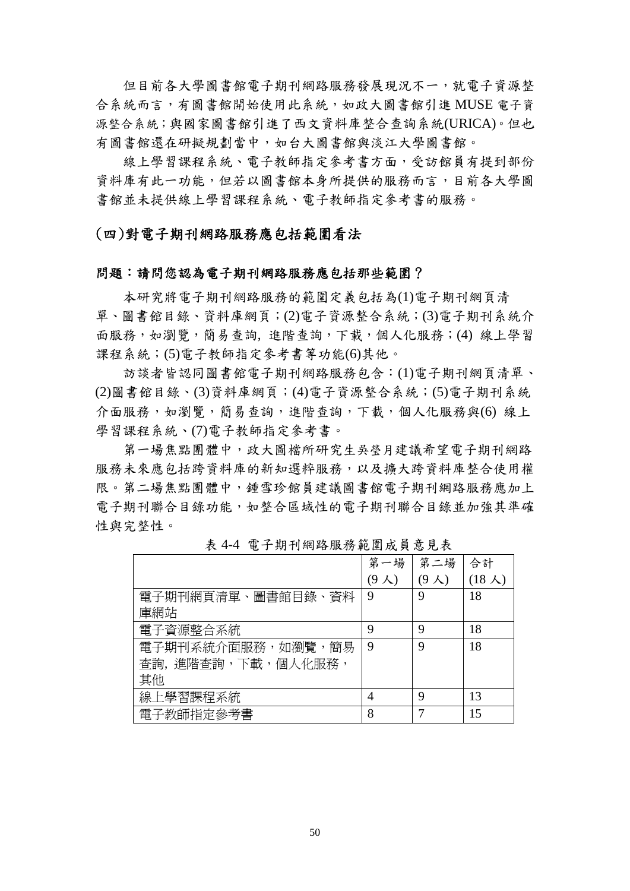但目前各大學圖書館電子期刊網路服務發展現況不一,就電子資源整 合系統而言,有圖書館開始使用此系統,如政大圖書館引進 MUSE 電子資 源整合系統;與國家圖書館引進了西文資料庫整合查詢系統(URICA)。但也 有圖書館還在研擬規劃當中,如台大圖書館與淡江大學圖書館。

線上學習課程系統、電子教師指定參考書方面,受訪館員有提到部份 資料庫有此一功能,但若以圖書館本身所提供的服務而言,目前各大學圖 書館並未提供線上學習課程系統、電子教師指定參考書的服務。

(四)對電子期刊網路服務應包括範圍看法

#### 問題:請問您認為電子期刊網路服務應包括那些範圍?

本研究將電子期刊網路服務的範圍定義包括為(1)電子期刊網頁清 單、圖書館目錄、資料庫網頁;(2)電子資源整合系統;(3)電子期刊系統介 面服務,如瀏覽,簡易查詢,進階查詢,下載,個人化服務;(4) 線上學習 課程系統;(5)電子教師指定參考書等功能(6)其他。

訪談者皆認同圖書館電子期刊網路服務包含:(1)電子期刊網頁清單、 (2)圖書館目錄、(3)資料庫網頁;(4)電子資源整合系統;(5)電子期刊系統 介面服務,如瀏覽,簡易查詢,進階查詢,下載,個人化服務與(6)線上 學習課程系統、(7)電子教師指定參考書。

第一場焦點團體中,政大圖檔所研究生吳瑩月建議希望電子期刊網路 服務未來應包括跨資料庫的新知選粹服務,以及擴大跨資料庫整合使用權 限。第二場焦點團體中,鍾雪珍館員建議圖書館電子期刊網路服務應加上 電子期刊聯合目錄功能,如整合區域性的電子期刊聯合目錄並加強其準確 性與完整性。

|                    | 第一場     | 第二場           | 合計             |
|--------------------|---------|---------------|----------------|
|                    | 9<br>人) | $(9 \lambda)$ | $(18 \lambda)$ |
| 電子期刊網頁清單、圖書館目錄、資料  | 9       | 9             | 18             |
| 庫網站                |         |               |                |
| 電子資源整合系統           | 9       | 9             | 18             |
| 電子期刊系統介面服務,如瀏覽,簡易  | 9       | 9             | 18             |
| 杳詢, 淮階杳詢,下載,個人化服務, |         |               |                |
| 其他                 |         |               |                |
| 線上學習課程系統           | 4       | 9             | 13             |
| 電子教師指定參考書          | 8       |               | 15             |

表 4-4 電子期刊網路服務範圍成員意見表

50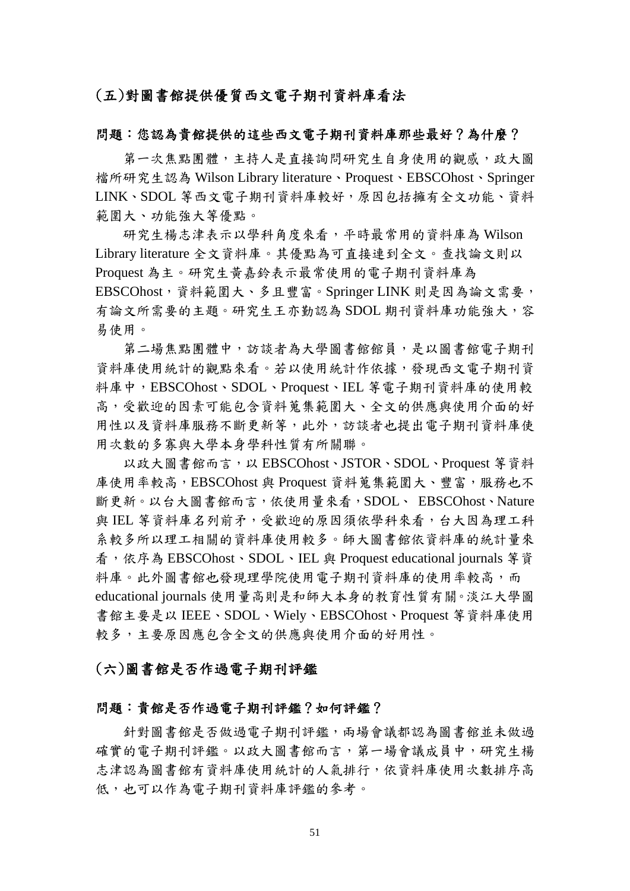### (五)對圖書館提供優質西文電子期刊資料庫看法

#### 問題:您認為貴館提供的這些西文電子期刊資料庫那些最好?為什麼?

第一次焦點團體,主持人是直接詢問研究生自身使用的觀感,政大圖 檔所研究生認為 Wilson Library literature、Proquest、EBSCOhost、Springer LINK、SDOL 等西文電子期刊資料庫較好,原因包括擁有全文功能、資料 範圍大、功能強大等優點。

研究生楊志津表示以學科角度來看,平時最常用的資料庫為 Wilson Library literature 全文資料庫。其優點為可直接連到全文。查找論文則以 Proquest 為主。研究生黃嘉鈴表示最常使用的電子期刊資料庫為 EBSCOhost,資料範圍大、多且豐富。Springer LINK 則是因為論文需要, 有論文所需要的主題。研究生王亦勤認為 SDOL 期刊資料庫功能強大,容 易使用。

第二場焦點團體中,訪談者為大學圖書館館員,是以圖書館電子期刊 資料庫使用統計的觀點來看。若以使用統計作依據,發現西文電子期刊資 料庫中,EBSCOhost、SDOL、Proquest、IEL 等電子期刊資料庫的使用較 高,受歡迎的因素可能包含資料蒐集範圍大、全文的供應與使用介面的好 用性以及資料庫服務不斷更新等,此外,訪談者也提出電子期刊資料庫使 用次數的多寡與大學本身學科性質有所關聯。

以政大圖書館而言,以 EBSCOhost、JSTOR、SDOL、Proquest 等資料 庫使用率較高, EBSCOhost 與 Proquest 資料蒐集範圍大、豐富,服務也不 斷更新。以台大圖書館而言,依使用量來看,SDOL、 EBSCOhost、Nature 與 IEL 等音料庫名列前矛,受歡迎的原因須依學科來看, 台大因為理工科 系較多所以理工相關的資料庫使用較多。師大圖書館依資料庫的統計量來 看,依序為 EBSCOhost、SDOL、IEL 與 Proquest educational journals 等資 料庫。此外圖書館也發現理學院使用電子期刊資料庫的使用率較高,而 educational journals 使用量高則是和師大本身的教育性質有關。淡江大學圖 書館主要是以 IEEE、SDOL、Wiely、EBSCOhost、Proquest 等資料庫使用 較多,主要原因應包含全文的供應與使用介面的好用性。

#### (六)圖書館是否作過電子期刊評鑑

#### 問題:貴館是否作過電子期刊評鑑?如何評鑑?

針對圖書館是否做過電子期刊評鑑,兩場會議都認為圖書館並未做過 確實的電子期刊評鑑。以政大圖書館而言,第一場會議成員中,研究生楊 志津認為圖書館有資料庫使用統計的人氣排行,依資料庫使用次數排序高 低,也可以作為電子期刊資料庫評鑑的參考。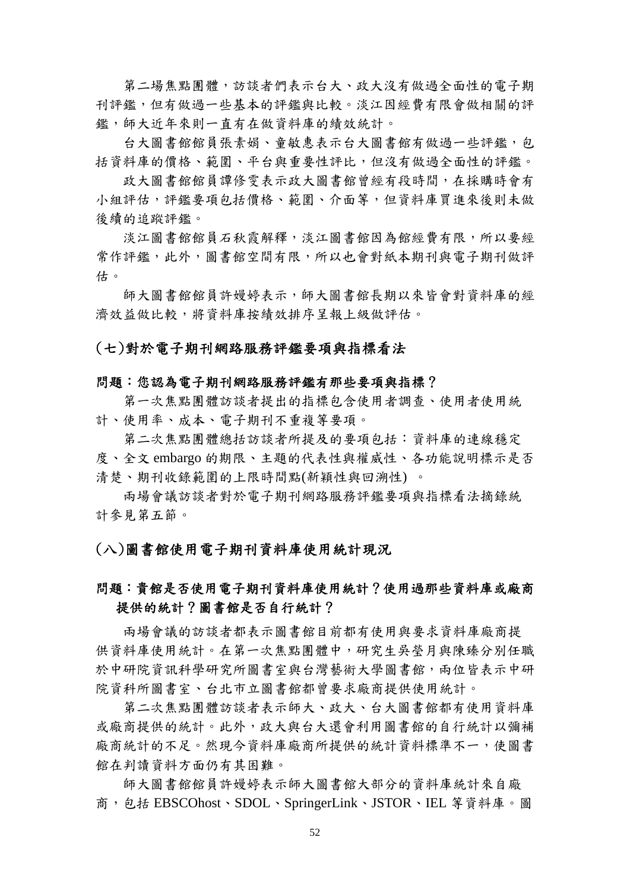第二場焦點團體,訪談者們表示台大、政大沒有做過全面性的電子期 刊評鑑,但有做過一些基本的評鑑與比較。淡江因經費有限會做相關的評 鑑,師大近年來則一直有在做資料庫的績效統計。

台大圖書館館員張素娟、童敏惠表示台大圖書館有做過一些評鑑,包 括資料庫的價格、範圍、平台與重要性評比,但沒有做過全面性的評鑑。

政大圖書館館員譚修雯表示政大圖書館曾經有段時間,在採購時會有 小組評估,評鑑要項包括價格、範圍、介面等,但資料庫買進來後則未做 後續的追蹤評鑑。

淡江圖書館館員石秋霞解釋,淡江圖書館因為館經費有限,所以要經 常作評鑑,此外,圖書館空間有限,所以也會對紙本期刊與電子期刊做評 估。

師大圖書館館員許嫚婷表示,師大圖書館長期以來皆會對資料庫的經 濟效益做比較,將資料庫按績效排序呈報上級做評估。

### (七)對於電子期刊網路服務評鑑要項與指標看法

#### 問題:您認為電子期刊網路服務評鑑有那些要項與指標?

第一次焦點團體訪談者提出的指標包含使用者調查、使用者使用統 計、使用率、成本、電子期刊不重複等要項。

第二次焦點團體總括訪談者所提及的要項包括:資料庫的連線穩定 度、全文 embargo 的期限、主題的代表性與權威性、各功能說明標示是否 清楚、期刊收錄範圍的上限時間點(新穎性與回溯性) 。

兩場會議訪談者對於電子期刊網路服務評鑑要項與指標看法摘錄統 計參見第五節。

## (八)圖書館使用電子期刊資料庫使用統計現況

## 問題:貴館是否使用電子期刊資料庫使用統計?使用過那些資料庫或廠商 提供的統計?圖書館是否自行統計?

兩場會議的訪談者都表示圖書館目前都有使用與要求資料庫廠商提 供資料庫使用統計。在第一次焦點團體中,研究生吳榮月與陳臻分別任職 於中研院資訊科學研究所圖書室與台灣藝術大學圖書館,兩位皆表示中研 院資科所圖書室、台北市立圖書館都曾要求廠商提供使用統計。

第二次焦點團體訪談者表示師大、政大、台大圖書館都有使用資料庫 或廠商提供的統計。此外,政大與台大還會利用圖書館的自行統計以彌補 廠商統計的不足。然現今資料庫廠商所提供的統計資料標準不一,使圖書 館在判讀資料方面仍有其困難。

師大圖書館館員許嫚婷表示師大圖書館大部分的資料庫統計來自廠 商,包括 EBSCOhost、SDOL、SpringerLink、JSTOR、IEL 等資料庫。圖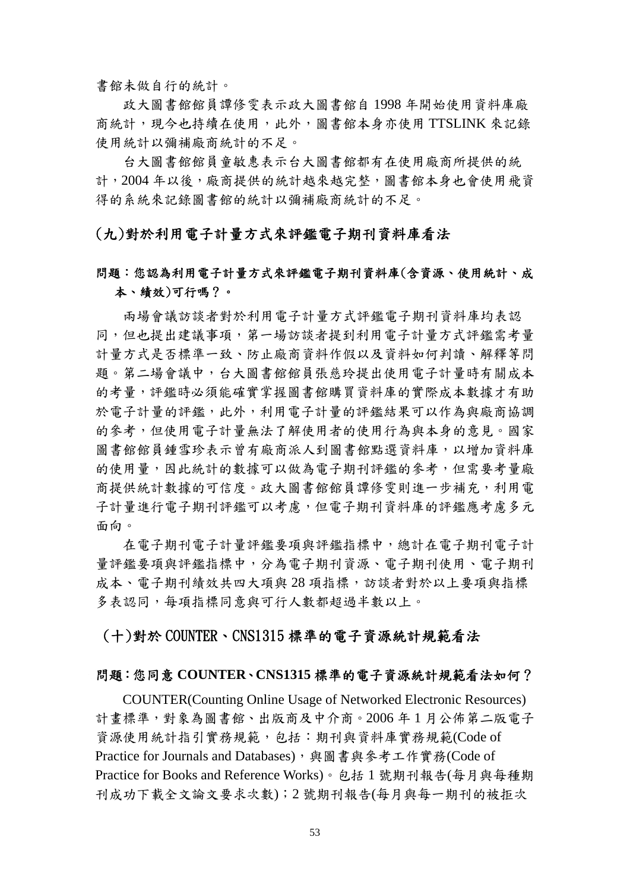書館未做自行的統計。

政大圖書館館員譚修雯表示政大圖書館自 1998 年開始使用資料庫廠 商統計,現今也持續在使用,此外,圖書館本身亦使用 TTSLINK 來記錄 使用統計以彌補廠商統計的不足。

台大圖書館館員童敏惠表示台大圖書館都有在使用廠商所提供的統 計,2004年以後,廠商提供的統計越來越完整,圖書館本身也會使用飛資 得的系統來記錄圖書館的統計以彌補廠商統計的不足。

### (九)對於利用電子計量方式來評鑑電子期刊資料庫看法

## 問題:您認為利用電子計量方式來評鑑電子期刊資料庫(含資源、使用統計、成 本、績效)可行嗎?。

兩場會議訪談者對於利用電子計量方式評鑑電子期刊資料庫均表認 同,但也提出建議事項,第一場訪談者提到利用電子計量方式評鑑需考量 計量方式是否標準一致、防止廠商資料作假以及資料如何判讀、解釋等問 題。第二場會議中,台大圖書館館員張慈玲提出使用電子計量時有關成本 的考量,評鑑時必須能確實掌握圖書館購買資料庫的實際成本數據才有助 於電子計量的評鑑,此外,利用電子計量的評鑑結果可以作為與廠商協調 的參考,但使用電子計量無法了解使用者的使用行為與本身的意見。國家 圖書館館員鍾雪珍表示曾有廠商派人到圖書館點選資料庫,以增加資料庫 的使用量,因此統計的數據可以做為電子期刊評鑑的參考,但需要考量廠 商提供統計數據的可信度。政大圖書館館員譚修雯則進一步補充,利用電 子計量進行電子期刊評鑑可以考慮,但電子期刊資料庫的評鑑應考慮多元 面向。

在電子期刊電子計量評鑑要項與評鑑指標中,總計在電子期刊電子計 量評鑑要項與評鑑指標中,分為電子期刊資源、電子期刊使用、電子期刊 成本、電子期刊績效共四大項與28項指標,訪談者對於以上要項與指標 多表認同,每項指標同意與可行人數都超過半數以上。

## (十)對於 COUNTER、CNS1315 標準的電子資源統計規範看法

#### 問題:您同意 **COUNTER**、**CNS1315** 標準的電子資源統計規範看法如何?

COUNTER(Counting Online Usage of Networked Electronic Resources) 計畫標準,對象為圖書館、出版商及中介商。2006 年 1 月公佈第二版電子 資源使用統計指引實務規範,包括:期刊與資料庫實務規範(Code of Practice for Journals and Databases),與圖書與參考工作實務(Code of Practice for Books and Reference Works)。包括 1 號期刊報告(每月與每種期 刊成功下載全文論文要求次數);2 號期刊報告(每月與每一期刊的被拒次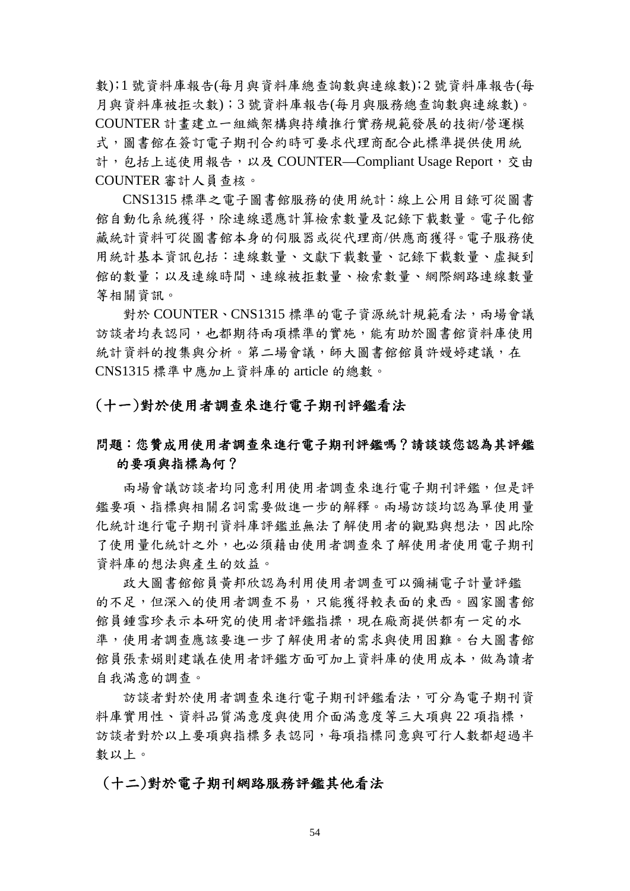數);1 號資料庫報告(每月與資料庫總查詢數與連線數);2 號資料庫報告(每 月與資料庫被拒次數);3 號資料庫報告(每月與服務總查詢數與連線數)。 COUNTER 計畫建立一組織架構與持續推行實務規範發展的技術/營運模 式,圖書館在簽訂電子期刊合約時可要求代理商配合此標準提供使用統 計,包括上述使用報告,以及 COUNTER—Compliant Usage Report, 交由 COUNTER 審計人員查核。

CNS1315 標準之電子圖書館服務的使用統計:線上公用目錄可從圖書 館自動化系統獲得,除連線還應計算檢索數量及記錄下載數量。電子化館 藏統計資料可從圖書館本身的伺服器或從代理商/供應商獲得。電子服務使 用統計基本資訊包括:連線數量、文獻下載數量、記錄下載數量、虛擬到 館的數量;以及連線時間、連線被拒數量、檢索數量、網際網路連線數量 等相關資訊。

對於 COUNTER、CNS1315 標準的電子資源統計規範看法,兩場會議 訪談者均表認同,也都期待兩項標準的實施,能有助於圖書館資料庫使用 統計資料的搜集與分析。第二場會議,師大圖書館館員許嫚婷建議,在 CNS1315 標準中應加上資料庫的 article 的總數。

### (十一)對於使用者調查來進行電子期刊評鑑看法

## 問題:您贊成用使用者調查來進行電子期刊評鑑嗎?請談談您認為其評鑑 的要項與指標為何?

兩場會議訪談者均同意利用使用者調查來進行電子期刊評鑑,但是評 鑑要項、指標與相關名詞需要做進一步的解釋。兩場訪談均認為單使用量 化統計進行電子期刊資料庫評鑑並無法了解使用者的觀點與想法,因此除 了使用量化統計之外,也必須藉由使用者調查來了解使用者使用電子期刊 資料庫的想法與產生的效益。

政大圖書館館員黃邦欣認為利用使用者調查可以彌補電子計量評鑑 的不足,但深入的使用者調查不易,只能獲得較表面的東西。國家圖書館 館員鍾雪珍表示本研究的使用者評鑑指摽,現在廠商提供都有一定的水 準,使用者調查應該要進一步了解使用者的需求與使用困難。台大圖書館 館員張素娟則建議在使用者評鑑方面可加上資料庫的使用成本,做為讀者 自我滿意的調查。

訪談者對於使用者調查來進行電子期刊評鑑看法,可分為電子期刊資 料庫實用性、資料品質滿意度與使用介面滿意度等三大項與 22 項指標, 訪談者對於以上要項與指標多表認同,每項指標同意與可行人數都超過半 數以上。

#### (十二)對於電子期刊網路服務評鑑其他看法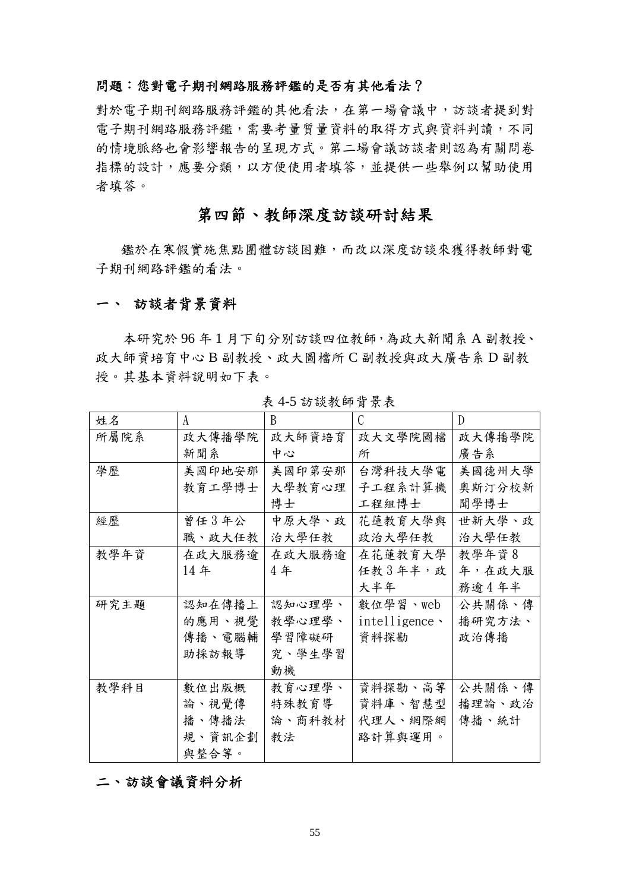## 問題:您對電子期刊網路服務評鑑的是否有其他看法?

對於電子期刊網路服務評鑑的其他看法,在第一場會議中,訪談者提到對 電子期刊網路服務評鑑,需要考量質量資料的取得方式與資料判讀,不同 的情境脈絡也會影響報告的呈現方式。第二場會議訪談者則認為有關問卷 指標的設計,應要分類,以方便使用者填答,並提供一些舉例以幫助使用 者填答。

## 第四節、教師深度訪談研討結果

鑑於在寒假實施焦點團體訪談困難,而改以深度訪談來獲得教師對電 子期刊網路評鑑的看法。

#### 一、 訪談者背景資料

本研究於 96 年 1 月下旬分別訪談四位教師,為政大新聞系 A 副教授、 政大師資培育中心 B 副教授、政大圖檔所 C 副教授與政大廣告系 D 副教 授。其基本資料說明如下表。

| 姓名   | A      | B      | $\mathcal{C}$    | $\mathbb{D}$ |
|------|--------|--------|------------------|--------------|
| 所屬院系 | 政大傳播學院 | 政大師資培育 | 政大文學院圖檔          | 政大傳播學院       |
|      | 新聞系    | 中心     | 所                | 廣告系          |
| 學歷   | 美國印地安那 | 美國印第安那 | 台灣科技大學電          | 美國德州大學       |
|      | 教育工學博士 | 大學教育心理 | 子工程系計算機          | 奧斯汀分校新       |
|      |        | 博士     | 工程組博士            | 聞學博士         |
| 經歷   | 曾任3年公  | 中原大學、政 | 花蓮教育大學與          | 世新大學、政       |
|      | 職、政大任教 | 治大學任教  | 政治大學任教           | 治大學任教        |
| 教學年資 | 在政大服務逾 | 在政大服務逾 | 在花蓮教育大學          | 教學年資8        |
|      | 14年    | 4年     | 任教3年半,政          | 年,在政大服       |
|      |        |        | 大半年              | 務逾4年半        |
| 研究主題 | 認知在傳播上 | 認知心理學、 | 數位學習、web         | 公共關係、傳       |
|      | 的應用、視覺 | 教學心理學、 | $intelligence$ . | 播研究方法、       |
|      | 傳播、電腦輔 | 學習障礙研  | 資料探勘             | 政治傳播         |
|      | 助採訪報導  | 究、學生學習 |                  |              |
|      |        | 動機     |                  |              |
| 教學科目 | 數位出版概  | 教育心理學、 | 資料探勘、高等          | 公共關係、傳       |
|      | 論、視覺傳  | 特殊教育導  | 資料庫、智慧型          | 播理論、政治       |
|      | 播、傳播法  | 論、商科教材 | 代理人、網際網          | 傳播、統計        |
|      | 規、資訊企劃 | 教法     | 路計算與運用。          |              |
|      | 與整合等。  |        |                  |              |

表 4-5 訪談教師背景表

## 二、訪談會議資料分析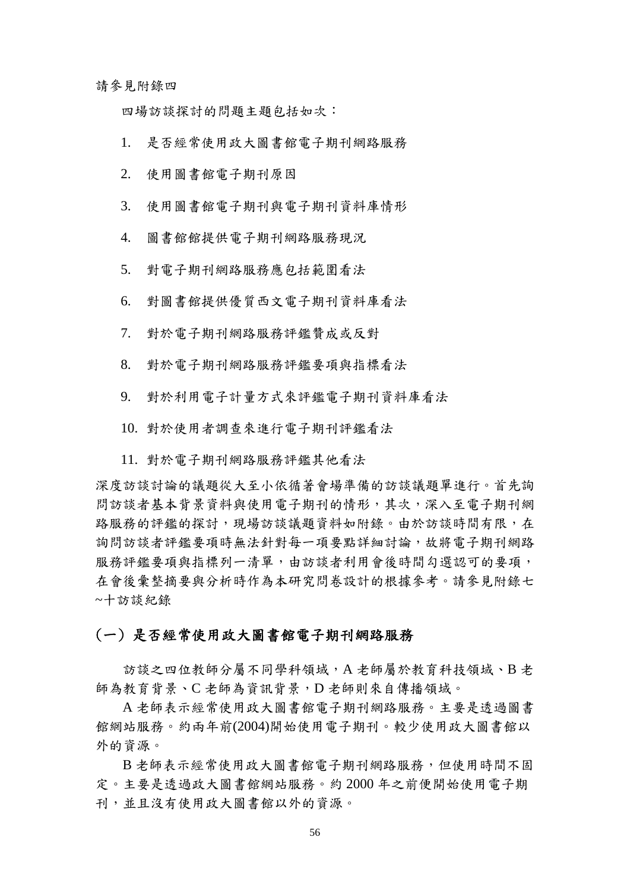請參見附錄四

四場訪談探討的問題主題包括如次:

- 1. 是否經常使用政大圖書館電子期刊網路服務
- 2. 使用圖書館電子期刊原因
- 3. 使用圖書館電子期刊與電子期刊資料庫情形
- 4. 圖書館館提供電子期刊網路服務現況
- 5. 對電子期刊網路服務應包括範圍看法
- 6. 對圖書館提供優質西文電子期刊資料庫看法
- 7. 對於電子期刊網路服務評鑑贊成或反對
- 8. 對於電子期刊網路服務評鑑要項與指標看法
- 9. 對於利用電子計量方式來評鑑電子期刊資料庫看法
- 10. 對於使用者調查來進行電子期刊評鑑看法
- 11. 對於電子期刊網路服務評鑑其他看法

深度訪談討論的議題從大至小依循著會場準備的訪談議題單進行。首先詢 問訪談者基本背景資料與使用電子期刊的情形,其次,深入至電子期刊網 路服務的評鑑的探討,現場訪談議題資料如附錄。由於訪談時間有限,在 詢問訪談者評鑑要項時無法針對每一項要點詳細討論,故將電子期刊網路 服務評鑑要項與指標列一清單,由訪談者利用會後時間勾選認可的要項, 在會後彙整摘要與分析時作為本研究問卷設計的根據參考。請參見附錄七 ~十訪談紀錄

## (一) 是否經常使用政大圖書館電子期刊網路服務

訪談之四位教師分屬不同學科領域,A 老師屬於教育科技領域、B 老 師為教育背景、C 老師為資訊背景,D 老師則來自傳播領域。

A 老師表示經常使用政大圖書館電子期刊網路服務。主要是透過圖書 館網站服務。約兩年前(2004)開始使用電子期刊。較少使用政大圖書館以 外的資源。

B 老師表示經常使用政大圖書館電子期刊網路服務, 但使用時間不固 定。主要是透過政大圖書館網站服務。約 2000 年之前便開始使用電子期 刊,並且沒有使用政大圖書館以外的資源。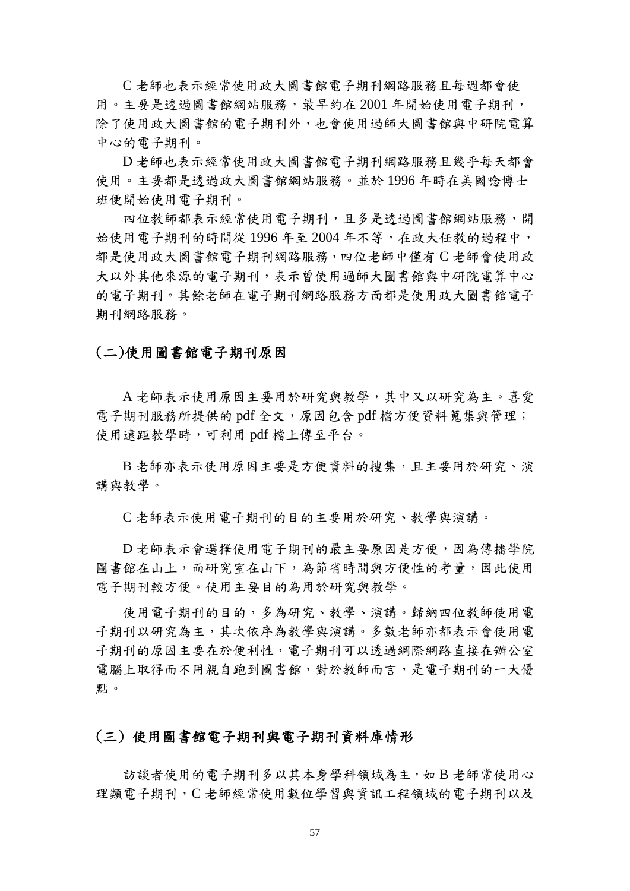C 老師也表示經常使用政大圖書館電子期刊網路服務且每週都會使 用。主要是透過圖書館網站服務,最早約在 2001 年開始使用電子期刊, 除了使用政大圖書館的電子期刊外,也會使用過師大圖書館與中研院電算 中心的電子期刊。

D 老師也表示經常使用政大圖書館電子期刊網路服務且幾乎每天都會 使用。主要都是透過政大圖書館網站服務。並於 1996 年時在美國唸博士 班便開始使用電子期刊。

四位教師都表示經常使用電子期刊,且多是透過圖書館網站服務,開 始使用電子期刊的時間從 1996年至 2004年不等,在政大任教的過程中, 都是使用政大圖書館電子期刊網路服務,四位老師中僅有 C 老師會使用政 大以外其他來源的電子期刊,表示曾使用過師大圖書館與中研院電算中心 的電子期刊。其餘老師在電子期刊網路服務方面都是使用政大圖書館電子 期刊網路服務。

### (二)使用圖書館電子期刊原因

A 老師表示使用原因主要用於研究與教學,其中又以研究為主。喜愛 電子期刊服務所提供的 pdf 全文,原因包含 pdf 檔方便資料蒐集與管理; 使用遠距教學時,可利用 pdf 檔上傳至平台。

B 老師亦表示使用原因主要是方便資料的搜集,且主要用於研究、演 講與教學。

C 老師表示使用電子期刊的目的主要用於研究、教學與演講。

D 老師表示會選擇使用電子期刊的最主要原因是方便,因為傳播學院 圖書館在山上,而研究室在山下,為節省時間與方便性的考量,因此使用 電子期刊較方便。使用主要目的為用於研究與教學。

使用電子期刊的目的,多為研究、教學、演講。歸納四位教師使用電 子期刊以研究為主,其次依序為教學與演講。多數老師亦都表示會使用電 子期刊的原因主要在於便利性,電子期刊可以透過網際網路直接在辦公室 電腦上取得而不用親自跑到圖書館,對於教師而言,是電子期刊的一大優 點。

## (三) 使用圖書館電子期刊與電子期刊資料庫情形

訪談者使用的電子期刊多以其本身學科領域為主,如 B 老師常使用心 理類電子期刊,C 老師經常使用數位學習與資訊工程領域的電子期刊以及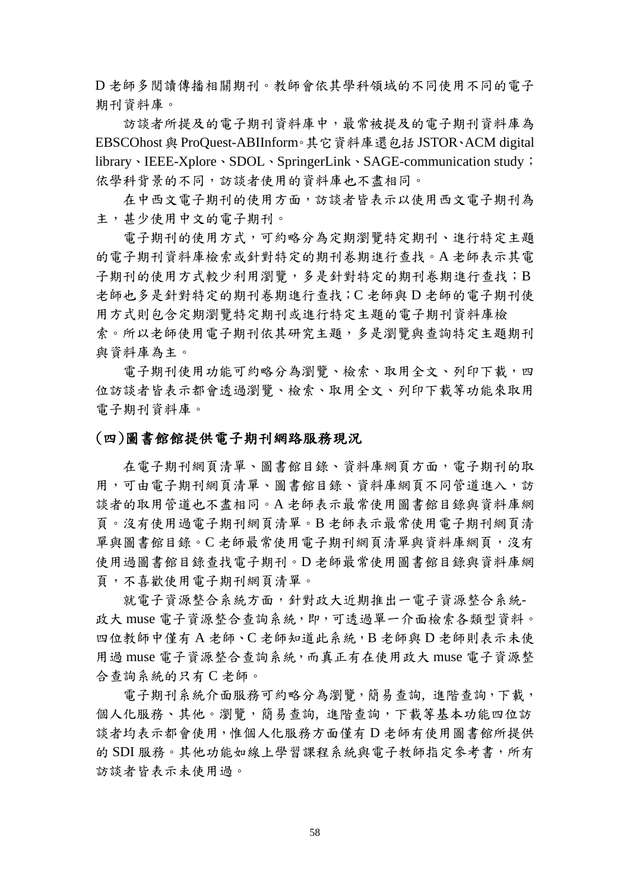D 老師多閱讀傳播相關期刊。教師會依其學科領域的不同使用不同的電子 期刊資料庫。

訪談者所提及的電子期刊資料庫中,最常被提及的電子期刊資料庫為 EBSCOhost 與 ProQuest-ABIInform。其它資料庫還包括 JSTOR、ACM digital library、IEEE-Xplore、SDOL、SpringerLink、SAGE-communication study; 依學科背景的不同,訪談者使用的資料庫也不盡相同。

在中西文電子期刊的使用方面,訪談者皆表示以使用西文電子期刊為 主,甚少使用中文的電子期刊。

電子期刊的使用方式,可約略分為定期瀏覽特定期刊、進行特定主題 的電子期刊資料庫檢索或針對特定的期刊卷期進行查找。A 老師表示其電 子期刊的使用方式較少利用瀏覽,多是針對特定的期刊卷期進行查找;B 老師也多是針對特定的期刊卷期進行查找;C 老師與 D 老師的電子期刊使 用方式則包含定期瀏覽特定期刊或進行特定主題的電子期刊資料庫檢 索。所以老師使用電子期刊依其研究主題,多是瀏覽與查詢特定主題期刊 與資料庫為主。

電子期刊使用功能可約略分為瀏覽、檢索、取用全文、列印下載,四 位訪談者皆表示都會透過瀏覽、檢索、取用全文、列印下載等功能來取用 電子期刊資料庫。

## (四)圖書館館提供電子期刊網路服務現況

在電子期刊網頁清單、圖書館目錄、資料庫網頁方面,電子期刊的取 用,可由電子期刊網頁清單、圖書館目錄、資料庫網頁不同管道進入,訪 談者的取用管道也不盡相同。A 老師表示最常使用圖書館目錄與資料庫網 頁。沒有使用過電子期刊網頁清單。B 老師表示最常使用電子期刊網頁清 單與圖書館目錄。C 老師最常使用電子期刊網頁清單與資料庫網頁,沒有 使用過圖書館目錄查找電子期刊。D 老師最常使用圖書館目錄與資料庫網 頁,不喜歡使用電子期刊網頁清單。

就電子資源整合系統方面,針對政大近期推出一電子資源整合系統-政大 muse 電子資源整合查詢系統,即,可透過單一介面檢索各類型資料。 四位教師中僅有 A 老師、C 老師知道此系統,B 老師與 D 老師則表示未使 用過 muse 電子資源整合查詢系統,而真正有在使用政大 muse 電子資源整 合查詢系統的只有 C 老師。

電子期刊系統介面服務可約略分為瀏覽,簡易查詢,進階查詢,下載, 個人化服務、其他。瀏覽,簡易查詢,進階查詢,下載等基本功能四位訪 談者均表示都會使用,惟個人化服務方面僅有 D 老師有使用圖書館所提供 的 SDI 服務。其他功能如線上學習課程系統與電子教師指定參考書,所有 訪談者皆表示未使用過。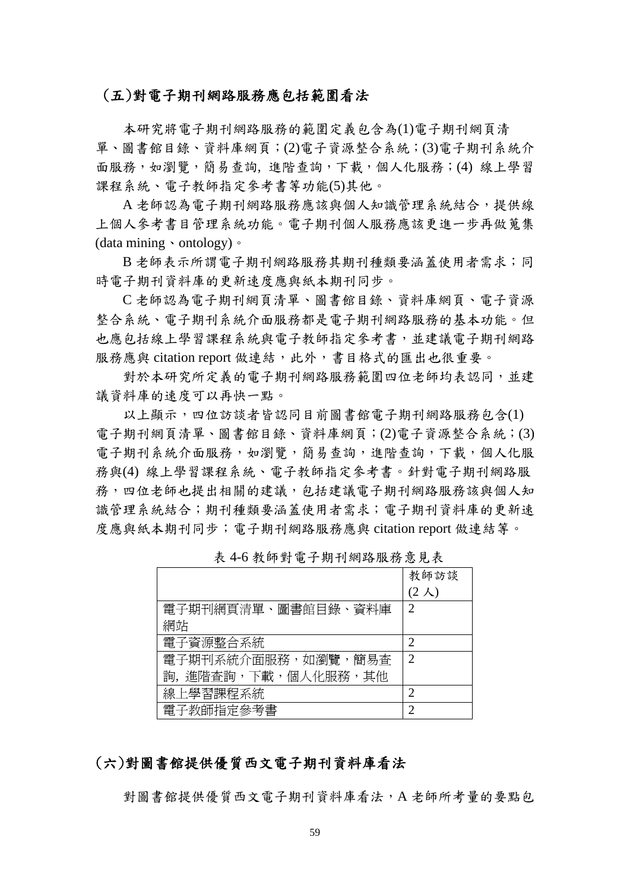#### (五)對電子期刊網路服務應包括範圍看法

本研究將電子期刊網路服務的範圍定義包含為(1)電子期刊網頁清 單、圖書館目錄、資料庫網頁;(2)電子資源整合系統;(3)電子期刊系統介 面服務,如瀏覽,簡易查詢,進階查詢,下載,個人化服務;(4) 線上學習 課程系統、電子教師指定參考書等功能(5)其他。

A 老師認為電子期刊網路服務應該與個人知識管理系統結合,提供線 上個人參考書目管理系統功能。電子期刊個人服務應該更進一步再做蒐集 (data mining、ontology)。

B 老師表示所謂電子期刊網路服務其期刊種類要涵蓋使用者需求;同 時電子期刊資料庫的更新速度應與紙本期刊同步。

C 老師認為電子期刊網頁清單、圖書館目錄、資料庫網頁、電子資源 整合系統、電子期刊系統介面服務都是電子期刊網路服務的基本功能。但 也應包括線上學習課程系統與電子教師指定參考書,並建議電子期刊網路 服務應與 citation report 做連結,此外,書目格式的匯出也很重要。

對於本研究所定義的電子期刊網路服務範圍四位老師均表認同,並建 議資料庫的速度可以再快一點。

以上顯示,四位訪談者皆認同目前圖書館電子期刊網路服務包含(1) 電子期刊網頁清單、圖書館目錄、資料庫網頁;(2)電子資源整合系統;(3) 電子期刊系統介面服務,如瀏覽,簡易查詢,進階查詢,下載,個人化服 務與(4) 線上學習課程系統、電子教師指定參考書。針對電子期刊網路服 務,四位老師也提出相關的建議,包括建議電子期刊網路服務該與個人知 識管理系統結合;期刊種類要涵蓋使用者需求;電子期刊資料庫的更新速 度應與紙本期刊同步;電子期刊網路服務應與 citation report 做連結等。

|                     | 教師訪談                        |
|---------------------|-----------------------------|
|                     | $(2 \lambda)$               |
| 電子期刊網頁清單、圖書館目錄、資料庫  | $\mathcal{D}_{\mathcal{A}}$ |
| 網站                  |                             |
| 電子資源整合系統            | 2                           |
| 電子期刊系統介面服務,如瀏覽,簡易杳  | 2                           |
| 詢, 進階杳詢,下載,個人化服務,其他 |                             |
| 線上學習課程系統            | 2                           |
| 電子教師指定參考書           |                             |

表 4-6 教師對電子期刊網路服務意見表

## (六)對圖書館提供優質西文電子期刊資料庫看法

對圖書館提供優質西文電子期刊資料庫看法,A 老師所考量的要點包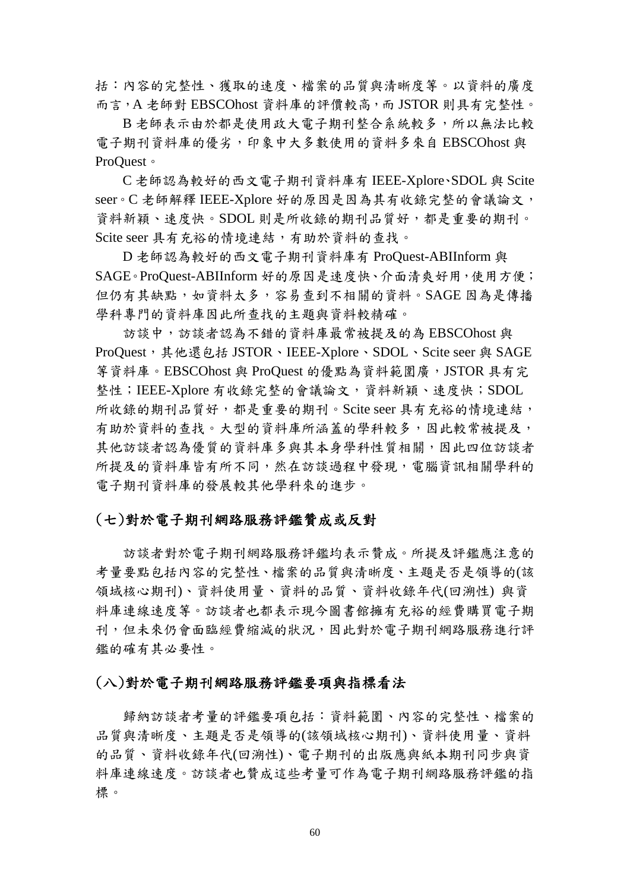括:內容的完整性、獲取的速度、檔案的品質與清晰度等。以資料的廣度 而言,A 老師對 EBSCOhost 資料庫的評價較高,而 JSTOR 則具有完整性。

B 老師表示由於都是使用政大電子期刊整合系統較多,所以無法比較 電子期刊資料庫的優劣,印象中大多數使用的資料多來自 EBSCOhost 與 ProQuest。

C 老師認為較好的西文電子期刊資料庫有 IEEE-Xplore、SDOL 與 Scite seer。C 老師解釋 IEEE-Xplore 好的原因是因為其有收錄完整的會議論文, 資料新穎、速度快。SDOL 則是所收錄的期刊品質好,都是重要的期刊。 Scite seer 具有充裕的情境連結,有助於資料的查找。

D 老師認為較好的西文電子期刊資料庫有 ProQuest-ABIInform 與 SAGE。ProQuest-ABIInform 好的原因是速度快、介面清爽好用,使用方便; 但仍有其缺點,如資料太多,容易查到不相關的資料。SAGE 因為是傳播 學科專門的資料庫因此所查找的主題與資料較精確。

訪談中,訪談者認為不錯的資料庫最常被提及的為 EBSCOhost 與 ProQuest, 其他還包括 JSTOR、IEEE-Xplore、SDOL、Scite seer 與 SAGE 等資料庫。EBSCOhost 與 ProQuest 的優點為資料範圍廣,JSTOR 具有完 整性;IEEE-Xplore 有收錄完整的會議論文,資料新穎、速度快;SDOL 所收錄的期刊品質好,都是重要的期刊。Scite seer 具有充裕的情境連結, 有助於資料的查找。大型的資料庫所涵蓋的學科較多,因此較常被提及, 其他訪談者認為優質的資料庫多與其本身學科性質相關,因此四位訪談者 所提及的資料庫皆有所不同,然在訪談過程中發現,電腦資訊相關學科的 電子期刊資料庫的發展較其他學科來的進步。

### (七)對於電子期刊網路服務評鑑贊成或反對

訪談者對於電子期刊網路服務評鑑均表示贊成。所提及評鑑應注意的 考量要點包括內容的完整性、檔案的品質與清晰度、主題是否是領導的(該 領域核心期刊)、資料使用量、資料的品質、資料收錄年代(回溯性) 與資 料庫連線速度等。訪談者也都表示現今圖書館擁有充裕的經費購買電子期 刊,但未來仍會面臨經費縮減的狀況,因此對於電子期刊網路服務進行評 鑑的確有其必要性。

#### (八)對於電子期刊網路服務評鑑要項與指標看法

歸納訪談者考量的評鑑要項包括:資料範圍、內容的完整性、檔案的 品質與清晰度、主題是否是領導的(該領域核心期刊)、資料使用量、資料 的品質、資料收錄年代(回溯性)、電子期刊的出版應與紙本期刊同步與資 料庫連線速度。訪談者也贊成這些考量可作為電子期刊網路服務評鑑的指 標。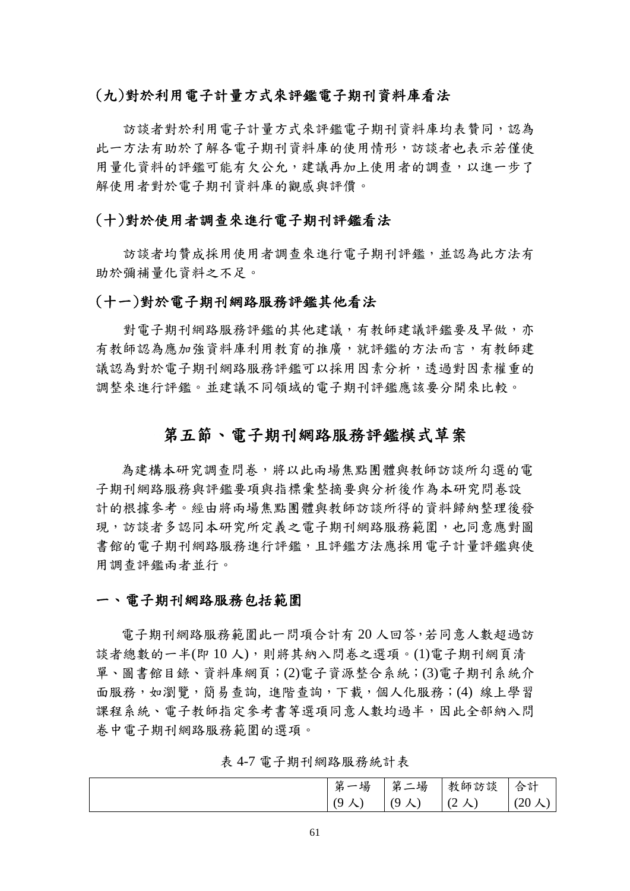## (九)對於利用電子計量方式來評鑑電子期刊資料庫看法

訪談者對於利用電子計量方式來評鑑電子期刊資料庫均表贊同,認為 此一方法有助於了解各電子期刊資料庫的使用情形,訪談者也表示若僅使 用量化資料的評鑑可能有欠公允,建議再加上使用者的調查,以進一步了 解使用者對於電子期刊資料庫的觀感與評價。

### (十)對於使用者調查來進行電子期刊評鑑看法

訪談者均贊成採用使用者調查來進行電子期刊評鑑,並認為此方法有 助於彌補量化資料之不足。

#### (十一)對於電子期刊網路服務評鑑其他看法

對電子期刊網路服務評鑑的其他建議,有教師建議評鑑要及早做,亦 有教師認為應加強資料庫利用教育的推廣,就評鑑的方法而言,有教師建 議認為對於電子期刊網路服務評鑑可以採用因素分析,诱過對因素權重的 調整來進行評鑑。並建議不同領域的電子期刊評鑑應該要分開來比較。

## 第五節、電子期刊網路服務評鑑模式草案

為建構本研究調查問卷,將以此兩場焦點團體與教師訪談所勾選的電 子期刊網路服務與評鑑要項與指標彙整摘要與分析後作為本研究問卷設 計的根據參考。經由將兩場焦點團體與教師訪談所得的資料歸納整理後發 現,訪談者多認同本研究所定義之電子期刊網路服務範圍,也同意應對圖 書館的電子期刊網路服務進行評鑑,且評鑑方法應採用電子計量評鑑與使 用調查評鑑兩者並行。

#### 一、電子期刊網路服務包括範圍

電子期刊網路服務範圍此一問項合計有 20 人回答,若同意人數超過訪 談者總數的一半(即10人),則將其納入問卷之選項。(1)電子期刊網頁清 單、圖書館目錄、資料庫網頁;(2)電子資源整合系統;(3)電子期刊系統介 面服務,如瀏覽,簡易查詢,進階查詢,下載,個人化服務;(4) 線上學習 課程系統、電子教師指定參考書等選項同意人數均過半,因此全部納入問 卷中電子期刊網路服務範圍的選項。

表 4-7 電子期刊網路服務統計表

| 第<br>一場        | 第<br>二場       | 教師訪談             | 合計                      |
|----------------|---------------|------------------|-------------------------|
| $\alpha$<br>人) | $(9 \lambda)$ | $\mid$ (2)<br>人) | $(20 \lambda$<br>$\sim$ |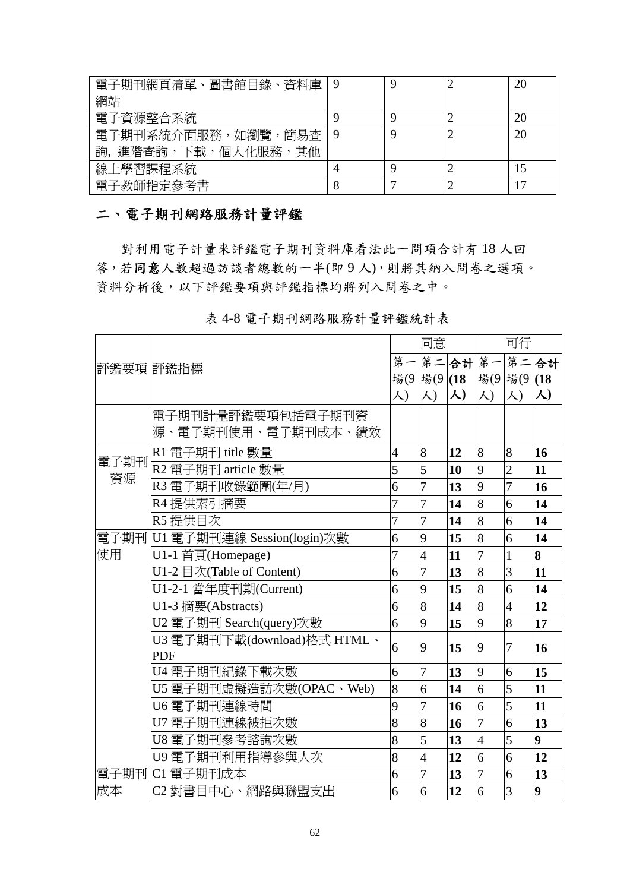| 電子期刊網頁清單、圖書館目錄、資料庫     |   |   | 20 |
|------------------------|---|---|----|
| 網站                     |   |   |    |
| 電子資源整合系統               |   | Ç | 20 |
| 電子期刊系統介面服務,如瀏覽,簡易杳     | 9 | Ç | 20 |
| 詢, 進階查詢, 下載, 個人化服務, 其他 |   |   |    |
| 線上學習課程系統               |   | ς |    |
| 電子教師指定參考書              | 8 |   |    |

## 二、電子期刊網路服務計量評鑑

對利用電子計量來評鑑電子期刊資料庫看法此一問項合計有 18 人回 答,若同意人數超過訪談者總數的一半(即9人),則將其納入問卷之選項。 資料分析後,以下評鑑要項與評鑑指標均將列入問卷之中。

|            |                                 |                | 同意             |           | 可行             |                |                  |
|------------|---------------------------------|----------------|----------------|-----------|----------------|----------------|------------------|
| 評鑑要項  評鑑指標 |                                 |                | 第一第二合計第一       |           |                |                | 第二合計             |
|            |                                 |                | 場(9 場(9 (18    |           | 場(9 場(9 (18    |                |                  |
|            |                                 | 人)             | 人)             | $\lambda$ | 人)             | 人)             | 人)               |
|            | 電子期刊計量評鑑要項包括電子期刊資               |                |                |           |                |                |                  |
|            | 源、電子期刊使用、電子期刊成本、績效              |                |                |           |                |                |                  |
| 電子期刊       | R1 電子期刊 title 數量                | $\overline{4}$ | 8              | 12        | 8              | 8              | 16               |
| 資源         | R2 電子期刊 article 數量              | 5              | 5              | 10        | 9              | $\overline{2}$ | 11               |
|            | R3 電子期刊收錄範圍(年/月)                | 6              | $\overline{7}$ | 13        | 9              | 7              | 16               |
|            | R4 提供索引摘要                       | 7              | 7              | 14        | 8              | 6              | 14               |
|            | R5 提供目次                         | $\overline{7}$ | 7              | 14        | 8              | 6              | 14               |
|            | 電子期刊 U1 電子期刊連線 Session(login)次數 | 6              | 9              | 15        | 8              | 6              | 14               |
| 使用         | U1-1 首頁(Homepage)               | $\overline{7}$ | $\overline{4}$ | 11        | $\overline{7}$ | $\mathbf{1}$   | 8                |
|            | U1-2 目次(Table of Content)       | 6              | 7              | 13        | 8              | 3              | 11               |
|            | U1-2-1 當年度刊期(Current)           | 6              | 9              | 15        | $\overline{8}$ | 6              | 14               |
|            | U1-3 摘要(Abstracts)              | 6              | 8              | 14        | 8              | $\overline{4}$ | 12               |
|            | U2 電子期刊 Search(query)次數         | 6              | 9              | 15        | 9              | 8              | 17               |
|            | U3 電子期刊下載(download)格式 HTML、     | 6              | 9              | 15        | 9              | 7              | 16               |
|            | <b>PDF</b>                      |                |                |           |                |                |                  |
|            | U4 電子期刊紀錄下載次數                   | 6              | 7              | 13        | 9              | 6              | 15               |
|            | U5 電子期刊虛擬造訪次數(OPAC、Web)         | 8              | 6              | 14        | 6              | 5              | 11               |
|            | U6 電子期刊連線時間                     | 9              | 7              | 16        | 6              | 5              | 11               |
|            | U7 電子期刊連線被拒次數                   | 8              | 8              | 16        | 7              | 6              | 13               |
|            | U8 電子期刊參考諮詢次數                   | 8              | 5              | 13        | $\overline{4}$ | 5              | $\boldsymbol{9}$ |
|            | U9 電子期刊利用指導參與人次                 | 8              | $\overline{4}$ | 12        | 6              | 6              | 12               |
|            | 電子期刊 C1 電子期刊成本                  | 6              | 7              | 13        | $\overline{7}$ | 6              | 13               |
| 成本         | C2 對書目中心、網路與聯盟支出                | 6              | 6              | 12        | 6              | 3              | 9                |

表 4-8 電子期刊網路服務計量評鑑統計表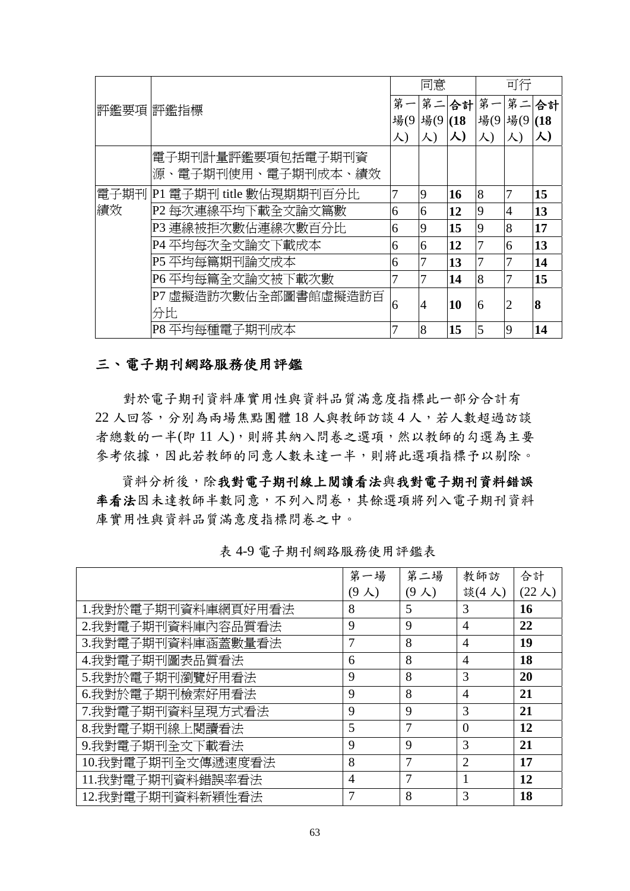|            |                              |     | 同意                      |    | 可行             |                |      |
|------------|------------------------------|-----|-------------------------|----|----------------|----------------|------|
| 評鑑要項  評鑑指標 |                              | 第一  |                         |    | 第二合計第一         | 第二             | 合計   |
|            |                              | 場(9 | $\frac{11}{29}$ (9)(18) |    | 場(9 場(9        |                | (18) |
|            |                              | 人)  | 人)                      | 人) | 人)             | 人)             | 人)   |
|            | 電子期刊計量評鑑要項包括電子期刊資            |     |                         |    |                |                |      |
|            | 源、電子期刊使用、電子期刊成本、績效           |     |                         |    |                |                |      |
|            | 電子期刊 P1 電子期刊 title 數佔現期期刊百分比 | 7   | 9                       | 16 | 8              |                | 15   |
| 績效         | P2 每次連線平均下載全文論文篇數            | 6   | 6                       | 12 | $\overline{9}$ | $\overline{4}$ | 13   |
|            | P3 連線被拒次數佔連線次數百分比            | 6   | 9                       | 15 | 9              | 8              | 17   |
|            | P4 平均每次全文論文下載成本              | 6   | 6                       | 12 | 7              | 6              | 13   |
|            | P5 平均每篇期刊論文成本                | 6   | 7                       | 13 | 7              | 7              | 14   |
|            | P6 平均每篇全文論文被下載次數             | 7   | 7                       | 14 | 8              | 7              | 15   |
|            | P7 虛擬造訪次數佔全部圖書館虛擬造訪百         | 6   | 14                      | 10 | 6              | 2              | 8    |
|            | 分比                           |     |                         |    |                |                |      |
|            | P8 平均每種電子期刊成本                |     | 8                       | 15 | 5              | 9              | 14   |

## 三、電子期刊網路服務使用評鑑

對於電子期刊資料庫實用性與資料品質滿意度指標此一部分合計有 22 人回答,分別為兩場焦點團體 18 人與教師訪談 4 人,若人數超過訪談 者總數的一半(即11人),則將其納入問卷之選項,然以教師的勾選為主要 參考依據,因此若教師的同意人數未達一半,則將此選項指標予以剔除。

資料分析後,除我對電子期刊資料錯誤 率看法因未達教師半數同意,不列入問卷,其餘選項將列入電子期刊資料 庫實用性與資料品質滿意度指標問卷之中。

|                    | 第一場            | 第二場           | 教師訪            | 合計                         |
|--------------------|----------------|---------------|----------------|----------------------------|
|                    | $(9 \lambda)$  | $(9 \lambda)$ | 談(4人)          | $(22 \text{ }\mathcal{K})$ |
| 1.我對於電子期刊資料庫網頁好用看法 | 8              | 5             | 3              | 16                         |
| 2.我對電子期刊資料庫內容品質看法  | 9              | 9             | 4              | 22                         |
| 3.我對電子期刊資料庫涵蓋數量看法  | $\overline{7}$ | 8             | $\overline{4}$ | 19                         |
| 4.我對電子期刊圖表品質看法     | 6              | 8             | $\overline{4}$ | 18                         |
| 5.我對於電子期刊瀏覽好用看法    | 9              | 8             | 3              | 20                         |
| 6.我對於電子期刊檢索好用看法    | 9              | 8             | $\overline{4}$ | 21                         |
| 7.我對電子期刊資料呈現方式看法   | 9              | 9             | 3              | 21                         |
| 8.我對電子期刊線上閱讀看法     | 5              | 7             | $\theta$       | 12                         |
| 9.我對電子期刊全文下載看法     | 9              | 9             | 3              | 21                         |
| 10.我對電子期刊全文傳遞速度看法  | 8              | 7             | $\overline{2}$ | 17                         |
| 11.我對電子期刊資料錯誤率看法   | $\overline{4}$ | 7             | 1              | 12                         |
| 12.我對電子期刊資料新穎性看法   | 7              | 8             | 3              | 18                         |

表 4-9 電子期刊網路服務使用評鑑表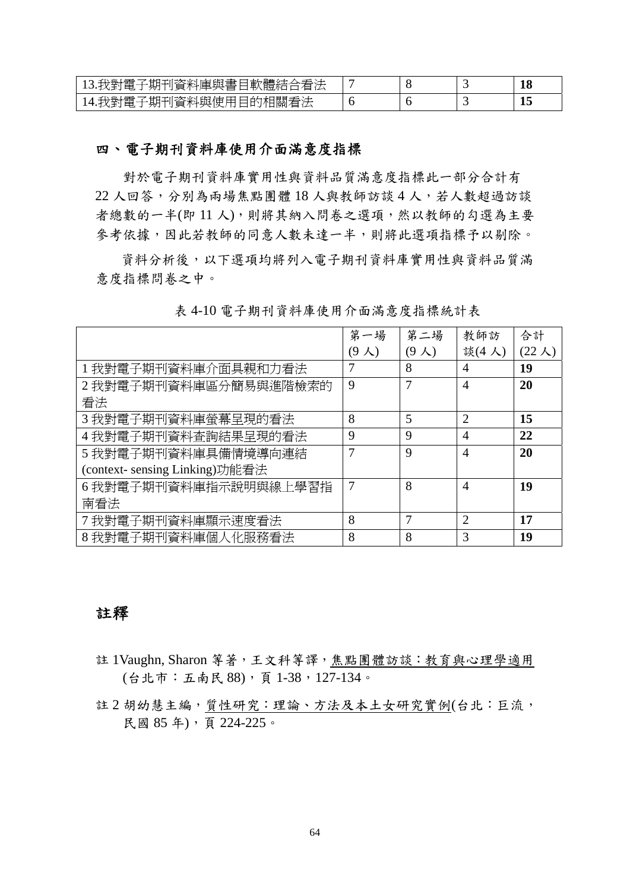| 13.我對電子期刊資料庫與書目軟體結合看法 |  |  |
|-----------------------|--|--|
| 電子期刊資料與使用目的相關看法       |  |  |

## 四、電子期刊資料庫使用介面滿意度指標

對於電子期刊資料庫實用性與資料品質滿意度指標此一部分合計有 22 人回答,分別為兩場焦點團體 18 人與教師訪談 4 人,若人數超過訪談 者總數的一半(即11人),則將其納入問卷之選項,然以教師的勾選為主要 參考依據,因此若教師的同意人數未達一半,則將此選項指標予以剔除。

資料分析後,以下選項均將列入電子期刊資料庫實用性與資料品質滿 意度指標問卷之中。

|                               | 第一場  | 第二場           | 教師訪            | 合計                         |
|-------------------------------|------|---------------|----------------|----------------------------|
|                               | (9人) | $(9 \lambda)$ | 談(4人)          | $(22 \text{ }\mathcal{K})$ |
| 1我對電子期刊資料庫介面具親和力看法            | 7    | 8             | $\overline{4}$ | 19                         |
| 2 我對電子期刊資料庫區分簡易與進階檢索的         | 9    |               | $\overline{A}$ | 20                         |
| 看法                            |      |               |                |                            |
| 3 我對電子期刊資料庫螢幕呈現的看法            | 8    | 5             | $\overline{2}$ | 15                         |
| 4 我對電子期刊資料查詢結果呈現的看法           | 9    | 9             | $\overline{4}$ | 22                         |
| 5 我對電子期刊資料庫具備情境導向連結           | 7    | $\mathbf Q$   | $\overline{4}$ | 20                         |
| (context-sensing Linking)功能看法 |      |               |                |                            |
| 6 我對電子期刊資料庫指示說明與線上學習指         | 7    | 8             | $\overline{4}$ | 19                         |
| 南看法                           |      |               |                |                            |
| 7 我對電子期刊資料庫顯示速度看法             | 8    |               | $\overline{2}$ | 17                         |
| 8 我對電子期刊資料庫個人化服務看法            | 8    | 8             | 3              | 19                         |

表 4-10 電子期刊資料庫使用介面滿意度指標統計表

## 註釋

- 註 1Vaughn, Sharon 等著,王文科等譯,焦點團體訪談:教育與心理學適用 (台北市:五南民 88),頁 1-38,127-134。
- 註 2 胡幼慧主編, 質性研究: 理論、方法及本土女研究實例(台北:巨流, 民國 85 年),頁 224-225。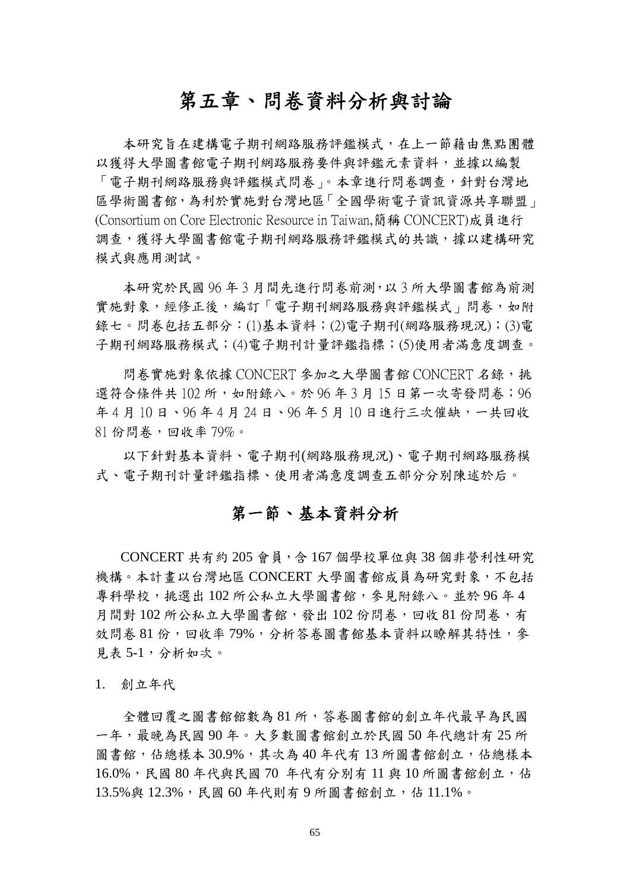# 第五章、問卷資料分析與討論

本研究旨在建構電子期刊網路服務評鑑模式,在上一節藉由焦點團體 以獲得大學圖書館電子期刊網路服務要件與評鑑元素資料,並據以編製 「電子期刊網路服務與評鑑模式問卷」。本章進行問卷調查,針對台灣地 區學術圖書館,為利於實施對台灣地區「全國學術電子資訊資源共享聯盟」 (Consortium on Core Electronic Resource in Taiwan,簡稱 CONCERT)成員進行 調查,獲得大學圖書館電子期刊網路服務評鑑模式的共識,據以建構研究 模式與應用測試。

本研究於民國 96 年 3 月間先進行問卷前測,以 3 所大學圖書館為前測 實施對象,經修正後,編訂「電子期刊網路服務與評鑑模式」問卷,如附 錄七。問卷包括五部分:(1)基本資料;(2)電子期刊(網路服務現況);(3)電 子期刊網路服務模式;(4)電子期刊計量評鑑指標;(5)使用者滿意度調查。

問卷實施對象依據 CONCERT 參加之大學圖書館 CONCERT 名錄,挑 選符合條件共 102 所, 如附錄八。於 96 年 3 月 15 日第一次寄發問卷; 96 年 4 月 10 日、96 年 4 月 24 日、96 年 5 月 10 日進行三次催缺,一共回收  $81$  份問卷,回收率 79%。

以下針對基本資料、電子期刊(網路服務現況)、電子期刊網路服務模 式、電子期刊計量評鑑指標、使用者滿意度調查五部分分別陳述於后。

## 第一節、基本資料分析

CONCERT 共有約 205 會員,含 167 個學校單位與 38 個非營利性研究 機構。本計畫以台灣地區 CONCERT 大學圖書館成員為研究對象,不包括 專科學校,挑選出 102 所公私立大學圖書館,參見附錄八。並於 96 年 4 月間對 102 所公私立大學圖書館,發出 102 份問卷,回收 81 份問卷,有 效問卷 81 份,回收率 79%,分析答卷圖書館基本資料以瞭解其特性,參 見表 5-1,分析如次。

1. 創立年代

全體回覆之圖書館館數為 81 所,答卷圖書館的創立年代最早為民國 一年,最晚為民國 90 年。大多數圖書館創立於民國 50 年代總計有 25 所 圖書館,佔總樣本 30.9%,其次為 40 年代有13 所圖書館創立,佔總樣本 16.0%,民國 80 年代與民國 70 年代有分別有11 與 10 所圖書館創立,佔 13.5%與 12.3%,民國 60 年代則有 9 所圖書館創立,佔 11.1%。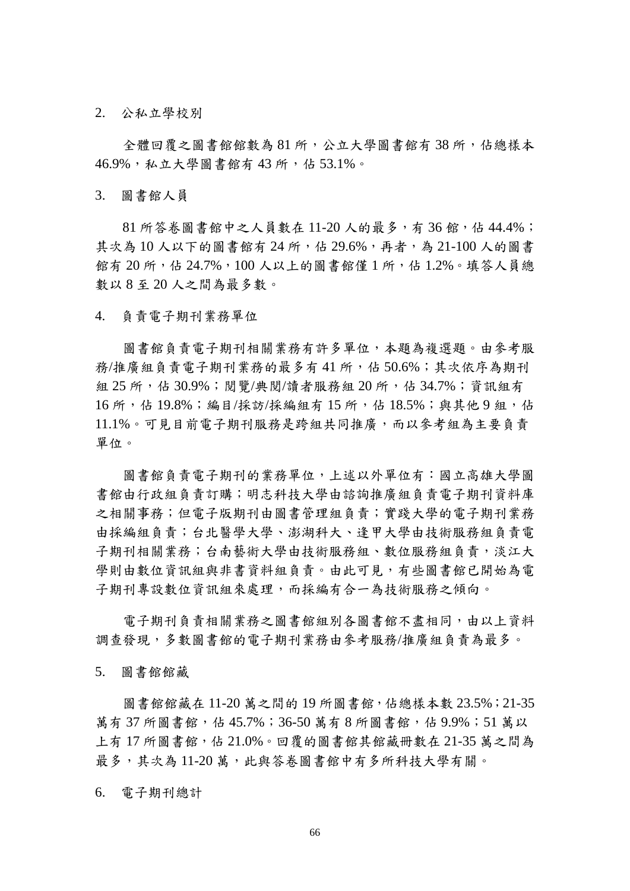2. 公私立學校別

全體回覆之圖書館館數為 81 所,公立大學圖書館有38 所,佔總樣本 46.9%,私立大學圖書館有 43 所,佔 53.1%。

3. 圖書館人員

 $81$  所答卷圖書館中之人員數在 11-20 人的最多,有 36 館,佔 44.4%; 其次為 10 人以下的圖書館有 24 所,佔 29.6%,再者,為 21-100 人的圖書 館有 20 所,佔 24.7%,100 人以上的圖書館僅 1 所,佔 1.2%。填答人員總 數以 8 至 20 人之間為最多數。

4. 負責電子期刊業務單位

圖書館負責電子期刊相關業務有許多單位,本題為複選題。由參考服 務/推廣組負責電子期刊業務的最多有 41 所,佔 50.6%;其次依序為期刊 組 25 所, 佔 30.9%; 閱覽/典閱/讀者服務組 20 所, 佔 34.7%; 資訊組有 16 所,佔 19.8%;編目/採訪/採編組有15 所,佔 18.5%;與其他9 組,佔 11.1%。可見目前電子期刊服務是跨組共同推廣,而以參考組為主要負責 單位。

圖書館負責電子期刊的業務單位,上述以外單位有:國立高雄大學圖 書館由行政組負責訂購;明志科技大學由諮詢推廣組負責電子期刊資料庫 之相關事務;但電子版期刊由圖書管理組負責;實踐大學的電子期刊業務 由採編組負責;台北醫學大學、澎湖科大、逢甲大學由技術服務組負責電 子期刊相關業務;台南藝術大學由技術服務組、數位服務組負責,淡江大 學則由數位資訊組與非書資料組負責。由此可見,有些圖書館已開始為電 子期刊專設數位資訊組來處理,而採編有合一為技術服務之傾向。

電子期刊負責相關業務之圖書館組別各圖書館不盡相同,由以上資料 調查發現,多數圖書館的電子期刊業務由參考服務/推廣組負責為最多。

5. 圖書館館藏

圖書館館藏在 11-20 萬之間的 19 所圖書館,佔總樣本數 23.5%;21-35 萬有 37 所圖書館,佔 45.7%;36-50 萬有 8 所圖書館,佔 9.9%;51 萬以 上有 17 所圖書館,佔 21.0%。回覆的圖書館其館藏冊數在 21-35 萬之間為 最多,其次為11-20萬,此與答卷圖書館中有多所科技大學有關。

6. 電子期刊總計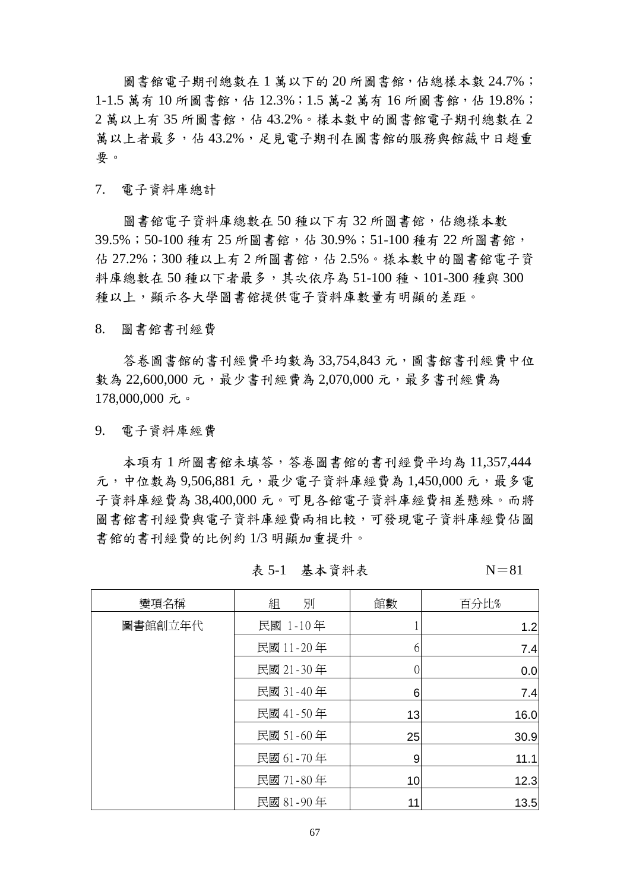圖書館電子期刊總數在1萬以下的20所圖書館,佔總樣本數 24.7%; 1-1.5 萬有10 所圖書館,佔 12.3%;1.5 萬-2 萬有16 所圖書館,佔 19.8%;  $2$ 萬以上有 35 所圖書館, 佔 43.2%。樣本數中的圖書館電子期刊總數在  $2$ 萬以上者最多,佔 43.2%,足見電子期刊在圖書館的服務與館藏中日趨重 要。

7. 電子資料庫總計

圖書館電子資料庫總數在50種以下有32所圖書館,佔總樣本數 39.5%;50-100 種有 25 所圖書館,佔 30.9%;51-100 種有 22 所圖書館, 佔 27.2%;300 種以上有 2 所圖書館,佔 2.5%。樣本數中的圖書館電子資 料庫總數在 50 種以下者最多,其次依序為 51-100 種、101-300 種與 300 種以上,顯示各大學圖書館提供電子資料庫數量有明顯的差距。

8. 圖書館書刊經費

答卷圖書館的書刊經費平均數為 33,754,843 元,圖書館書刊經費中位 數為 22,600,000 元,最少書刊經費為 2,070,000 元,最多書刊經費為 178,000,000 元。

9. 電子資料庫經費

本項有 1 所圖書館未填答,答卷圖書館的書刊經費平均為 11,357,444 元,中位數為 9,506,881 元,最少電子資料庫經費為 1,450,000 元,最多電 子資料庫經費為 38,400,000 元。可見各館電子資料庫經費相差懸殊。而將 圖書館書刊經費與電子資料庫經費兩相比較,可發現電子資料庫經費佔圖 書館的書刊經費的比例約 1/3 明顯加重提升。

變項名稱 組 別 館數 百分比% 民國 1-10年 | 1 | 1.2 民國 11-20年  $\begin{array}{|c|c|c|c|c|}\n\hline\n\text{F} & \text{F} & \text{F} & \text{F} & \text{F} & \text{F} \\
\hline\n\end{array}$ 民國 21-30年 | 0 0 00 民國 31-40年 1 6 7.4 民國 41-50年 10.0 民國 51 - 60 年  $\qquad$  | 25 25 29 25 20.9 民國 61-70年  $\qquad$  9 9 11.1 民國 71-80 年 10 12.3 圖書館創立年代 民國 81-90年  $\vert$  11 11 13.5

表 5-1 基本資料表  $N=81$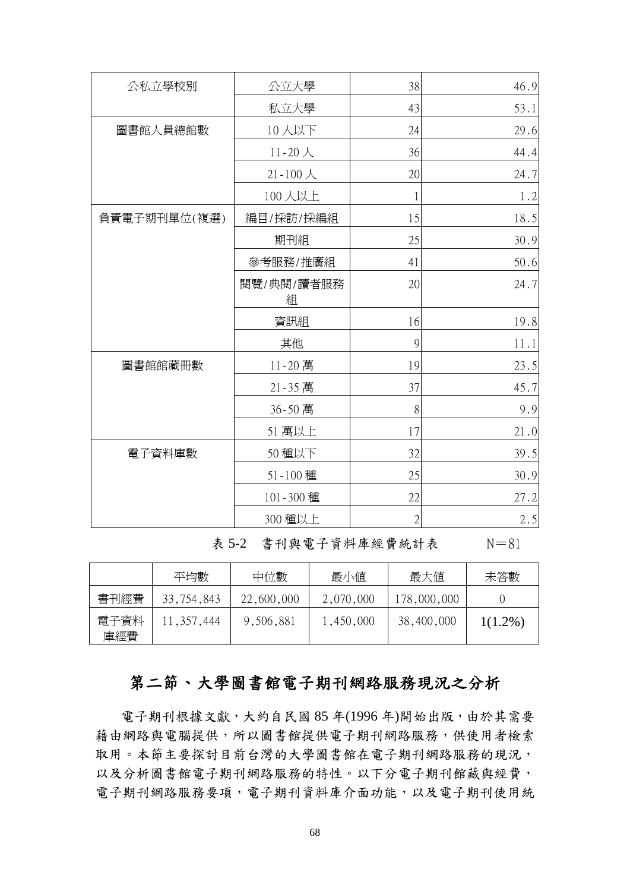| 公私立學校別       | 公立大學            | 38            | 46.9 |
|--------------|-----------------|---------------|------|
|              | 私立大學            | 43            | 53.1 |
| 圖書館人員總館數     | 10人以下           | 24            | 29.6 |
|              | $11 - 20$ 人     | 36            | 44.4 |
|              | $21 - 100$ 人    | 20            | 24.7 |
|              | 100人以上          | $\mathbf 1$   | 1.2  |
| 負責電子期刊單位(複選) | 編目/採訪/採編組       | 15            | 18.5 |
|              | 期刊組             | 25            | 30.9 |
|              | 參考服務/推廣組        | 41            | 50.6 |
|              | 閱覽/典閱/讀者服務<br>組 | 20            | 24.7 |
|              | 資訊組             | 16            | 19.8 |
|              | 其他              | $\mathcal{G}$ | 11.1 |
| 圖書館館藏冊數      | 11-20 萬         | 19            | 23.5 |
|              | 21-35 萬         | 37            | 45.7 |
|              | 36-50 萬         | 8             | 9.9  |
|              | 51 萬以上          | 17            | 21.0 |
| 電子資料庫數       | 50 種以下          | 32            | 39.5 |
|              | 51-100 種        | 25            | 30.9 |
|              | 101-300 種       | 22            | 27.2 |
|              | 300 種以上         | $\sqrt{2}$    | 2.5  |

表 5-2 書刊與電子資料庫經費統計表 N=81

|             | 平均數          | 中位數        | 最小値       | 最大値         | 未答數        |
|-------------|--------------|------------|-----------|-------------|------------|
| 書刊經費        | 33,754,843   | 22,600,000 | 2,070,000 | 178,000,000 |            |
| 電子資料<br>庫經費 | 11, 357, 444 | 9,506,881  | 1,450,000 | 38,400,000  | $1(1.2\%)$ |

# 第二節、大學圖書館電子期刊網路服務現況之分析

電子期刊根據文獻,大約自民國 85年(1996年)開始出版,由於其需要 藉由網路與電腦提供,所以圖書館提供電子期刊網路服務,供使用者檢索 取用。本節主要探討目前台灣的大學圖書館在電子期刊網路服務的現況, 以及分析圖書館電子期刊網路服務的特性。以下分電子期刊館藏與經費, 電子期刊網路服務要項,電子期刊資料庫介面功能,以及電子期刊使用統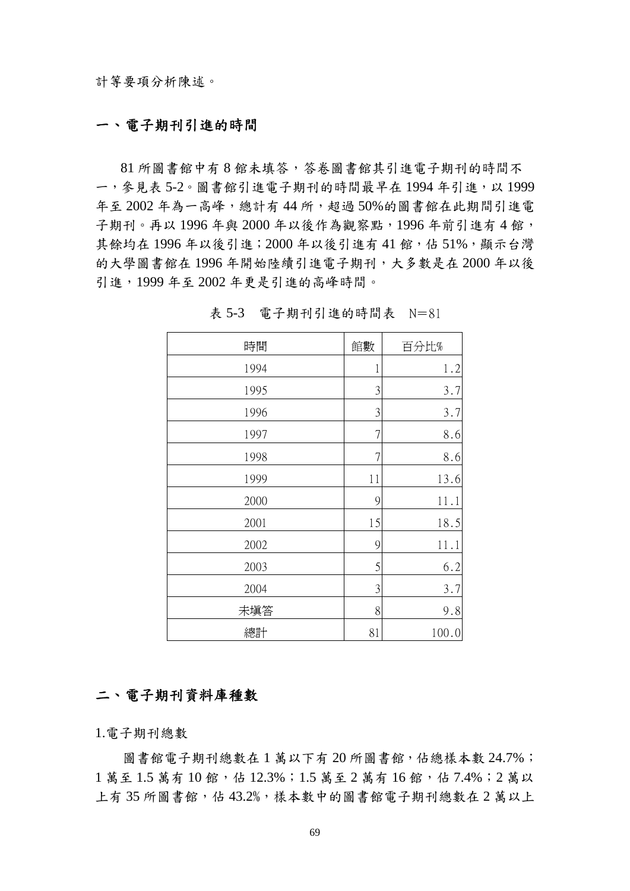## 一、電子期刊引進的時間

81 所圖書館中有 8 館未填答,答卷圖書館其引進電子期刊的時間不 一,參見表 5-2。圖書館引進電子期刊的時間最早在 1994年引進,以 1999 年至 2002 年為一高峰,總計有 44 所,超過 50%的圖書館在此期間引進電 子期刊。再以 1996年與 2000年以後作為觀察點, 1996年前引進有4館, 其餘均在1996年以後引進;2000年以後引進有41館,佔 51%,顯示台灣 的大學圖書館在 1996 年開始陸續引進電子期刊,大多數是在 2000 年以後 引進,1999 年至 2002 年更是引進的高峰時間。

| 時間   | 館數 | 百分比%  |
|------|----|-------|
| 1994 | 1  | 1.2   |
| 1995 | 3  | 3.7   |
| 1996 | 3  | 3.7   |
| 1997 | 7  | 8.6   |
| 1998 | 7  | 8.6   |
| 1999 | 11 | 13.6  |
| 2000 | 9  | 11.1  |
| 2001 | 15 | 18.5  |
| 2002 | 9  | 11.1  |
| 2003 | 5  | 6.2   |
| 2004 | 3  | 3.7   |
| 未填答  | 8  | 9.8   |
| 總計   | 81 | 100.0 |

表 5-3 電子期刊引進的時間表 N=81

## 二、電子期刊資料庫種數

1.電子期刊總數

圖書館電子期刊總數在1萬以下有20所圖書館,佔總樣本數 24.7%; 1萬至 1.5萬有 10館,佔 12.3%;1.5萬至 2萬有 16館,佔 7.4%;2萬以 上有 35 所圖書館,佔 43.2%,樣本數中的圖書館雷子期刊總數在 2 萬以上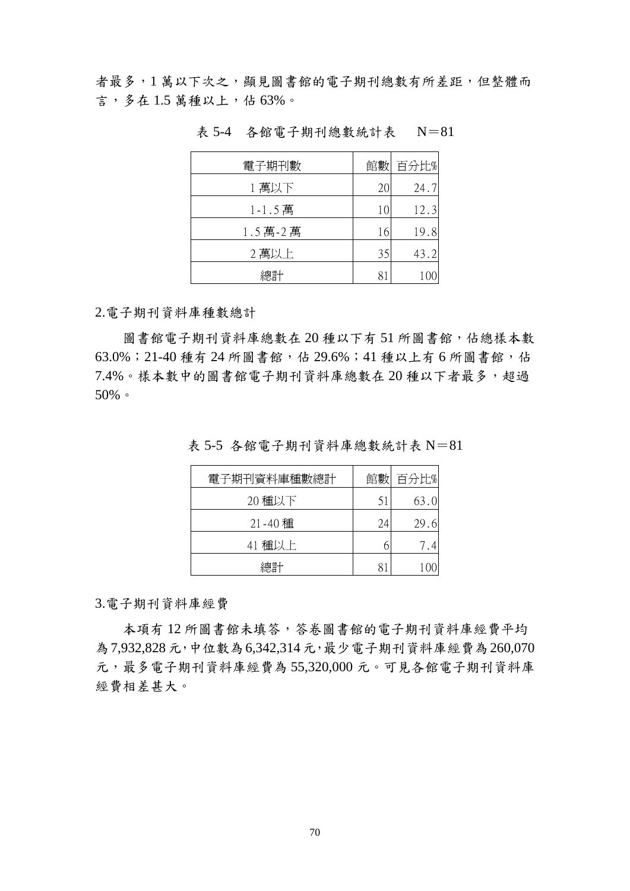者最多,1萬以下次之,顯見圖書館的電子期刊總數有所差距,但整體而 言,多在 1.5 萬種以上,佔 63%。

| 電子期刊數   |    | 館數 百分比% |
|---------|----|---------|
| 1萬以下    | 20 | 24.7    |
| 1-1.5萬  | 10 | 12.3    |
| 1.5萬-2萬 | 16 | 19.8    |
| 2萬以上    | 35 | 43.2    |
| 總計      |    |         |

表 5-4 各館電子期刊總數統計表 N=81

2.電子期刊資料庫種數總計

圖書館電子期刊資料庫總數在20種以下有51所圖書館,佔總樣本數 63.0%; 21-40 種有 24 所圖書館,估 29.6%; 41 種以上有 6 所圖書館,估 7.4%。樣本數中的圖書館電子期刊資料庫總數在 20 種以下者最多,超過 50%。

| 電子期刊資料庫種數總計 | 館數 | 百分比% |
|-------------|----|------|
| 20 種以下      | 51 | 63.0 |
| 21-40 種     | 24 | 29.6 |
| 41 種以上      |    | 7.4  |
| 總計          |    |      |

表 5-5 各館電子期刊資料庫總數統計表 N=81

3.電子期刊資料庫經費

本項有 12 所圖書館未填答,答卷圖書館的電子期刊資料庫經費平均 為7,932,828元,中位數為6,342,314元,最少電子期刊資料庫經費為260,070 元,最多電子期刊資料庫經費為 55,320,000 元。可見各館電子期刊資料庫 經費相差甚大。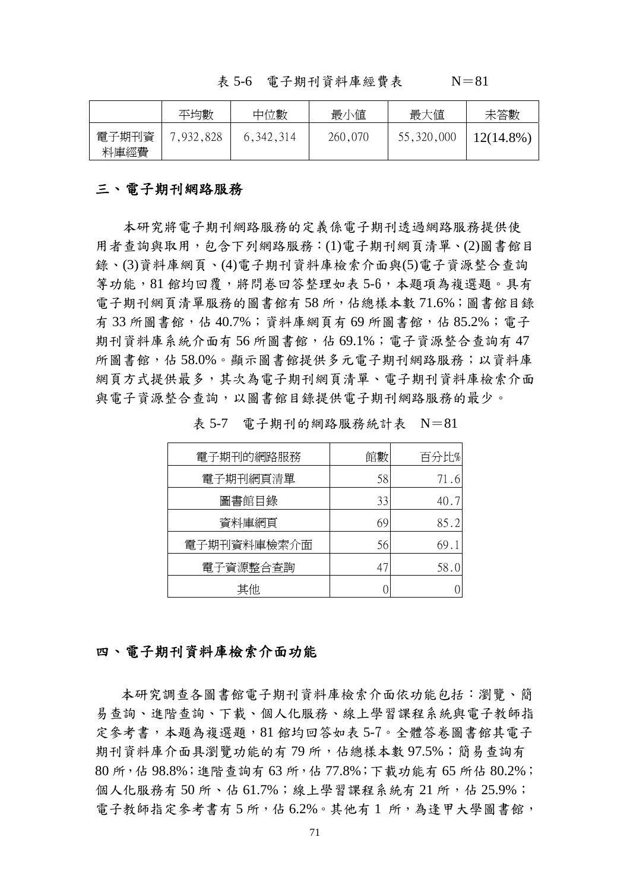表 5-6 電子期刊資料庫經費表 N=81

|               | 平均數       | 中位數         | 最小值     | 最大值        | 未答數          |
|---------------|-----------|-------------|---------|------------|--------------|
| 電子期刊資<br>料庫經費 | 7,932,828 | 6, 342, 314 | 260,070 | 55,320,000 | $12(14.8\%)$ |

#### 三、電子期刊網路服務

本研究將電子期刊網路服務的定義係電子期刊透過網路服務提供使 用者查詢與取用, 包含下列網路服務: (1)電子期刊網頁清單、(2)圖書館目 錄、(3)資料庫網頁、(4)電子期刊資料庫檢索介面與(5)電子資源整合查詢 等功能,81 館均回覆,將問卷回答整理如表 5-6,左題項為複選題。具有 電子期刊網頁清單服務的圖書館有 58 所,佔總樣本數 71.6%;圖書館目錄 有 33 所圖書館,估 40.7%; 資料庫網頁有 69 所圖書館,佔 85.2%; 雷子 期刊資料庫系統介面有56所圖書館,佔 69.1%;雷子資源整合查詢有47 所圖書館,佔 58.0%。顯示圖書館提供多元電子期刊網路服務;以資料庫 網頁方式提供最多,其次為電子期刊網頁清單、電子期刊資料庫檢索介面 與電子資源整合查詢,以圖書館目錄提供電子期刊網路服務的最少。

| 電子期刊的網路服務   | 館數 | 百分比% |
|-------------|----|------|
| 電子期刊網頁清單    | 58 | 71.6 |
| 圖書館目錄       | 33 | 40.7 |
| 資料庫網頁       | 69 | 85.2 |
| 電子期刊資料庫檢索介面 | 56 | 69.1 |
| 電子資源整合查詢    | 47 | 58.0 |
| 其他          |    |      |

表 5-7 電子期刊的網路服務統計表 N=81

#### 四、電子期刊資料庫檢索介面功能

本研究調查各圖書館電子期刊資料庫檢索介面依功能包括:瀏覽、簡 易查詢、進階查詢、下載、個人化服務、線上學習課程系統與電子教師指 定參考書,本題為複選題,81 館均回答如表 5-7。全體答卷圖書館其電子 期刊資料庫介面具瀏覽功能的有79所,佔總樣本數 97.5%;簡易查詢有 80 所,佔 98.8%;進階查詢有 63 所,佔 77.8%;下載功能有 65 所佔 80.2%; 個人化服務有50所、佔61.7%;線上學習課程系統有21所,佔25.9%; 電子教師指定參考書有5所,佔6.2%。其他有1所,為逢甲大學圖書館,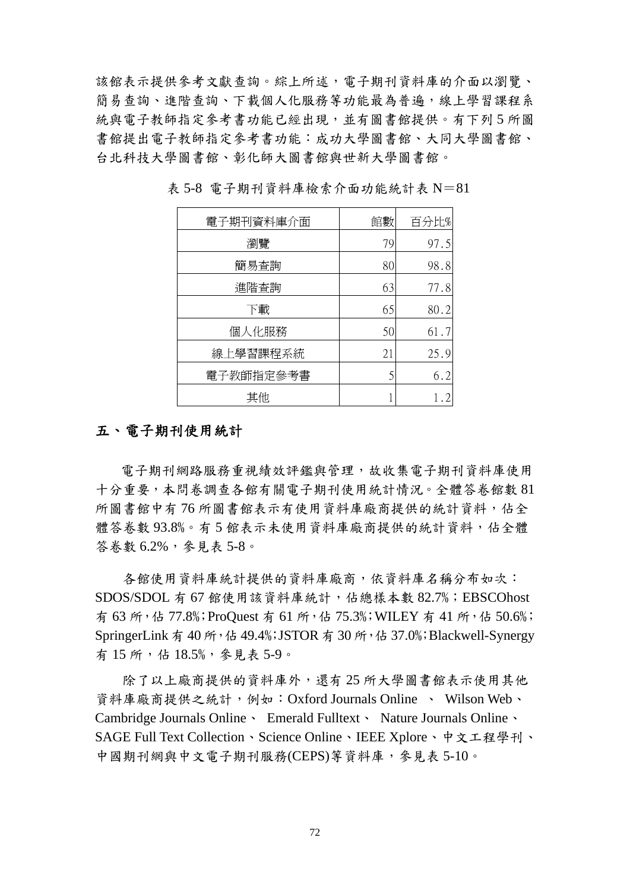該館表示提供參考文獻查詢。綜上所述,電子期刊資料庫的介面以瀏覽、 簡易查詢、進階查詢、下載個人化服務等功能最為普遍,線上學習課程系 統與電子教師指定參考書功能已經出現,並有圖書館提供。有下列5所圖 書館提出電子教師指定參考書功能:成功大學圖書館、大同大學圖書館、 台北科技大學圖書館、彰化師大圖書館與世新大學圖書館。

| 電子期刊資料庫介面 | 館數 | 百分比% |
|-----------|----|------|
| 瀏覽        | 79 | 97.5 |
| 簡易查詢      | 80 | 98.8 |
| 進階查詢      | 63 | 77.8 |
| 下載        | 65 | 80.2 |
| 個人化服務     | 50 | 61.7 |
| 線上學習課程系統  | 21 | 25.9 |
| 電子教師指定參考書 |    | 6.2  |
| 其他        |    |      |

表 5-8 電子期刊資料庫檢索介面功能統計表 N=81

## 五、電子期刊使用統計

電子期刊網路服務重視績效評鑑與管理,故收集電子期刊資料庫使用 十分重要,本問卷調查各館有關電子期刊使用統計情況。全體答卷館數 81 所圖書館中有 76 所圖書館表示有使用資料庫廠商提供的統計資料,佔全 體答卷數 93.8%。有5館表示未使用資料庫廠商提供的統計資料,佔全體 答卷數 6.2%,參見表 5-8。

各館使用資料庫統計提供的資料庫廠商,依資料庫名稱分布如次: SDOS/SDOL 有 67 館使用該資料庫統計,佔總樣本數 82.7%; EBSCOhost 有 63 所,佔 77.8%;ProQuest 有 61 所,佔 75.3%;WILEY 有 41 所,佔 50.6%; SpringerLink 有 40 所, 佔 49.4%; JSTOR 有 30 所, 佔 37.0%; Blackwell-Synergy 有 15 所,佔 18.5%,參見表 5-9。

除了以上廠商提供的資料庫外,還有25 所大學圖書館表示使用其他 資料庫廠商提供之統計,例如:Oxford Journals Online 、 Wilson Web、 Cambridge Journals Online、 Emerald Fulltext、 Nature Journals Online、 SAGE Full Text Collection、Science Online、IEEE Xplore、中文工程學刊、 中國期刊網與中文電子期刊服務(CEPS)等資料庫,參見表 5-10。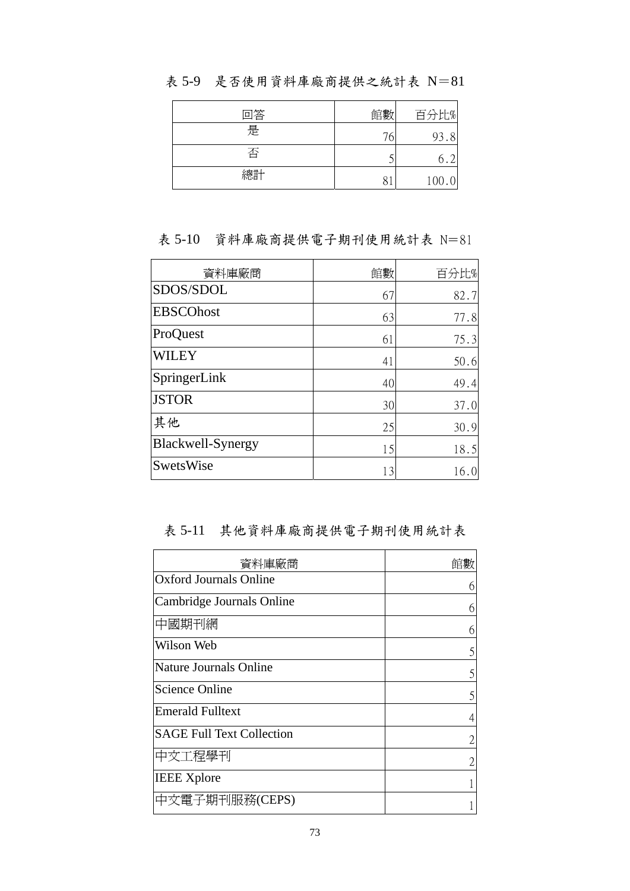| 回答 | 館數 | 百分比%  |
|----|----|-------|
| 是  | 76 | 93.8  |
| 否  |    | 6     |
| 總計 |    | 100.0 |

表 5-9 是否使用資料庫廠商提供之統計表 N=81

表 5-10 資料庫廠商提供電子期刊使用統計表 N=81

| 資料庫廠商             | 館數 | 百分比% |
|-------------------|----|------|
| SDOS/SDOL         | 67 | 82.7 |
| <b>EBSCOhost</b>  | 63 | 77.8 |
| ProQuest          | 61 | 75.3 |
| WILEY             | 41 | 50.6 |
| SpringerLink      | 40 | 49.4 |
| <b>JSTOR</b>      | 30 | 37.0 |
| 其他                | 25 | 30.9 |
| Blackwell-Synergy | 15 | 18.5 |
| <b>SwetsWise</b>  | 13 | 16.0 |

表 5-11 其他資料庫廠商提供電子期刊使用統計表

| 資料庫廠商                            | 館數 |
|----------------------------------|----|
| <b>Oxford Journals Online</b>    |    |
| Cambridge Journals Online        |    |
| 中國期刊網                            |    |
| Wilson Web                       |    |
| Nature Journals Online           |    |
| <b>Science Online</b>            |    |
| <b>Emerald Fulltext</b>          |    |
| <b>SAGE Full Text Collection</b> |    |
| 中文工程學刊                           |    |
| <b>IEEE Xplore</b>               |    |
| 中文電子期刊服務(CEPS)                   |    |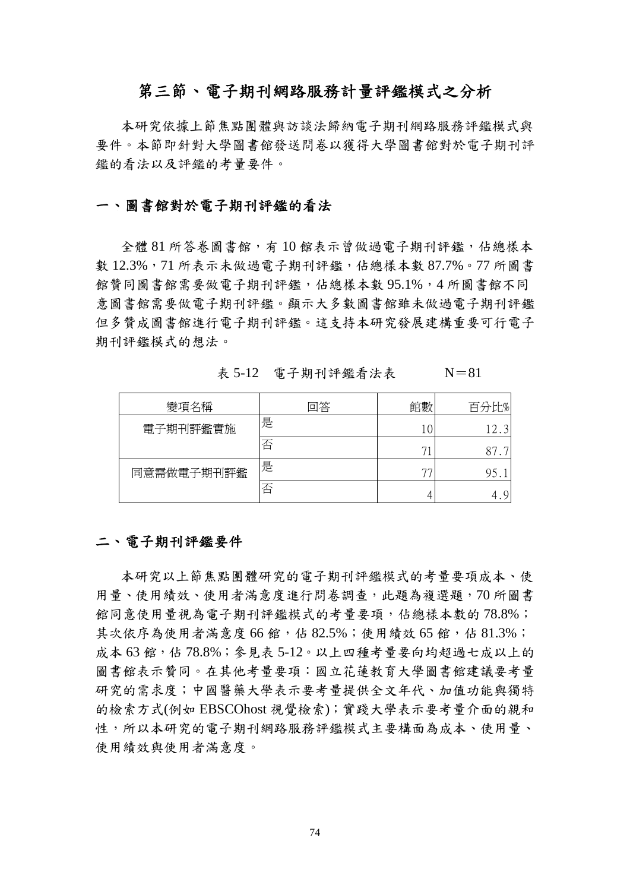## 第三節、電子期刊網路服務計量評鑑模式之分析

本研究依據上節焦點團體與訪談法歸納電子期刊網路服務評鑑模式與 要件。本節即針對大學圖書館發送問卷以獲得大學圖書館對於電子期刊評 鑑的看法以及評鑑的考量要件。

#### 一、圖書館對於電子期刊評鑑的看法

全體 81 所答卷圖書館,有 10 館表示曾做過電子期刊評鑑,佔總樣本 數 12.3%,71 所表示未做過電子期刊評鑑,估總樣本數 87.7%。77 所圖書 館贊同圖書館需要做電子期刊評鑑,佔總樣本數 95.1%,4 所圖書館不同 意圖書館需要做電子期刊評鑑。顯示大多數圖書館雖未做過電子期刊評鑑 但多贊成圖書館進行電子期刊評鑑。這支持本研究發展建構重要可行電子 期刊評鑑模式的想法。

表 5-12 電子期刊評鑑看法表 N=81

| 變項名稱       | 回答 | 館數          | 百分比% |
|------------|----|-------------|------|
| 電子期刊評鑑實施   | 是  |             | 12.  |
|            | 否  |             | 87   |
| 同意需做電子期刊評鑑 | 是  | $7^{\circ}$ | 95   |
|            | 否  |             |      |

#### 二、電子期刊評鑑要件

本研究以上節焦點團體研究的電子期刊評鑑模式的考量要項成本、使 用量、使用績效、使用者滿意度進行問卷調查,此題為複選題,70 所圖書 館同意使用量視為電子期刊評鑑模式的考量要項,佔總樣本數的78.8%; 其次依序為使用者滿意度 66 館,佔 82.5%;使用績效 65 館,佔 81.3%; 成本 63 館,估 78.8%;參見表 5-12。以上四種考量要向均超過七成以上的 圖書館表示贊同。在其他考量要項:國立花蓮教育大學圖書館建議要考量 研究的需求度;中國醫藥大學表示要考量提供全文年代、加值功能與獨特 的檢索方式(例如 EBSCOhost 視覺檢索);實踐大學表示要考量介面的親和 性,所以本研究的電子期刊網路服務評鑑模式主要構面為成本、使用量、 使用績效與使用者滿意度。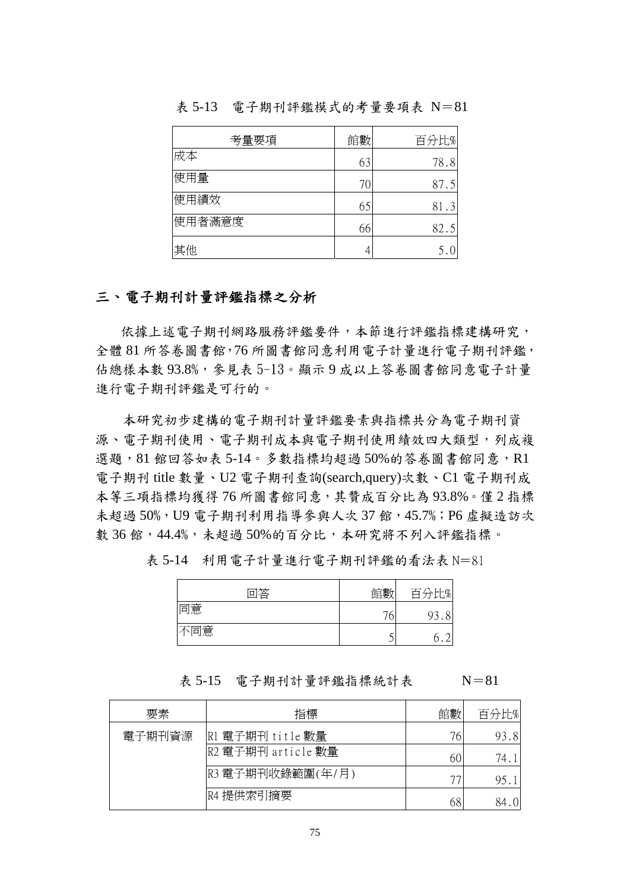| 考量要項   | 館數 | 百分比% |
|--------|----|------|
| 成本     | 63 | 78.8 |
| 使用量    | 70 | 87.5 |
| 使用績效   | 65 | 81.3 |
| 使用者滿意度 | 66 | 82.5 |
| 其他     |    |      |

表 5-13 電子期刊評鑑模式的考量要項表 N=81

## 三、電子期刊計量評鑑指標之分析

依據上述電子期刊網路服務評鑑要件,本節進行評鑑指標建構研究, 全體 81 所答卷圖書館,76 所圖書館同意利用電子計量進行電子期刊評鑑, 佔總樣本數 93.8%,參見表 5-13。顯示 9 成以上答卷圖書館同意電子計量 進行電子期刊評鑑是可行的。

本研究初步建構的電子期刊計量評鑑要素與指標共分為電子期刊資 源、電子期刊成本與電子期刊使用績效四大類型,列成複 選題,81 館回答如表 5-14。多數指標均超過 50%的答卷圖書館同意,R1 電子期刊 title 數量、U2 電子期刊查詢(search,query)次數、C1 電子期刊成 本等三項指標均獲得 76 所圖書館同意,其贊成百分比為 93.8%。僅 2 指標 未超過 50%, U9 電子期刊利用指導參與人次 37 館, 45.7%; P6 虛擬造訪次 數 36 館,44.4%,未超過50%的百分比,本研究將不列入評鑑指標。

| 回答  | 館數 | 百公中瓜 |
|-----|----|------|
| 同意  | 76 |      |
| 不同意 |    |      |

表 5-14 利用電子計量進行電子期刊評鑑的看法表 N=81

表 5-15 電子期刊計量評鑑指標統計表 N=81

要素 すいしゃ おく 指標 はっちょう インド 館數 百分比%  $\mathbb{R}$ 1 雷子期刊 title 數量  $\mathbb{R}$  and  $\mathbb{R}$  93.8 R2 電子期刊 article 數量  $60 \overline{)74.1}$  $R3$  電子期刊收錄範圍(年/月)  $\begin{array}{|c|c|c|c|c|}\n\hline\n & & & & \quad \text{25.1} \\
\hline\n\end{array}$ 電子期刊資源 R4 提供索引摘要  $68$  84.0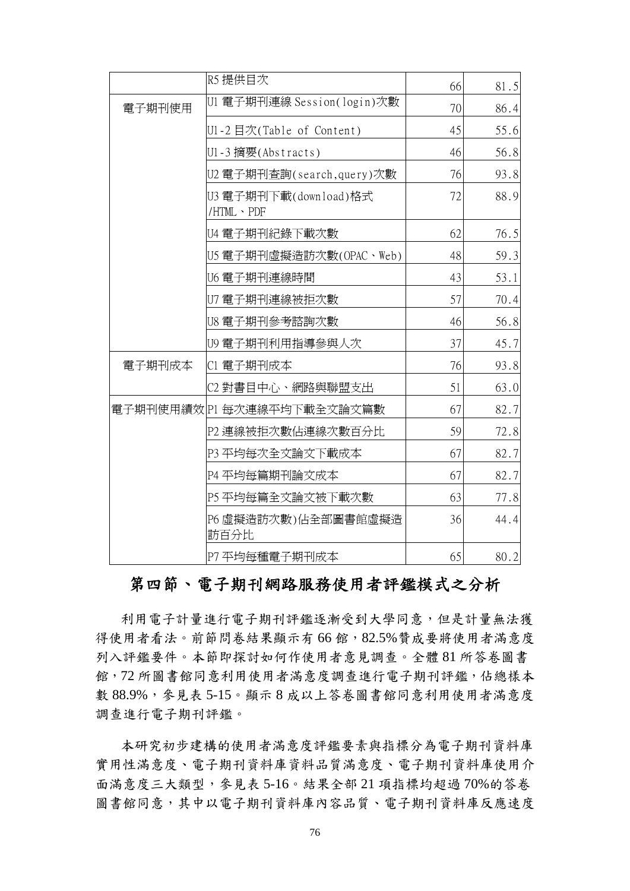|        | R5 提供目次                              | 66 | 81.5 |
|--------|--------------------------------------|----|------|
| 電子期刊使用 | U1 電子期刊連線 Session(login)次數           | 70 | 86.4 |
|        | U1-2目次(Table of Content)             | 45 | 55.6 |
|        | U1-3 摘要(Abstracts)                   | 46 | 56.8 |
|        | U2 電子期刊查詢(search,query)次數            | 76 | 93.8 |
|        | U3 電子期刊下載(download)格式<br>/HTML · PDF | 72 | 88.9 |
|        | U4 電子期刊紀錄下載次數                        | 62 | 76.5 |
|        | U5 電子期刊虛擬造訪次數(OPAC、Web)              | 48 | 59.3 |
|        | U6 電子期刊連線時間                          | 43 | 53.1 |
|        | U7 電子期刊連線被拒次數                        | 57 | 70.4 |
|        | U8 電子期刊參考諮詢次數                        | 46 | 56.8 |
|        | U9 電子期刊利用指導參與人次                      | 37 | 45.7 |
| 電子期刊成本 | C1 電子期刊成本                            | 76 | 93.8 |
|        | C2 對書目中心、網路與聯盟支出                     | 51 | 63.0 |
|        | 電子期刊使用績效 P1 每次連線平均下載全文論文篇數           | 67 | 82.7 |
|        | P2 連線被拒次數佔連線次數百分比                    | 59 | 72.8 |
|        | P3 平均每次全文論文下載成本                      | 67 | 82.7 |
|        | P4 平均每篇期刊論文成本                        | 67 | 82.7 |
|        | P5 平均每篇全文論文被下載次數                     | 63 | 77.8 |
|        | P6 虛擬造訪次數)佔全部圖書館虛擬造<br>訪百分比          | 36 | 44.4 |
|        | P7 平均每種電子期刊成本                        | 65 | 80.2 |

## 第四節、電子期刊網路服務使用者評鑑模式之分析

利用電子計量進行電子期刊評鑑逐漸受到大學同意,但是計量無法獲 得使用者看法。前節問卷結果顯示有 66 館,82.5%贊成要將使用者滿意度 列入評鑑要件。本節即探討如何作使用者意見調查。全體 81 所答卷圖書 館,72 所圖書館同意利用使用者滿意度調查進行電子期刊評鑑,佔總樣本 數 88.9%,參見表 5-15。顯示 8 成以上答卷圖書館同意利用使用者滿意度 調查進行電子期刊評鑑。

本研究初步建構的使用者滿意度評鑑要素與指標分為電子期刊資料庫 實用性滿意度、電子期刊資料庫資料品質滿意度、電子期刊資料庫使用介 面滿意度三大類型,參見表 5-16。結果全部 21 項指標均超過 70%的答卷 圖書館同意,其中以電子期刊資料庫內容品質、電子期刊資料庫反應速度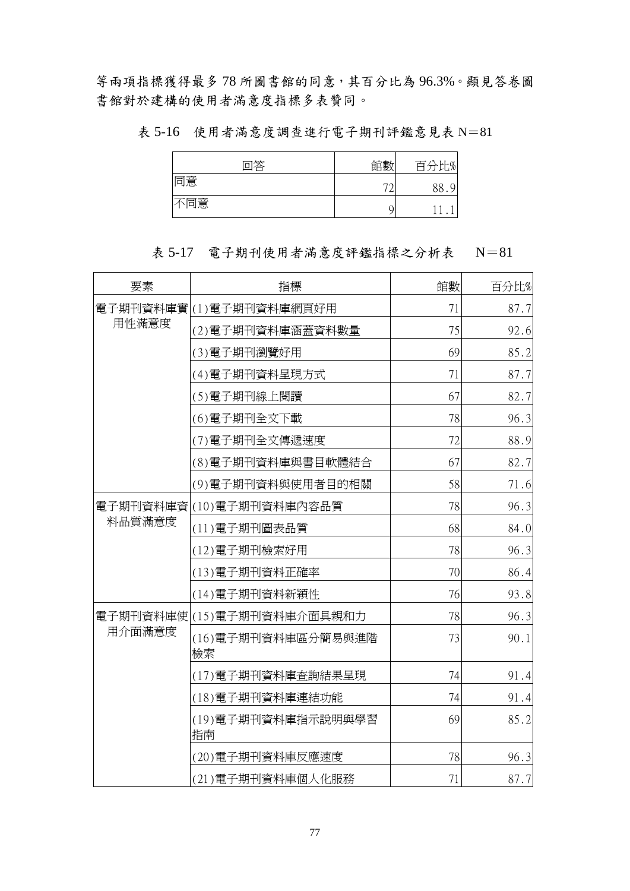等兩項指標獲得最多 78 所圖書館的同意,其百分比為 96.3%。顯見答卷圖 書館對於建構的使用者滿意度指標多表贊同。

表 5-16 使用者滿意度調查進行電子期刊評鑑意見表 N=81

| 回答  | 館數 | 百分比% |
|-----|----|------|
| 同意  | רת | 88   |
| 不同意 |    |      |

表 5-17 電子期刊使用者滿意度評鑑指標之分析表 N=81

| 要素     | 指標                         | 館數 | 百分比% |
|--------|----------------------------|----|------|
| 用性滿意度  | 電子期刊資料庫實 (1)電子期刊資料庫網頁好用    | 71 | 87.7 |
|        | (2)電子期刊資料庫涵蓋資料數量           | 75 | 92.6 |
|        | (3)電子期刊瀏覽好用                | 69 | 85.2 |
|        | (4)電子期刊資料呈現方式              | 71 | 87.7 |
|        | (5)電子期刊線上閱讀                | 67 | 82.7 |
|        | (6)電子期刊全文下載                | 78 | 96.3 |
|        | (7)電子期刊全文傳遞速度              | 72 | 88.9 |
|        | (8)電子期刊資料庫與書目軟體結合          | 67 | 82.7 |
|        | (9)電子期刊資料與使用者目的相關          | 58 | 71.6 |
|        | 電子期刊資料庫資 (10)電子期刊資料庫內容品質   | 78 | 96.3 |
| 料品質滿意度 | (11) 電子期刊圖表品質              | 68 | 84.0 |
|        | (12)電子期刊檢索好用               | 78 | 96.3 |
|        | (13)電子期刊資料正確率              | 70 | 86.4 |
|        | (14)電子期刊資料新穎性              | 76 | 93.8 |
|        | 電子期刊資料庫使 (15)電子期刊資料庫介面具親和力 | 78 | 96.3 |
| 用介面滿意度 | (16) 電子期刊資料庫區分簡易與進階<br>檢索  | 73 | 90.1 |
|        | (17)電子期刊資料庫查詢結果呈現          | 74 | 91.4 |
|        | (18) 電子期刊資料庫連結功能           | 74 | 91.4 |
|        | (19)電子期刊資料庫指示說明與學習<br>指南   | 69 | 85.2 |
|        | (20)電子期刊資料庫反應速度            | 78 | 96.3 |
|        | (21)電子期刊資料庫個人化服務           | 71 | 87.7 |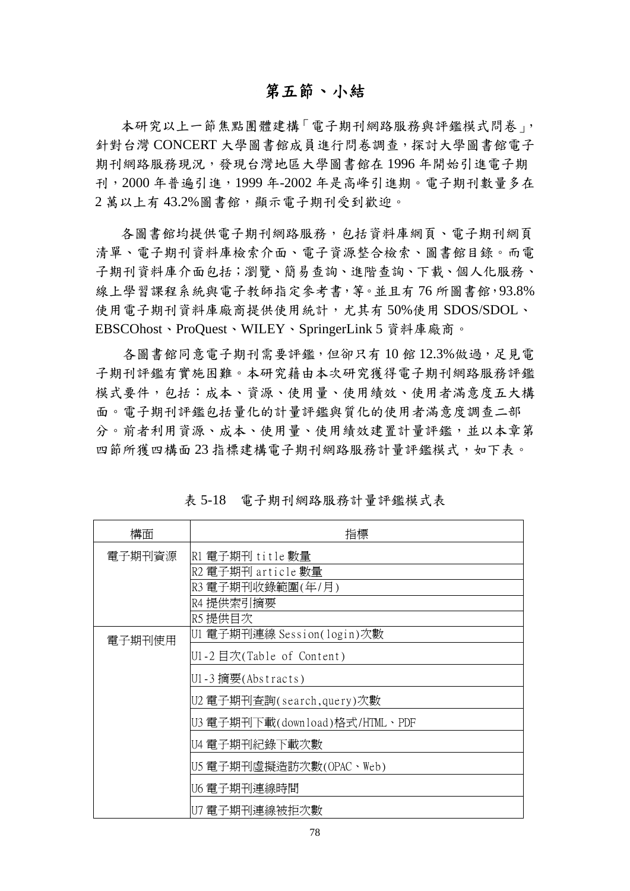## 第五節、小結

本研究以上一節焦點團體建構「電子期刊網路服務與評鑑模式問卷」, 針對台灣 CONCERT 大學圖書館成員進行問卷調查,探討大學圖書館電子 期刊網路服務現況,發現台灣地區大學圖書館在 1996 年開始引進電子期 刊,2000 年普遍引進,1999 年-2002 年是高峰引進期。電子期刊數量多在 2萬以上有43.2%圖書館,顯示電子期刊受到歡迎。

各圖書館均提供電子期刊網路服務,包括資料庫網頁、電子期刊網頁 清單、電子期刊資料庫檢索介面、電子資源整合檢索、圖書館目錄。而電 子期刊資料庫介面包括;瀏覽、簡易查詢、進階查詢、下載、個人化服務、 線上學習課程系統與電子教師指定參考書,等。並且有 76 所圖書館,93.8% 使用電子期刊資料庫廠商提供使用統計,尤其有 50%使用 SDOS/SDOL、 EBSCOhost、ProQuest、WILEY、SpringerLink 5 資料庫廠商。

各圖書館同意電子期刊需要評鑑,但卻只有 10 館 12.3%做過,足見電 子期刊評鑑有實施困難。本研究藉由本次研究獲得電子期刊網路服務評鑑 模式要件,包括:成本、資源、使用量、使用績效、使用者滿意度五大構 面。電子期刊評鑑包括量化的計量評鑑與質化的使用者滿意度調查二部 分。前者利用資源、成本、使用量、使用績效建置計量評鑑,並以本章第 四節所獲四構面 23 指標建構電子期刊網路服務計量評鑑模式,如下表。

| 構面     | 指標                             |  |  |
|--------|--------------------------------|--|--|
| 電子期刊資源 | R1 電子期刊 title 數量               |  |  |
|        | R2 電子期刊 article 數量             |  |  |
|        | R3 電子期刊收錄範圍(年/月)               |  |  |
|        | R4 提供索引摘要                      |  |  |
|        | R5 提供目次                        |  |  |
| 電子期刊使用 | U1 電子期刊連線 Session(login)次數     |  |  |
|        | U1-2目次(Table of Content)       |  |  |
|        | U1-3 摘要(Abstracts)             |  |  |
|        | U2 電子期刊查詢(search,query)次數      |  |  |
|        | U3 電子期刊下載(download)格式/HTML、PDF |  |  |
|        | U4 電子期刊紀錄下載次數                  |  |  |
|        | U5 電子期刊虛擬造訪次數(OPAC、Web)        |  |  |
|        | U6 電子期刊連線時間                    |  |  |
|        | U7 電子期刊連線被拒次數                  |  |  |

表 5-18 電子期刊網路服務計量評鑑模式表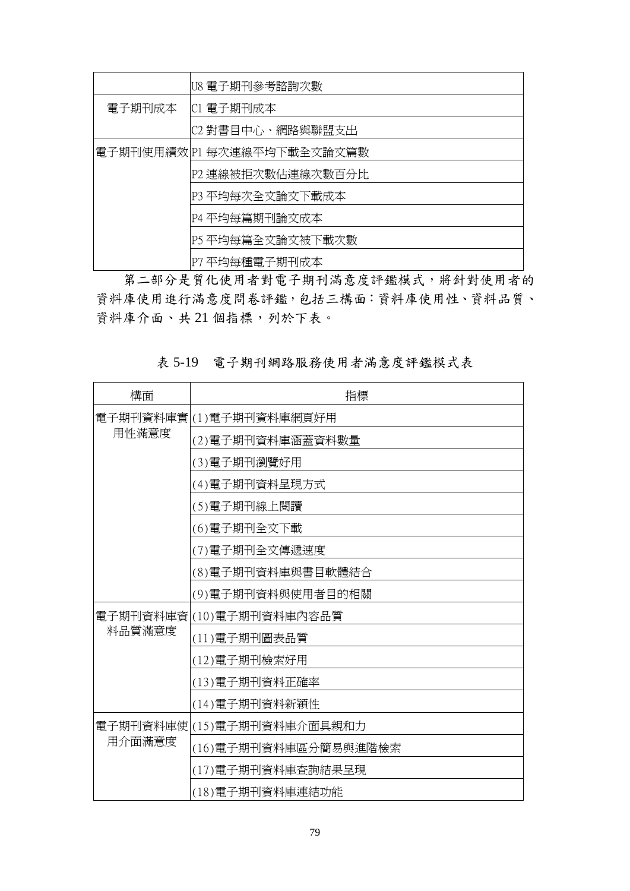|                            | U8 電子期刊參考諮詢次數     |  |  |
|----------------------------|-------------------|--|--|
| 電子期刊成本                     | C1 電子期刊成本         |  |  |
|                            | C2 對書目中心、網路與聯盟支出  |  |  |
| 電子期刊使用績效 P1 每次連線平均下載全文論文篇數 |                   |  |  |
|                            | P2 連線被拒次數佔連線次數百分比 |  |  |
|                            | P3 平均每次全文論文下載成本   |  |  |
|                            | P4 平均每篇期刊論文成本     |  |  |
|                            | P5 平均每篇全文論文被下載次數  |  |  |
|                            | P7 平均每種電子期刊成本     |  |  |

第二部分是質化使用者對電子期刊滿意度評鑑模式,將針對使用者的 資料庫使用進行滿意度問卷評鑑,包括三構面:資料庫使用性、資料品質、 資料庫介面、共21個指標,列於下表。

表 5-19 電子期刊網路服務使用者滿意度評鑑模式表

| 構面     | 指標                         |
|--------|----------------------------|
| 用性滿意度  | 電子期刊資料庫實 (1)電子期刊資料庫網頁好用    |
|        | (2)電子期刊資料庫涵蓋資料數量           |
|        | (3)電子期刊瀏覽好用                |
|        | (4)電子期刊資料呈現方式              |
|        | (5)電子期刊線上閱讀                |
|        | (6)電子期刊全文下載                |
|        | (7)電子期刊全文傳遞速度              |
|        | (8)電子期刊資料庫與書目軟體結合          |
|        | (9)電子期刊資料與使用者目的相關          |
|        | 電子期刊資料庫資 (10)電子期刊資料庫內容品質   |
| 料品質滿意度 | (11)電子期刊圖表品質               |
|        | (12) 電子期刊檢索好用              |
|        | (13)電子期刊資料正確率              |
|        | (14)電子期刊資料新穎性              |
|        | 電子期刊資料庫使 (15)電子期刊資料庫介面具親和力 |
| 用介面滿意度 | (16)電子期刊資料庫區分簡易與進階檢索       |
|        | (17)電子期刊資料庫查詢結果呈現          |
|        | (18)電子期刊資料庫連結功能            |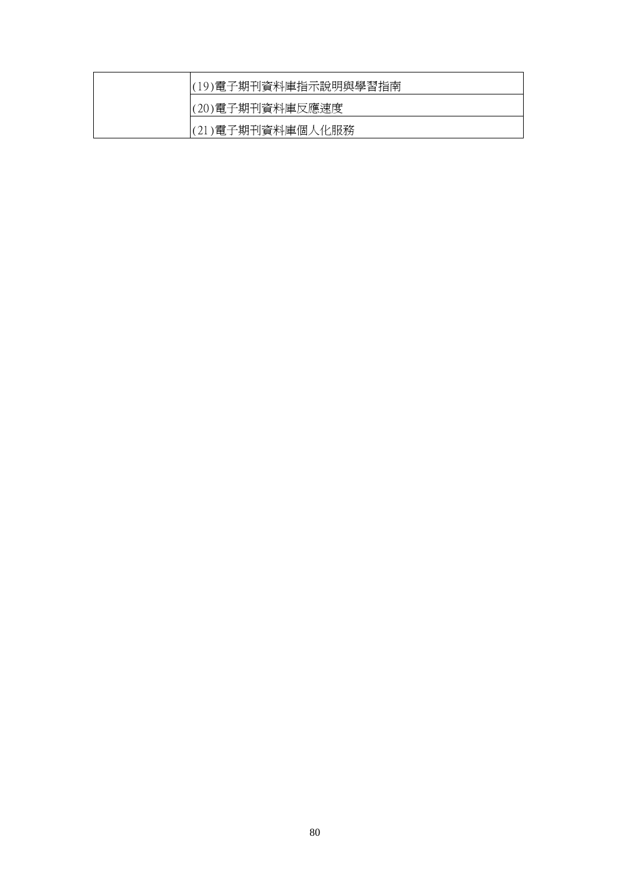| (19)電子期刊資料庫指示說明與學習指南 |
|----------------------|
| (20)電子期刊資料庫反應速度      |
| (21)電子期刊資料庫個人化服務     |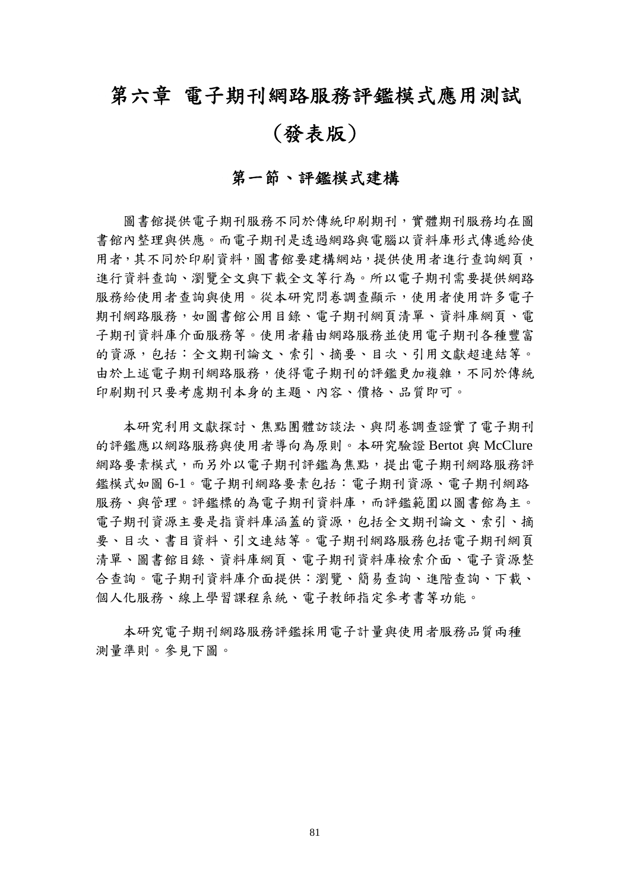# 第六章 電子期刊網路服務評鑑模式應用測試

# (發表版)

## 第一節、評鑑模式建構

圖書館提供電子期刊服務不同於傳統印刷期刊,實體期刊服務均在圖 書館內整理與供應。而電子期刊是透過網路與電腦以資料庫形式傳遞給使 用者,其不同於印刷資料,圖書館要建構網站,提供使用者進行查詢網頁, 進行資料查詢、瀏覽全文與下載全文等行為。所以電子期刊需要提供網路 服務給使用者查詢與使用。從本研究問卷調查顯示,使用者使用許多電子 期刊網路服務,如圖書館公用目錄、電子期刊網頁清單、資料庫網頁、電 子期刊資料庫介面服務等。使用者藉由網路服務並使用電子期刊各種豐富 的資源,包括:全文期刊論文、索引、摘要、目次、引用文獻超連結等。 由於上述電子期刊網路服務,使得電子期刊的評鑑更加複雜,不同於傳統 印刷期刊只要考慮期刊本身的主題、內容、價格、品質即可。

本研究利用文獻探討、焦點團體訪談法、與問卷調查證實了電子期刊 的評鑑應以網路服務與使用者導向為原則。本研究驗證 Bertot 與 McClure 網路要素模式,而另外以電子期刊評鑑為焦點,提出電子期刊網路服務評 鑑模式如圖 6-1。電子期刊網路要素包括:電子期刊資源、電子期刊網路 服務、與管理。評鑑標的為電子期刊資料庫,而評鑑範圍以圖書館為主。 電子期刊資源主要是指資料庫涵蓋的資源,包括全文期刊論文、索引、摘 要、目次、書目資料、引文連結等。電子期刊網路服務包括電子期刊網頁 清單、圖書館目錄、資料庫網頁、電子期刊資料庫檢索介面、電子資源整 合查詢。電子期刊資料庫介面提供:瀏覽、簡易查詢、進階查詢、下載、 個人化服務、線上學習課程系統、電子教師指定參考書等功能。

本研究電子期刊網路服務評鑑採用電子計量與使用者服務品質兩種 測量準則。參見下圖。

81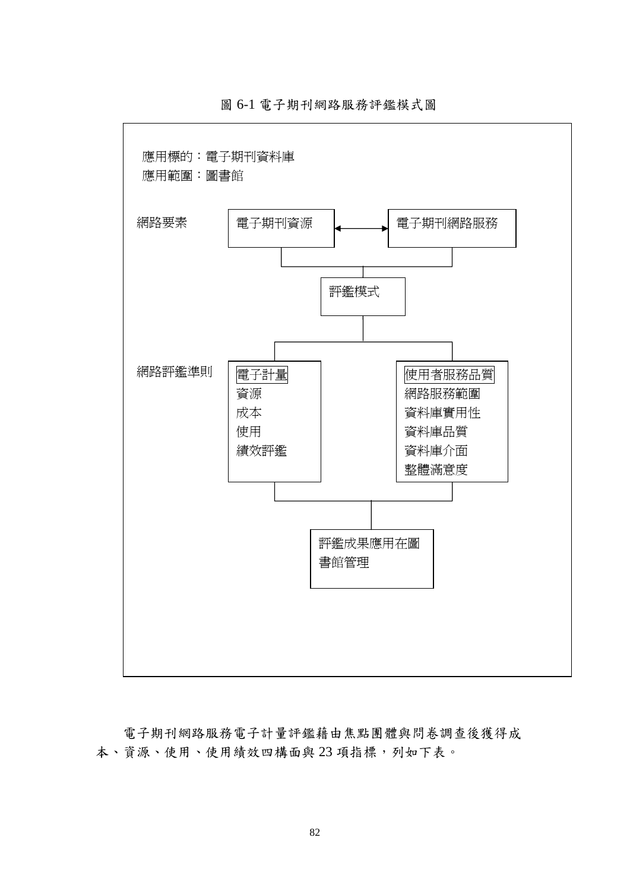

圖 6-1 電子期刊網路服務評鑑模式圖

電子期刊網路服務電子計量評鑑藉由焦點團體與問卷調查後獲得成 本、資源、使用、使用績效四構面與 23 項指標,列如下表。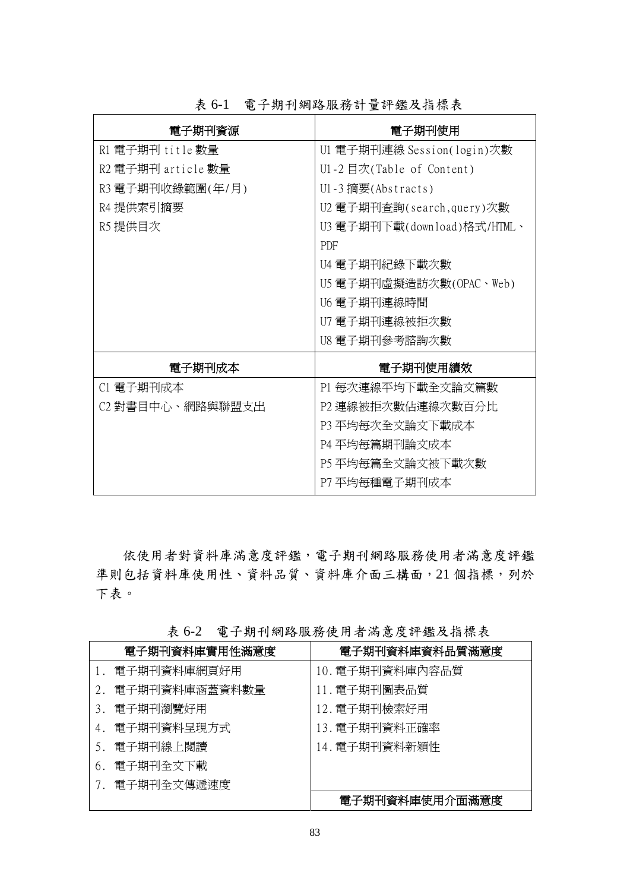| 電子期刊資源             | 電子期刊使用                      |
|--------------------|-----------------------------|
| R1 電子期刊 title 數量   | U1 電子期刊連線 Session(login)次數  |
| R2 電子期刊 article 數量 | U1-2 目次(Table of Content)   |
| R3 電子期刊收錄範圍(年/月)   | U1-3 摘要(Abstracts)          |
| R4 提供索引摘要          | U2 電子期刊查詢(search,query)次數   |
| R5 提供目次            | U3 電子期刊下載(download)格式/HTML、 |
|                    | PDF                         |
|                    | U4 電子期刊紀錄下載次數               |
|                    | U5 電子期刊虛擬造訪次數(OPAC、Web)     |
|                    | U6 電子期刊連線時間                 |
|                    | U7 電子期刊連線被拒次數               |
|                    | U8 電子期刊參考諮詢次數               |
| 電子期刊成本             | 電子期刊使用績效                    |
| C1 電子期刊成本          | P1 每次連線平均下載全文論文篇數           |
| C2 對書目中心、網路與聯盟支出   | P2 連線被拒次數佔連線次數百分比           |
|                    | P3 平均每次全文論文下載成本             |
|                    | P4 平均每篇期刊論文成本               |
|                    | P5 平均每篇全文論文被下載次數            |
|                    | P7 平均每種電子期刊成本               |

表 6-1 電子期刊網路服務計量評鑑及指標表

依使用者對資料庫滿意度評鑑,電子期刊網路服務使用者滿意度評鑑 準則包括資料庫使用性、資料品質、資料庫介面三構面,21個指標,列於 下表。

|    | 電子期刊資料庫實用性滿意度 | 電子期刊資料庫資料品質滿意度  |
|----|---------------|-----------------|
|    | 電子期刊資料庫網頁好用   | 10. 電子期刊資料庫內容品質 |
|    | 電子期刊資料庫涵蓋資料數量 | 11. 電子期刊圖表品質    |
| 3. | 電子期刊瀏覽好用      | 12. 電子期刊檢索好用    |
| 4. | 電子期刊資料呈現方式    | 13. 電子期刊資料正確率   |
| 5. | 電子期刊線上閱讀      | 14. 電子期刊資料新穎性   |
| 6. | 電子期刊全文下載      |                 |
|    | 電子期刊全文傳遞速度    |                 |
|    |               | 電子期刊資料庫使用介面滿意度  |

表 6-2 電子期刊網路服務使用者滿意度評鑑及指標表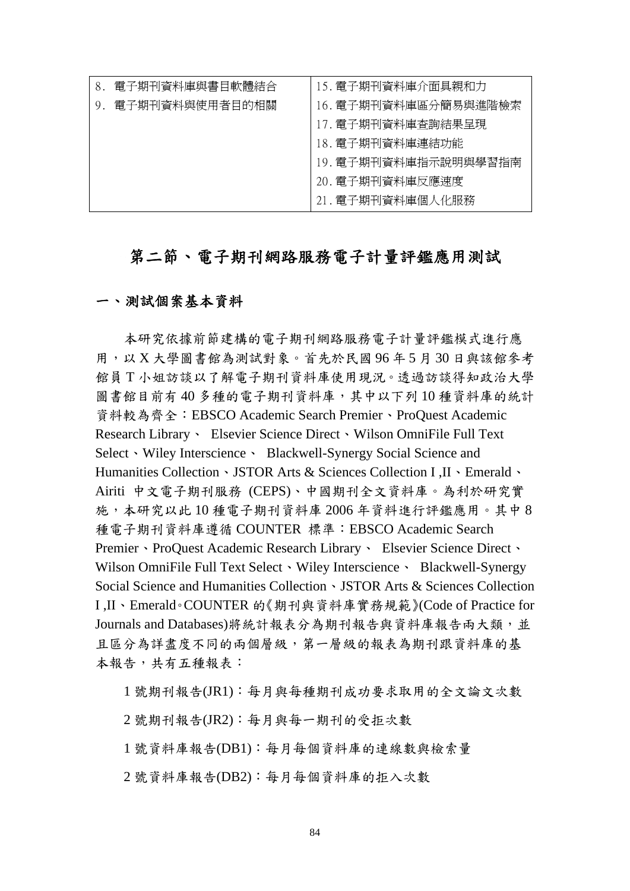| 電子期刊資料庫與書目軟體結合 | 15. 電子期刊資料庫介面具親和力    |
|----------------|----------------------|
| 電子期刊資料與使用者目的相關 | 16. 電子期刊資料庫區分簡易與進階檢索 |
|                | 17. 電子期刊資料庫査詢結果呈現    |
|                | 18. 電子期刊資料庫連結功能      |
|                | 19. 電子期刊資料庫指示說明與學習指南 |
|                | 20. 電子期刊資料庫反應速度      |
|                | 21. 電子期刊資料庫個人化服務     |

## 第二節、電子期刊網路服務電子計量評鑑應用測試

## 一、測試個案基本資料

本研究依據前節建構的電子期刊網路服務電子計量評鑑模式進行應 用,以 X 大學圖書館為測試對象。首先於民國 96 年 5 月 30 日與該館參考 館員 T 小姐訪談以了解電子期刊資料庫使用現況。透過訪談得知政治大學 圖書館目前有40多種的電子期刊資料庫,其中以下列10種資料庫的統計 資料較為齊全:EBSCO Academic Search Premier、ProQuest Academic Research Library、 Elsevier Science Direct、Wilson OmniFile Full Text Select Wiley Interscience · Blackwell-Synergy Social Science and Humanities Collection、JSTOR Arts & Sciences Collection I ,II、Emerald、 Airiti 中文電子期刊服務 (CEPS)、中國期刊全文資料庫。為利於研究實 施,本研究以此 10 種電子期刊資料庫 2006 年資料進行評鑑應用。其中 8 種電子期刊資料庫遵循 COUNTER 標準:EBSCO Academic Search Premier、ProQuest Academic Research Library、 Elsevier Science Direct、 Wilson OmniFile Full Text Select 、Wiley Interscience 、 Blackwell-Synergy Social Science and Humanities Collection、JSTOR Arts & Sciences Collection I ,II、Emerald。COUNTER 的《期刊與資料庫實務規範》(Code of Practice for Journals and Databases)將統計報表分為期刊報告與資料庫報告兩大類,並 且區分為詳盡度不同的兩個層級,第一層級的報表為期刊跟資料庫的基 本報告,共有五種報表:

1 號期刊報告(JR1):每月與每種期刊成功要求取用的全文論文次數

2 號期刊報告(JR2):每月與每一期刊的受拒次數

1 號資料庫報告(DB1):每月每個資料庫的連線數與檢索量

2 號資料庫報告(DB2):每月每個資料庫的拒入次數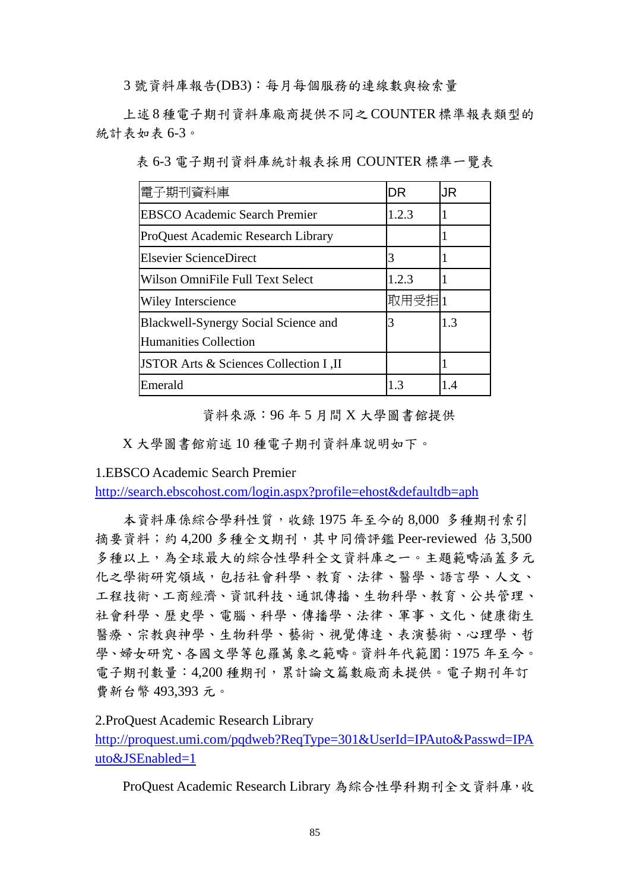3 號資料庫報告(DB3):每月每個服務的連線數與檢索量

上述 8 種電子期刊資料庫廠商提供不同之 COUNTER 標準報表類型的 統計表如表 6-3。

表 6-3 電子期刊資料庫統計報表採用 COUNTER 標準一覽表

| 電子期刊資料庫                                                       | DR     | JR  |
|---------------------------------------------------------------|--------|-----|
| <b>EBSCO</b> Academic Search Premier                          | 1.2.3  |     |
| ProQuest Academic Research Library                            |        |     |
| <b>Elsevier ScienceDirect</b>                                 | 3      |     |
| Wilson OmniFile Full Text Select                              | 1.2.3  |     |
| <b>Wiley Interscience</b>                                     | 取用受拒 1 |     |
| Blackwell-Synergy Social Science and<br>Humanities Collection | 3      | 1.3 |
| JSTOR Arts & Sciences Collection I, II                        |        |     |
| Emerald                                                       | 1.3    | 1.4 |

資料來源:96 年 5 月間 X 大學圖書館提供

X 大學圖書館前述 10 種電子期刊資料庫說明如下。

1.EBSCO Academic Search Premier

http://search.ebscohost.com/login.aspx?profile=ehost&defaultdb=aph

本資料庫係綜合學科性質,收錄 1975 年至今的 8,000 多種期刊索引 摘要資料;約 4,200 多種全文期刊,其中同儕評鑑 Peer-reviewed 佔 3,500 多種以上,為全球最大的綜合性學科全文資料庫之一。主題範疇涵蓋多元 化之學術研究領域,包括社會科學、教育、法律、醫學、語言學、人文、 工程技術、工商經濟、資訊科技、通訊傳播、生物科學、教育、公共管理、 社會科學、歷史學、電腦、科學、傳播學、法律、軍事、文化、健康衛生 醫療、宗教與神學、生物科學、藝術、視覺傳達、表演藝術、心理學、哲 學、婦女研究、各國文學等包羅萬象之範疇。資料年代範圍:1975 年至今。 電子期刊數量:4,200 種期刊,累計論文篇數廠商未提供。電子期刊年訂 費新台幣 493,393 元。

2.ProQuest Academic Research Library

http://proquest.umi.com/pqdweb?ReqType=301&UserId=IPAuto&Passwd=IPA uto&JSEnabled=1

ProQuest Academic Research Library 為綜合性學科期刊全文資料庫,收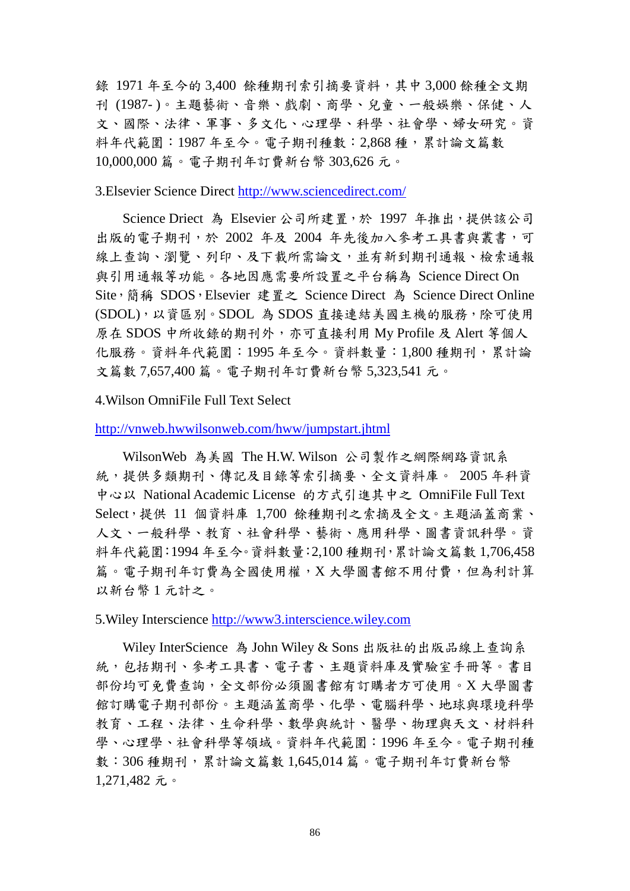錄 1971 年至今的 3,400 餘種期刊索引摘要資料,其中 3,000 餘種全文期 刊 (1987- )。主題藝術、音樂、戲劇、商學、兒童、一般娛樂、保健、人 文、國際、法律、軍事、多文化、心理學、科學、社會學、婦女研究。資 料年代範圍:1987 年至今。電子期刊種數:2,868 種,累計論文篇數 10,000,000 篇。電子期刊年訂費新台幣 303,626 元。

3.Elsevier Science Direct http://www.sciencedirect.com/

Science Driect 為 Elsevier 公司所建置,於 1997 年推出,提供該公司 出版的電子期刊,於 2002 年及 2004 年先後加入參考工具書與叢書,可 線上杳詢、瀏覽、列印、及下載所需論文,並有新到期刊通報、檢索通報 與引用通報等功能。各地因應需要所設置之平台稱為 Science Direct On Site,簡稱 SDOS,Elsevier 建置之 Science Direct 為 Science Direct Online (SDOL),以資區別。SDOL 為 SDOS 直接連結美國主機的服務,除可使用 原在 SDOS 中所收錄的期刊外,亦可直接利用 My Profile 及 Alert 等個人 化服務。資料年代範圍:1995 年至今。資料數量:1,800 種期刊,累計論 文篇數 7,657,400 篇。電子期刊年訂費新台幣 5,323,541 元。

4.Wilson OmniFile Full Text Select

http://vnweb.hwwilsonweb.com/hww/jumpstart.jhtml

WilsonWeb 為美國 The H.W. Wilson 公司製作之網際網路資訊系 統,提供多類期刊、傳記及目錄等索引摘要、全文資料庫。 2005 年科資 中心以 National Academic License 的方式引進其中之 OmniFile Full Text Select,提供 11 個資料庫 1,700 餘種期刊之索摘及全文。主題涵蓋商業、 人文、一般科學、教育、社會科學、藝術、應用科學、圖書資訊科學。資 料年代範圍:1994 年至今。資料數量:2,100 種期刊,累計論文篇數 1,706,458 篇。電子期刊年訂費為全國使用權,X 大學圖書館不用付費,但為利計算 以新台幣 1 元計之。

5.Wiley Interscience http://www3.interscience.wiley.com

Wiley InterScience 為 John Wiley & Sons 出版社的出版品線上查詢系 統,包括期刊、參考工具書、電子書、主題資料庫及實驗室手冊等。書目 部份均可免費查詢,全文部份必須圖書館有訂購者方可使用。X 大學圖書 館訂購電子期刊部份。主題涵蓋商學、化學、電腦科學、地球與環境科學 教育、工程、法律、生命科學、數學與統計、醫學、物理與天文、材料科 學、心理學、社會科學等領域。資料年代範圍:1996 年至今。電子期刊種 數:306種期刊,累計論文篇數1,645,014篇。電子期刊年訂費新台幣 1,271,482 元。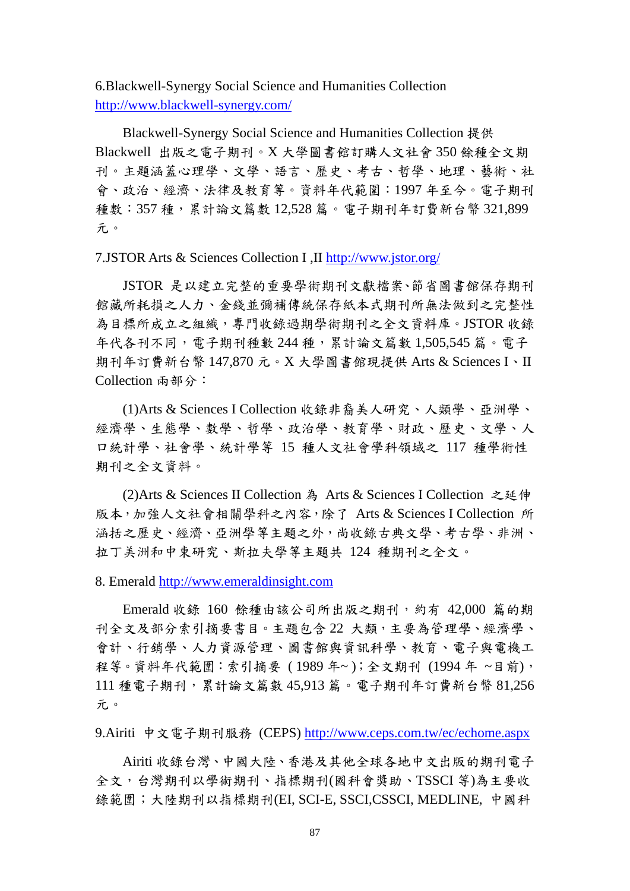6.Blackwell-Synergy Social Science and Humanities Collection http://www.blackwell-synergy.com/

Blackwell-Synergy Social Science and Humanities Collection 提供 Blackwell 出版之電子期刊。X 大學圖書館訂購人文社會 350 餘種全文期 刊。主題涵蓋心理學、文學、語言、歷史、考古、哲學、地理、藝術、社 會、政治、經濟、法律及教育等。資料年代範圍:1997 年至今。電子期刊 種數:357 種,累計論文篇數 12,528 篇。電子期刊年訂費新台幣 321,899 元。

7.JSTOR Arts & Sciences Collection I ,II http://www.jstor.org/

JSTOR 是以建立完整的重要學術期刊文獻檔案、節省圖書館保存期刊 館藏所耗損之人力、金錢並彌補傳統保存紙本式期刊所無法做到之完整性 為目標所成立之組織,專門收錄過期學術期刊之全文資料庫。JSTOR 收錄 年代各刊不同,電子期刊種數 244 種,累計論文篇數 1,505,545 篇。電子 期刊年訂費新台幣 147,870 元。X 大學圖書館現提供 Arts & Sciences I、II Collection 兩部分:

(1)Arts & Sciences I Collection 收錄非裔美人研究、人類學、亞洲學、 經濟學、生態學、數學、哲學、政治學、教育學、財政、歷史、文學、人 口統計學、社會學、統計學等 15 種人文社會學科領域之 117 種學術性 期刊之全文資料。

(2)Arts & Sciences II Collection 為 Arts & Sciences I Collection 之延伸 版本,加強人文社會相關學科之內容,除了 Arts & Sciences I Collection 所 涵括之歷史、經濟、亞洲學等主題之外,尚收錄古典文學、考古學、非洲、 拉丁美洲和中東研究、斯拉夫學等主題共 124 種期刊之全文。

8. Emerald http://www.emeraldinsight.com

Emerald 收錄 160 餘種由該公司所出版之期刊,約有 42,000 篇的期 刊全文及部分索引摘要書目。主題包含 22 大類,主要為管理學、經濟學、 會計、行銷學、人力資源管理、圖書館與資訊科學、教育、電子與電機工 程等。資料年代範圍:索引摘要 ( 1989 年~ );全文期刊 (1994 年 ~目前), 111 種電子期刊,累計論文篇數 45,913 篇。電子期刊年訂費新台幣 81,256 元。

9.Airiti 中文電子期刊服務 (CEPS) http://www.ceps.com.tw/ec/echome.aspx

Airiti 收錄台灣、中國大陸、香港及其他全球各地中文出版的期刊電子 全文,台灣期刊以學術期刊、指標期刊(國科會獎助、TSSCI 等)為主要收 錄範圍;大陸期刊以指標期刊(EI, SCI-E, SSCI,CSSCI, MEDLINE, 中國科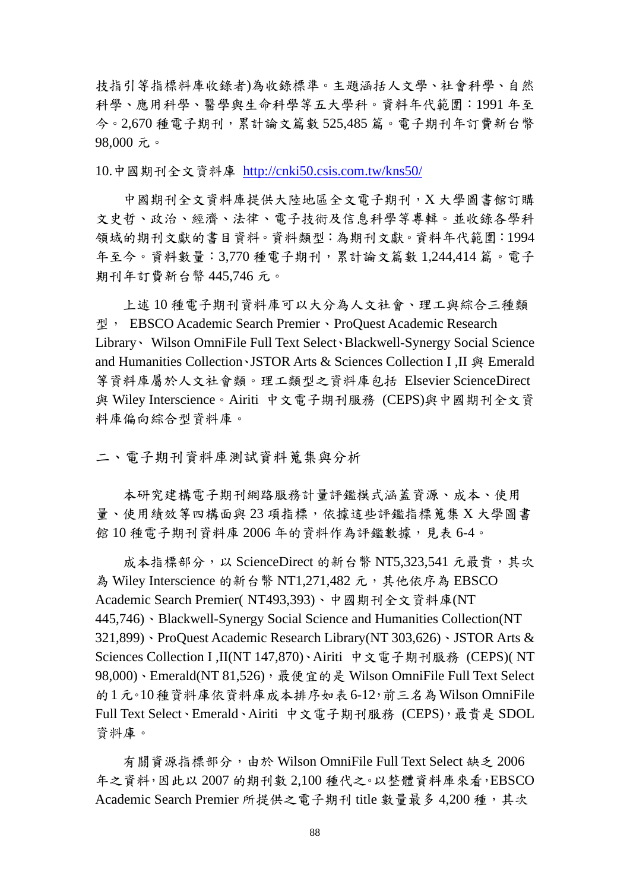技指引等指標料庫收錄者)為收錄標準。主題涵括人文學、社會科學、自然 科學、應用科學、醫學與生命科學等五大學科。資料年代範圍:1991 年至 今。2,670 種電子期刊,累計論文篇數 525,485 篇。電子期刊年訂費新台幣 98,000 元。

10.中國期刊全文資料庫 http://cnki50.csis.com.tw/kns50/

中國期刊全文資料庫提供大陸地區全文電子期刊,X 大學圖書館訂購 文史哲、政治、經濟、法律、電子技術及信息科學等專輯。並收錄各學科 領域的期刊文獻的書目資料。資料類型:為期刊文獻。資料年代範圍:1994 年至今。資料數量:3,770 種電子期刊,累計論文篇數 1,244,414 篇。電子 期刊年訂費新台幣 445,746 元。

上述 10 種電子期刊資料庫可以大分為人文社會、理工與綜合三種類 型, EBSCO Academic Search Premier、ProQuest Academic Research Library、 Wilson OmniFile Full Text Select、Blackwell-Synergy Social Science and Humanities Collection、JSTOR Arts & Sciences Collection I .II 與 Emerald 等資料庫屬於人文社會類。理工類型之資料庫包括 Elsevier ScienceDirect 與 Wiley Interscience。Airiti 中文電子期刊服務 (CEPS)與中國期刊全文資 料庫偏向綜合型資料庫。

二、電子期刊資料庫測試資料蒐集與分析

本研究建構電子期刊網路服務計量評鑑模式涵蓋資源、成本、使用 量、使用績效等四構面與 23 項指標,依據這些評鑑指標蒐集 X 大學圖書 館10種電子期刊資料庫 2006年的資料作為評鑑數據,見表 6-4。

成本指標部分,以 ScienceDirect 的新台幣 NT5.323.541 元最貴,其次 為 Wiley Interscience 的新台幣 NT1,271,482 元, 其他依序為 EBSCO Academic Search Premier( NT493,393)、中國期刊全文資料庫(NT 445,746)、Blackwell-Synergy Social Science and Humanities Collection(NT 321,899)、ProQuest Academic Research Library(NT 303,626)、JSTOR Arts & Sciences Collection I ,II(NT 147,870)、Airiti 中文電子期刊服務 (CEPS)( NT 98,000)、Emerald(NT 81,526),最便宜的是 Wilson OmniFile Full Text Select 的1元。10種資料庫依資料庫成本排序如表6-12,前三名為Wilson OmniFile Full Text Select、Emerald、Airiti 中文電子期刊服務 (CEPS),最貴是 SDOL 資料庫。

有關資源指標部分,由於 Wilson OmniFile Full Text Select 缺乏 2006 年之資料,因此以 2007 的期刊數 2,100 種代之。以整體資料庫來看,EBSCO Academic Search Premier 所提供之電子期刊 title 數量最多 4,200 種, 其次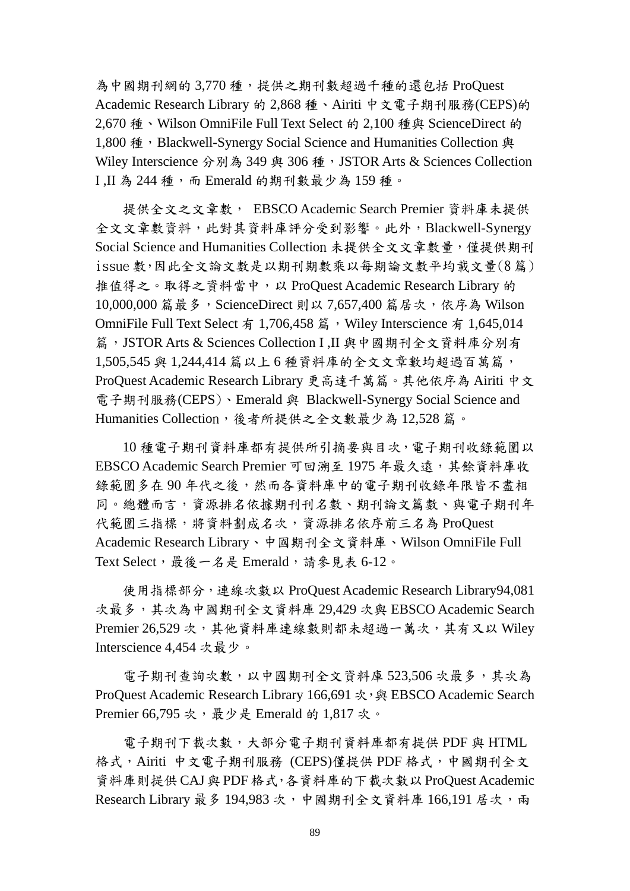為中國期刊網的 3,770 種,提供之期刊數超過千種的還包括 ProQuest Academic Research Library 的 2,868 種、Airiti 中文電子期刊服務(CEPS)的 2.670 種、Wilson OmniFile Full Text Select 的 2.100 種與 ScienceDirect 的 1,800 種, Blackwell-Synergy Social Science and Humanities Collection 與 Wiley Interscience 分別為 349 與 306 種, JSTOR Arts & Sciences Collection I.II 為 244 種,而 Emerald 的期刊數最少為 159 種。

提供全文之文章數, EBSCO Academic Search Premier 資料庫未提供 全文文章數資料,此對其資料庫評分受到影響。此外,Blackwell-Synergy Social Science and Humanities Collection 未提供全文文章數量,僅提供期刊 issue 數,因此全文論文數是以期刊期數乘以每期論文數平均載文量(8 篇) 推值得之。取得之資料當中,以 ProQuest Academic Research Library 的 10,000,000 篇最多, ScienceDirect 則以 7,657,400 篇居次, 依序為 Wilson OmniFile Full Text Select 有 1,706,458 篇, Wiley Interscience 有 1,645,014 篇,JSTOR Arts & Sciences Collection I ,II 與中國期刊全文資料庫分別有 1,505,545 與 1,244,414 篇以上 6 種資料庫的全文文章數均超過百萬篇, ProQuest Academic Research Library 更高達千萬篇。其他依序為 Airiti 中文 電子期刊服務(CEPS)、Emerald 與 Blackwell-Synergy Social Science and Humanities Collection,後者所提供之全文數最少為 12,528 篇。

10 種電子期刊資料庫都有提供所引摘要與目次,電子期刊收錄範圍以 EBSCO Academic Search Premier 可回溯至 1975 年最久遠,其餘資料庫收 錄範圍多在90年代之後,然而各資料庫中的電子期刊收錄年限皆不盡相 同。總體而言,資源排名依據期刊刊名數、期刊論文篇數、與電子期刊年 代範圍三指標,將資料劃成名次,資源排名依序前三名為 ProQuest Academic Research Library、中國期刊全文資料庫、Wilson OmniFile Full Text Select,最後一名是 Emerald,請參見表 6-12。

使用指標部分,連線次數以 ProQuest Academic Research Library94,081 次最多,其次為中國期刊全文資料庫 29,429 次與 EBSCO Academic Search Premier 26,529 次,其他資料庫連線數則都未超過一萬次,其有又以 Wiley Interscience 4,454 次最少。

電子期刊查詢次數,以中國期刊全文資料庫 523,506 次最多,其次為 ProQuest Academic Research Library 166,691 次, 與 EBSCO Academic Search Premier 66,795 次,最少是 Emerald 的 1,817 次。

電子期刊下載次數,大部分電子期刊資料庫都有提供 PDF 與 HTML 格式,Airiti 中文電子期刊服務 (CEPS)僅提供 PDF 格式,中國期刊全文 資料庫則提供 CAJ與 PDF 格式,各資料庫的下載次數以 ProQuest Academic Research Library 最多 194,983 次,中國期刊全文資料庫 166,191 居次,兩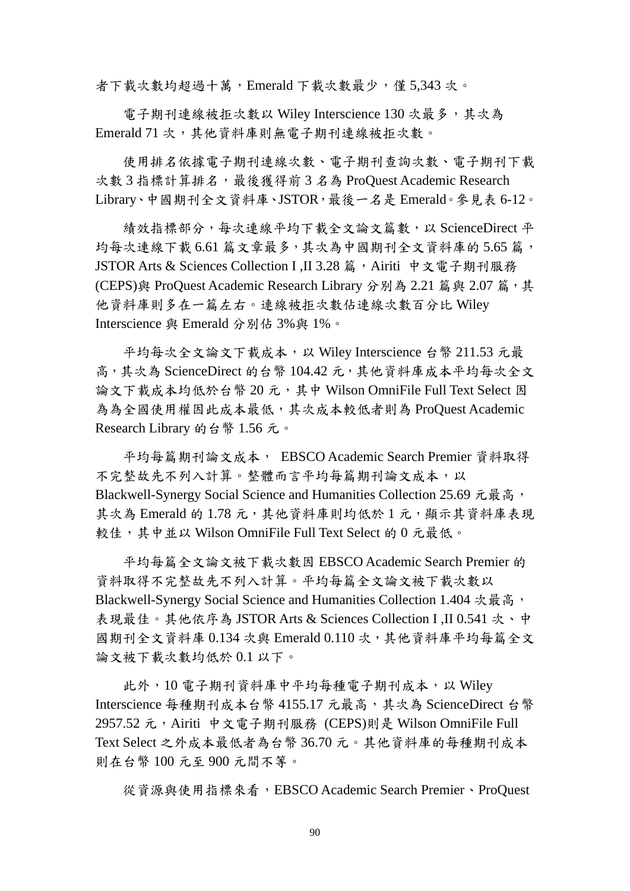者下載次數均超過十萬,Emerald 下載次數最少,僅 5,343 次。

電子期刊連線被拒次數以 Wiley Interscience 130 次最多,其次為 Emerald 71 次,其他資料庫則無電子期刊連線被拒次數。

使用排名依據電子期刊連線次數、電子期刊查詢次數、電子期刊下載 次數 3 指標計算排名,最後獲得前 3 名為 ProOuest Academic Research Library、中國期刊全文資料庫、JSTOR,最後一名是 Emerald。參見表 6-12。

績效指標部分,每次連線平均下載全文論文篇數,以 ScienceDirect 平 均每次連線下載 6.61 篇文章最多,其次為中國期刊全文資料庫的 5.65 篇, JSTOR Arts & Sciences Collection I ,II 3.28 篇, Airiti 中文電子期刊服務 (CEPS)與 ProQuest Academic Research Library 分別為 2.21 篇與 2.07 篇,其 他資料庫則多在一篇左右。連線被拒次數佔連線次數百分比 Wiley Interscience 與 Emerald 分別佔 3%與 1%。

平均每次全文論文下載成本,以 Wiley Interscience 台幣 211.53 元最 高,其次為 ScienceDirect 的台幣 104.42 元,其他資料庫成本平均每次全文 論文下載成本均低於台幣 20元,其中 Wilson OmniFile Full Text Select 因 為為全國使用權因此成本最低,其次成本較低者則為 ProQuest Academic Research Library 的台幣 1.56 元。

平均每篇期刊論文成本, EBSCO Academic Search Premier 資料取得 不完整故先不列入計算。整體而言平均每篇期刊論文成本,以 Blackwell-Synergy Social Science and Humanities Collection 25.69 元最高, 其次為 Emerald 的 1.78 元,其他資料庫則均低於 1 元,顯示其資料庫表現 較佳,其中並以 Wilson OmniFile Full Text Select 的 0 元最低。

平均每篇全文論文被下載次數因 EBSCO Academic Search Premier 的 資料取得不完整故先不列入計算。平均每篇全文論文被下載次數以 Blackwell-Synergy Social Science and Humanities Collection 1.404 次最高, 表現最佳。其他依序為 JSTOR Arts & Sciences Collection I ,II 0.541 次、中 國期刊全文資料庫 0.134 次與 Emerald 0.110 次,其他資料庫平均每篇全文 論文被下載次數均低於 0.1 以下。

此外,10 電子期刊資料庫中平均每種電子期刊成本,以 Wiley Interscience 每種期刊成本台幣 4155.17 元最高,其次為 ScienceDirect 台幣 2957.52 元,Airiti 中文電子期刊服務 (CEPS)則是 Wilson OmniFile Full Text Select 之外成本最低者為台幣 36.70 元。其他資料庫的每種期刊成本 則在台幣 100 元至 900 元間不等。

從資源與使用指標來看,EBSCO Academic Search Premier、ProQuest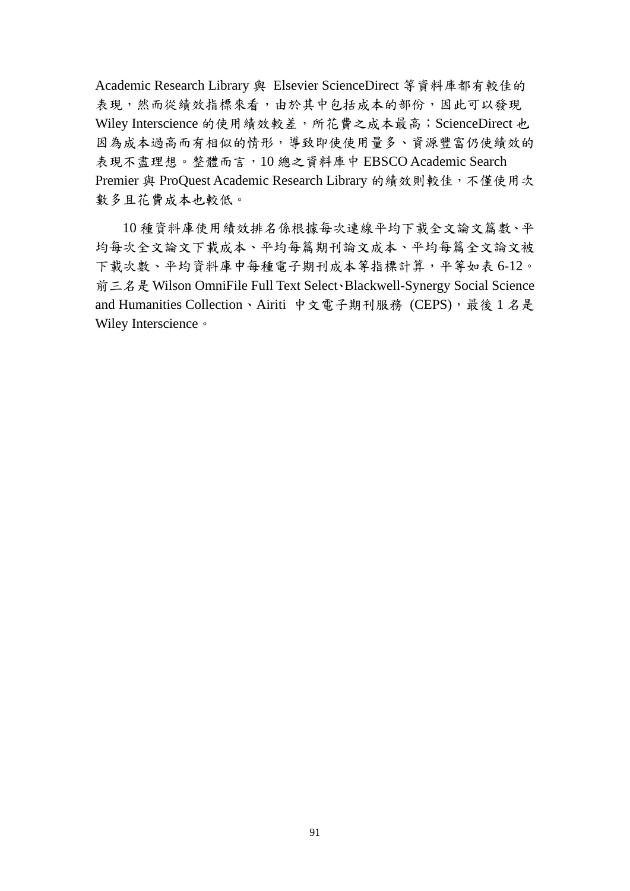Academic Research Library 與 Elsevier ScienceDirect 等資料庫都有較佳的 表現,然而從績效指標來看,由於其中包括成本的部份,因此可以發現 Wiley Interscience 的使用績效較差,所花費之成本最高; ScienceDirect 也 因為成本過高而有相似的情形,導致即使使用量多、資源豐富仍使績效的 表現不盡理想。整體而言,10 總之資料庫中 EBSCO Academic Search Premier 與 ProQuest Academic Research Library 的績效則較佳,不僅使用次 數多且花費成本也較低。

10 種資料庫使用績效排名係根據每次連線平均下載全文論文篇數、平 均每次全文論文下載成本、平均每篇期刊論文成本、平均每篇全文論文被 下載次數、平均資料庫中每種電子期刊成本等指標計算,平等如表 6-12。 前三名是 Wilson OmniFile Full Text Select、Blackwell-Synergy Social Science and Humanities Collection、Airiti 中文電子期刊服務 (CEPS),最後 1 名是 Wiley Interscience 。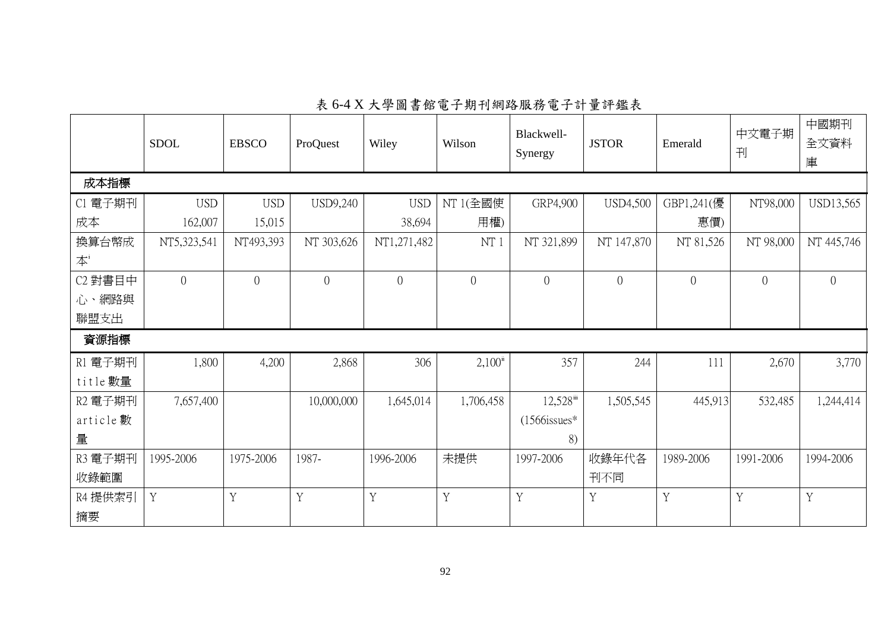|                           | <b>SDOL</b>    | <b>EBSCO</b>   | ProQuest       | Wiley          | Wilson              | Blackwell-<br>Synergy   | <b>JSTOR</b>    | Emerald        | 中文電子期<br>刊     | 中國期刊<br>全文資料<br>庫 |
|---------------------------|----------------|----------------|----------------|----------------|---------------------|-------------------------|-----------------|----------------|----------------|-------------------|
| 成本指標                      |                |                |                |                |                     |                         |                 |                |                |                   |
| C1 電子期刊                   | <b>USD</b>     | <b>USD</b>     | USD9,240       | <b>USD</b>     | NT 1(全國使            | GRP4,900                | <b>USD4,500</b> | GBP1,241(優     | NT98,000       | USD13,565         |
| 成本                        | 162,007        | 15,015         |                | 38,694         | 用權)                 |                         |                 | 惠價)            |                |                   |
| 換算台幣成                     | NT5,323,541    | NT493,393      | NT 303,626     | NT1,271,482    | NT1                 | NT 321,899              | NT 147,870      | NT 81,526      | NT 98,000      | NT 445,746        |
| $\overline{\mathbf{A}}^i$ |                |                |                |                |                     |                         |                 |                |                |                   |
| C2 對書目中                   | $\overline{0}$ | $\overline{0}$ | $\overline{0}$ | $\overline{0}$ | $\Omega$            | $\overline{0}$          | $\overline{0}$  | $\overline{0}$ | $\overline{0}$ | $\overline{0}$    |
| 心、網路與                     |                |                |                |                |                     |                         |                 |                |                |                   |
| 聯盟支出                      |                |                |                |                |                     |                         |                 |                |                |                   |
| 資源指標                      |                |                |                |                |                     |                         |                 |                |                |                   |
| R1 電子期刊                   | 1,800          | 4,200          | 2,868          | 306            | $2,100^{\text{ii}}$ | 357                     | 244             | 111            | 2,670          | 3,770             |
| title 數量                  |                |                |                |                |                     |                         |                 |                |                |                   |
| R2 電子期刊                   | 7,657,400      |                | 10,000,000     | 1,645,014      | 1,706,458           | $12,528$ <sup>iii</sup> | 1,505,545       | 445,913        | 532,485        | 1,244,414         |
| article 數                 |                |                |                |                |                     | $(1566$ issues*         |                 |                |                |                   |
| 量                         |                |                |                |                |                     | 8)                      |                 |                |                |                   |
| R3 電子期刊                   | 1995-2006      | 1975-2006      | 1987-          | 1996-2006      | 未提供                 | 1997-2006               | 收錄年代各           | 1989-2006      | 1991-2006      | 1994-2006         |
| 收錄範圍                      |                |                |                |                |                     |                         | 刊不同             |                |                |                   |
| R4 提供索引                   | Y              | Y              | Y              | Y              | Y                   | Y                       | Y               | Y              | Y              | Y                 |
| 摘要                        |                |                |                |                |                     |                         |                 |                |                |                   |

表 6-4 X 大學圖書館電子期刊網路服務電子計量評鑑表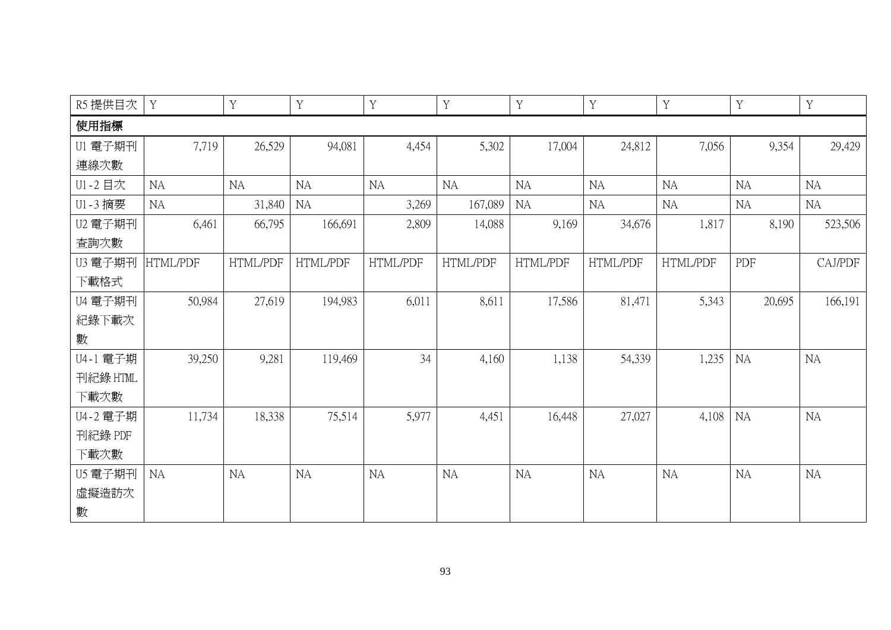| R5 提供目次  | Y         | $\mathbf Y$ | $\mathbf Y$ | $\mathbf Y$ | Y         | $\mathbf Y$ | Y         | $\mathbf Y$ | Y         | $\mathbf Y$ |
|----------|-----------|-------------|-------------|-------------|-----------|-------------|-----------|-------------|-----------|-------------|
| 使用指標     |           |             |             |             |           |             |           |             |           |             |
| U1 電子期刊  | 7,719     | 26,529      | 94,081      | 4,454       | 5,302     | 17,004      | 24,812    | 7,056       | 9,354     | 29,429      |
| 連線次數     |           |             |             |             |           |             |           |             |           |             |
| U1-2 目次  | NA        | <b>NA</b>   | <b>NA</b>   | <b>NA</b>   | <b>NA</b> | <b>NA</b>   | <b>NA</b> | <b>NA</b>   | <b>NA</b> | <b>NA</b>   |
| U1-3 摘要  | NA        | 31,840      | <b>NA</b>   | 3,269       | 167,089   | <b>NA</b>   | <b>NA</b> | <b>NA</b>   | <b>NA</b> | <b>NA</b>   |
| U2 電子期刊  | 6,461     | 66,795      | 166,691     | 2,809       | 14,088    | 9,169       | 34,676    | 1,817       | 8,190     | 523,506     |
| 查詢次數     |           |             |             |             |           |             |           |             |           |             |
| U3 電子期刊  | HTML/PDF  | HTML/PDF    | HTML/PDF    | HTML/PDF    | HTML/PDF  | HTML/PDF    | HTML/PDF  | HTML/PDF    | PDF       | CAJ/PDF     |
| 下載格式     |           |             |             |             |           |             |           |             |           |             |
| U4 電子期刊  | 50,984    | 27,619      | 194,983     | 6,011       | 8,611     | 17,586      | 81,471    | 5,343       | 20,695    | 166,191     |
| 紀錄下載次    |           |             |             |             |           |             |           |             |           |             |
| 數        |           |             |             |             |           |             |           |             |           |             |
| U4-1 電子期 | 39,250    | 9,281       | 119,469     | 34          | 4,160     | 1,138       | 54,339    | 1,235       | <b>NA</b> | <b>NA</b>   |
| 刊紀錄 HTML |           |             |             |             |           |             |           |             |           |             |
| 下載次數     |           |             |             |             |           |             |           |             |           |             |
| U4-2 電子期 | 11,734    | 18,338      | 75,514      | 5,977       | 4,451     | 16,448      | 27,027    | 4,108       | <b>NA</b> | <b>NA</b>   |
| 刊紀錄 PDF  |           |             |             |             |           |             |           |             |           |             |
| 下載次數     |           |             |             |             |           |             |           |             |           |             |
| U5 電子期刊  | <b>NA</b> | <b>NA</b>   | <b>NA</b>   | <b>NA</b>   | <b>NA</b> | <b>NA</b>   | <b>NA</b> | <b>NA</b>   | <b>NA</b> | <b>NA</b>   |
| 虛擬造訪次    |           |             |             |             |           |             |           |             |           |             |
| 數        |           |             |             |             |           |             |           |             |           |             |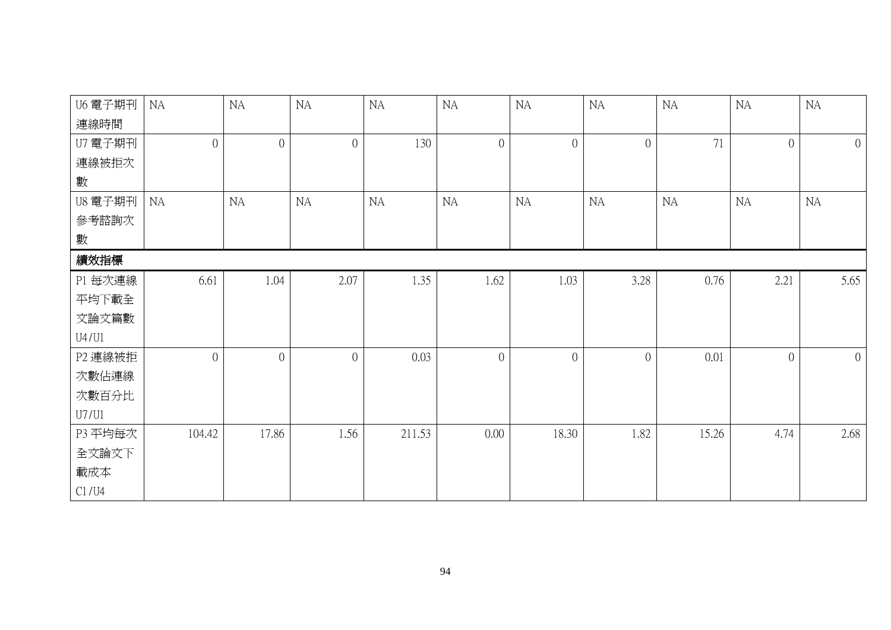| U6 電子期刊 | NA             | NA             | NA             | $\rm NA$ | <b>NA</b>      | $\rm NA$       | NA             | $\rm NA$ | <b>NA</b>      | <b>NA</b>      |
|---------|----------------|----------------|----------------|----------|----------------|----------------|----------------|----------|----------------|----------------|
| 連線時間    |                |                |                |          |                |                |                |          |                |                |
| U7 電子期刊 | $\overline{0}$ | $\overline{0}$ | $\overline{0}$ | 130      | $\overline{0}$ | $\overline{0}$ | $\overline{0}$ | 71       | $\overline{0}$ | $\overline{0}$ |
| 連線被拒次   |                |                |                |          |                |                |                |          |                |                |
| 數       |                |                |                |          |                |                |                |          |                |                |
| U8 電子期刊 | <b>NA</b>      | NA             | <b>NA</b>      | NA       | NA             | <b>NA</b>      | NA             | NA       | <b>NA</b>      | <b>NA</b>      |
| 參考諮詢次   |                |                |                |          |                |                |                |          |                |                |
| 數       |                |                |                |          |                |                |                |          |                |                |
| 績效指標    |                |                |                |          |                |                |                |          |                |                |
| P1 每次連線 | 6.61           | 1.04           | 2.07           | 1.35     | 1.62           | 1.03           | 3.28           | 0.76     | 2.21           | 5.65           |
| 平均下載全   |                |                |                |          |                |                |                |          |                |                |
| 文論文篇數   |                |                |                |          |                |                |                |          |                |                |
| U4/U1   |                |                |                |          |                |                |                |          |                |                |
| P2 連線被拒 | $\overline{0}$ | $\overline{0}$ | $\overline{0}$ | 0.03     | $\overline{0}$ | $\overline{0}$ | $\theta$       | 0.01     | $\overline{0}$ | $\overline{0}$ |
| 次數佔連線   |                |                |                |          |                |                |                |          |                |                |
| 次數百分比   |                |                |                |          |                |                |                |          |                |                |
| U7/U1   |                |                |                |          |                |                |                |          |                |                |
| P3 平均每次 | 104.42         | 17.86          | 1.56           | 211.53   | 0.00           | 18.30          | 1.82           | 15.26    | 4.74           | 2.68           |
| 全文論文下   |                |                |                |          |                |                |                |          |                |                |
| 載成本     |                |                |                |          |                |                |                |          |                |                |
| C1/U4   |                |                |                |          |                |                |                |          |                |                |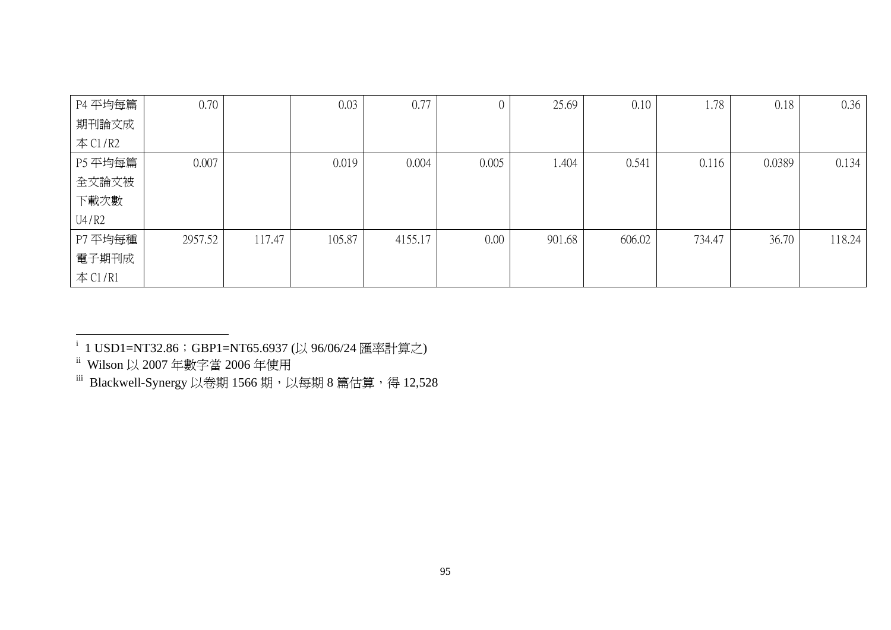| P4 平均每篇    | 0.70    |        | 0.03   | 0.77    |          | 25.69  | 0.10   | 1.78   | 0.18   | 0.36   |
|------------|---------|--------|--------|---------|----------|--------|--------|--------|--------|--------|
| 期刊論文成      |         |        |        |         |          |        |        |        |        |        |
| $\#$ C1/R2 |         |        |        |         |          |        |        |        |        |        |
| P5 平均每篇    | 0.007   |        | 0.019  | 0.004   | 0.005    | 1.404  | 0.541  | 0.116  | 0.0389 | 0.134  |
| 全文論文被      |         |        |        |         |          |        |        |        |        |        |
| 下載次數       |         |        |        |         |          |        |        |        |        |        |
| U4/R2      |         |        |        |         |          |        |        |        |        |        |
| P7 平均每種    | 2957.52 | 117.47 | 105.87 | 4155.17 | $0.00\,$ | 901.68 | 606.02 | 734.47 | 36.70  | 118.24 |
| 電子期刊成      |         |        |        |         |          |        |        |        |        |        |
| 本C1/R1     |         |        |        |         |          |        |        |        |        |        |

 $i$  1 USD1=NT32.86; GBP1=NT65.6937 (以 96/06/24 匯率計算之)

ii Wilson 以 <sup>2007</sup> 年數字當 <sup>2006</sup> 年使用

 $^{\text{\tiny{iii}}}$  Blackwell-Synergy 以卷期 1566 期,以每期 8 篇估算,得 12,528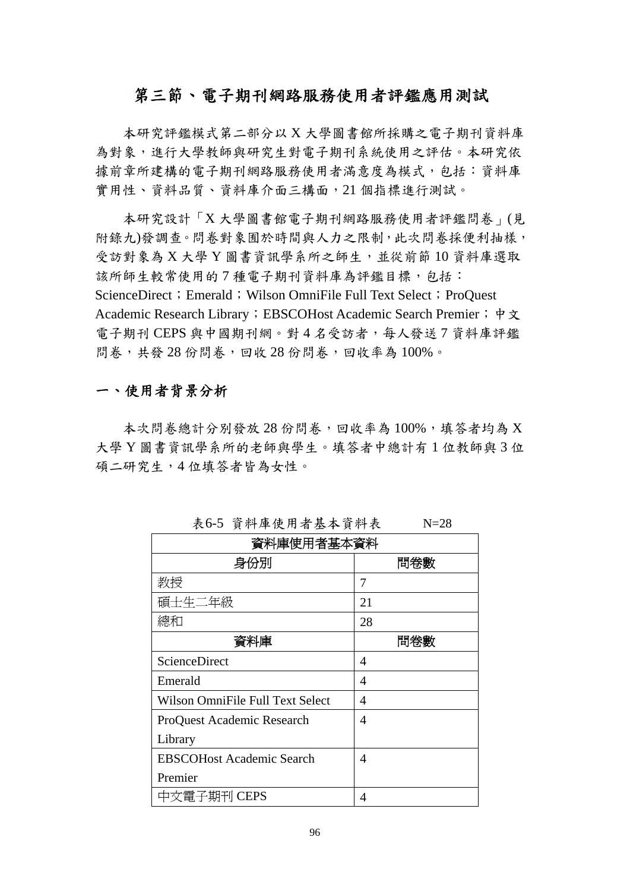# 第三節、電子期刊網路服務使用者評鑑應用測試

本研究評鑑模式第二部分以 X 大學圖書館所採購之電子期刊資料庫 為對象,進行大學教師與研究生對電子期刊系統使用之評估。本研究依 據前章所建構的電子期刊網路服務使用者滿意度為模式,包括:資料庫 實用性、資料品質、資料庫介面三構面,21 個指標進行測試。

本研究設計「X 大學圖書館電子期刊網路服務使用者評鑑問卷」(見 附錄九)發調查。問卷對象囿於時間與人力之限制,此次問卷採便利抽樣, 受訪對象為 X 大學 Y 圖書資訊學系所之師生,並從前節 10 資料庫選取 該所師生較常使用的7種電子期刊資料庫為評鑑目標, 包括: ScienceDirect; Emerald; Wilson OmniFile Full Text Select; ProQuest Academic Research Library; EBSCOHost Academic Search Premier; 中文 電子期刊 CEPS 與中國期刊網。對4名受訪者,每人發送7 資料庫評鑑 問卷,共發 28 份問卷,回收 28 份問卷,回收率為 100%。

# 一、使用者背景分析

本次問卷總計分別發放 28 份問卷,回收率為 100%, 填答者均為 X 大學 Y 圖書資訊學系所的老師與學生。填答者中總計有 1 位教師與 3 位 碩二研究生,4 位填答者皆為女性。

| 資料庫使用者基本資料                       |     |
|----------------------------------|-----|
| 身份別                              | 問卷數 |
| 教授                               | 7   |
| 碩士生二年級                           | 21  |
| 總和                               | 28  |
| 資料庫                              | 問卷數 |
| ScienceDirect                    | 4   |
| Emerald                          | 4   |
| Wilson OmniFile Full Text Select | 4   |
| ProQuest Academic Research       | 4   |
| Library                          |     |
| <b>EBSCOHost Academic Search</b> | 4   |
| Premier                          |     |
| 中文電子期刊 CEPS                      | 4   |

表6-5 資料庫使用者基本資料表 N=28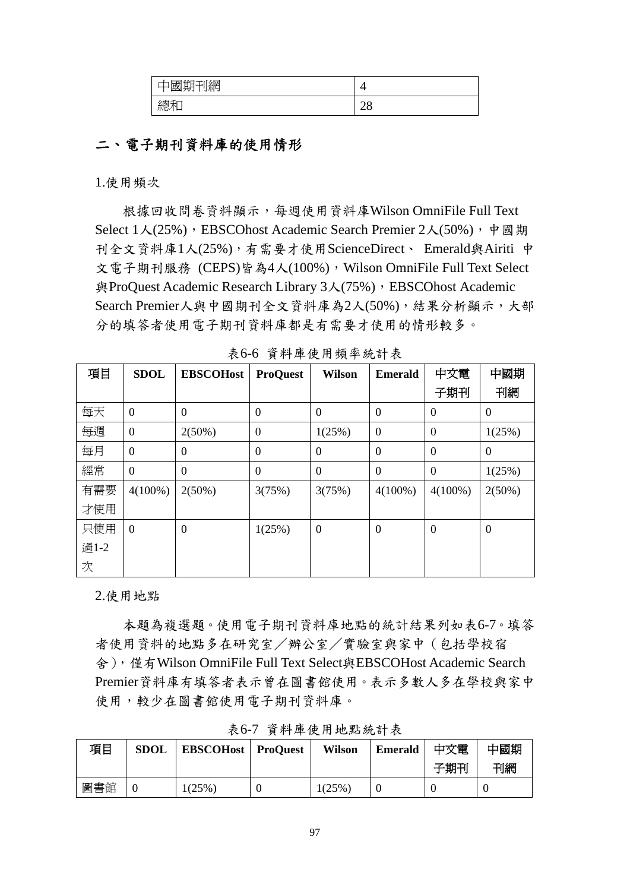| 期刊網<br>國期刊<br>−                                   |          |
|---------------------------------------------------|----------|
| $\mathcal{L}$ and $\mathcal{L}$ and $\mathcal{L}$ | $\Omega$ |
| 總和                                                | ∠∪       |

# 二、電子期刊資料庫的使用情形

1.使用頻次

根據回收問卷資料顯示,每週使用資料庫Wilson OmniFile Full Text Select 1人(25%), EBSCOhost Academic Search Premier 2人(50%), 中國期 刊全文資料庫1人(25%),有需要才使用ScienceDirect、 Emerald與Airiti 中 文電子期刊服務 (CEPS)皆為4人(100%), Wilson OmniFile Full Text Select 與ProQuest Academic Research Library 3人(75%), EBSCOhost Academic Search Premier人與中國期刊全文資料庫為2人(50%),結果分析顯示,大部 分的填答者使用電子期刊資料庫都是有需要才使用的情形較多。

| 項目   | <b>SDOL</b>      | <b>EBSCOHost</b> | <b>ProQuest</b>  | <b>Wilson</b>    | <b>Emerald</b>   | 中文電              | 中國期              |
|------|------------------|------------------|------------------|------------------|------------------|------------------|------------------|
|      |                  |                  |                  |                  |                  | 子期刊              | 刊網               |
| 每天   | $\boldsymbol{0}$ | $\Omega$         | $\boldsymbol{0}$ | $\Omega$         | $\overline{0}$   | $\overline{0}$   | $\Omega$         |
| 每週   | $\boldsymbol{0}$ | $2(50\%)$        | $\overline{0}$   | 1(25%)           | $\boldsymbol{0}$ | $\boldsymbol{0}$ | 1(25%)           |
| 每月   | $\overline{0}$   | $\theta$         | $\theta$         | $\overline{0}$   | $\overline{0}$   | $\boldsymbol{0}$ | $\Omega$         |
| 經常   | $\theta$         | $\overline{0}$   | $\Omega$         | $\theta$         | $\overline{0}$   | $\boldsymbol{0}$ | 1(25%)           |
| 有需要  | $4(100\%)$       | $2(50\%)$        | 3(75%)           | 3(75%)           | $4(100\%)$       | $4(100\%)$       | $2(50\%)$        |
| 才使用  |                  |                  |                  |                  |                  |                  |                  |
| 只使用  | $\theta$         | $\boldsymbol{0}$ | 1(25%)           | $\boldsymbol{0}$ | $\overline{0}$   | $\boldsymbol{0}$ | $\boldsymbol{0}$ |
| 過1-2 |                  |                  |                  |                  |                  |                  |                  |
| 次    |                  |                  |                  |                  |                  |                  |                  |

表6-6 資料庫使用頻率統計表

2.使用地點

本題為複選題。使用電子期刊資料庫地點的統計結果列如表6-7。填答 者使用資料的地點多在研究室/辦公室/實驗室與家中(包括學校宿 舍),僅有Wilson OmniFile Full Text Select與EBSCOHost Academic Search Premier資料庫有填答者表示曾在圖書館使用。表示多數人多在學校與家中 使用,較少在圖書館使用電子期刊資料庫。

| 項目  | <b>SDOL</b> | <b>EBSCOHost</b> ProQuest | Wilson | Emerald | 中文電 | 中國期 |
|-----|-------------|---------------------------|--------|---------|-----|-----|
|     |             |                           |        |         | 子期刊 | 刊網  |
| 圖書館 |             | 1(25%)                    | 1(25%) |         |     |     |

表6-7 資料庫使用地點統計表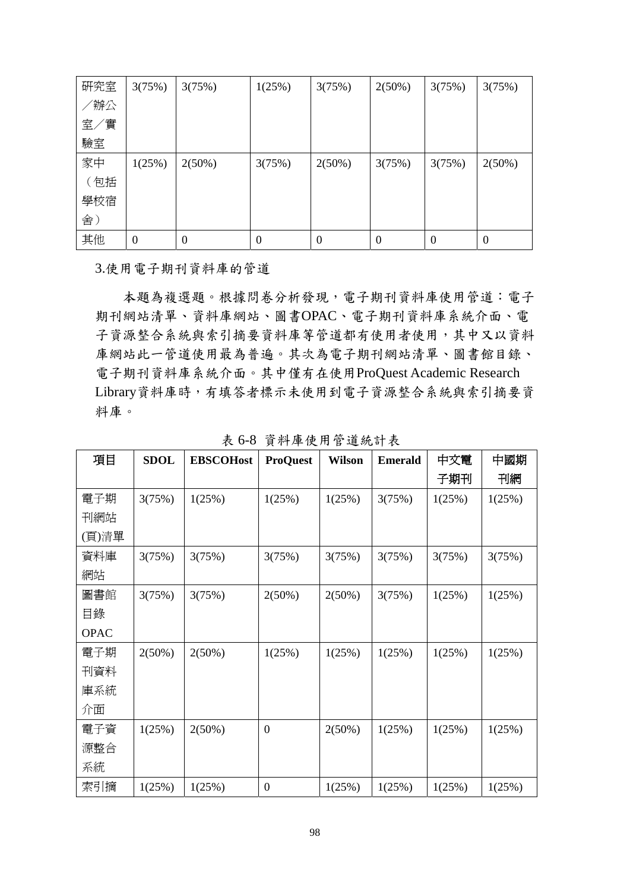| 研究室 | 3(75%)           | 3(75%)    | 1(25%) | 3(75%)         | $2(50\%)$ | 3(75%)   | 3(75%)         |
|-----|------------------|-----------|--------|----------------|-----------|----------|----------------|
| /辦公 |                  |           |        |                |           |          |                |
| 室/實 |                  |           |        |                |           |          |                |
| 驗室  |                  |           |        |                |           |          |                |
| 家中  | 1(25%)           | $2(50\%)$ | 3(75%) | 2(50%)         | 3(75%)    | 3(75%)   | 2(50%)         |
| (包括 |                  |           |        |                |           |          |                |
| 學校宿 |                  |           |        |                |           |          |                |
| 舍)  |                  |           |        |                |           |          |                |
| 其他  | $\boldsymbol{0}$ | $\theta$  | 0      | $\overline{0}$ | $\theta$  | $\theta$ | $\overline{0}$ |

3.使用電子期刊資料庫的管道

本題為複選題。根據問卷分析發現,電子期刊資料庫使用管道:電子 期刊網站清單、資料庫網站、圖書OPAC、電子期刊資料庫系統介面、電 子資源整合系統與索引摘要資料庫等管道都有使用者使用,其中又以資料 庫網站此一管道使用最為普遍。其次為電子期刊網站清單、圖書館目錄、 電子期刊資料庫系統介面。其中僅有在使用ProQuest Academic Research Library資料庫時,有填答者標示未使用到電子資源整合系統與索引摘要資 料庫。

| 項目          | <b>SDOL</b> | <b>EBSCOHost</b> | <b>ProQuest</b>  | <b>Wilson</b> | <b>Emerald</b> | 中文電    | 中國期    |
|-------------|-------------|------------------|------------------|---------------|----------------|--------|--------|
|             |             |                  |                  |               |                | 子期刊    | 刊網     |
| 電子期         | 3(75%)      | 1(25%)           | 1(25%)           | 1(25%)        | 3(75%)         | 1(25%) | 1(25%) |
| 刊網站         |             |                  |                  |               |                |        |        |
| (頁)清單       |             |                  |                  |               |                |        |        |
| 資料庫         | 3(75%)      | 3(75%)           | 3(75%)           | 3(75%)        | 3(75%)         | 3(75%) | 3(75%) |
| 網站          |             |                  |                  |               |                |        |        |
| 圖書館         | 3(75%)      | 3(75%)           | 2(50%)           | $2(50\%)$     | 3(75%)         | 1(25%) | 1(25%) |
| 目錄          |             |                  |                  |               |                |        |        |
| <b>OPAC</b> |             |                  |                  |               |                |        |        |
| 電子期         | 2(50%)      | $2(50\%)$        | 1(25%)           | 1(25%)        | 1(25%)         | 1(25%) | 1(25%) |
| 刊資料         |             |                  |                  |               |                |        |        |
| 庫系統         |             |                  |                  |               |                |        |        |
| 介面          |             |                  |                  |               |                |        |        |
| 電子資         | 1(25%)      | $2(50\%)$        | $\boldsymbol{0}$ | 2(50%)        | 1(25%)         | 1(25%) | 1(25%) |
| 源整合         |             |                  |                  |               |                |        |        |
| 系統          |             |                  |                  |               |                |        |        |
| 索引摘         | 1(25%)      | 1(25%)           | $\boldsymbol{0}$ | 1(25%)        | 1(25%)         | 1(25%) | 1(25%) |

表 6-8 資料庫使用管道統計表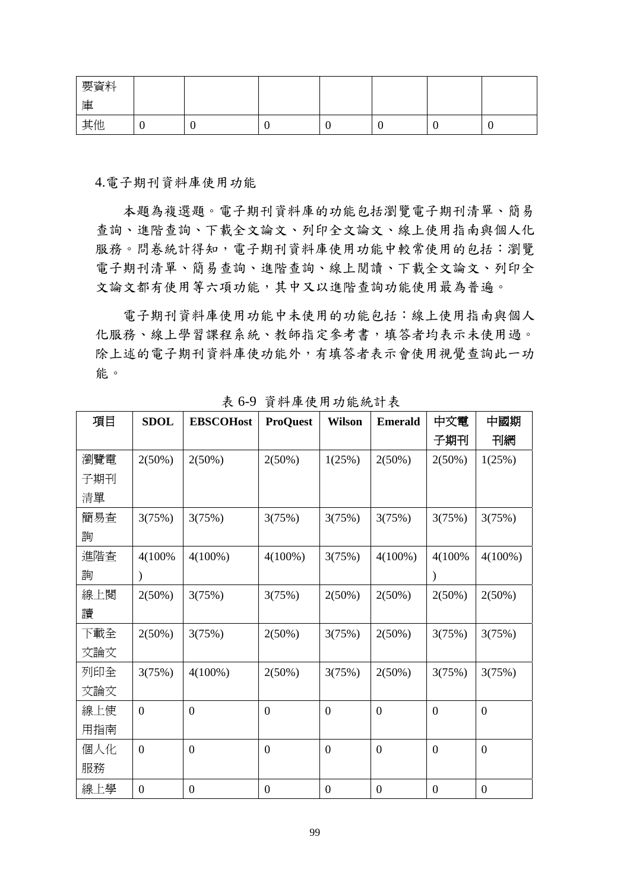| 要資料 |  |  |   |   |
|-----|--|--|---|---|
| 庫   |  |  |   |   |
| 其他  |  |  | ν | ν |

4.電子期刊資料庫使用功能

本題為複選題。電子期刊資料庫的功能包括瀏覽電子期刊清單、簡易 查詢、進階查詢、下載全文論文、列印全文論文、線上使用指南與個人化 服務。問卷統計得知, 電子期刊資料庫使用功能中較常使用的包括:瀏覽 電子期刊清單、簡易查詢、進階查詢、線上閱讀、下載全文論文、列印全 文論文都有使用等六項功能,其中又以進階查詢功能使用最為普遍。

電子期刊資料庫使用功能中未使用的功能包括:線上使用指南與個人 化服務、線上學習課程系統、教師指定參考書,填答者均表示未使用過。 除上述的電子期刊資料庫使功能外,有填答者表示會使用視覺查詢此一功 能。

| 項目  | <b>SDOL</b>      | <b>EBSCOHost</b> | <b>ProQuest</b>  | <b>Wilson</b>    | <b>Emerald</b>   | 中文電              | 中國期              |
|-----|------------------|------------------|------------------|------------------|------------------|------------------|------------------|
|     |                  |                  |                  |                  |                  | 子期刊              | 刊網               |
| 瀏覽電 | $2(50\%)$        | $2(50\%)$        | 2(50%)           | 1(25%)           | 2(50%)           | $2(50\%)$        | 1(25%)           |
| 子期刊 |                  |                  |                  |                  |                  |                  |                  |
| 清單  |                  |                  |                  |                  |                  |                  |                  |
| 簡易查 | 3(75%)           | 3(75%)           | 3(75%)           | 3(75%)           | 3(75%)           | 3(75%)           | 3(75%)           |
| 詢   |                  |                  |                  |                  |                  |                  |                  |
| 進階査 | 4(100%)          | $4(100\%)$       | $4(100\%)$       | 3(75%)           | $4(100\%)$       | 4(100%)          | $4(100\%)$       |
| 詢   | $\lambda$        |                  |                  |                  |                  |                  |                  |
| 線上閱 | 2(50%)           | 3(75%)           | 3(75%)           | 2(50%)           | 2(50%)           | 2(50%)           | 2(50%)           |
| 讀   |                  |                  |                  |                  |                  |                  |                  |
| 下載全 | 2(50%)           | 3(75%)           | 2(50%)           | 3(75%)           | $2(50\%)$        | 3(75%)           | 3(75%)           |
| 文論文 |                  |                  |                  |                  |                  |                  |                  |
| 列印全 | 3(75%)           | $4(100\%)$       | 2(50%)           | 3(75%)           | $2(50\%)$        | 3(75%)           | 3(75%)           |
| 文論文 |                  |                  |                  |                  |                  |                  |                  |
| 線上使 | $\boldsymbol{0}$ | $\boldsymbol{0}$ | $\overline{0}$   | $\boldsymbol{0}$ | $\boldsymbol{0}$ | $\boldsymbol{0}$ | $\boldsymbol{0}$ |
| 用指南 |                  |                  |                  |                  |                  |                  |                  |
| 個人化 | $\boldsymbol{0}$ | $\mathbf{0}$     | $\boldsymbol{0}$ | $\boldsymbol{0}$ | $\boldsymbol{0}$ | $\boldsymbol{0}$ | $\boldsymbol{0}$ |
| 服務  |                  |                  |                  |                  |                  |                  |                  |
| 線上學 | $\boldsymbol{0}$ | $\overline{0}$   | $\boldsymbol{0}$ | $\boldsymbol{0}$ | $\boldsymbol{0}$ | $\boldsymbol{0}$ | $\boldsymbol{0}$ |

表 6-9 資料庫使用功能統計表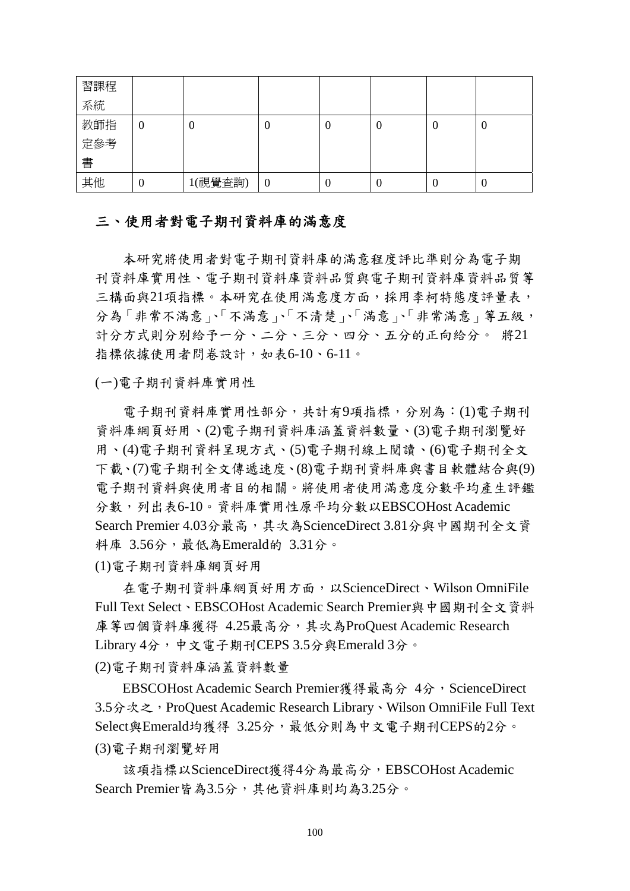| 習課程 |   |         |                  |   |   |   |   |
|-----|---|---------|------------------|---|---|---|---|
| 系統  |   |         |                  |   |   |   |   |
| 教師指 | U | U       | v                | U | U | ∪ | U |
| 定參考 |   |         |                  |   |   |   |   |
| 書   |   |         |                  |   |   |   |   |
| 其他  | U | 1(視覺查詢) | $\boldsymbol{0}$ | U | v |   | U |

### 三、使用者對電子期刊資料庫的滿意度

本研究將使用者對電子期刊資料庫的滿意程度評比準則分為電子期 刊資料庫實用性、電子期刊資料庫資料品質與電子期刊資料庫資料品質等 三構面與21項指標。本研究在使用滿意度方面,採用李柯特態度評量表, 分為「非常不滿意」、「不滿意」、「不清楚」、「滿意」、「非常滿意」等五級, 計分方式則分別給予一分、二分、三分、四分、五分的正向給分。 將21 指標依據使用者問卷設計,如表6-10、6-11。

(一)電子期刊資料庫實用性

電子期刊資料庫實用性部分,共計有9項指標,分別為:(1)電子期刊 資料庫網頁好用、(2)電子期刊資料庫涵蓋資料數量、(3)電子期刊瀏覽好 用、(4)電子期刊資料呈現方式、(5)電子期刊線上閱讀、(6)電子期刊全文 下載、(7)電子期刊全文傳遞速度、(8)電子期刊資料庫與書目軟體結合與(9) 電子期刊資料與使用者目的相關。將使用者使用滿意度分數平均產生評鑑 分數,列出表6-10。資料庫實用性原平均分數以EBSCOHost Academic Search Premier 4.03分最高,其次為ScienceDirect 3.81分與中國期刊全文資 料庫  $3.56\,$ , 最低為Emerald的  $3.31\,$ 。

(1)電子期刊資料庫網頁好用

在電子期刊資料庫網頁好用方面,以ScienceDirect、Wilson OmniFile Full Text Select、EBSCOHost Academic Search Premier與中國期刊全文資料 庫等四個資料庫獲得 4.25最高分,其次為ProQuest Academic Research Library 4分,中文電子期刊CEPS 3.5分與Emerald 3分。

(2)電子期刊資料庫涵蓋資料數量

EBSCOHost Academic Search Premier獲得最高分 4分, ScienceDirect 3.5分次之, ProQuest Academic Research Library、Wilson OmniFile Full Text Select與Emerald均獲得 3.25分,最低分則為中文電子期刊CEPS的2分。 (3)電子期刊瀏覽好用

該項指標以ScienceDirect獲得4分為最高分,EBSCOHost Academic Search Premier皆為3.5分,其他資料庫則均為3.25分。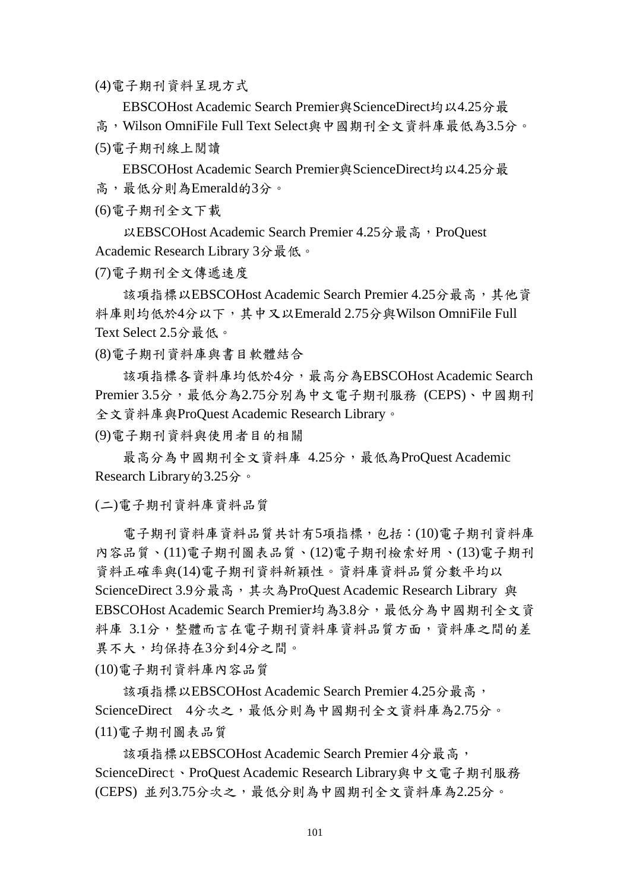(4)電子期刊資料呈現方式

EBSCOHost Academic Search Premier與ScienceDirect均以4.25分最 高,Wilson OmniFile Full Text Select與中國期刊全文資料庫最低為3.5分。 (5)電子期刊線上閱讀

EBSCOHost Academic Search Premier與ScienceDirect均以4.25分最 高,最低分則為Emerald的3分。

(6)電子期刊全文下載

以EBSCOHost Academic Search Premier 4.25分最高, ProQuest Academic Research Library 3分最低。

(7)電子期刊全文傳遞速度

該項指標以EBSCOHost Academic Search Premier 4.25分最高,其他資 料庫則均低於4分以下,其中又以Emerald 2.75分與Wilson OmniFile Full Text Select 2.5分最低。

(8)電子期刊資料庫與書目軟體結合

該項指標各資料庫均低於4分,最高分為EBSCOHost Academic Search Premier  $3.5\hat{B}$ , 最低分為 $2.75\hat{B}$ 別為中文電子期刊服務  $(CEPS)$ 、中國期刊 全文資料庫與ProQuest Academic Research Library。

(9)電子期刊資料與使用者目的相關

最高分為中國期刊全文資料庫 4.25分,最低為ProQuest Academic Research Library的3.25分。

(二)電子期刊資料庫資料品質

電子期刊資料庫資料品質共計有5項指標,包括:(10)電子期刊資料庫 內容品質、(11)電子期刊圖表品質、(12)電子期刊檢索好用、(13)電子期刊 資料正確率與(14)電子期刊資料新穎性。資料庫資料品質分數平均以 ScienceDirect 3.9分最高,其次為ProQuest Academic Research Library 與 EBSCOHost Academic Search Premier均為3.8分,最低分為中國期刊全文資 料庫 3.1分,整體而言在電子期刊資料庫資料品質方面,資料庫之間的差 異不大,均保持在3分到4分之間。

(10)電子期刊資料庫內容品質

該項指標以EBSCOHost Academic Search Premier 4.25分最高, ScienceDirect 4分次之,最低分則為中國期刊全文資料庫為2.75分。 (11)電子期刊圖表品質

該項指標以EBSCOHost Academic Search Premier 4分最高, ScienceDirect、ProQuest Academic Research Library與中文電子期刊服務 (CEPS) 並列3.75分次之,最低分則為中國期刊全文資料庫為2.25分。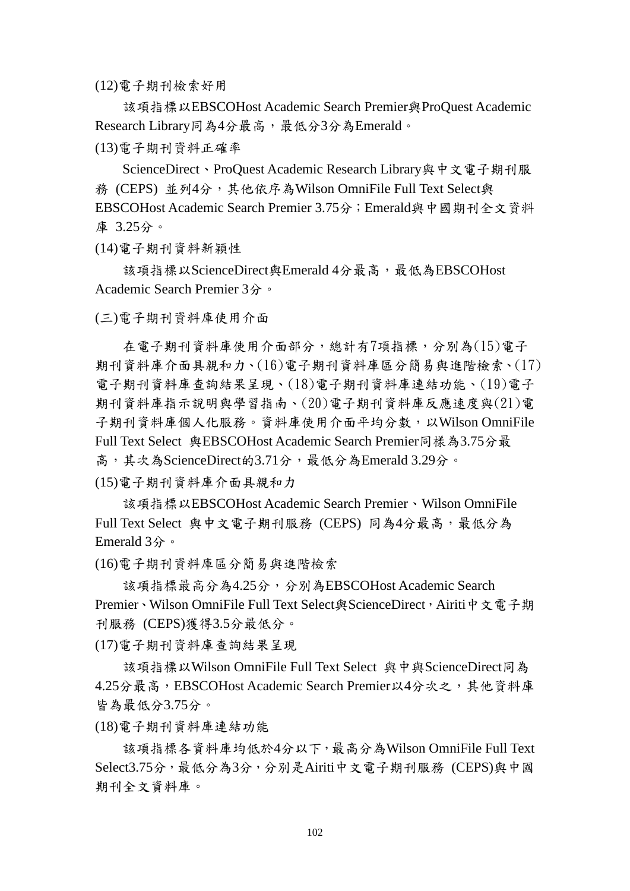(12)電子期刊檢索好用

該項指標以EBSCOHost Academic Search Premier與ProQuest Academic Research Library同為4分最高,最低分3分為Emerald。

(13)電子期刊資料正確率

ScienceDirect、ProQuest Academic Research Library與中文電子期刊服 務 (CEPS) 並列4分,其他依序為Wilson OmniFile Full Text Select與 EBSCOHost Academic Search Premier 3.75分;Emerald與中國期刊全文資料 庫 3.25分。

(14)電子期刊資料新穎性

該項指標以ScienceDirect與Emerald 4分最高,最低為EBSCOHost Academic Search Premier 3分。

(三)電子期刊資料庫使用介面

在電子期刊資料庫使用介面部分,總計有7項指標,分別為(15)電子 期刊資料庫介面具親和力、(16)電子期刊資料庫區分簡易與進階檢索、(17) 電子期刊資料庫查詢結果呈現、(18)電子期刊資料庫連結功能、(19)電子 期刊資料庫指示說明與學習指南、(20)電子期刊資料庫反應速度與(21)電 子期刊資料庫個人化服務。資料庫使用介面平均分數, 以Wilson OmniFile Full Text Select 與EBSCOHost Academic Search Premier同樣為3.75分最 高,其次為ScienceDirect的3.71分,最低分為Emerald 3.29分。

(15)電子期刊資料庫介面具親和力

該項指標以EBSCOHost Academic Search Premier、Wilson OmniFile Full Text Select 與中文電子期刊服務 (CEPS) 同為4分最高,最低分為 Emerald 3分。

(16)電子期刊資料庫區分簡易與進階檢索

該項指標最高分為4.25分,分別為EBSCOHost Academic Search Premier、Wilson OmniFile Full Text Select與ScienceDirect, Airiti中文電子期 刊服務 (CEPS)獲得3.5分最低分。

(17)電子期刊資料庫查詢結果呈現

該項指標以Wilson OmniFile Full Text Select 與中與ScienceDirect同為 4.25分最高,EBSCOHost Academic Search Premier以4分次之,其他資料庫 皆為最低分3.75分。

(18)電子期刊資料庫連結功能

該項指標各資料庫均低於4分以下,最高分為Wilson OmniFile Full Text Select3.75分,最低分為3分,分別是Airiti中文電子期刊服務 (CEPS)與中國 期刊全文資料庫。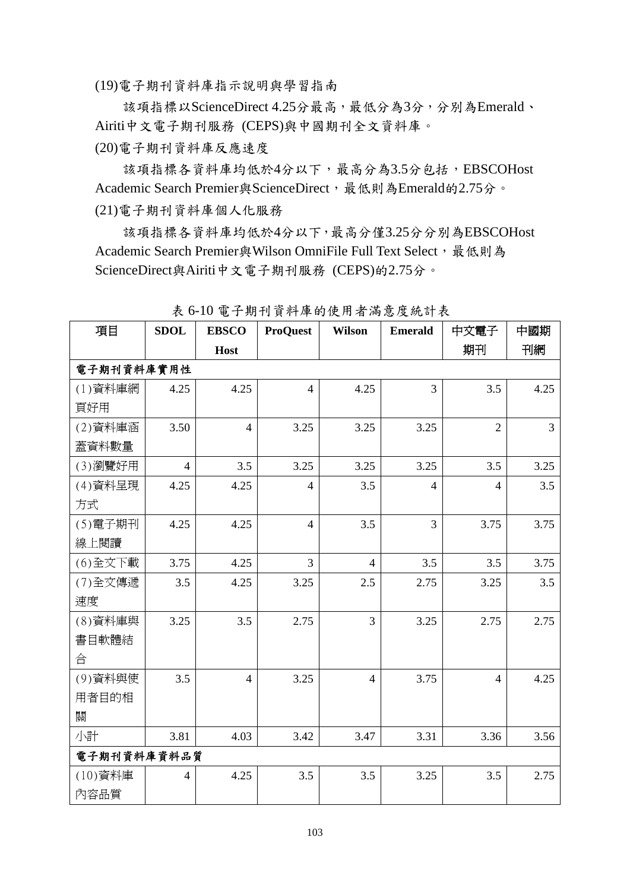(19)電子期刊資料庫指示說明與學習指南

該項指標以ScienceDirect 4.25分最高,最低分為3分,分別為Emerald、 Airiti中文電子期刊服務 (CEPS)與中國期刊全文資料庫。

(20)電子期刊資料庫反應速度

該項指標各資料庫均低於4分以下,最高分為3.5分包括,EBSCOHost Academic Search Premier與ScienceDirect,最低則為Emerald的2.75分。 (21)電子期刊資料庫個人化服務

該項指標各資料庫均低於4分以下,最高分僅3.25分分別為EBSCOHost Academic Search Premier與Wilson OmniFile Full Text Select, 最低則為 ScienceDirect與Airiti中文電子期刊服務 (CEPS)的2.75分。

| 項目          | <b>SDOL</b>    | <b>EBSCO</b>   | <b>ProQuest</b> | <b>Wilson</b>  | <b>Emerald</b> | 中文電子           | 中國期            |
|-------------|----------------|----------------|-----------------|----------------|----------------|----------------|----------------|
|             |                | Host           |                 |                |                | 期刊             | 刊網             |
| 電子期刊資料庫實用性  |                |                |                 |                |                |                |                |
| (1) 資料庫網    | 4.25           | 4.25           | $\overline{4}$  | 4.25           | $\overline{3}$ | 3.5            | 4.25           |
| 頁好用         |                |                |                 |                |                |                |                |
| (2) 資料庫涵    | 3.50           | $\overline{4}$ | 3.25            | 3.25           | 3.25           | $\overline{2}$ | $\overline{3}$ |
| 蓋資料數量       |                |                |                 |                |                |                |                |
| (3)瀏覽好用     | $\overline{4}$ | 3.5            | 3.25            | 3.25           | 3.25           | 3.5            | 3.25           |
| (4)資料呈現     | 4.25           | 4.25           | $\overline{4}$  | 3.5            | $\overline{4}$ | $\overline{4}$ | 3.5            |
| 方式          |                |                |                 |                |                |                |                |
| (5) 電子期刊    | 4.25           | 4.25           | $\overline{4}$  | 3.5            | $\overline{3}$ | 3.75           | 3.75           |
| 線上閱讀        |                |                |                 |                |                |                |                |
| (6)全文下載     | 3.75           | 4.25           | $\overline{3}$  | $\overline{4}$ | 3.5            | 3.5            | 3.75           |
| (7)全文傳遞     | 3.5            | 4.25           | 3.25            | 2.5            | 2.75           | 3.25           | 3.5            |
| 速度          |                |                |                 |                |                |                |                |
| (8) 資料庫與    | 3.25           | 3.5            | 2.75            | $\overline{3}$ | 3.25           | 2.75           | 2.75           |
| 書目軟體結       |                |                |                 |                |                |                |                |
| 合           |                |                |                 |                |                |                |                |
| (9) 資料與使    | 3.5            | $\overline{4}$ | 3.25            | $\overline{4}$ | 3.75           | $\overline{4}$ | 4.25           |
| 用者目的相       |                |                |                 |                |                |                |                |
| 關           |                |                |                 |                |                |                |                |
| 小計          | 3.81           | 4.03           | 3.42            | 3.47           | 3.31           | 3.36           | 3.56           |
| 電子期刊資料庫資料品質 |                |                |                 |                |                |                |                |
| (10)資料庫     | $\overline{4}$ | 4.25           | 3.5             | 3.5            | 3.25           | 3.5            | 2.75           |
| 內容品質        |                |                |                 |                |                |                |                |

表 6-10 電子期刊資料庫的使用者滿意度統計表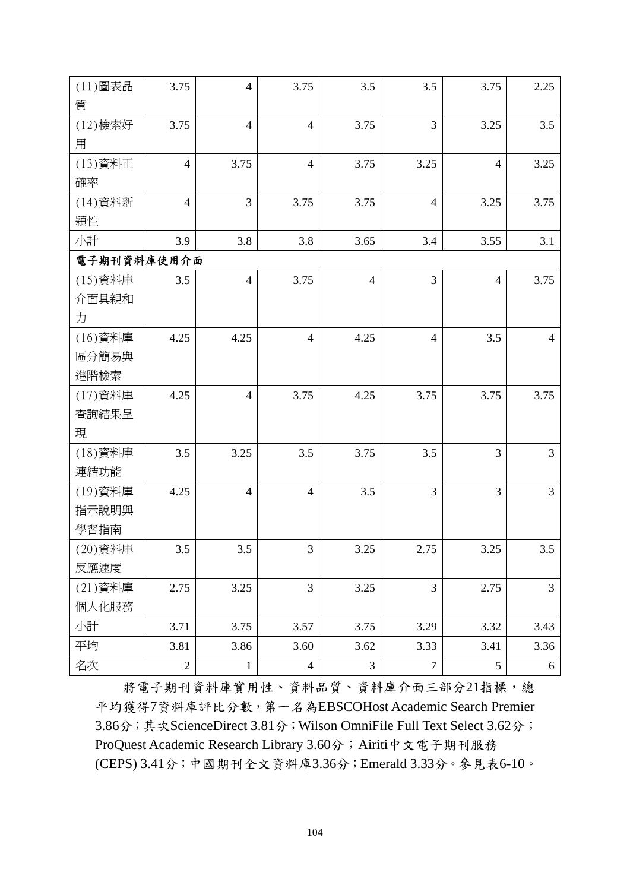| (11) 圖表品    | 3.75           | $\overline{4}$ | 3.75           | 3.5            | 3.5              | 3.75            | 2.25           |
|-------------|----------------|----------------|----------------|----------------|------------------|-----------------|----------------|
| 質           |                |                |                |                |                  |                 |                |
| (12)檢索好     | 3.75           | $\overline{4}$ | $\overline{4}$ | 3.75           | $\overline{3}$   | 3.25            | 3.5            |
| 用           |                |                |                |                |                  |                 |                |
| (13) 資料正    | $\overline{4}$ | 3.75           | $\overline{4}$ | 3.75           | 3.25             | $\overline{4}$  | 3.25           |
| 確率          |                |                |                |                |                  |                 |                |
| (14) 資料新    | $\overline{4}$ | 3              | 3.75           | 3.75           | $\overline{4}$   | 3.25            | 3.75           |
| 穎性          |                |                |                |                |                  |                 |                |
| 小計          | 3.9            | 3.8            | 3.8            | 3.65           | 3.4              | 3.55            | 3.1            |
| 電子期刊資料庫使用介面 |                |                |                |                |                  |                 |                |
| (15) 資料庫    | 3.5            | $\overline{4}$ | 3.75           | $\overline{4}$ | 3                | $\overline{4}$  | 3.75           |
| 介面具親和       |                |                |                |                |                  |                 |                |
| 力           |                |                |                |                |                  |                 |                |
| (16)資料庫     | 4.25           | 4.25           | $\overline{4}$ | 4.25           | $\overline{4}$   | 3.5             | $\overline{4}$ |
| 區分簡易與       |                |                |                |                |                  |                 |                |
| 進階檢索        |                |                |                |                |                  |                 |                |
| (17) 資料庫    | 4.25           | $\overline{4}$ | 3.75           | 4.25           | 3.75             | 3.75            | 3.75           |
| 查詢結果呈       |                |                |                |                |                  |                 |                |
| 現           |                |                |                |                |                  |                 |                |
| (18)資料庫     | 3.5            | 3.25           | 3.5            | 3.75           | 3.5              | 3               | 3              |
| 連結功能        |                |                |                |                |                  |                 |                |
| (19) 資料庫    | 4.25           | $\overline{4}$ | $\overline{4}$ | 3.5            | 3                | 3               | 3              |
| 指示說明與       |                |                |                |                |                  |                 |                |
| 學習指南        |                |                |                |                |                  |                 |                |
| (20)資料庫     | 3.5            | 3.5            | 3              | 3.25           | 2.75             | 3.25            | 3.5            |
| 反應速度        |                |                |                |                |                  |                 |                |
| (21) 資料庫    | 2.75           | 3.25           | $\overline{3}$ | 3.25           | 3                | 2.75            | 3              |
| 個人化服務       |                |                |                |                |                  |                 |                |
| 小計          | 3.71           | 3.75           | 3.57           | 3.75           | 3.29             | 3.32            | 3.43           |
| 平均          | 3.81           | 3.86           | 3.60           | 3.62           | 3.33             | 3.41            | 3.36           |
| 名次          | $\overline{2}$ | $\mathbf{1}$   | $\overline{4}$ | $\mathfrak{Z}$ | $\boldsymbol{7}$ | $5\overline{)}$ | 6              |

將電子期刊資料庫實用性、資料品質、資料庫介面三部分21指標,總 平均獲得7資料庫評比分數,第一名為EBSCOHost Academic Search Premier 3.86分;其次ScienceDirect 3.81分;Wilson OmniFile Full Text Select 3.62分; ProQuest Academic Research Library 3.60分; Airiti中文電子期刊服務 (CEPS) 3.41分;中國期刊全文資料庫3.36分;Emerald 3.33分。參見表6-10。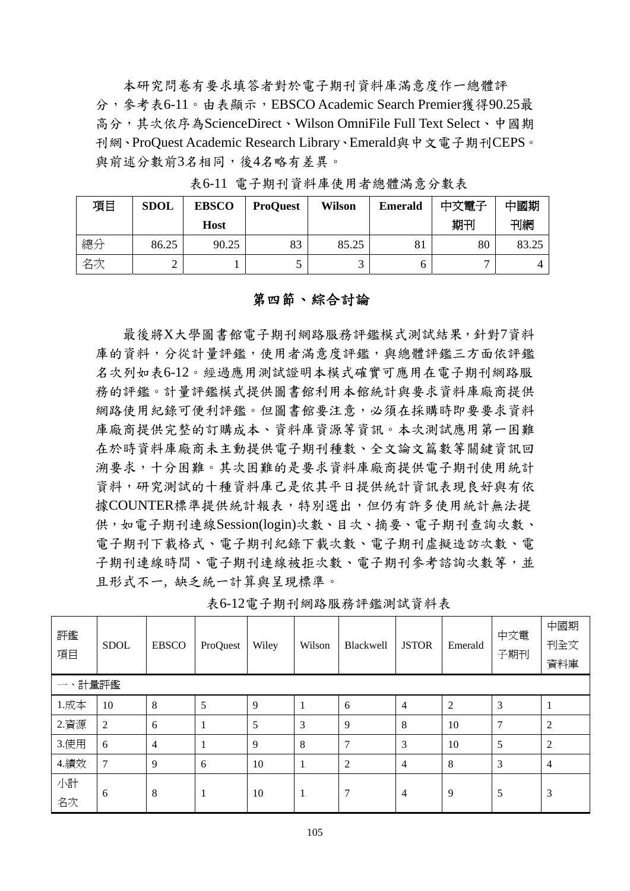本研究問卷有要求填答者對於電子期刊資料庫滿意度作一總體評 分,參考表6-11。由表顯示,EBSCO Academic Search Premier獲得90.25最 高分,其次依序為ScienceDirect、Wilson OmniFile Full Text Select、中國期 刊網、ProQuest Academic Research Library、Emerald與中文電子期刊CEPS。 與前述分數前3名相同,後4名略有差異。

| 項目 | <b>SDOL</b> | <b>EBSCO</b> | <b>ProQuest</b> | <b>Wilson</b> | <b>Emerald</b> | 中文電子 | 中國期   |
|----|-------------|--------------|-----------------|---------------|----------------|------|-------|
|    |             | Host         |                 |               |                | 期刊   | 刊網    |
| 總分 | 86.25       | 90.25        | 83              | 85.25         | 81             | 80   | 83.25 |
| 名次 |             |              |                 |               |                |      | 4     |

表6-11 電子期刊資料庫使用者總體滿意分數表

### 第四節、綜合討論

最後將X大學圖書館電子期刊網路服務評鑑模式測試結果,針對7資料 庫的資料,分從計量評鑑,使用者滿意度評鑑,與總體評鑑三方面依評鑑 名次列如表6-12。經過應用測試證明本模式確實可應用在電子期刊網路服 務的評鑑。計量評鑑模式提供圖書館利用本館統計與要求資料庫廠商提供 網路使用紀錄可便利評鑑。但圖書館要注意,必須在採購時即要要求資料 庫廠商提供完整的訂購成本、資料庫資源等資訊。本次測試應用第一困難 在於時資料庫廠商未主動提供電子期刊種數、全文論文篇數等關鍵資訊回 溯要求,十分困難。其次困難的是要求資料庫廠商提供電子期刊使用統計 資料,研究測試的十種資料庫己是依其平日提供統計資訊表現良好與有依 據COUNTER標準提供統計報表,特別選出,但仍有許多使用統計無法提 供,如電子期刊連線Session(login)次數、目次、摘要、電子期刊查詢次數、 電子期刊下載格式、電子期刊紀錄下載次數、電子期刊虛擬造訪次數、電 子期刊連線時間、電子期刊等等期刊參考諮詢次數等,並 且形式不一, 缺乏統一計算與呈現標準。

表6-12電子期刊網路服務評鑑測試資料表

| 評鑑<br>項目                              | <b>SDOL</b>    | <b>EBSCO</b> | ProQuest | Wiley | Wilson | <b>Blackwell</b> | <b>JSTOR</b> | Emerald        | 中文電<br>子期刊 | 中國期<br>刊全文<br>資料庫 |
|---------------------------------------|----------------|--------------|----------|-------|--------|------------------|--------------|----------------|------------|-------------------|
| $\overline{\phantom{a}}$<br>$\lambda$ | 計量評鑑           |              |          |       |        |                  |              |                |            |                   |
| 1.成本                                  | 10             | 8            | 5        | 9     | -1     | 6                | 4            | $\overline{c}$ | 3          |                   |
| 2.資源                                  | $\overline{2}$ | 6            | 1        | 5     | 3      | 9                | 8            | 10             | 7          | 2                 |
| 3.使用                                  | 6              | 4            | 1        | 9     | 8      | 7                | 3            | 10             | 5          | $\overline{2}$    |
| 4.績效                                  | 7              | 9            | 6        | 10    | 1      | $\overline{2}$   | 4            | 8              | 3          | 4                 |
| 小計<br>名次                              | 6              | 8            | 1        | 10    | 1      | 7                | 4            | 9              | 5          | 3                 |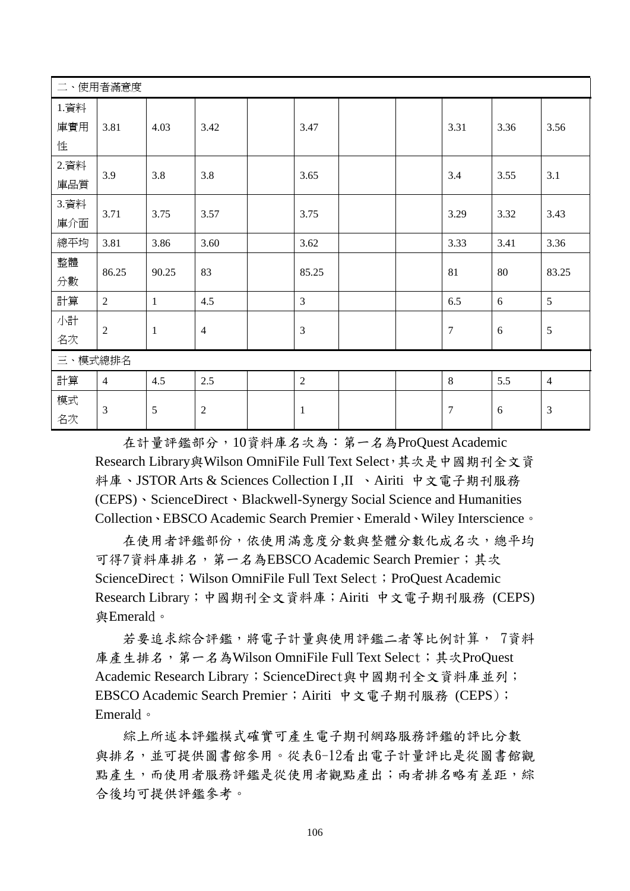|                  | 二、使用者滿意度       |              |                |  |                |  |  |        |      |                |
|------------------|----------------|--------------|----------------|--|----------------|--|--|--------|------|----------------|
| 1.資料<br>庫實用<br>性 | 3.81           | 4.03         | 3.42           |  | 3.47           |  |  | 3.31   | 3.36 | 3.56           |
| 2.資料<br>庫品質      | 3.9            | 3.8          | 3.8            |  | 3.65           |  |  | 3.4    | 3.55 | 3.1            |
| 3.資料<br>庫介面      | 3.71           | 3.75         | 3.57           |  | 3.75           |  |  | 3.29   | 3.32 | 3.43           |
| 總平均              | 3.81           | 3.86         | 3.60           |  | 3.62           |  |  | 3.33   | 3.41 | 3.36           |
| 整體<br>分數         | 86.25          | 90.25        | 83             |  | 85.25          |  |  | 81     | 80   | 83.25          |
| 計算               | 2              | $\mathbf{1}$ | 4.5            |  | $\overline{3}$ |  |  | 6.5    | 6    | 5              |
| 小計<br>名次         | $\overline{2}$ | $\mathbf{1}$ | $\overline{4}$ |  | 3              |  |  | $\tau$ | 6    | $\overline{5}$ |
| 三、模式總排名          |                |              |                |  |                |  |  |        |      |                |
| 計算               | $\overline{4}$ | 4.5          | 2.5            |  | $\overline{2}$ |  |  | 8      | 5.5  | $\overline{4}$ |
| 模式<br>名次         | 3              | 5            | $\mathbf{2}$   |  | $\mathbf{1}$   |  |  | $\tau$ | 6    | 3              |

在計量評鑑部分,10資料庫名次為:第一名為ProQuest Academic Research Library與Wilson OmniFile Full Text Select,其次是中國期刊全文資 料庫、JSTOR Arts & Sciences Collection I ,II 、Airiti 中文電子期刊服務 (CEPS)、ScienceDirect、Blackwell-Synergy Social Science and Humanities Collection、EBSCO Academic Search Premier、Emerald、Wiley Interscience。

在使用者評鑑部份,依使用滿意度分數與整體分數化成名次,總平均 可得7資料庫排名,第一名為EBSCO Academic Search Premier;其次 ScienceDirect; Wilson OmniFile Full Text Select; ProQuest Academic Research Library;中國期刊全文資料庫;Airiti 中文電子期刊服務 (CEPS) 與Emerald。

若要追求綜合評鑑,將電子計量與使用評鑑二者等比例計算, 7資料 庫產生排名,第一名為Wilson OmniFile Full Text Select;其次ProQuest Academic Research Library; ScienceDirect與中國期刊全文資料庫並列; EBSCO Academic Search Premier; Airiti 中文電子期刊服務 (CEPS); Emerald。

綜上所述本評鑑模式確實可產生電子期刊網路服務評鑑的評比分數 與排名,並可提供圖書館參用。從表6-12看出電子計量評比是從圖書館觀 點產生,而使用者服務評鑑是從使用者觀點產出;兩者排名略有差距,綜 合後均可提供評鑑參考。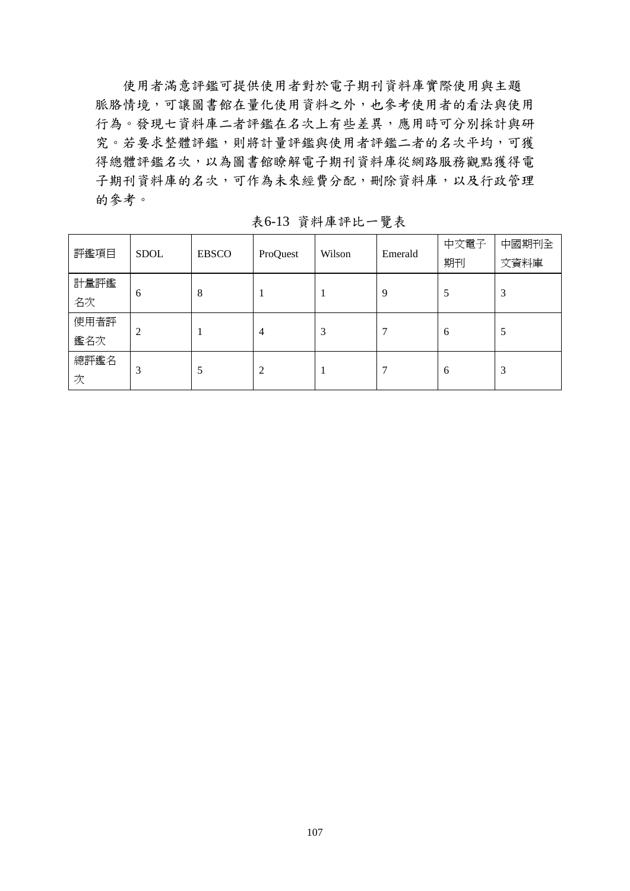使用者滿意評鑑可提供使用者對於電子期刊資料庫實際使用與主題 脈胳情境,可讓圖書館在量化使用資料之外,也參考使用者的看法與使用 行為。發現七資料庫二者評鑑在名次上有些差異,應用時可分別採計與研 究。若要求整體評鑑,則將計量評鑑與使用者評鑑二者的名次平均,可獲 得總體評鑑名次,以為圖書館瞭解電子期刊資料庫從網路服務觀點獲得電 子期刊資料庫的名次,可作為未來經費分配,刪除資料庫,以及行政管理 的參考。

| 評鑑項目        | <b>SDOL</b> | <b>EBSCO</b> | ProQuest       | Wilson | Emerald | 中文電子<br>期刊 | 中國期刊全<br>文資料庫 |
|-------------|-------------|--------------|----------------|--------|---------|------------|---------------|
| 計量評鑑<br>名次  | 6           | 8            |                |        | 9       | 5          | 3             |
| 使用者評<br>鑑名次 | 2           |              | $\overline{4}$ | 3      | ⇁       | 6          | 5             |
| 總評鑑名<br>次   | 3           | 5            | 2              |        | ⇁       | 6          | 3             |

表6-13 資料庫評比一覽表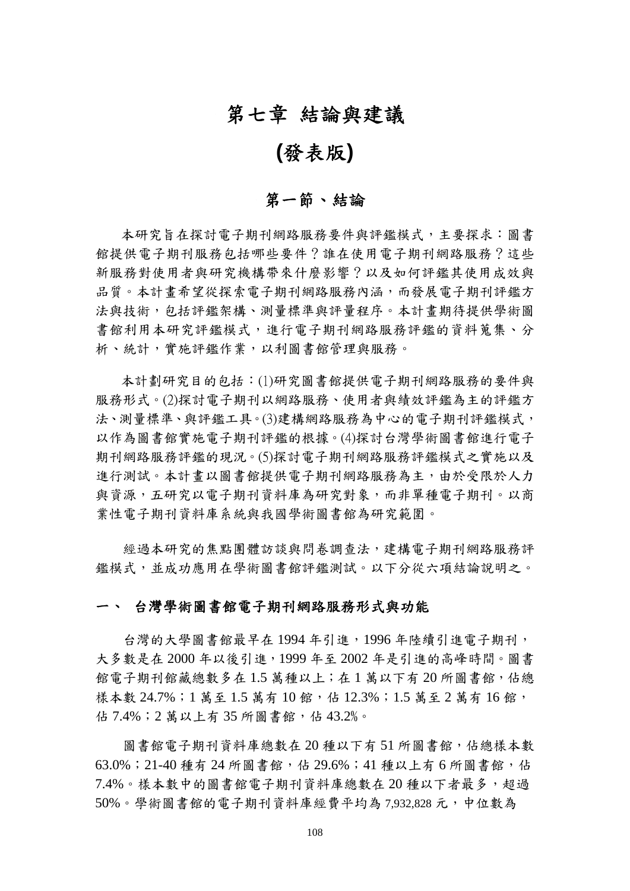# 第七章 結論與建議

# **(**發表版**)**

# 第一節、結論

本研究旨在探討電子期刊網路服務要件與評鑑模式,主要探求:圖書 館提供電子期刊服務?這些 新服務對使用者與研究機構帶來什麼影響?以及如何評鑑其使用成效與 品質。本計書希望從探索電子期刊網路服務內涵,而發展電子期刊評鑑方 法與技術,包括評鑑架構、測量標準與評量程序。本計書期待提供學術圖 書館利用本研究評編模式,進行電子期刊網路服務評鑑的資料蒐集、分 析、統計,實施評鑑作業,以利圖書館管理與服務。

本計劃研究目的包括:(1)研究圖書館提供電子期刊網路服務的要件與 服務形式。(2)探討電子期刊以網路服務、使用者與績效評鑑為主的評鑑方 法、測量標準、與評鑑工具。(3)建構網路服務為中心的電子期刊評鑑模式, 以作為圖書館實施電子期刊評鑑的根據。(4)探討台灣學術圖書館進行電子 期刊網路服務評鑑的現況。(5)探討電子期刊網路服務評鑑模式之實施以及 進行測試。本計書以圖書館提供電子期刊網路服務為主,由於受限於人力 與資源,五研究以電子期刊資料庫為研究對象,而非單種電子期刊。以商 業性電子期刊資料庫系統與我國學術圖書館為研究範圍。

經過本研究的焦點團體訪談與問卷調查法,建構電子期刊網路服務評 鑑模式,並成功應用在學術圖書館評鑑測試。以下分從六項結論說明之。

#### 一、 台灣學術圖書館電子期刊網路服務形式與功能

台灣的大學圖書館最早在1994年引進,1996年陸續引進電子期刊, 大多數是在 2000 年以後引進,1999 年至 2002 年是引進的高峰時間。圖書 館電子期刊館藏總數多在1.5萬種以上;在1萬以下有20所圖書館,佔總 樣本數 24.7%;1 萬至 1.5 萬有 10 館,估 12.3%;1.5 萬至 2 萬有 16 館, 佔 7.4%;2 萬以上有 35 所圖書館,佔 43.2%。

圖書館電子期刊資料庫總數在20種以下有51所圖書館,佔總樣本數 63.0%; 21-40 種有 24 所圖書館,佔 29.6%; 41 種以上有 6 所圖書館,佔 7.4%。樣本數中的圖書館電子期刊資料庫總數在 20 種以下者最多,超過 50%。學術圖書館的電子期刊資料庫經費平均為 7,932,828 元,中位數為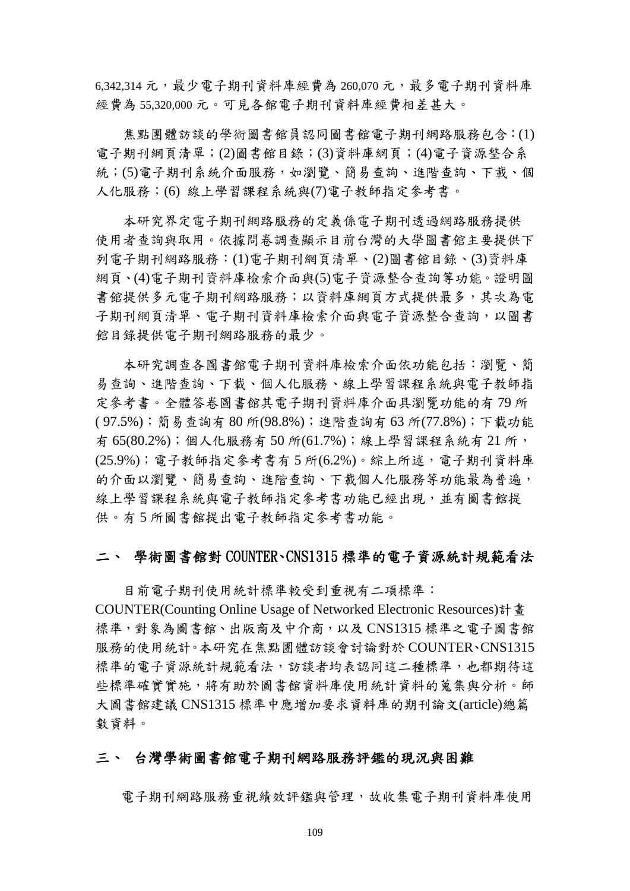$6.342.314$  元, 最少電子期刊資料庫經費為 260.070 元, 最多電子期刊資料庫 經費為 55,320,000 元。可見各館電子期刊資料庫經費相差甚大。

焦點團體訪談的學術圖書館員認同圖書館電子期刊網路服務包含:(1) 電子期刊網頁清單;(2)圖書館目錄;(3)資料庫網頁;(4)電子資源整合系 統;(5)電子期刊系統介面服務,如瀏覽、簡易查詢、進階查詢、下載、個 人化服務;(6) 線上學習課程系統與(7)電子教師指定參考書。

本研究界定電子期刊網路服務的定義係電子期刊透過網路服務提供 使用者查詢與取用。依據問卷調查顯示目前台灣的大學圖書館主要提供下 列電子期刊網路服務:(1)電子期刊網頁清單、(2)圖書館目錄、(3)資料庫 網頁、(4)電子期刊資料庫檢索介面與(5)電子資源整合查詢等功能。證明圖 書館提供多元電子期刊網路服務;以資料庫網頁方式提供最多,其次為電 子期刊網頁清單、電子期刊資料庫檢索介面與電子資源整合查詢,以圖書 館目錄提供電子期刊網路服務的最少。

本研究調查各圖書館電子期刊資料庫檢索介面依功能包括:瀏覽、簡 易查詢、進階查詢、下載、個人化服務、線上學習課程系統與電子教師指 定參考書。全體答卷圖書館其電子期刊資料庫介面具瀏覽功能的有 79 所 ( 97.5%);簡易查詢有 80 所(98.8%);進階查詢有 63 所(77.8%);下載功能 有 65(80.2%);個人化服務有 50 所(61.7%);線上學習課程系統有 21 所, (25.9%);電子教師指定參考書有 5 所(6.2%)。綜上所述,電子期刊資料庫 的介面以瀏覽、簡易查詢、進階查詢、下載個人化服務等功能最為普遍, 線上學習課程系統與電子教師指定參考書功能已經出現,並有圖書館提 供。有 5 所圖書館提出電子教師指定參考書功能。

### 二、 學術圖書館對 COUNTER、CNS1315 標準的電子資源統計規範看法

目前電子期刊使用統計標準較受到重視有二項標準: COUNTER(Counting Online Usage of Networked Electronic Resources)計畫 標準,對象為圖書館、出版商及中介商,以及 CNS1315 標準之電子圖書館 服務的使用統計。本研究在焦點團體訪談會討論對於 COUNTER、CNS1315 標準的電子資源統計規範看法,訪談者均表認同這二種標準,也都期待這 些標準確實實施,將有助於圖書館資料庫使用統計資料的蒐集與分析。師 大圖書館建議 CNS1315 標準中應增加要求資料庫的期刊論文(article)總篇 數資料。

### 三、 台灣學術圖書館電子期刊網路服務評鑑的現況與困難

電子期刊網路服務重視績效評鑑與管理,故收集電子期刊資料庫使用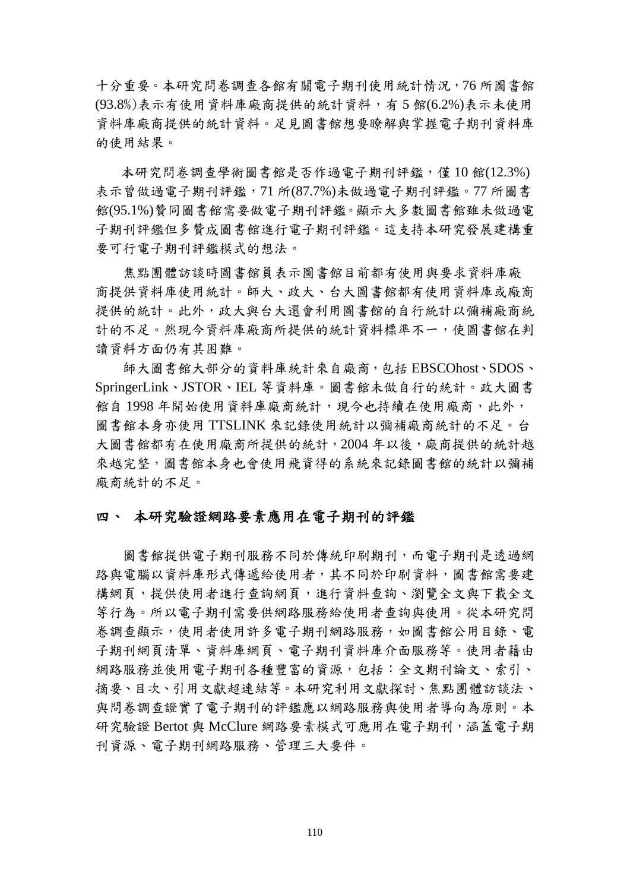十分重要。本研究問卷調查各館有關電子期刊使用統計情況,76 所圖書館 (93.8%)表示有使用資料庫廠商提供的統計資料,有 5 館(6.2%)表示未使用 資料庫廠商提供的統計資料。足見圖書館想要瞭解與掌握電子期刊資料庫 的使用結果。

本研究問卷調查學術圖書館是否作過電子期刊評鑑,僅10館(12.3%) 表示曾做過電子期刊評鑑,71 所(87.7%)未做過電子期刊評鑑。77 所圖書 館(95.1%)贊同圖書館需要做電子期刊評鑑。顯示大多數圖書館雖未做過電 子期刊評鑑但多贊成圖書館進行電子期刊評鑑。這支持本研究發展建構重 要可行電子期刊評鑑模式的想法。

焦點團體訪談時圖書館員表示圖書館目前都有使用與要求資料庫廠 商提供資料庫使用統計。師大、政大、台大圖書館都有使用資料庫或廠商 提供的統計。此外,政大與台大還會利用圖書館的自行統計以彌補廠商統 計的不足。然現今資料庫廠商所提供的統計資料標準不一,使圖書館在判 讀資料方面仍有其困難。

師大圖書館大部分的資料庫統計來自廠商,包括 EBSCOhost、SDOS、 SpringerLink、JSTOR、IEL 等資料庫。圖書館未做自行的統計。政大圖書 館自1998年開始使用資料庫廠商統計,現今也持續在使用廠商,此外, 圖書館本身亦使用 TTSLINK 來記錄使用統計以彌補廠商統計的不足。台 大圖書館都有在使用廠商所提供的統計,2004 年以後,廠商提供的統計越 來越宗整,圖書館本身也會使用飛資得的系統來記錄圖書館的統計以彌補 廠商統計的不足。

### 四、 本研究驗證網路要素應用在電子期刊的評鑑

圖書館提供電子期刊服務不同於傳統印刷期刊,而電子期刊是透過網 路與電腦以資料庫形式傳遞給使用者,其不同於印刷資料,圖書館需要建 構網頁,提供使用者進行查詢網頁,進行資料查詢、瀏覽全文與下載全文 等行為。所以電子期刊需要供網路服務給使用者查詢與使用。從本研究問 卷調查顯示,使用者使用許多電子期刊網路服務,如圖書館公用目錄、電 子期刊網頁清單、資料庫網頁、電子期刊資料庫介面服務等。使用者藉由 網路服務並使用電子期刊各種豐富的資源,包括:全文期刊論文、索引、 摘要、目次、引用文獻超連結等。本研究利用文獻探討、焦點團體訪談法、 與問卷調查證實了電子期刊的評鑑應以網路服務與使用者導向為原則。本 研究驗證 Bertot 與 McClure 網路要素模式可應用在電子期刊,涵蓋電子期 刊資源、電子期刊網路服務、管理三大要件。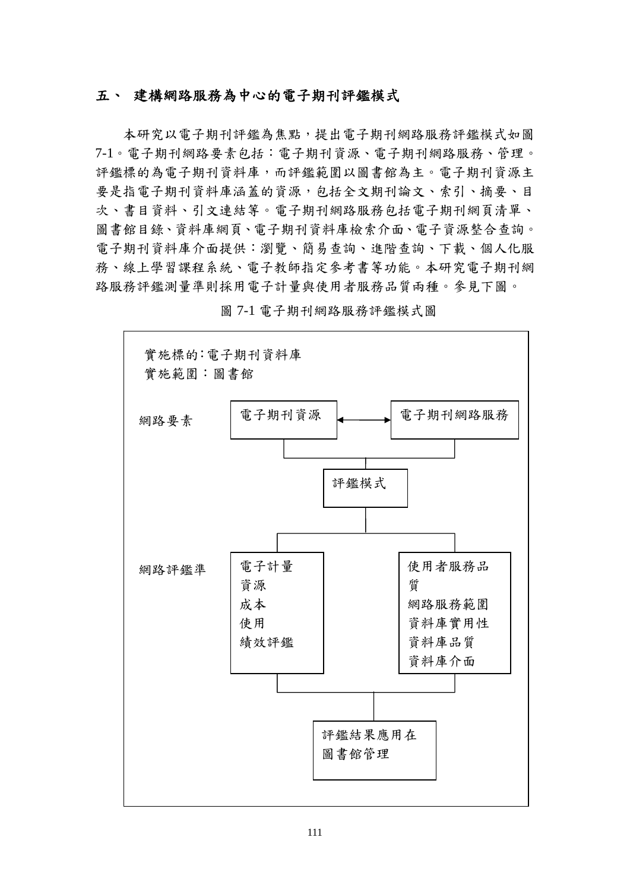### 五、 建構網路服務為中心的電子期刊評鑑模式

本研究以電子期刊課為焦點,提出電子期刊網路服務評鑑模式如圖 7-1。電子期刊網路要素包括:電子期刊資源、電子期刊網路服務、管理。 評鑑標的為電子期刊資料庫,而評鑑範圍以圖書館為主。電子期刊資源主 要是指電子期刊資料庫涵蓋的資源,包括全文期刊論文、索引、摘要、目 次、書目資料、引文連結等。電子期刊網路服務包括電子期刊網頁清單、 圖書館目錄、資料庫網頁、電子期刊資料庫檢索介面、電子資源整合查詢。 電子期刊資料庫介面提供:瀏覽、簡易查詢、進階查詢、下載、個人化服 務、線上學習課程系統、電子教師指定參考書等功能。本研究電子期刊網 路服務評鑑測量準則採用電子計量與使用者服務品質兩種。參見下圖。



圖 7-1 電子期刊網路服務評鑑模式圖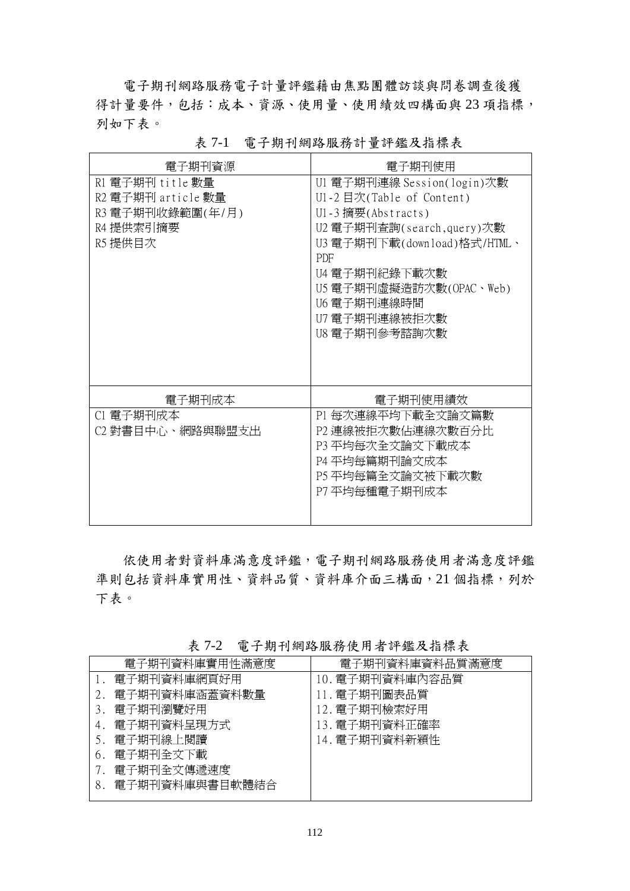電子期刊網路服務電子計量評鑑藉由焦點團體訪談與問卷調查後獲 得計量要件,包括:成本、資源、使用量、使用績效四構面與 23 項指標, 列如下表。

| 電子期刊資源                                                                             | 電子期刊使用                                                                                                                                                                                                                                           |
|------------------------------------------------------------------------------------|--------------------------------------------------------------------------------------------------------------------------------------------------------------------------------------------------------------------------------------------------|
| R1 電子期刊 title 數量<br>R2 電子期刊 article 數量<br>R3 電子期刊收錄範圍(年/月)<br>R4 提供索引摘要<br>R5 提供目次 | U1 電子期刊連線 Session(login)次數<br>U1-2 目次(Table of Content)<br>U1-3 摘要 $(Abstracts)$<br>U2 電子期刊查詢(search,query)次數<br>U3 電子期刊下載(download)格式/HTML、<br>PDF<br>U4 電子期刊紀錄下載次數<br>U5 電子期刊虛擬造訪次數(OPAC、Web)<br>U6 電子期刊連線時間<br>U7 電子期刊連線被拒次數<br>U8 電子期刊參考諮詢次數 |
| 電子期刊成本                                                                             | 電子期刊使用績效                                                                                                                                                                                                                                         |
| C1 電子期刊成本<br>C2 對書目中心、網路與聯盟支出                                                      | P1 每次連線平均下載全文論文篇數<br>P2 連線被拒次數佔連線次數百分比<br>P3 平均每次全文論文下載成本<br>P4 平均每篇期刊論文成本<br>P5 平均每篇全文論文被下載次數<br>P7 平均每種電子期刊成本                                                                                                                                  |

表 7-1 電子期刊網路服務計量評鑑及指標表

依使用者對資料庫滿意度評鑑,電子期刊網路服務使用者滿意度評鑑 準則包括資料庫實用性、資料品質、資料庫介面三構面,21個指標,列於 下表。

表 7-2 電子期刊網路服務使用者評鑑及指標表

|    | 電子期刊資料庫實用性滿意度  | 電子期刊資料庫資料品質滿意度  |
|----|----------------|-----------------|
|    | 電子期刊資料庫網頁好用    | 10. 電子期刊資料庫內容品質 |
|    | 電子期刊資料庫涵蓋資料數量  | 11. 電子期刊圖表品質    |
|    | 電子期刊瀏覽好用       | 12. 電子期刊檢索好用    |
| 4. | 電子期刊資料呈現方式     | 13. 電子期刊資料正確率   |
|    | 電子期刊線上閱讀       | 14. 電子期刊資料新穎性   |
| 6. | 電子期刊全文下載       |                 |
|    | 電子期刊全文傳遞速度     |                 |
|    | 電子期刊資料庫與書目軟體結合 |                 |
|    |                |                 |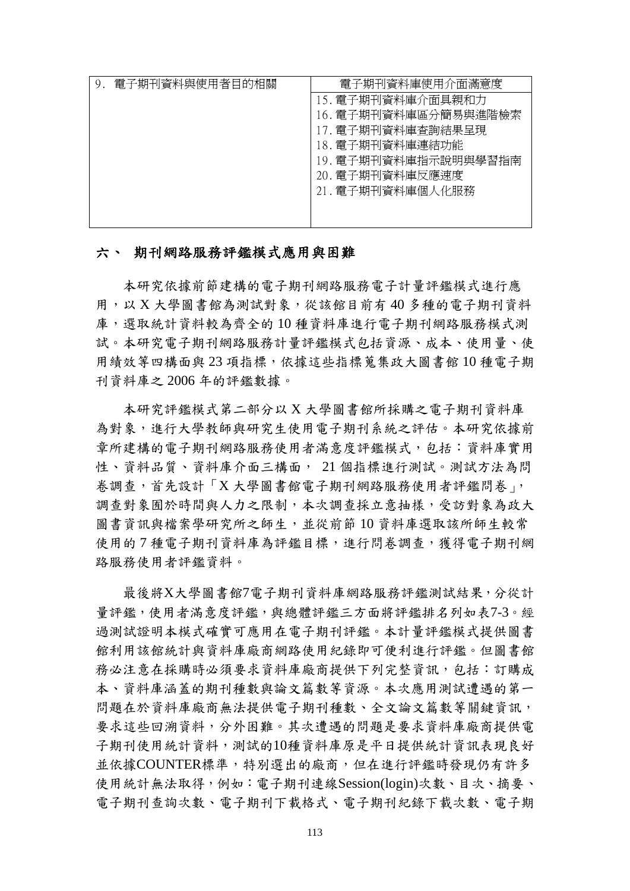| 電子期刊資料與使用者目的相關 | 電子期刊資料庫使用介面滿意度                                                                 |
|----------------|--------------------------------------------------------------------------------|
|                | 15. 電子期刊資料庫介面具親和力<br>16. 電子期刊資料庫區分簡易與進階檢索<br>17. 電子期刊資料庫查詢結果呈現                 |
|                | 18. 電子期刊資料庫連結功能<br>19. 電子期刊資料庫指示說明與學習指南<br>20. 電子期刊資料庫反應速度<br>21. 電子期刊資料庫個人化服務 |

### 六、 期刊網路服務評鑑模式應用與困難

本研究依據前節建構的電子期刊網路服務電子計量評鑑模式進行應 用,以 X 大學圖書館為測試對象,從該館目前有 40 多種的電子期刊資料 庫,選取統計資料較為齊全的10種資料庫進行電子期刊網路服務模式測 試。本研究電子期刊網路服務計量評鑑模式包括資源、成本、使用量、使 用績效等四構面與 23 項指標,依據這些指標蒐集政大圖書館 10 種電子期 刊資料庫之 2006 年的評鑑數據。

本研究評鑑模式第二部分以 X 大學圖書館所採購之電子期刊資料庫 為對象,進行大學教師與研究生使用電子期刊系統之評估。本研究依據前 章所建構的電子期刊網路服務使用者滿意度評鑑模式,包括:資料庫實用 性、資料品質、資料庫介面三構面, 21個指標進行測試。測試方法為問 卷調查,首先設計「X 大學圖書館電子期刊網路服務使用者評鑑問卷」, 調查對象囿於時間與人力之限制,本次調查採立意抽樣,受訪對象為政大 圖書資訊與檔案學研究所之師生,並從前節10 資料庫選取該所師生較常 使用的7種電子期刊資料庫為評鑑目標,進行問卷調查,獲得電子期刊網 路服務使用者評鑑資料。

最後將X大學圖書館7電子期刊資料庫網路服務評鑑測試結果,分從計 量評鑑,使用者滿意度評鑑,與總體評鑑三方面將評鑑排名列如表7-3。經 過測試證明本模式確實可應用在電子期刊評鑑。本計量評鑑模式提供圖書 館利用該館統計與資料庫廠商網路使用紀錄即可便利進行評鑑。但圖書館 務必注意在採購時必須要求資料庫廠商提供下列完整資訊,包括:訂購成 本、資料庫涵蓋的期刊種數與論文篇數等資源。本次應用測試遭遇的第一 問題在於資料庫廠商無法提供電子期刊種數、全文論文篇數等關鍵資訊, 要求這些回溯資料,分外困難。其次遭遇的問題是要求資料庫廠商提供電 子期刊使用統計資料,測試的10種資料庫原是平日提供統計資訊表現良好 並依據COUNTER標準,特別選出的廠商,但在進行評鑑時發現仍有許多 使用統計無法取得,例如:電子期刊連線Session(login)次數、目次、摘要、 電子期刊查詢次數、電子期刊下載格式、電子期刊紀錄下載次數、電子期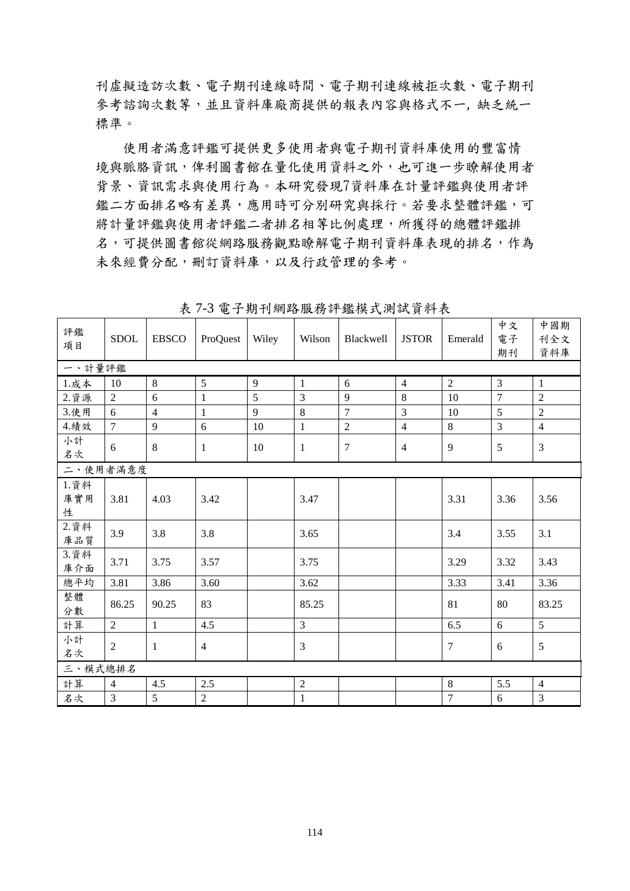刊虛擬造訪次數、電子期刊連線時間、電子期刊連線被拒次數、電子期刊 參考諮詢次數等,並且資料庫廠商提供的報表內容與格式不一, 缺乏統一 標準。

使用者滿意評鑑可提供更多使用者與電子期刊資料庫使用的豐富情 境與脈胳資訊,俾利圖書館在量化使用資料之外,也可進一步瞭解使用者 背景、資訊需求與使用行為。本研究發現7資料庫在計量評鑑與使用者評 鑑二方面排名略有差異,應用時可分別研究與採行。若要求整體評鑑,可 將計量評鑑與使用者評鑑二者排名相等比例處理,所獲得的總體評鑑排 名,可提供圖書館從網路服務觀點瞭解電子期刊資料庫表現的排名,作為 未來經費分配,刪訂資料庫,以及行政管理的參考。

| 評鑑<br>項目          | <b>SDOL</b>    | <b>EBSCO</b>   | ProQuest       | Wiley | Wilson         | Blackwell      | <b>JSTOR</b>   | Emerald        | 中文<br>電子<br>期刊 | 中國期<br>刊全文<br>資料庫 |
|-------------------|----------------|----------------|----------------|-------|----------------|----------------|----------------|----------------|----------------|-------------------|
| 一、計量評鑑            |                |                |                |       |                |                |                |                |                |                   |
| $1.$ 成本           | 10             | $\,8\,$        | 5              | 9     | $\mathbf{1}$   | 6              | $\overline{4}$ | $\overline{2}$ | 3              | $\mathbf{1}$      |
| 2. 資源             | $\overline{2}$ | 6              | $\mathbf{1}$   | 5     | $\overline{3}$ | 9              | 8              | 10             | $\overline{7}$ | $\overline{2}$    |
| 3.使用              | 6              | $\overline{4}$ | $\mathbf{1}$   | 9     | $8\,$          | $\overline{7}$ | 3              | 10             | 5              | $\overline{2}$    |
| 4.績效              | $\overline{7}$ | 9              | 6              | 10    | $\mathbf{1}$   | $\overline{2}$ | $\overline{4}$ | 8              | $\overline{3}$ | $\overline{4}$    |
| 小計<br>名次          | 6              | 8              | 1              | 10    | 1              | $\overline{7}$ | $\overline{4}$ | 9              | 5              | $\overline{3}$    |
| 二、使用者滿意度          |                |                |                |       |                |                |                |                |                |                   |
| 1. 資料<br>庫實用<br>性 | 3.81           | 4.03           | 3.42           |       | 3.47           |                |                | 3.31           | 3.36           | 3.56              |
| 2. 資料<br>庫品質      | 3.9            | 3.8            | 3.8            |       | 3.65           |                |                | 3.4            | 3.55           | 3.1               |
| 3. 資料<br>庫介面      | 3.71           | 3.75           | 3.57           |       | 3.75           |                |                | 3.29           | 3.32           | 3.43              |
| 總平均               | 3.81           | 3.86           | 3.60           |       | 3.62           |                |                | 3.33           | 3.41           | 3.36              |
| 整體<br>分數          | 86.25          | 90.25          | 83             |       | 85.25          |                |                | 81             | 80             | 83.25             |
| 計算                | $\sqrt{2}$     | $\mathbf{1}$   | 4.5            |       | 3              |                |                | 6.5            | 6              | 5                 |
| 小計<br>名次          | $\sqrt{2}$     | $\mathbf{1}$   | $\overline{4}$ |       | 3              |                |                | $\overline{7}$ | 6              | 5                 |
| 三、模式總排名           |                |                |                |       |                |                |                |                |                |                   |
| 計算                | $\overline{4}$ | 4.5            | 2.5            |       | $\overline{2}$ |                |                | 8              | 5.5            | $\overline{4}$    |
| 名次                | $\mathfrak{Z}$ | 5              | $\overline{2}$ |       | $\mathbf{1}$   |                |                | $\tau$         | 6              | $\mathfrak{Z}$    |

表 7-3 電子期刊網路服務評鑑模式測試資料表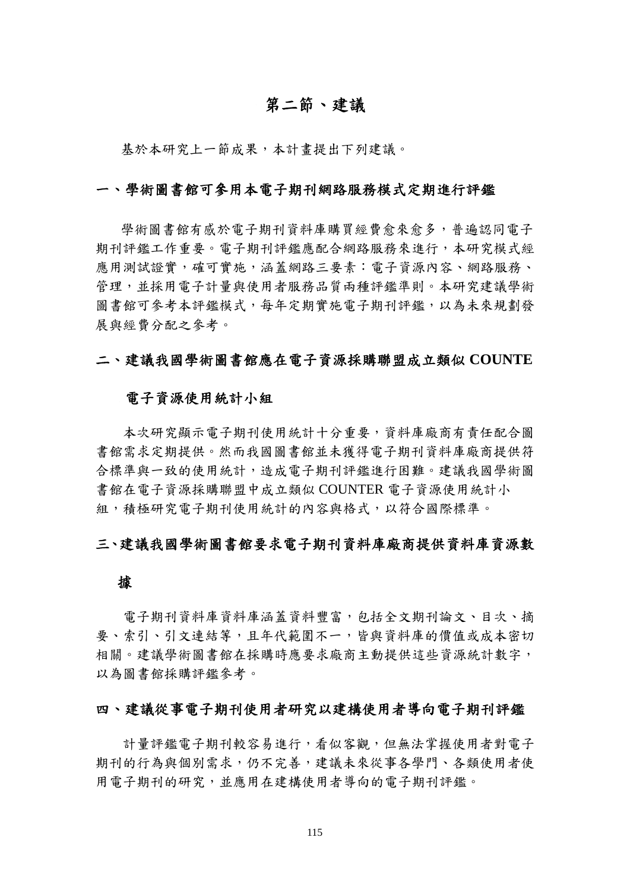# 第二節、建議

基於本研究上一節成果,本計畫提出下列建議。

#### 一、學術圖書館可參用本電子期刊網路服務模式定期進行評鑑

學術圖書館有感於電子期刊資料庫購買經費愈來愈多,普遍認同電子 期刊評鑑工作重要。電子期刊評鑑應配合網路服務來進行,本研究模式經 應用測試證實,確可實施,涵蓋網路三要素:電子資源內容、網路服務、 管理,並採用電子計量與使用者服務品質兩種評鑑準則。本研究建議學術 圖書館可參考本評鑑模式,每年定期實施電子期刊評鑑,以為未來規劃發 展與經費分配之參考。

#### 二、建議我國學術圖書館應在電子資源採購聯盟成立類似 **COUNTE**

#### 電子資源使用統計小組

 本次研究顯示電子期刊使用統計十分重要,資料庫廠商有責任配合圖 書館需求定期提供。然而我國圖書館並未獲得電子期刊資料庫廠商提供符 合標準與一致的使用統計,造成電子期刊評鑑進行困難。建議我國學術圖 書館在電子資源採購聯盟中成立類似 COUNTER 電子資源使用統計小 組,積極研究電子期刊使用統計的內容與格式,以符合國際標準。

### 三、建議我國學術圖書館要求電子期刊資料庫廠商提供資料庫資源數

#### 據

 電子期刊資料庫資料庫涵蓋資料豐富,包括全文期刊論文、目次、摘 要、索引、引文連結等,且年代範圍不一,皆與資料庫的價值或成本密切 相關。建議學術圖書館在採購時應要求廠商主動提供這些資源統計數字, 以為圖書館採購評鑑參考。

### 四、建議從事電子期刊使用者研究以建構使用者導向電子期刊評鑑

計量評鑑電子期刊較容易進行,看似客觀,但無法掌握使用者對電子 期刊的行為與個別需求,仍不完善,建議未來從事各學門、各類使用者使 用電子期刊的研究,並應用在建構使用者導向的電子期刊評鑑。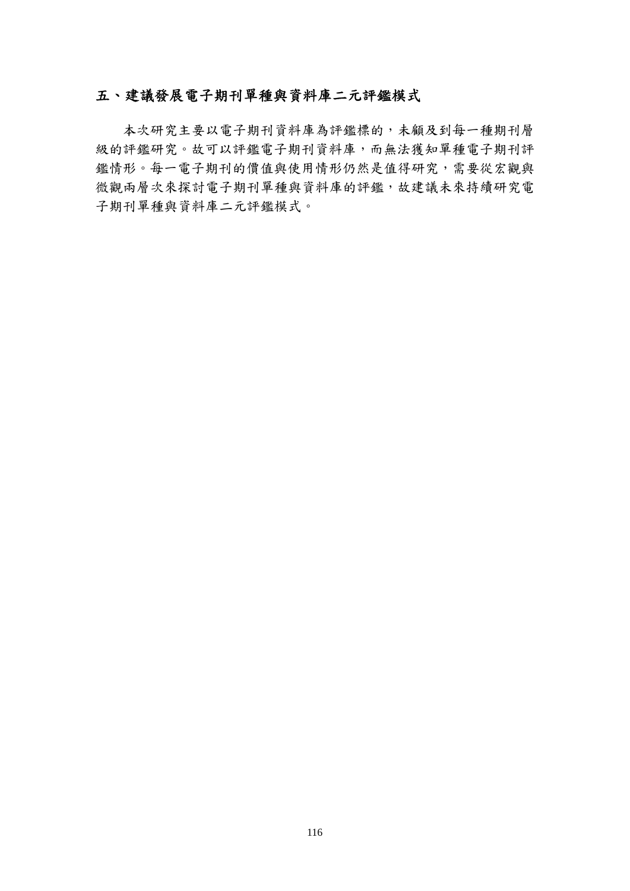# 五、建議發展電子期刊單種與資料庫二元評鑑模式

 本次研究主要以電子期刊資料庫為評鑑標的,未顧及到每一種期刊層 級的評鑑研究。故可以評鑑電子期刊資料庫,而無法獲知單種電子期刊評 鑑情形。每一電子期刊的價值與使用情形仍然是值得研究,需要從宏觀與 微觀兩層次來探討電子期刊單種與資料庫的評鑑,故建議未來持續研究電 子期刊單種與資料庫二元評鑑模式。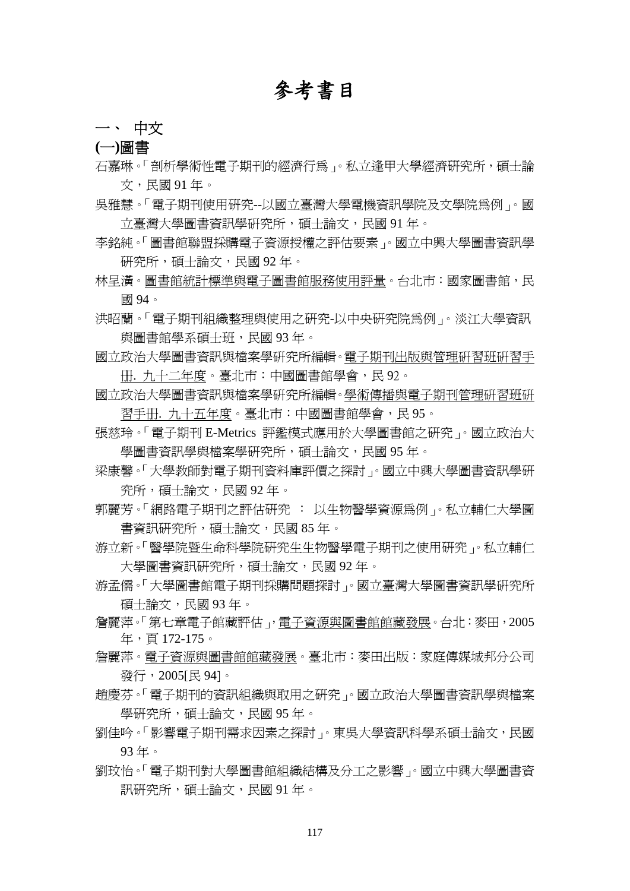# 參考書目

## 一、 中文

**(**一**)**圖書

石嘉琳。「剖析學術性電子期刊的經濟行為」。私立逢甲大學經濟研究所,碩士論 文,民國 91 年。

- 吳雅慧。「電子期刊使用研究--以國立臺灣大學電機資訊學院及文學院為例」。國 立臺灣大學圖書資訊學硏究所,碩士論文,民國 91年。
- 李銘純。「圖書館聯盟採購電子資源授權之評估要素」。國立中興大學圖書資訊學 研究所,碩士論文,民國92年。
- 林呈潢。圖書館統計標準與電子圖書館服務使用評量。台北市:國家圖書館,民 國 94。
- 洪昭蘭。「電子期刊組織整理與使用之研究-以中央研究院為例」。淡江大學資訊 與圖書館學系碩十班,民國 93年。
- 國立政治大學圖書資訊與檔案學硏究所編輯。電子期刊出版與管理硏習班硏習手 册. 九十二年度。臺北市:中國圖書館學會,民 92。
- 國立政治大學圖書資訊與檔案學硏究所編輯。學術傳播與電子期刊管理硏習班硏 習手册. 九十五年度。臺北市:中國圖書館學會,民 95。
- 張慈玲。「電子期刊 E-Metrics 評鑑模式應用於大學圖書館之研究」。國立政治大 學圖書資訊學與檔案學研究所,碩士論文,民國 95年。
- 梁康馨。「大學教師對電子期刊資料庫評價之探討」。國立中興大學圖書資訊學研 究所,碩士論文,民國 92年。
- 郭麗芳。「網路電子期刊之評估研究 : 以生物醫學資源為例」。私立輔仁大學圖 書資訊研究所,碩士論文,民國 85年。
- 游立新。「醫學院暨生命科學院研究生生物醫學電子期刊之使用研究」。私立輔仁 大學圖書資訊研究所,碩士論文,民國 92年。
- 游孟儒。「大學圖書館電子期刊採購問題探討」。國立臺灣大學圖書資訊學硏究所 碩士論文,民國 93 年。
- 詹麗萍。「第七章電子館藏評估」,電子資源與圖書館館藏發展。台北:麥田,2005 年,頁 172-175。
- 詹麗萍。電子資源與圖書館館藏發展。臺北市:麥田出版:家庭傳媒城邦分公司 發行,2005[民 94]。
- 趙慶芬。「電子期刊的資訊組織與取用之研究」。國立政治大學圖書資訊學與檔案 學研究所,碩士論文,民國 95年。
- 劉佳吟。「影響電子期刊需求因素之探討」。東吳大學資訊科學系碩士論文,民國 93 年。
- 劉玟怡。「電子期刊對大學圖書館組織結構及分工之影響」。國立中興大學圖書資 訊研究所,碩士論文,民國 91年。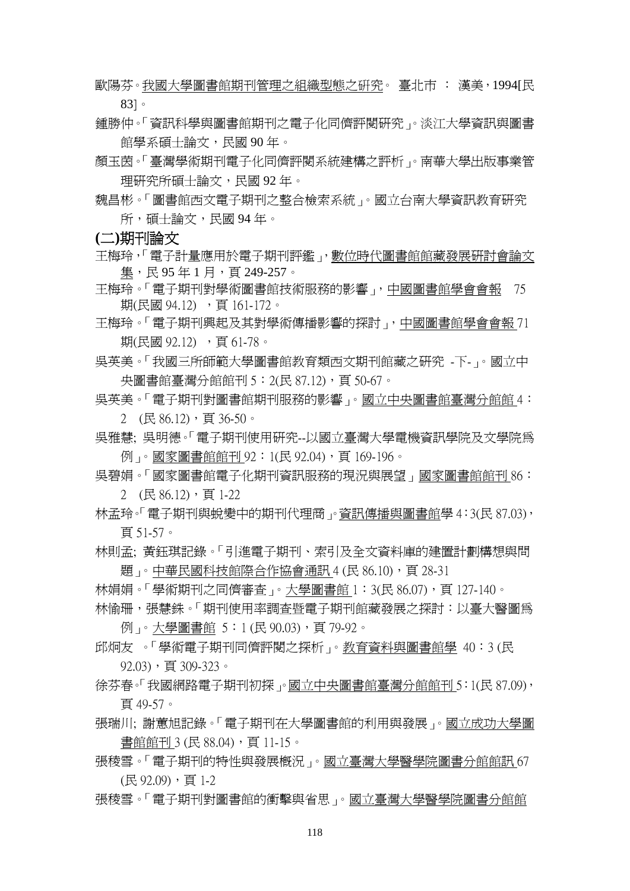- 歐陽芬。我國大學圖書館期刊管理之組織型態之硏究。 臺北市 : 漢美,1994[民 83]。
- 鍾勝仲。「資訊科學與圖書館期刊之電子化同儕評閱研究」。淡江大學資訊與圖書 館學系碩士論文,民國 90 年。
- 顏玉茵。「臺灣學術期刊電子化同儕評閱系統建構之評析」。南華大學出版事業管 理研究所碩士論文,民國 92 年。
- 魏昌彬。「圖書館西文電子期刊之整合檢索系統」。國立台南大學資訊教育研究 所,碩十論文,民國 94年。

**(**二**)**期刊論文

- 王梅玲,「電子計量應用於電子期刊評鑑」,數位時代圖書館館藏發展研討會論文 集,民 95年1月,百249-257。
- 王梅玲。「電子期刊對學術圖書館技術服務的影響」,中國圖書館學會會報 75 期(民國 94.12) ,頁 161-172。
- 王梅玲。「電子期刊興起及其對學術傳播影響的探討」,中國圖書館學會會報 71 期(民國 92.12), 百 61-78。
- 吳英美。「我國三所師範大學圖書館教育類西文期刊館藏之研究 -下-」。國立中 央圖書館臺灣分館館刊 5: 2(民 87.12), 頁 50-67。
- 吳英美。「電子期刊對圖書館期刊服務的影響」。國立中央圖書館臺灣分館館 4:  $2$  (民 86.12), 頁 36-50。
- 吳雅慧; 吳明德。「電子期刊使用研究--以國立臺灣大學電機資訊學院及文學院為 例」。國家圖書館館刊 92:1(民 92.04), 頁 169-196。
- 吳碧娟。「國家圖書館電子化期刊資訊服務的現況與展望」國家圖書館館刊 86:
	- $2$  (民 86.12), 頁 1-22
- 林孟玲。「電子期刊與蛻變中的期刊代理商」。資訊傳播與圖書館學 4:3(民 87.03), 頁 51-57。
- 林則孟; 黃鈺琪記錄。「引進電子期刊、索引及全文資料庫的建置計劃構想與問 題」。中華民國科技館際合作協會通訊 4 (民 86.10),頁 28-31
- 林娟娟。「學術期刊之同儕審杳」。大學圖書館 1:3(民 86.07),頁 127-140。
- 林愉珊,張慧銖。「期刊使用率調查暨電子期刊館藏發展之探討:以臺大醫圖爲 例」。大學圖書館 5:1 (民 90.03),頁 79-92。
- 邱炯友 。「學術電子期刊同儕評閱之探析」。教育資料與圖書館學 40:3 (民  $92.03)$ , 頁 309-323。
- 徐芬春。「我國網路電子期刊初探」。國立中央圖書館臺灣分館館刊 5:1(民 87.09), 頁 49-57。
- 張瑞川; 謝蕙旭記錄。「電子期刊在大學圖書館的利用與發展」。國立成功大學圖 書館館刊 3 (民 88.04),頁 11-15。
- 張稜雪。「電子期刊的特性與發展概況」。國立臺灣大學醫學院圖書分館館訊 67 (民 92.09), 頁 1-2
- 張稜雪。「電子期刊對圖書館的衝擊與省思」。國立臺灣大學醫學院圖書分館館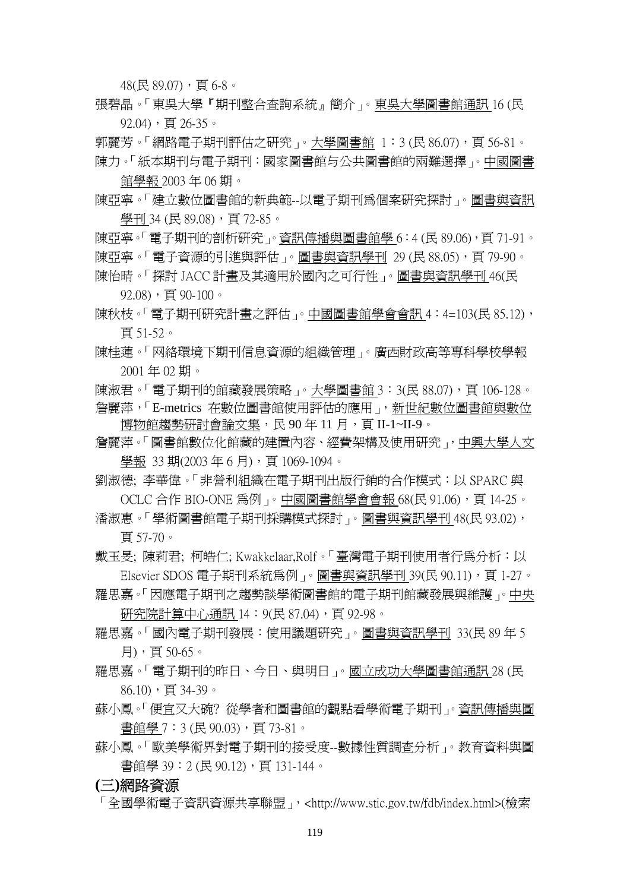$48$ (民 89.07), 百 6-8。

張碧晶。「東吳大學『期刊整合查詢系統』簡介」。東吳大學圖書館通訊 16 (民 92.04), 頁 26-35。

郭麗芳。「網路電子期刊評估之硏究」。大學圖書館 1:3 (民 86.07),頁 56-81。 陳力。「紙本期刊与電子期刊:國家圖書館与公共圖書館的兩難選擇」。中國圖書

館學報 2003 年 06 期。 陳亞寧。「建立數位圖書館的新典範--以電子期刊為個案研究探討」。圖書與資訊

學刊 34 (民 89.08), 頁 72-85。 陳亞寧。「電子期刊的剖析研究」。資訊傳播與圖書館學 6:4 (民 89.06),頁 71-91。 陳亞寧。「電子資源的引進與評估」。圖書與資訊學刊 29 (民 88.05), 頁 79-90。

陳怡晴。「探討 JACC 計畫及其適用於國內之可行性」。圖書與資訊學刊 46(民 92.08), 頁 90-100。

- 陳秋枝。「電子期刊研究計書之評估」。中國圖書館學會會訊 4:4=103(民 85.12), 頁 51-52。
- 陳桂蓮。「网絡環境下期刊信息資源的組織管理」。廣西財政高等專科學校學報 2001 年 02 期。

陳淑君。「電子期刊的館藏發展策略」。大學圖書館 3:3(民 88.07), 頁 106-128。 詹麗萍,「E-metrics 在數位圖書館使用評估的應用」,新世紀數位圖書館與數位 博物館趨勢硏討會論文集,民 90 年 11 月,頁 II-1~II-9。

詹麗萍。「圖書館數位化館藏的建置內容、經費架構及使用研究」,中興大學人文 學報 33 期(2003 年 6 月),頁 1069-1094。

劉淑德; 李華偉。「非營利組織在電子期刊出版行銷的合作模式:以 SPARC 與 OCLC 合作 BIO-ONE 爲例 」。中國圖書館學會會報 68(民 91.06),頁 14-25。

潘淑惠。「學術圖書館電子期刊採購模式探討」。圖書與資訊學刊 48(民 93.02), 頁 57-70。

戴玉旻; 陳莉君; 柯皓仁; Kwakkelaar,Rolf。「臺灣電子期刊使用者行為分析:以 Elsevier SDOS 電子期刊系統爲例 」。圖書與資訊學刊 39(民 90.11),頁 1-27。

- 羅思嘉。「因應電子期刊之趨勢談學術圖書館的電子期刊館藏發展與維護」。中央 研究院計算中心通訊 14:9(民 87.04),頁 92-98。
- 羅思嘉。「國內電子期刊發展:使用議題研究」。圖書與資訊學刊 33(民 89 年 5 月),頁 50-65。
- 羅思嘉。「電子期刊的昨日、今日、與明日」。國立成功大學圖書館通訊 28 (民 86.10),頁 34-39。
- 蘇小鳳。「便宜又大碗? 從學者和圖書館的觀點看學術電子期刊」。資訊傳播與圖 書館學 7:3 (民 90.03),頁 73-81。
- 蘇小鳳。「歐美學術界對電子期刊的接受度--數據性質調查分析」。教育資料與圖 書館學 39:2 (民 90.12),頁 131-144。

### **(**三**)**網路資源

「全國學術電子資訊資源共享聯盟」,<http://www.stic.gov.tw/fdb/index.html>(檢索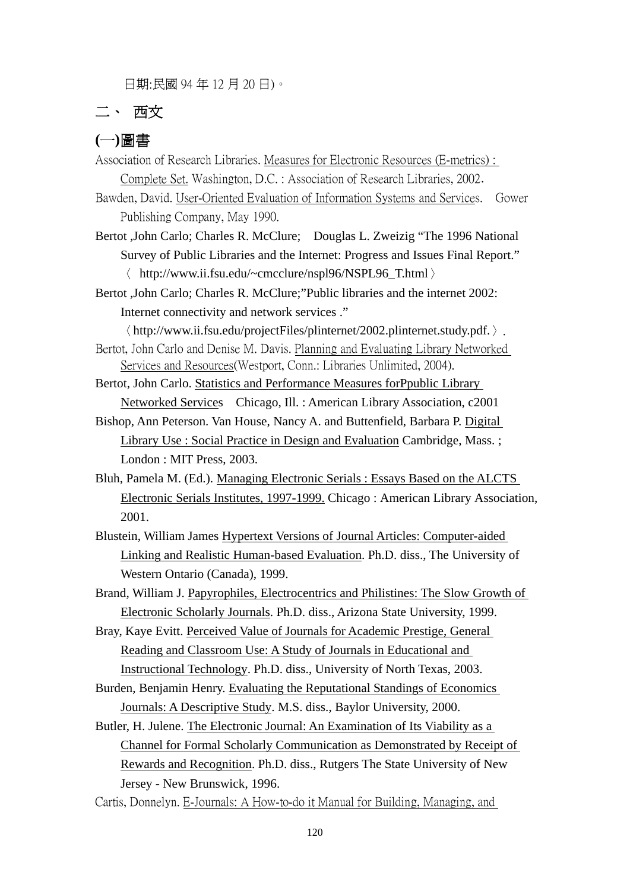日期:民國 94 年 12 月 20 日)。

# 二、 西文

## **(**一**)**圖書

Association of Research Libraries. Measures for Electronic Resources (E-metrics) : Complete Set. Washington, D.C. : Association of Research Libraries, 2002.

Bawden, David. User-Oriented Evaluation of Information Systems and Services. Gower Publishing Company, May 1990.

Bertot ,John Carlo; Charles R. McClure; Douglas L. Zweizig "The 1996 National Survey of Public Libraries and the Internet: Progress and Issues Final Report." 〈 http://www.ii.fsu.edu/~cmcclure/nspl96/NSPL96\_T.html〉

Bertot ,John Carlo; Charles R. McClure;"Public libraries and the internet 2002: Internet connectivity and network services ."

〈http://www.ii.fsu.edu/projectFiles/plinternet/2002.plinternet.study.pdf.〉. Bertot, John Carlo and Denise M. Davis. Planning and Evaluating Library Networked

Services and Resources(Westport, Conn.: Libraries Unlimited, 2004).

Bertot, John Carlo. Statistics and Performance Measures forPpublic Library Networked Services Chicago, Ill. : American Library Association, c2001

Bishop, Ann Peterson. Van House, Nancy A. and Buttenfield, Barbara P. Digital Library Use : Social Practice in Design and Evaluation Cambridge, Mass. ; London : MIT Press, 2003.

Bluh, Pamela M. (Ed.). Managing Electronic Serials : Essays Based on the ALCTS Electronic Serials Institutes, 1997-1999. Chicago : American Library Association, 2001.

Blustein, William James Hypertext Versions of Journal Articles: Computer-aided Linking and Realistic Human-based Evaluation. Ph.D. diss., The University of Western Ontario (Canada), 1999.

Brand, William J. Papyrophiles, Electrocentrics and Philistines: The Slow Growth of Electronic Scholarly Journals. Ph.D. diss., Arizona State University, 1999.

Bray, Kaye Evitt. Perceived Value of Journals for Academic Prestige, General Reading and Classroom Use: A Study of Journals in Educational and Instructional Technology. Ph.D. diss., University of North Texas, 2003.

Burden, Benjamin Henry. Evaluating the Reputational Standings of Economics Journals: A Descriptive Study. M.S. diss., Baylor University, 2000.

Butler, H. Julene. The Electronic Journal: An Examination of Its Viability as a Channel for Formal Scholarly Communication as Demonstrated by Receipt of Rewards and Recognition. Ph.D. diss., Rutgers The State University of New Jersey - New Brunswick, 1996.

Cartis, Donnelyn. E-Journals: A How-to-do it Manual for Building, Managing, and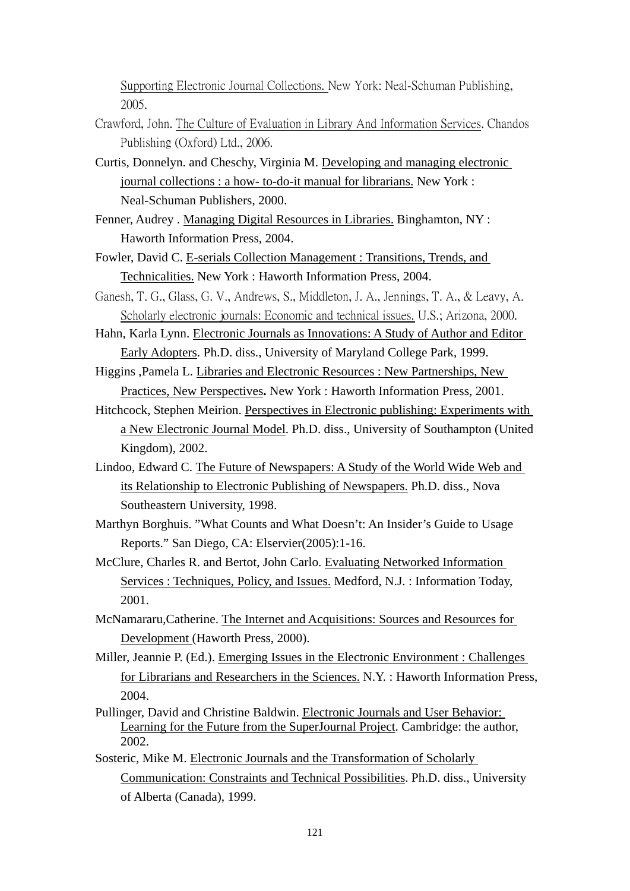Supporting Electronic Journal Collections. New York: Neal-Schuman Publishing, 2005.

- Crawford, John. The Culture of Evaluation in Library And Information Services. Chandos Publishing (Oxford) Ltd., 2006.
- Curtis, Donnelyn. and Cheschy, Virginia M. Developing and managing electronic journal collections : a how- to-do-it manual for librarians. New York : Neal-Schuman Publishers, 2000.
- Fenner, Audrey . Managing Digital Resources in Libraries. Binghamton, NY : Haworth Information Press, 2004.
- Fowler, David C. E-serials Collection Management : Transitions, Trends, and Technicalities. New York : Haworth Information Press, 2004.
- Ganesh, T. G., Glass, G. V., Andrews, S., Middleton, J. A., Jennings, T. A., & Leavy, A. Scholarly electronic journals: Economic and technical issues. U.S.; Arizona, 2000.
- Hahn, Karla Lynn. Electronic Journals as Innovations: A Study of Author and Editor Early Adopters. Ph.D. diss., University of Maryland College Park, 1999.
- Higgins ,Pamela L. Libraries and Electronic Resources : New Partnerships, New Practices, New Perspectives**.** New York : Haworth Information Press, 2001.
- Hitchcock, Stephen Meirion. Perspectives in Electronic publishing: Experiments with a New Electronic Journal Model. Ph.D. diss., University of Southampton (United Kingdom), 2002.
- Lindoo, Edward C. The Future of Newspapers: A Study of the World Wide Web and its Relationship to Electronic Publishing of Newspapers. Ph.D. diss., Nova Southeastern University, 1998.
- Marthyn Borghuis. "What Counts and What Doesn't: An Insider's Guide to Usage Reports." San Diego, CA: Elservier(2005):1-16.
- McClure, Charles R. and Bertot, John Carlo. Evaluating Networked Information Services : Techniques, Policy, and Issues. Medford, N.J. : Information Today, 2001.
- McNamararu,Catherine. The Internet and Acquisitions: Sources and Resources for Development (Haworth Press, 2000).
- Miller, Jeannie P. (Ed.). Emerging Issues in the Electronic Environment : Challenges for Librarians and Researchers in the Sciences. N.Y. : Haworth Information Press, 2004.
- Pullinger, David and Christine Baldwin. Electronic Journals and User Behavior: Learning for the Future from the SuperJournal Project. Cambridge: the author, 2002.
- Sosteric, Mike M. Electronic Journals and the Transformation of Scholarly Communication: Constraints and Technical Possibilities. Ph.D. diss., University of Alberta (Canada), 1999.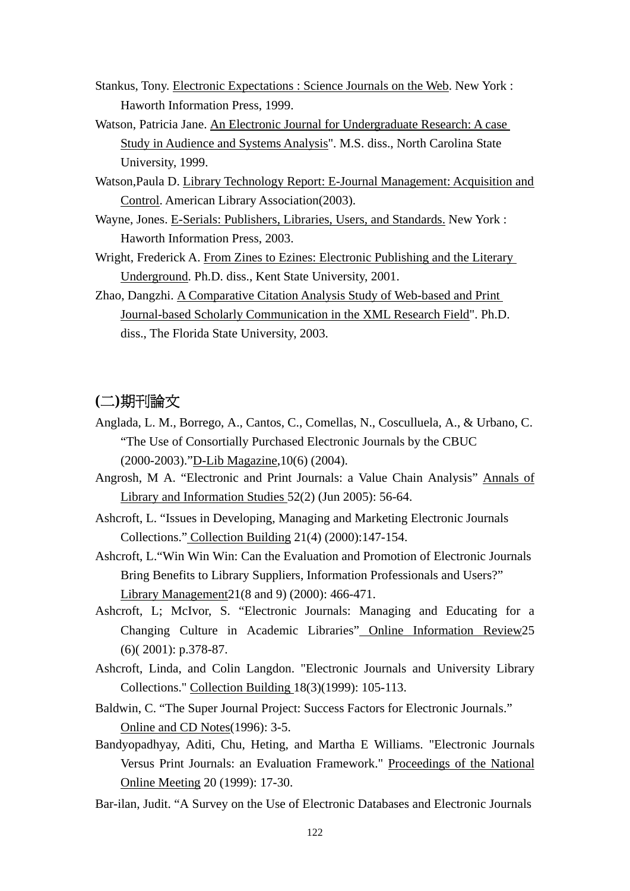- Stankus, Tony. Electronic Expectations : Science Journals on the Web. New York : Haworth Information Press, 1999.
- Watson, Patricia Jane. An Electronic Journal for Undergraduate Research: A case Study in Audience and Systems Analysis". M.S. diss., North Carolina State University, 1999.
- Watson,Paula D. Library Technology Report: E-Journal Management: Acquisition and Control. American Library Association(2003).
- Wayne, Jones. E-Serials: Publishers, Libraries, Users, and Standards. New York : Haworth Information Press, 2003.
- Wright, Frederick A. From Zines to Ezines: Electronic Publishing and the Literary Underground. Ph.D. diss., Kent State University, 2001.
- Zhao, Dangzhi. A Comparative Citation Analysis Study of Web-based and Print Journal-based Scholarly Communication in the XML Research Field". Ph.D. diss., The Florida State University, 2003.

## **(**二**)**期刊論文

- Anglada, L. M., Borrego, A., Cantos, C., Comellas, N., Cosculluela, A., & Urbano, C. "The Use of Consortially Purchased Electronic Journals by the CBUC (2000-2003)."D-Lib Magazine,10(6) (2004).
- Angrosh, M A. "Electronic and Print Journals: a Value Chain Analysis" Annals of Library and Information Studies 52(2) (Jun 2005): 56-64.
- Ashcroft, L. "Issues in Developing, Managing and Marketing Electronic Journals Collections." Collection Building 21(4) (2000):147-154.
- Ashcroft, L."Win Win Win: Can the Evaluation and Promotion of Electronic Journals Bring Benefits to Library Suppliers, Information Professionals and Users?" Library Management21(8 and 9) (2000): 466-471.
- Ashcroft, L; McIvor, S. "Electronic Journals: Managing and Educating for a Changing Culture in Academic Libraries" Online Information Review25 (6)( 2001): p.378-87.
- Ashcroft, Linda, and Colin Langdon. "Electronic Journals and University Library Collections." Collection Building 18(3)(1999): 105-113.
- Baldwin, C. "The Super Journal Project: Success Factors for Electronic Journals." Online and CD Notes(1996): 3-5.
- Bandyopadhyay, Aditi, Chu, Heting, and Martha E Williams. "Electronic Journals Versus Print Journals: an Evaluation Framework." Proceedings of the National Online Meeting 20 (1999): 17-30.
- Bar-ilan, Judit. "A Survey on the Use of Electronic Databases and Electronic Journals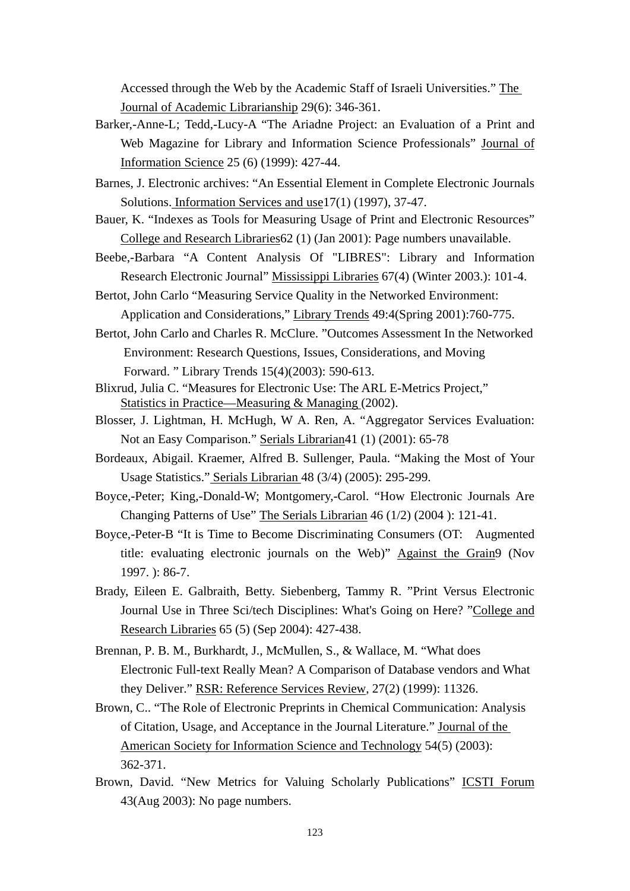Accessed through the Web by the Academic Staff of Israeli Universities." The Journal of Academic Librarianship 29(6): 346-361.

- Barker,-Anne-L; Tedd,-Lucy-A "The Ariadne Project: an Evaluation of a Print and Web Magazine for Library and Information Science Professionals" Journal of Information Science 25 (6) (1999): 427-44.
- Barnes, J. Electronic archives: "An Essential Element in Complete Electronic Journals Solutions. Information Services and use17(1) (1997), 37-47.
- Bauer, K. "Indexes as Tools for Measuring Usage of Print and Electronic Resources" College and Research Libraries62 (1) (Jan 2001): Page numbers unavailable.
- Beebe,-Barbara "A Content Analysis Of "LIBRES": Library and Information Research Electronic Journal" Mississippi Libraries 67(4) (Winter 2003.): 101-4.
- Bertot, John Carlo "Measuring Service Quality in the Networked Environment: Application and Considerations," Library Trends 49:4(Spring 2001):760-775.
- Bertot, John Carlo and Charles R. McClure. "Outcomes Assessment In the Networked Environment: Research Questions, Issues, Considerations, and Moving Forward. " Library Trends 15(4)(2003): 590-613.
- Blixrud, Julia C. "Measures for Electronic Use: The ARL E-Metrics Project," Statistics in Practice—Measuring & Managing (2002).
- Blosser, J. Lightman, H. McHugh, W A. Ren, A. "Aggregator Services Evaluation: Not an Easy Comparison." Serials Librarian41 (1) (2001): 65-78
- Bordeaux, Abigail. Kraemer, Alfred B. Sullenger, Paula. "Making the Most of Your Usage Statistics." Serials Librarian 48 (3/4) (2005): 295-299.
- Boyce,-Peter; King,-Donald-W; Montgomery,-Carol. "How Electronic Journals Are Changing Patterns of Use" The Serials Librarian 46 (1/2) (2004 ): 121-41.
- Boyce,-Peter-B "It is Time to Become Discriminating Consumers (OT: Augmented title: evaluating electronic journals on the Web)" Against the Grain9 (Nov 1997. ): 86-7.
- Brady, Eileen E. Galbraith, Betty. Siebenberg, Tammy R. "Print Versus Electronic Journal Use in Three Sci/tech Disciplines: What's Going on Here? "College and Research Libraries 65 (5) (Sep 2004): 427-438.
- Brennan, P. B. M., Burkhardt, J., McMullen, S., & Wallace, M. "What does Electronic Full-text Really Mean? A Comparison of Database vendors and What they Deliver." RSR: Reference Services Review, 27(2) (1999): 11326.
- Brown, C.. "The Role of Electronic Preprints in Chemical Communication: Analysis of Citation, Usage, and Acceptance in the Journal Literature." Journal of the American Society for Information Science and Technology 54(5) (2003): 362-371.
- Brown, David. "New Metrics for Valuing Scholarly Publications" ICSTI Forum 43(Aug 2003): No page numbers.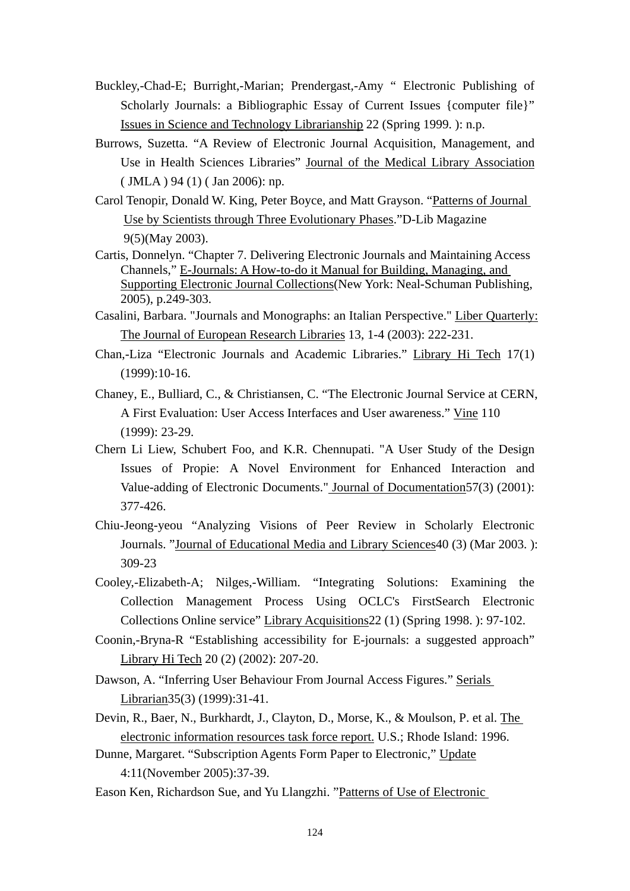- Buckley,-Chad-E; Burright,-Marian; Prendergast,-Amy " Electronic Publishing of Scholarly Journals: a Bibliographic Essay of Current Issues {computer file}" Issues in Science and Technology Librarianship 22 (Spring 1999. ): n.p.
- Burrows, Suzetta. "A Review of Electronic Journal Acquisition, Management, and Use in Health Sciences Libraries" Journal of the Medical Library Association ( JMLA ) 94 (1) ( Jan 2006): np.
- Carol Tenopir, Donald W. King, Peter Boyce, and Matt Grayson. "Patterns of Journal Use by Scientists through Three Evolutionary Phases."D-Lib Magazine 9(5)(May 2003).
- Cartis, Donnelyn. "Chapter 7. Delivering Electronic Journals and Maintaining Access Channels," E-Journals: A How-to-do it Manual for Building, Managing, and Supporting Electronic Journal Collections(New York: Neal-Schuman Publishing, 2005), p.249-303.
- Casalini, Barbara. "Journals and Monographs: an Italian Perspective." Liber Quarterly: The Journal of European Research Libraries 13, 1-4 (2003): 222-231.
- Chan,-Liza "Electronic Journals and Academic Libraries." Library Hi Tech 17(1) (1999):10-16.
- Chaney, E., Bulliard, C., & Christiansen, C. "The Electronic Journal Service at CERN, A First Evaluation: User Access Interfaces and User awareness." Vine 110 (1999): 23-29.
- Chern Li Liew, Schubert Foo, and K.R. Chennupati. "A User Study of the Design Issues of Propie: A Novel Environment for Enhanced Interaction and Value-adding of Electronic Documents." Journal of Documentation57(3) (2001): 377-426.
- Chiu-Jeong-yeou "Analyzing Visions of Peer Review in Scholarly Electronic Journals. "Journal of Educational Media and Library Sciences<sup>40</sup> (3) (Mar 2003. ): 309-23
- Cooley,-Elizabeth-A; Nilges,-William. "Integrating Solutions: Examining the Collection Management Process Using OCLC's FirstSearch Electronic Collections Online service" Library Acquisitions22 (1) (Spring 1998. ): 97-102.
- Coonin,-Bryna-R "Establishing accessibility for E-journals: a suggested approach" Library Hi Tech 20 (2) (2002): 207-20.
- Dawson, A. "Inferring User Behaviour From Journal Access Figures." Serials Librarian35(3) (1999):31-41.
- Devin, R., Baer, N., Burkhardt, J., Clayton, D., Morse, K., & Moulson, P. et al. The electronic information resources task force report. U.S.; Rhode Island: 1996.
- Dunne, Margaret. "Subscription Agents Form Paper to Electronic," Update 4:11(November 2005):37-39.
- Eason Ken, Richardson Sue, and Yu Llangzhi. "Patterns of Use of Electronic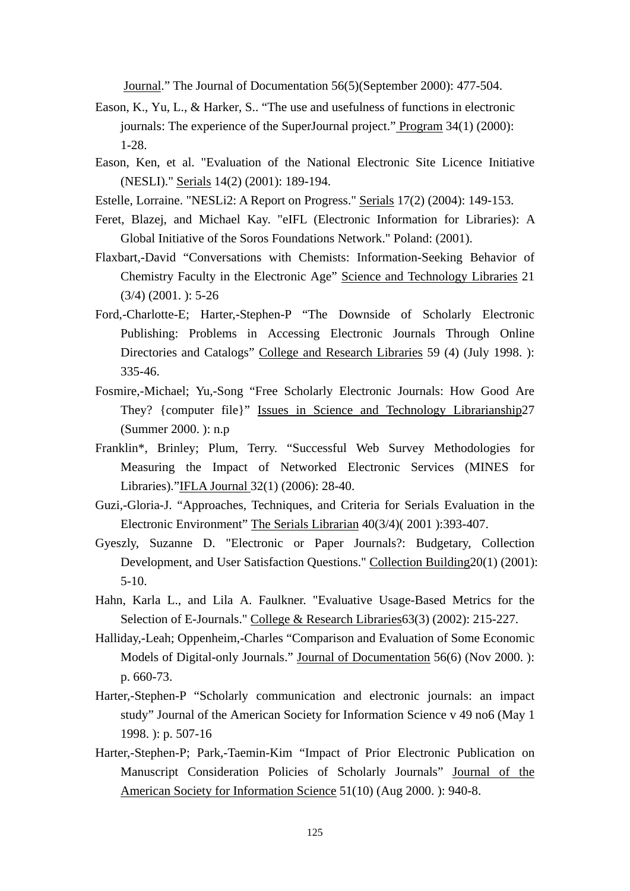Journal." The Journal of Documentation 56(5)(September 2000): 477-504.

- Eason, K., Yu, L., & Harker, S.. "The use and usefulness of functions in electronic journals: The experience of the SuperJournal project." Program 34(1) (2000): 1-28.
- Eason, Ken, et al. "Evaluation of the National Electronic Site Licence Initiative (NESLI)." Serials 14(2) (2001): 189-194.
- Estelle, Lorraine. "NESLi2: A Report on Progress." Serials 17(2) (2004): 149-153.
- Feret, Blazej, and Michael Kay. "eIFL (Electronic Information for Libraries): A Global Initiative of the Soros Foundations Network." Poland: (2001).
- Flaxbart,-David "Conversations with Chemists: Information-Seeking Behavior of Chemistry Faculty in the Electronic Age" Science and Technology Libraries 21  $(3/4)$   $(2001)$ : 5-26
- Ford,-Charlotte-E; Harter,-Stephen-P "The Downside of Scholarly Electronic Publishing: Problems in Accessing Electronic Journals Through Online Directories and Catalogs" College and Research Libraries 59 (4) (July 1998. ): 335-46.
- Fosmire,-Michael; Yu,-Song "Free Scholarly Electronic Journals: How Good Are They? {computer file}" Issues in Science and Technology Librarianship27 (Summer 2000. ): n.p
- Franklin\*, Brinley; Plum, Terry. "Successful Web Survey Methodologies for Measuring the Impact of Networked Electronic Services (MINES for Libraries)."IFLA Journal 32(1) (2006): 28-40.
- Guzi,-Gloria-J. "Approaches, Techniques, and Criteria for Serials Evaluation in the Electronic Environment" The Serials Librarian 40(3/4)( 2001 ):393-407.
- Gyeszly, Suzanne D. "Electronic or Paper Journals?: Budgetary, Collection Development, and User Satisfaction Questions." Collection Building20(1) (2001): 5-10.
- Hahn, Karla L., and Lila A. Faulkner. "Evaluative Usage-Based Metrics for the Selection of E-Journals." College & Research Libraries63(3) (2002): 215-227.
- Halliday,-Leah; Oppenheim,-Charles "Comparison and Evaluation of Some Economic Models of Digital-only Journals." Journal of Documentation 56(6) (Nov 2000. ): p. 660-73.
- Harter,-Stephen-P "Scholarly communication and electronic journals: an impact study" Journal of the American Society for Information Science v 49 no6 (May 1 1998. ): p. 507-16
- Harter,-Stephen-P; Park,-Taemin-Kim "Impact of Prior Electronic Publication on Manuscript Consideration Policies of Scholarly Journals" Journal of the American Society for Information Science 51(10) (Aug 2000. ): 940-8.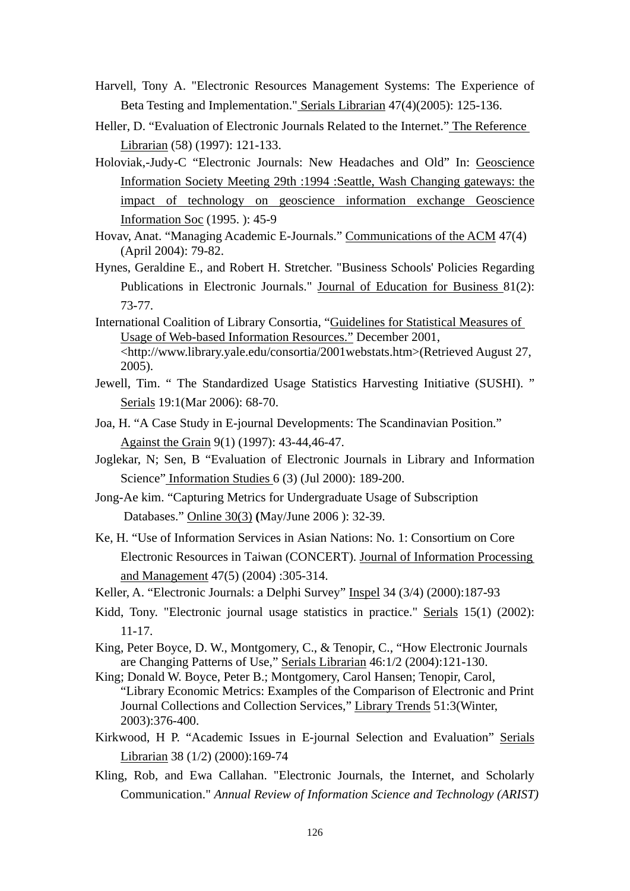- Harvell, Tony A. "Electronic Resources Management Systems: The Experience of Beta Testing and Implementation." Serials Librarian 47(4)(2005): 125-136.
- Heller, D. "Evaluation of Electronic Journals Related to the Internet." The Reference Librarian (58) (1997): 121-133.
- Holoviak,-Judy-C "Electronic Journals: New Headaches and Old" In: Geoscience Information Society Meeting 29th :1994 :Seattle, Wash Changing gateways: the impact of technology on geoscience information exchange Geoscience Information Soc (1995. ): 45-9
- Hovav, Anat. "Managing Academic E-Journals." Communications of the ACM 47(4) (April 2004): 79-82.
- Hynes, Geraldine E., and Robert H. Stretcher. "Business Schools' Policies Regarding Publications in Electronic Journals." Journal of Education for Business 81(2): 73-77.
- International Coalition of Library Consortia, "Guidelines for Statistical Measures of Usage of Web-based Information Resources." December 2001, <http://www.library.yale.edu/consortia/2001webstats.htm>(Retrieved August 27, 2005).
- Jewell, Tim. " The Standardized Usage Statistics Harvesting Initiative (SUSHI). " Serials 19:1(Mar 2006): 68-70.
- Joa, H. "A Case Study in E-journal Developments: The Scandinavian Position." Against the Grain 9(1) (1997): 43-44,46-47.
- Joglekar, N; Sen, B "Evaluation of Electronic Journals in Library and Information Science" Information Studies 6 (3) (Jul 2000): 189-200.
- Jong-Ae kim. "Capturing Metrics for Undergraduate Usage of Subscription Databases." Online 30(3) **(**May/June 2006 ): 32-39.
- Ke, H. "Use of Information Services in Asian Nations: No. 1: Consortium on Core Electronic Resources in Taiwan (CONCERT). Journal of Information Processing and Management 47(5) (2004) :305-314.
- Keller, A. "Electronic Journals: a Delphi Survey" Inspel 34 (3/4) (2000):187-93
- Kidd, Tony. "Electronic journal usage statistics in practice." Serials 15(1) (2002): 11-17.
- King, Peter Boyce, D. W., Montgomery, C., & Tenopir, C., "How Electronic Journals are Changing Patterns of Use," Serials Librarian 46:1/2 (2004):121-130.
- King; Donald W. Boyce, Peter B.; Montgomery, Carol Hansen; Tenopir, Carol, "Library Economic Metrics: Examples of the Comparison of Electronic and Print Journal Collections and Collection Services," Library Trends 51:3(Winter, 2003):376-400.
- Kirkwood, H P. "Academic Issues in E-journal Selection and Evaluation" Serials Librarian 38 (1/2) (2000):169-74
- Kling, Rob, and Ewa Callahan. "Electronic Journals, the Internet, and Scholarly Communication." *Annual Review of Information Science and Technology (ARIST)*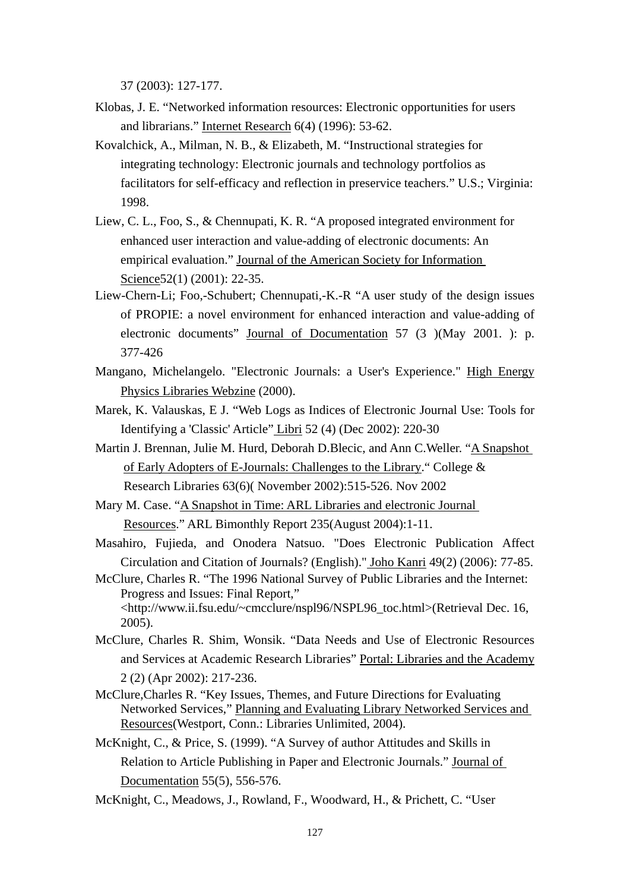37 (2003): 127-177.

- Klobas, J. E. "Networked information resources: Electronic opportunities for users and librarians." Internet Research 6(4) (1996): 53-62.
- Kovalchick, A., Milman, N. B., & Elizabeth, M. "Instructional strategies for integrating technology: Electronic journals and technology portfolios as facilitators for self-efficacy and reflection in preservice teachers." U.S.; Virginia: 1998.
- Liew, C. L., Foo, S., & Chennupati, K. R. "A proposed integrated environment for enhanced user interaction and value-adding of electronic documents: An empirical evaluation." Journal of the American Society for Information Science 52(1) (2001): 22-35.
- Liew-Chern-Li; Foo,-Schubert; Chennupati,-K.-R "A user study of the design issues of PROPIE: a novel environment for enhanced interaction and value-adding of electronic documents" Journal of Documentation 57 (3 )(May 2001. ): p. 377-426
- Mangano, Michelangelo. "Electronic Journals: a User's Experience." High Energy Physics Libraries Webzine (2000).
- Marek, K. Valauskas, E J. "Web Logs as Indices of Electronic Journal Use: Tools for Identifying a 'Classic' Article" Libri 52 (4) (Dec 2002): 220-30
- Martin J. Brennan, Julie M. Hurd, Deborah D.Blecic, and Ann C.Weller. "A Snapshot of Early Adopters of E-Journals: Challenges to the Library." College & Research Libraries 63(6)( November 2002):515-526. Nov 2002
- Mary M. Case. "A Snapshot in Time: ARL Libraries and electronic Journal Resources." ARL Bimonthly Report 235(August 2004):1-11.
- Masahiro, Fujieda, and Onodera Natsuo. "Does Electronic Publication Affect Circulation and Citation of Journals? (English)." Joho Kanri 49(2) (2006): 77-85.
- McClure, Charles R. "The 1996 National Survey of Public Libraries and the Internet: Progress and Issues: Final Report," <http://www.ii.fsu.edu/~cmcclure/nspl96/NSPL96\_toc.html>(Retrieval Dec. 16, 2005).
- McClure, Charles R. Shim, Wonsik. "Data Needs and Use of Electronic Resources and Services at Academic Research Libraries" Portal: Libraries and the Academy 2 (2) (Apr 2002): 217-236.
- McClure,Charles R. "Key Issues, Themes, and Future Directions for Evaluating Networked Services," Planning and Evaluating Library Networked Services and Resources(Westport, Conn.: Libraries Unlimited, 2004).
- McKnight, C., & Price, S. (1999). "A Survey of author Attitudes and Skills in Relation to Article Publishing in Paper and Electronic Journals." Journal of Documentation 55(5), 556-576.
- McKnight, C., Meadows, J., Rowland, F., Woodward, H., & Prichett, C. "User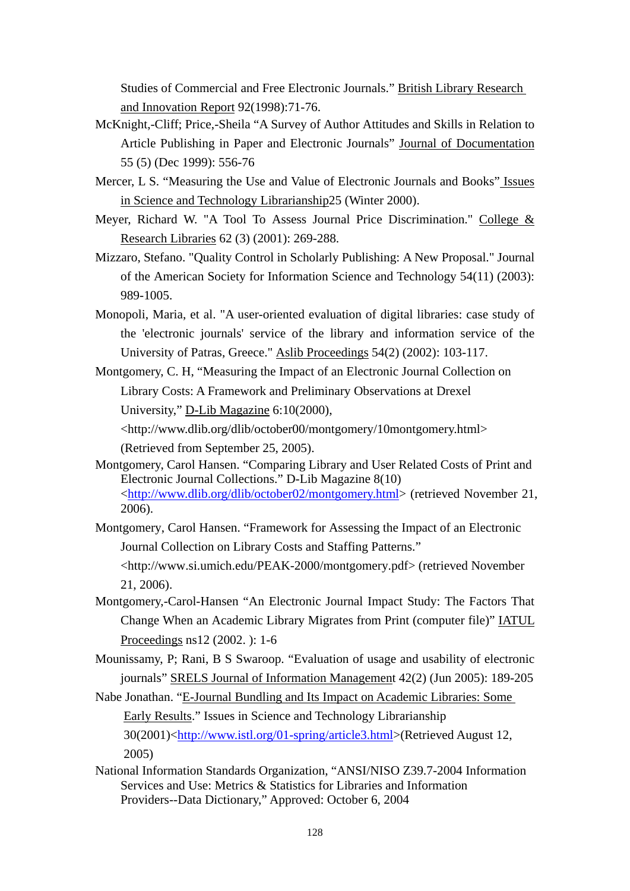Studies of Commercial and Free Electronic Journals." British Library Research and Innovation Report 92(1998):71-76.

- McKnight,-Cliff; Price,-Sheila "A Survey of Author Attitudes and Skills in Relation to Article Publishing in Paper and Electronic Journals" Journal of Documentation 55 (5) (Dec 1999): 556-76
- Mercer, L S. "Measuring the Use and Value of Electronic Journals and Books" Issues in Science and Technology Librarianship25 (Winter 2000).
- Meyer, Richard W. "A Tool To Assess Journal Price Discrimination." College & Research Libraries 62 (3) (2001): 269-288.
- Mizzaro, Stefano. "Quality Control in Scholarly Publishing: A New Proposal." Journal of the American Society for Information Science and Technology 54(11) (2003): 989-1005.
- Monopoli, Maria, et al. "A user-oriented evaluation of digital libraries: case study of the 'electronic journals' service of the library and information service of the University of Patras, Greece." Aslib Proceedings 54(2) (2002): 103-117.
- Montgomery, C. H, "Measuring the Impact of an Electronic Journal Collection on Library Costs: A Framework and Preliminary Observations at Drexel University," D-Lib Magazine 6:10(2000),

<http://www.dlib.org/dlib/october00/montgomery/10montgomery.html> (Retrieved from September 25, 2005).

- Montgomery, Carol Hansen. "Comparing Library and User Related Costs of Print and Electronic Journal Collections." D-Lib Magazine 8(10) <http://www.dlib.org/dlib/october02/montgomery.html> (retrieved November 21, 2006).
- Montgomery, Carol Hansen. "Framework for Assessing the Impact of an Electronic Journal Collection on Library Costs and Staffing Patterns."

<http://www.si.umich.edu/PEAK-2000/montgomery.pdf> (retrieved November 21, 2006).

- Montgomery,-Carol-Hansen "An Electronic Journal Impact Study: The Factors That Change When an Academic Library Migrates from Print (computer file)" IATUL Proceedings ns12 (2002. ): 1-6
- Mounissamy, P; Rani, B S Swaroop. "Evaluation of usage and usability of electronic journals" SRELS Journal of Information Management 42(2) (Jun 2005): 189-205

Nabe Jonathan. "E-Journal Bundling and Its Impact on Academic Libraries: Some Early Results." Issues in Science and Technology Librarianship 30(2001)<http://www.istl.org/01-spring/article3.html>(Retrieved August 12, 2005)

National Information Standards Organization, "ANSI/NISO Z39.7-2004 Information Services and Use: Metrics & Statistics for Libraries and Information Providers--Data Dictionary," Approved: October 6, 2004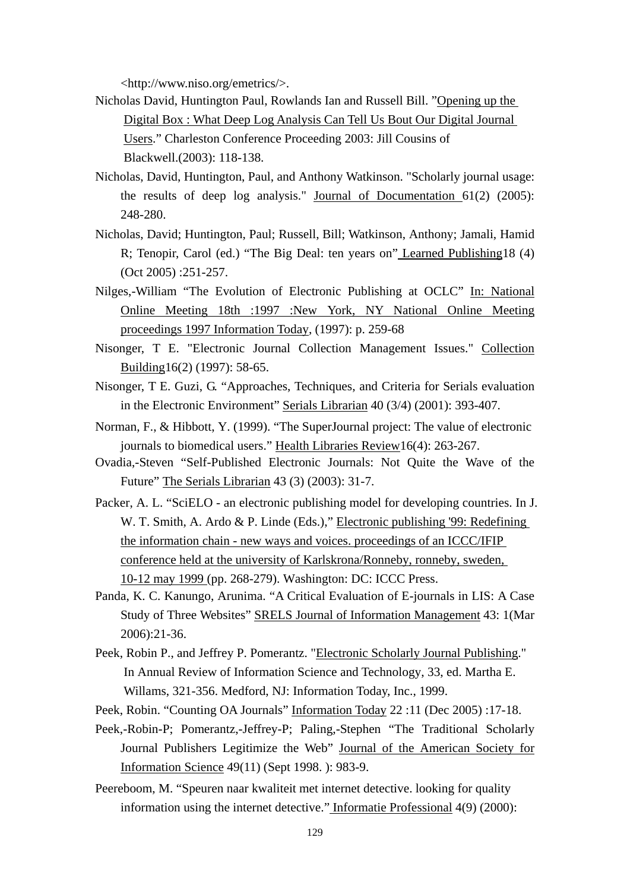<http://www.niso.org/emetrics/>.

- Nicholas David, Huntington Paul, Rowlands Ian and Russell Bill. "Opening up the Digital Box : What Deep Log Analysis Can Tell Us Bout Our Digital Journal Users." Charleston Conference Proceeding 2003: Jill Cousins of Blackwell.(2003): 118-138.
- Nicholas, David, Huntington, Paul, and Anthony Watkinson. "Scholarly journal usage: the results of deep log analysis." Journal of Documentation 61(2) (2005): 248-280.
- Nicholas, David; Huntington, Paul; Russell, Bill; Watkinson, Anthony; Jamali, Hamid R; Tenopir, Carol (ed.) "The Big Deal: ten years on" Learned Publishing18 (4) (Oct 2005) :251-257.
- Nilges,-William "The Evolution of Electronic Publishing at OCLC" In: National Online Meeting 18th :1997 :New York, NY National Online Meeting proceedings 1997 Information Today, (1997): p. 259-68
- Nisonger, T E. "Electronic Journal Collection Management Issues." Collection Building16(2) (1997): 58-65.
- Nisonger, T E. Guzi, G. "Approaches, Techniques, and Criteria for Serials evaluation in the Electronic Environment" Serials Librarian 40 (3/4) (2001): 393-407.
- Norman, F., & Hibbott, Y. (1999). "The SuperJournal project: The value of electronic journals to biomedical users." Health Libraries Review16(4): 263-267.
- Ovadia,-Steven "Self-Published Electronic Journals: Not Quite the Wave of the Future" The Serials Librarian 43 (3) (2003): 31-7.
- Packer, A. L. "SciELO an electronic publishing model for developing countries. In J. W. T. Smith, A. Ardo & P. Linde (Eds.)," Electronic publishing '99: Redefining the information chain - new ways and voices. proceedings of an ICCC/IFIP conference held at the university of Karlskrona/Ronneby, ronneby, sweden, 10-12 may 1999 (pp. 268-279). Washington: DC: ICCC Press.
- Panda, K. C. Kanungo, Arunima. "A Critical Evaluation of E-journals in LIS: A Case Study of Three Websites" SRELS Journal of Information Management 43: 1(Mar 2006):21-36.
- Peek, Robin P., and Jeffrey P. Pomerantz. "Electronic Scholarly Journal Publishing." In Annual Review of Information Science and Technology, 33, ed. Martha E. Willams, 321-356. Medford, NJ: Information Today, Inc., 1999.
- Peek, Robin. "Counting OA Journals" Information Today 22 :11 (Dec 2005) :17-18.
- Peek,-Robin-P; Pomerantz,-Jeffrey-P; Paling,-Stephen "The Traditional Scholarly Journal Publishers Legitimize the Web" Journal of the American Society for Information Science 49(11) (Sept 1998. ): 983-9.
- Peereboom, M. "Speuren naar kwaliteit met internet detective. looking for quality information using the internet detective." Informatie Professional 4(9) (2000):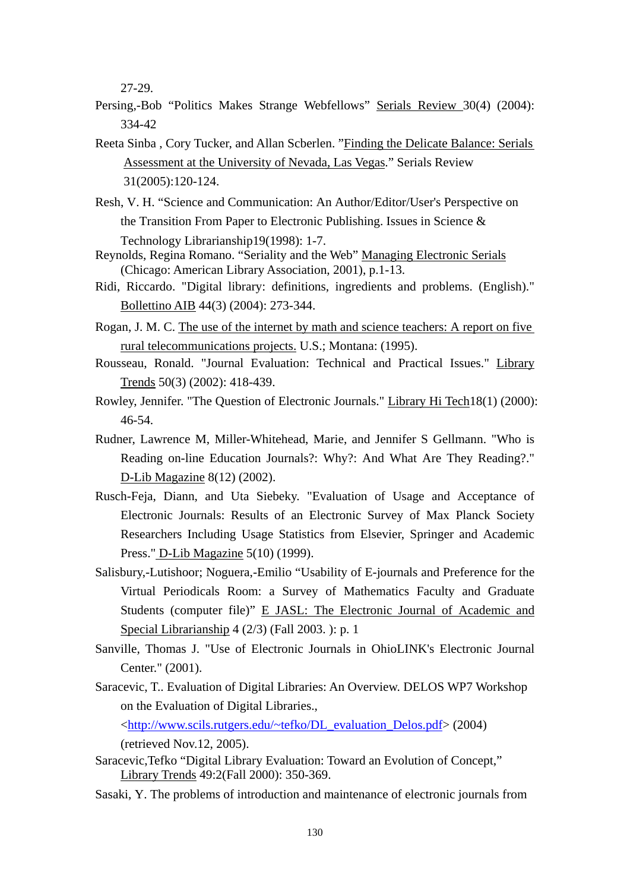27-29.

- Persing,-Bob "Politics Makes Strange Webfellows" Serials Review 30(4) (2004): 334-42
- Reeta Sinba , Cory Tucker, and Allan Scberlen. "Finding the Delicate Balance: Serials Assessment at the University of Nevada, Las Vegas." Serials Review 31(2005):120-124.
- Resh, V. H. "Science and Communication: An Author/Editor/User's Perspective on the Transition From Paper to Electronic Publishing. Issues in Science & Technology Librarianship19(1998): 1-7.
- Reynolds, Regina Romano. "Seriality and the Web" Managing Electronic Serials (Chicago: American Library Association, 2001), p.1-13.
- Ridi, Riccardo. "Digital library: definitions, ingredients and problems. (English)." Bollettino AIB 44(3) (2004): 273-344.
- Rogan, J. M. C. The use of the internet by math and science teachers: A report on five rural telecommunications projects. U.S.; Montana: (1995).
- Rousseau, Ronald. "Journal Evaluation: Technical and Practical Issues." Library Trends 50(3) (2002): 418-439.
- Rowley, Jennifer. "The Question of Electronic Journals." Library Hi Tech18(1) (2000): 46-54.
- Rudner, Lawrence M, Miller-Whitehead, Marie, and Jennifer S Gellmann. "Who is Reading on-line Education Journals?: Why?: And What Are They Reading?." D-Lib Magazine 8(12) (2002).
- Rusch-Feja, Diann, and Uta Siebeky. "Evaluation of Usage and Acceptance of Electronic Journals: Results of an Electronic Survey of Max Planck Society Researchers Including Usage Statistics from Elsevier, Springer and Academic Press." D-Lib Magazine 5(10) (1999).
- Salisbury,-Lutishoor; Noguera,-Emilio "Usability of E-journals and Preference for the Virtual Periodicals Room: a Survey of Mathematics Faculty and Graduate Students (computer file)" E JASL: The Electronic Journal of Academic and Special Librarianship 4 (2/3) (Fall 2003. ): p. 1
- Sanville, Thomas J. "Use of Electronic Journals in OhioLINK's Electronic Journal Center." (2001).
- Saracevic, T.. Evaluation of Digital Libraries: An Overview. DELOS WP7 Workshop on the Evaluation of Digital Libraries.,

<http://www.scils.rutgers.edu/~tefko/DL\_evaluation\_Delos.pdf> (2004)

(retrieved Nov.12, 2005).

- Saracevic,Tefko "Digital Library Evaluation: Toward an Evolution of Concept," Library Trends 49:2(Fall 2000): 350-369.
- Sasaki, Y. The problems of introduction and maintenance of electronic journals from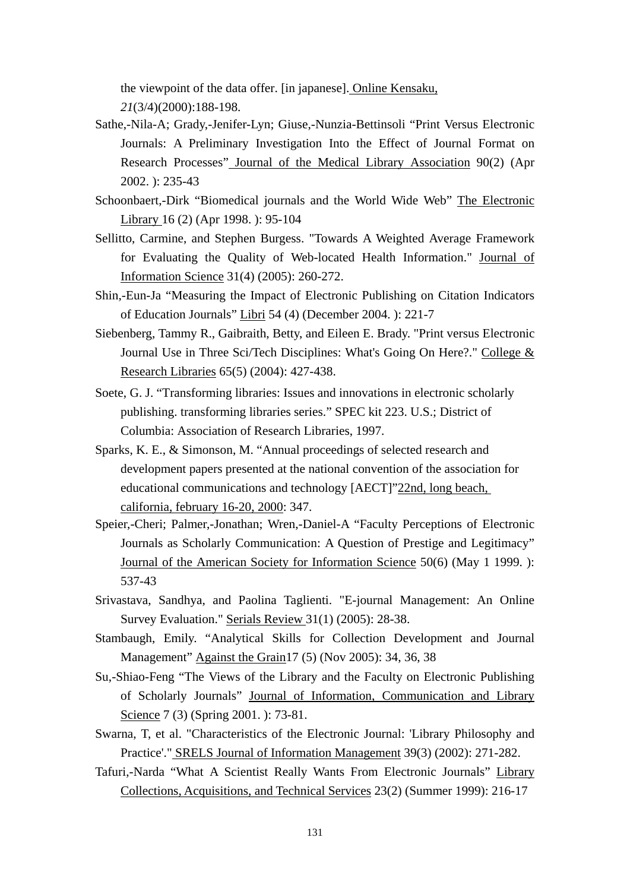the viewpoint of the data offer. [in japanese]. Online Kensaku, *21*(3/4)(2000):188-198.

- Sathe,-Nila-A; Grady,-Jenifer-Lyn; Giuse,-Nunzia-Bettinsoli "Print Versus Electronic Journals: A Preliminary Investigation Into the Effect of Journal Format on Research Processes" Journal of the Medical Library Association 90(2) (Apr 2002. ): 235-43
- Schoonbaert,-Dirk "Biomedical journals and the World Wide Web" The Electronic Library 16 (2) (Apr 1998. ): 95-104
- Sellitto, Carmine, and Stephen Burgess. "Towards A Weighted Average Framework for Evaluating the Quality of Web-located Health Information." Journal of Information Science 31(4) (2005): 260-272.
- Shin,-Eun-Ja "Measuring the Impact of Electronic Publishing on Citation Indicators of Education Journals" Libri 54 (4) (December 2004. ): 221-7
- Siebenberg, Tammy R., Gaibraith, Betty, and Eileen E. Brady. "Print versus Electronic Journal Use in Three Sci/Tech Disciplines: What's Going On Here?." College & Research Libraries 65(5) (2004): 427-438.
- Soete, G. J. "Transforming libraries: Issues and innovations in electronic scholarly publishing. transforming libraries series." SPEC kit 223. U.S.; District of Columbia: Association of Research Libraries, 1997.
- Sparks, K. E., & Simonson, M. "Annual proceedings of selected research and development papers presented at the national convention of the association for educational communications and technology [AECT]"22nd, long beach, california, february 16-20, 2000: 347.
- Speier,-Cheri; Palmer,-Jonathan; Wren,-Daniel-A "Faculty Perceptions of Electronic Journals as Scholarly Communication: A Question of Prestige and Legitimacy" Journal of the American Society for Information Science 50(6) (May 1 1999. ): 537-43
- Srivastava, Sandhya, and Paolina Taglienti. "E-journal Management: An Online Survey Evaluation." Serials Review 31(1) (2005): 28-38.
- Stambaugh, Emily. "Analytical Skills for Collection Development and Journal Management" Against the Grain17 (5) (Nov 2005): 34, 36, 38
- Su,-Shiao-Feng "The Views of the Library and the Faculty on Electronic Publishing of Scholarly Journals" Journal of Information, Communication and Library Science 7 (3) (Spring 2001. ): 73-81.
- Swarna, T, et al. "Characteristics of the Electronic Journal: 'Library Philosophy and Practice'." SRELS Journal of Information Management 39(3) (2002): 271-282.
- Tafuri,-Narda "What A Scientist Really Wants From Electronic Journals" Library Collections, Acquisitions, and Technical Services 23(2) (Summer 1999): 216-17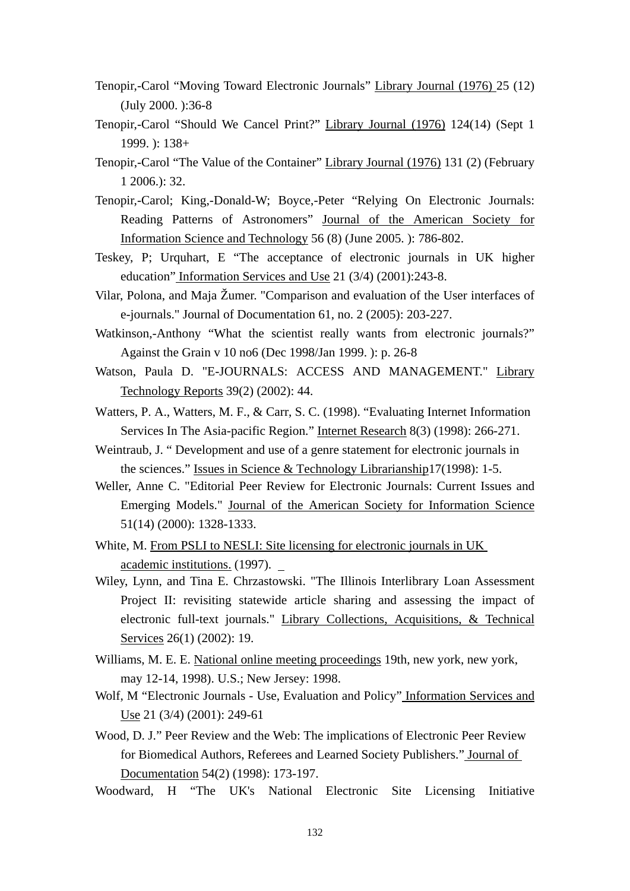- Tenopir,-Carol "Moving Toward Electronic Journals" Library Journal (1976) 25 (12) (July 2000. ):36-8
- Tenopir,-Carol "Should We Cancel Print?" Library Journal (1976) 124(14) (Sept 1 1999. ): 138+
- Tenopir,-Carol "The Value of the Container" Library Journal (1976) 131 (2) (February 1 2006.): 32.
- Tenopir,-Carol; King,-Donald-W; Boyce,-Peter "Relying On Electronic Journals: Reading Patterns of Astronomers" Journal of the American Society for Information Science and Technology 56 (8) (June 2005. ): 786-802.
- Teskey, P; Urquhart, E "The acceptance of electronic journals in UK higher education" Information Services and Use 21 (3/4) (2001):243-8.
- Vilar, Polona, and Maja Žumer. "Comparison and evaluation of the User interfaces of e-journals." Journal of Documentation 61, no. 2 (2005): 203-227.
- Watkinson,-Anthony "What the scientist really wants from electronic journals?" Against the Grain v 10 no6 (Dec 1998/Jan 1999. ): p. 26-8
- Watson, Paula D. "E-JOURNALS: ACCESS AND MANAGEMENT." Library Technology Reports 39(2) (2002): 44.
- Watters, P. A., Watters, M. F., & Carr, S. C. (1998). "Evaluating Internet Information Services In The Asia-pacific Region." Internet Research 8(3) (1998): 266-271.
- Weintraub, J. " Development and use of a genre statement for electronic journals in the sciences." Issues in Science & Technology Librarianship17(1998): 1-5.
- Weller, Anne C. "Editorial Peer Review for Electronic Journals: Current Issues and Emerging Models." Journal of the American Society for Information Science 51(14) (2000): 1328-1333.
- White, M. From PSLI to NESLI: Site licensing for electronic journals in UK academic institutions. (1997).
- Wiley, Lynn, and Tina E. Chrzastowski. "The Illinois Interlibrary Loan Assessment Project II: revisiting statewide article sharing and assessing the impact of electronic full-text journals." Library Collections, Acquisitions, & Technical Services 26(1) (2002): 19.
- Williams, M. E. E. National online meeting proceedings 19th, new york, new york, may 12-14, 1998). U.S.; New Jersey: 1998.
- Wolf, M "Electronic Journals Use, Evaluation and Policy" Information Services and Use 21 (3/4) (2001): 249-61
- Wood, D. J." Peer Review and the Web: The implications of Electronic Peer Review for Biomedical Authors, Referees and Learned Society Publishers." Journal of Documentation 54(2) (1998): 173-197.
- Woodward, H "The UK's National Electronic Site Licensing Initiative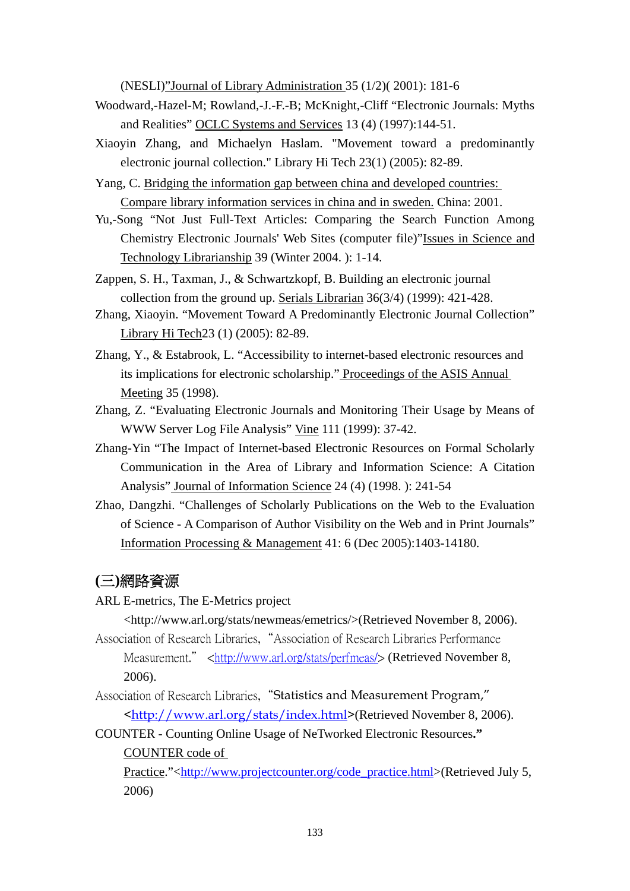(NESLI)"Journal of Library Administration 35 (1/2)( 2001): 181-6

- Woodward,-Hazel-M; Rowland,-J.-F.-B; McKnight,-Cliff "Electronic Journals: Myths and Realities" OCLC Systems and Services 13 (4) (1997):144-51.
- Xiaoyin Zhang, and Michaelyn Haslam. "Movement toward a predominantly electronic journal collection." Library Hi Tech 23(1) (2005): 82-89.
- Yang, C. Bridging the information gap between china and developed countries: Compare library information services in china and in sweden. China: 2001.
- Yu,-Song "Not Just Full-Text Articles: Comparing the Search Function Among Chemistry Electronic Journals' Web Sites (computer file)"Issues in Science and Technology Librarianship 39 (Winter 2004. ): 1-14.
- Zappen, S. H., Taxman, J., & Schwartzkopf, B. Building an electronic journal collection from the ground up. Serials Librarian 36(3/4) (1999): 421-428.
- Zhang, Xiaoyin. "Movement Toward A Predominantly Electronic Journal Collection" Library Hi Tech23 (1) (2005): 82-89.
- Zhang, Y., & Estabrook, L. "Accessibility to internet-based electronic resources and its implications for electronic scholarship." Proceedings of the ASIS Annual Meeting 35 (1998).
- Zhang, Z. "Evaluating Electronic Journals and Monitoring Their Usage by Means of WWW Server Log File Analysis" Vine 111 (1999): 37-42.
- Zhang-Yin "The Impact of Internet-based Electronic Resources on Formal Scholarly Communication in the Area of Library and Information Science: A Citation Analysis" Journal of Information Science 24 (4) (1998. ): 241-54
- Zhao, Dangzhi. "Challenges of Scholarly Publications on the Web to the Evaluation of Science - A Comparison of Author Visibility on the Web and in Print Journals" Information Processing & Management 41: 6 (Dec 2005):1403-14180.

## **(**三**)**網路資源

ARL E-metrics, The E-Metrics project

<http://www.arl.org/stats/newmeas/emetrics/>(Retrieved November 8, 2006).

Association of Research Libraries,"Association of Research Libraries Performance Measurement." <http://www.arl.org/stats/perfmeas/> (Retrieved November 8, 2006).

- Association of Research Libraries, "Statistics and Measurement Program," <http://www.arl.org/stats/index.html>(Retrieved November 8, 2006).
- COUNTER Counting Online Usage of NeTworked Electronic Resources**."** COUNTER code of

Practice."<http://www.projectcounter.org/code\_practice.html>(Retrieved July 5, 2006)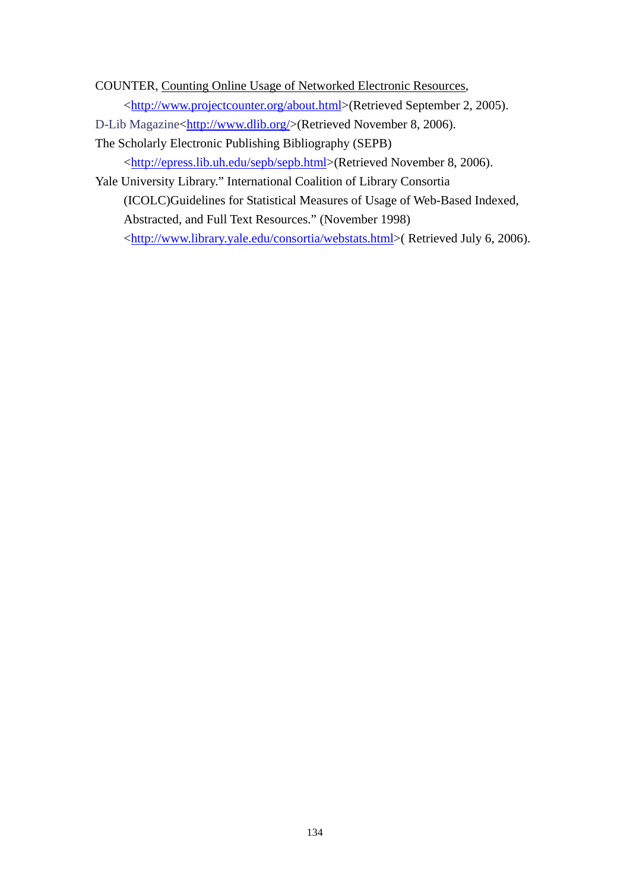COUNTER, Counting Online Usage of Networked Electronic Resources, <http://www.projectcounter.org/about.html>(Retrieved September 2, 2005).

D-Lib Magazine<http://www.dlib.org/>(Retrieved November 8, 2006).

The Scholarly Electronic Publishing Bibliography (SEPB)

<http://epress.lib.uh.edu/sepb/sepb.html>(Retrieved November 8, 2006).

Yale University Library." International Coalition of Library Consortia (ICOLC)Guidelines for Statistical Measures of Usage of Web-Based Indexed, Abstracted, and Full Text Resources." (November 1998) <http://www.library.yale.edu/consortia/webstats.html>( Retrieved July 6, 2006).